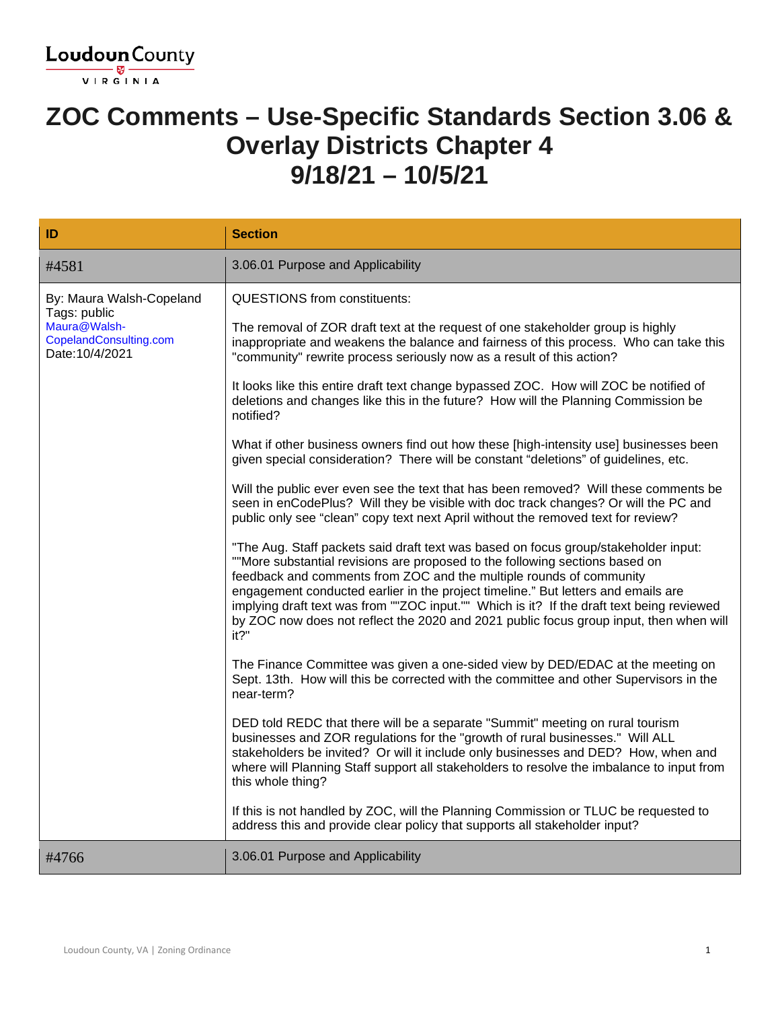

#### **ZOC Comments – Use-Specific Standards Section 3.06 & Overlay Districts Chapter 4 9/18/21 – 10/5/21**

| ID                                                                                                    | <b>Section</b>                                                                                                                                                                                                                                                                                                                                                                                                                                                                                                                 |
|-------------------------------------------------------------------------------------------------------|--------------------------------------------------------------------------------------------------------------------------------------------------------------------------------------------------------------------------------------------------------------------------------------------------------------------------------------------------------------------------------------------------------------------------------------------------------------------------------------------------------------------------------|
| #4581                                                                                                 | 3.06.01 Purpose and Applicability                                                                                                                                                                                                                                                                                                                                                                                                                                                                                              |
| By: Maura Walsh-Copeland<br>Tags: public<br>Maura@Walsh-<br>CopelandConsulting.com<br>Date: 10/4/2021 | <b>QUESTIONS from constituents:</b>                                                                                                                                                                                                                                                                                                                                                                                                                                                                                            |
|                                                                                                       | The removal of ZOR draft text at the request of one stakeholder group is highly<br>inappropriate and weakens the balance and fairness of this process. Who can take this<br>"community" rewrite process seriously now as a result of this action?                                                                                                                                                                                                                                                                              |
|                                                                                                       | It looks like this entire draft text change bypassed ZOC. How will ZOC be notified of<br>deletions and changes like this in the future? How will the Planning Commission be<br>notified?                                                                                                                                                                                                                                                                                                                                       |
|                                                                                                       | What if other business owners find out how these [high-intensity use] businesses been<br>given special consideration? There will be constant "deletions" of guidelines, etc.                                                                                                                                                                                                                                                                                                                                                   |
|                                                                                                       | Will the public ever even see the text that has been removed? Will these comments be<br>seen in enCodePlus? Will they be visible with doc track changes? Or will the PC and<br>public only see "clean" copy text next April without the removed text for review?                                                                                                                                                                                                                                                               |
|                                                                                                       | "The Aug. Staff packets said draft text was based on focus group/stakeholder input:<br>""More substantial revisions are proposed to the following sections based on<br>feedback and comments from ZOC and the multiple rounds of community<br>engagement conducted earlier in the project timeline." But letters and emails are<br>implying draft text was from ""ZOC input."" Which is it? If the draft text being reviewed<br>by ZOC now does not reflect the 2020 and 2021 public focus group input, then when will<br>it?" |
|                                                                                                       | The Finance Committee was given a one-sided view by DED/EDAC at the meeting on<br>Sept. 13th. How will this be corrected with the committee and other Supervisors in the<br>near-term?                                                                                                                                                                                                                                                                                                                                         |
|                                                                                                       | DED told REDC that there will be a separate "Summit" meeting on rural tourism<br>businesses and ZOR regulations for the "growth of rural businesses." Will ALL<br>stakeholders be invited? Or will it include only businesses and DED? How, when and<br>where will Planning Staff support all stakeholders to resolve the imbalance to input from<br>this whole thing?                                                                                                                                                         |
|                                                                                                       | If this is not handled by ZOC, will the Planning Commission or TLUC be requested to<br>address this and provide clear policy that supports all stakeholder input?                                                                                                                                                                                                                                                                                                                                                              |
| #4766                                                                                                 | 3.06.01 Purpose and Applicability                                                                                                                                                                                                                                                                                                                                                                                                                                                                                              |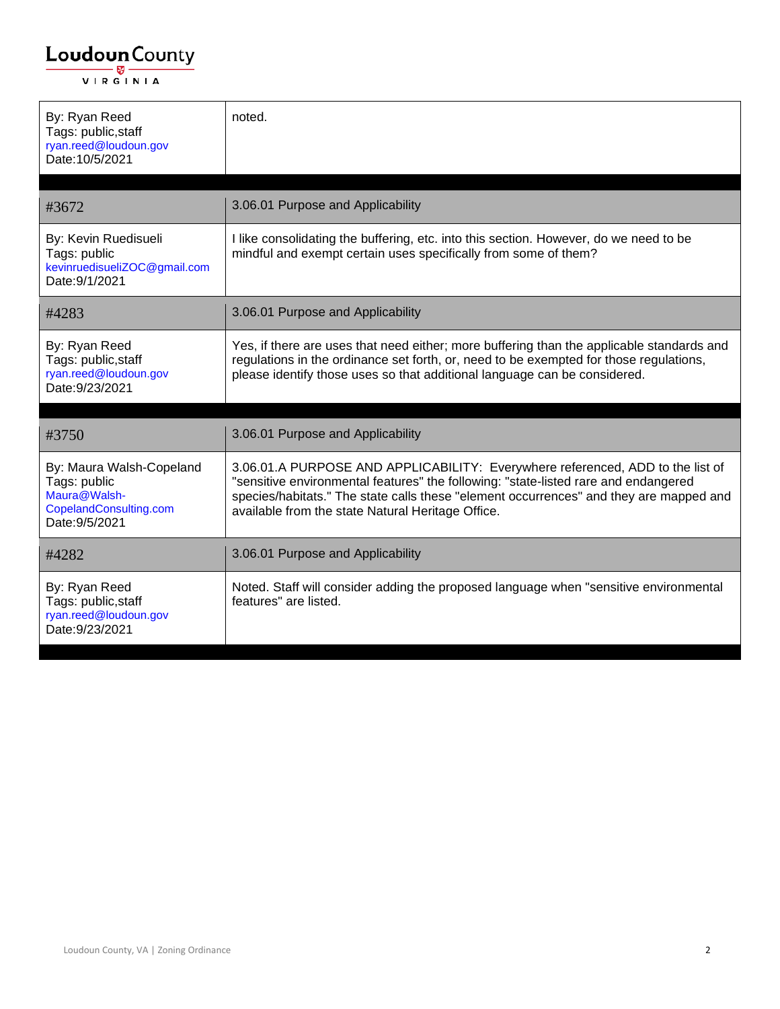| By: Ryan Reed<br>Tags: public, staff<br>ryan.reed@loudoun.gov<br>Date: 10/5/2021                     | noted.                                                                                                                                                                                                                                                                                                               |
|------------------------------------------------------------------------------------------------------|----------------------------------------------------------------------------------------------------------------------------------------------------------------------------------------------------------------------------------------------------------------------------------------------------------------------|
| #3672                                                                                                | 3.06.01 Purpose and Applicability                                                                                                                                                                                                                                                                                    |
| By: Kevin Ruedisueli<br>Tags: public<br>kevinruedisueliZOC@gmail.com<br>Date: 9/1/2021               | I like consolidating the buffering, etc. into this section. However, do we need to be<br>mindful and exempt certain uses specifically from some of them?                                                                                                                                                             |
| #4283                                                                                                | 3.06.01 Purpose and Applicability                                                                                                                                                                                                                                                                                    |
| By: Ryan Reed<br>Tags: public, staff<br>ryan.reed@loudoun.gov<br>Date: 9/23/2021                     | Yes, if there are uses that need either; more buffering than the applicable standards and<br>regulations in the ordinance set forth, or, need to be exempted for those regulations,<br>please identify those uses so that additional language can be considered.                                                     |
| #3750                                                                                                | 3.06.01 Purpose and Applicability                                                                                                                                                                                                                                                                                    |
| By: Maura Walsh-Copeland<br>Tags: public<br>Maura@Walsh-<br>CopelandConsulting.com<br>Date: 9/5/2021 | 3.06.01.A PURPOSE AND APPLICABILITY: Everywhere referenced, ADD to the list of<br>"sensitive environmental features" the following: "state-listed rare and endangered<br>species/habitats." The state calls these "element occurrences" and they are mapped and<br>available from the state Natural Heritage Office. |
| #4282                                                                                                | 3.06.01 Purpose and Applicability                                                                                                                                                                                                                                                                                    |
| By: Ryan Reed<br>Tags: public, staff<br>ryan.reed@loudoun.gov<br>Date: 9/23/2021                     | Noted. Staff will consider adding the proposed language when "sensitive environmental<br>features" are listed.                                                                                                                                                                                                       |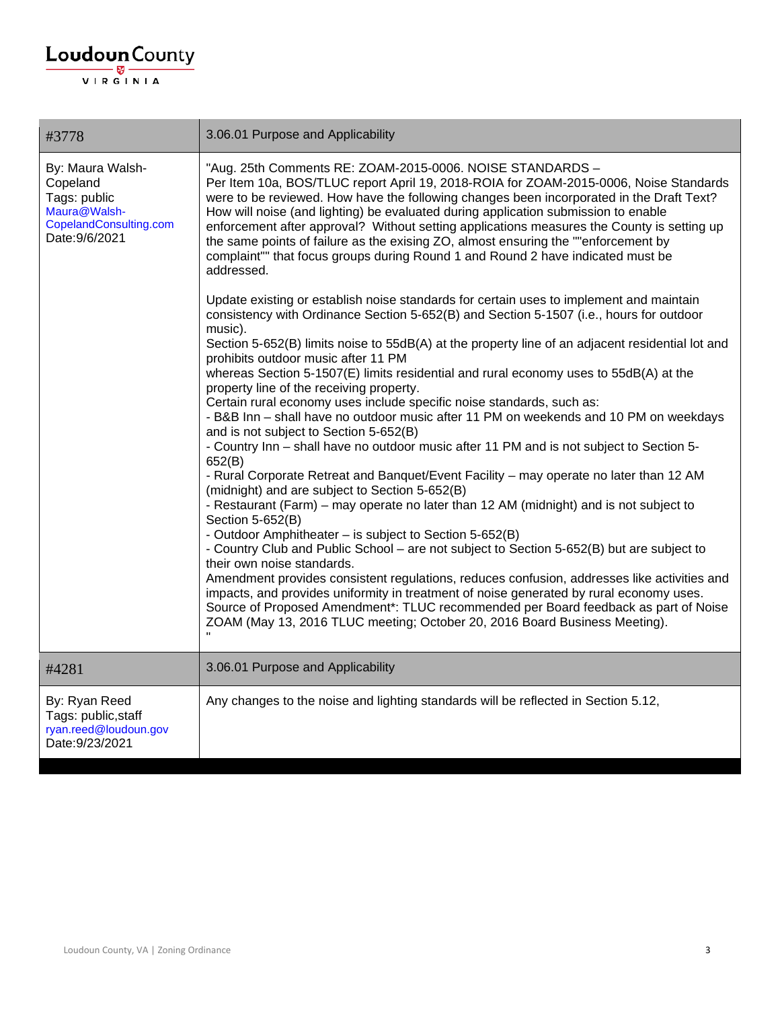| #3778                                                                                                    | 3.06.01 Purpose and Applicability                                                                                                                                                                                                                                                                                                                                                                                                                                                                                                                                                                                                                                                                                                                                                                                                                                                                                                                                                                                                                                                                                                                                                                                                                                                                                                                                                                                                                                                                                                                                                                                                                                                                                                                                                                                                                                                                                                                                                                                                                                                                                                                             |
|----------------------------------------------------------------------------------------------------------|---------------------------------------------------------------------------------------------------------------------------------------------------------------------------------------------------------------------------------------------------------------------------------------------------------------------------------------------------------------------------------------------------------------------------------------------------------------------------------------------------------------------------------------------------------------------------------------------------------------------------------------------------------------------------------------------------------------------------------------------------------------------------------------------------------------------------------------------------------------------------------------------------------------------------------------------------------------------------------------------------------------------------------------------------------------------------------------------------------------------------------------------------------------------------------------------------------------------------------------------------------------------------------------------------------------------------------------------------------------------------------------------------------------------------------------------------------------------------------------------------------------------------------------------------------------------------------------------------------------------------------------------------------------------------------------------------------------------------------------------------------------------------------------------------------------------------------------------------------------------------------------------------------------------------------------------------------------------------------------------------------------------------------------------------------------------------------------------------------------------------------------------------------------|
| By: Maura Walsh-<br>Copeland<br>Tags: public<br>Maura@Walsh-<br>CopelandConsulting.com<br>Date: 9/6/2021 | "Aug. 25th Comments RE: ZOAM-2015-0006. NOISE STANDARDS -<br>Per Item 10a, BOS/TLUC report April 19, 2018-ROIA for ZOAM-2015-0006, Noise Standards<br>were to be reviewed. How have the following changes been incorporated in the Draft Text?<br>How will noise (and lighting) be evaluated during application submission to enable<br>enforcement after approval? Without setting applications measures the County is setting up<br>the same points of failure as the exising ZO, almost ensuring the ""enforcement by<br>complaint"" that focus groups during Round 1 and Round 2 have indicated must be<br>addressed.<br>Update existing or establish noise standards for certain uses to implement and maintain<br>consistency with Ordinance Section 5-652(B) and Section 5-1507 (i.e., hours for outdoor<br>music).<br>Section 5-652(B) limits noise to 55dB(A) at the property line of an adjacent residential lot and<br>prohibits outdoor music after 11 PM<br>whereas Section 5-1507(E) limits residential and rural economy uses to 55dB(A) at the<br>property line of the receiving property.<br>Certain rural economy uses include specific noise standards, such as:<br>- B&B Inn - shall have no outdoor music after 11 PM on weekends and 10 PM on weekdays<br>and is not subject to Section 5-652(B)<br>- Country Inn - shall have no outdoor music after 11 PM and is not subject to Section 5-<br>652(B)<br>- Rural Corporate Retreat and Banquet/Event Facility - may operate no later than 12 AM<br>(midnight) and are subject to Section 5-652(B)<br>- Restaurant (Farm) – may operate no later than 12 AM (midnight) and is not subject to<br>Section 5-652(B)<br>- Outdoor Amphitheater - is subject to Section 5-652(B)<br>- Country Club and Public School – are not subject to Section 5-652(B) but are subject to<br>their own noise standards.<br>Amendment provides consistent regulations, reduces confusion, addresses like activities and<br>impacts, and provides uniformity in treatment of noise generated by rural economy uses.<br>Source of Proposed Amendment*: TLUC recommended per Board feedback as part of Noise |
|                                                                                                          | ZOAM (May 13, 2016 TLUC meeting; October 20, 2016 Board Business Meeting).                                                                                                                                                                                                                                                                                                                                                                                                                                                                                                                                                                                                                                                                                                                                                                                                                                                                                                                                                                                                                                                                                                                                                                                                                                                                                                                                                                                                                                                                                                                                                                                                                                                                                                                                                                                                                                                                                                                                                                                                                                                                                    |
| #4281                                                                                                    | 3.06.01 Purpose and Applicability                                                                                                                                                                                                                                                                                                                                                                                                                                                                                                                                                                                                                                                                                                                                                                                                                                                                                                                                                                                                                                                                                                                                                                                                                                                                                                                                                                                                                                                                                                                                                                                                                                                                                                                                                                                                                                                                                                                                                                                                                                                                                                                             |
| By: Ryan Reed<br>Tags: public, staff<br>ryan.reed@loudoun.gov<br>Date: 9/23/2021                         | Any changes to the noise and lighting standards will be reflected in Section 5.12,                                                                                                                                                                                                                                                                                                                                                                                                                                                                                                                                                                                                                                                                                                                                                                                                                                                                                                                                                                                                                                                                                                                                                                                                                                                                                                                                                                                                                                                                                                                                                                                                                                                                                                                                                                                                                                                                                                                                                                                                                                                                            |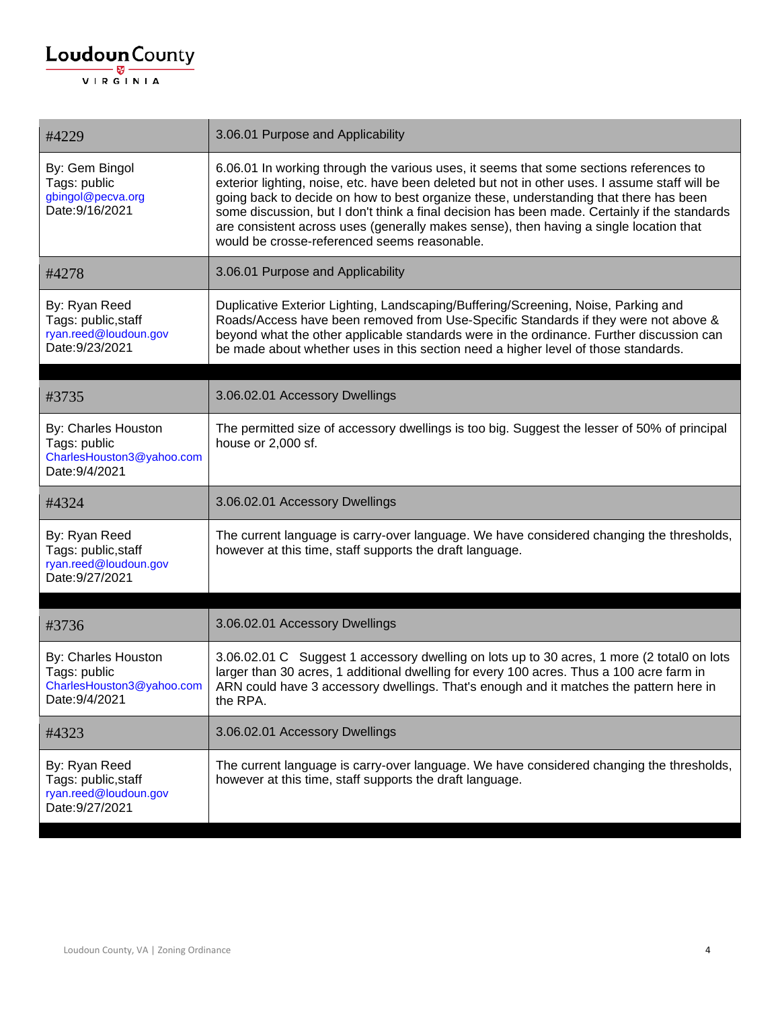| #4229                                                                              | 3.06.01 Purpose and Applicability                                                                                                                                                                                                                                                                                                                                                                                                                                                                                            |
|------------------------------------------------------------------------------------|------------------------------------------------------------------------------------------------------------------------------------------------------------------------------------------------------------------------------------------------------------------------------------------------------------------------------------------------------------------------------------------------------------------------------------------------------------------------------------------------------------------------------|
| By: Gem Bingol<br>Tags: public<br>gbingol@pecva.org<br>Date: 9/16/2021             | 6.06.01 In working through the various uses, it seems that some sections references to<br>exterior lighting, noise, etc. have been deleted but not in other uses. I assume staff will be<br>going back to decide on how to best organize these, understanding that there has been<br>some discussion, but I don't think a final decision has been made. Certainly if the standards<br>are consistent across uses (generally makes sense), then having a single location that<br>would be crosse-referenced seems reasonable. |
| #4278                                                                              | 3.06.01 Purpose and Applicability                                                                                                                                                                                                                                                                                                                                                                                                                                                                                            |
| By: Ryan Reed<br>Tags: public, staff<br>ryan.reed@loudoun.gov<br>Date: 9/23/2021   | Duplicative Exterior Lighting, Landscaping/Buffering/Screening, Noise, Parking and<br>Roads/Access have been removed from Use-Specific Standards if they were not above &<br>beyond what the other applicable standards were in the ordinance. Further discussion can<br>be made about whether uses in this section need a higher level of those standards.                                                                                                                                                                  |
| #3735                                                                              | 3.06.02.01 Accessory Dwellings                                                                                                                                                                                                                                                                                                                                                                                                                                                                                               |
| By: Charles Houston<br>Tags: public<br>CharlesHouston3@yahoo.com<br>Date: 9/4/2021 | The permitted size of accessory dwellings is too big. Suggest the lesser of 50% of principal<br>house or 2,000 sf.                                                                                                                                                                                                                                                                                                                                                                                                           |
| #4324                                                                              | 3.06.02.01 Accessory Dwellings                                                                                                                                                                                                                                                                                                                                                                                                                                                                                               |
| By: Ryan Reed<br>Tags: public, staff<br>ryan.reed@loudoun.gov<br>Date: 9/27/2021   | The current language is carry-over language. We have considered changing the thresholds,<br>however at this time, staff supports the draft language.                                                                                                                                                                                                                                                                                                                                                                         |
| #3736                                                                              | 3.06.02.01 Accessory Dwellings                                                                                                                                                                                                                                                                                                                                                                                                                                                                                               |
| By: Charles Houston<br>Tags: public<br>CharlesHouston3@yahoo.com<br>Date: 9/4/2021 | 3.06.02.01 C Suggest 1 accessory dwelling on lots up to 30 acres, 1 more (2 total0 on lots<br>larger than 30 acres, 1 additional dwelling for every 100 acres. Thus a 100 acre farm in<br>ARN could have 3 accessory dwellings. That's enough and it matches the pattern here in<br>the RPA.                                                                                                                                                                                                                                 |
| #4323                                                                              | 3.06.02.01 Accessory Dwellings                                                                                                                                                                                                                                                                                                                                                                                                                                                                                               |
| By: Ryan Reed<br>Tags: public, staff<br>ryan.reed@loudoun.gov<br>Date: 9/27/2021   | The current language is carry-over language. We have considered changing the thresholds,<br>however at this time, staff supports the draft language.                                                                                                                                                                                                                                                                                                                                                                         |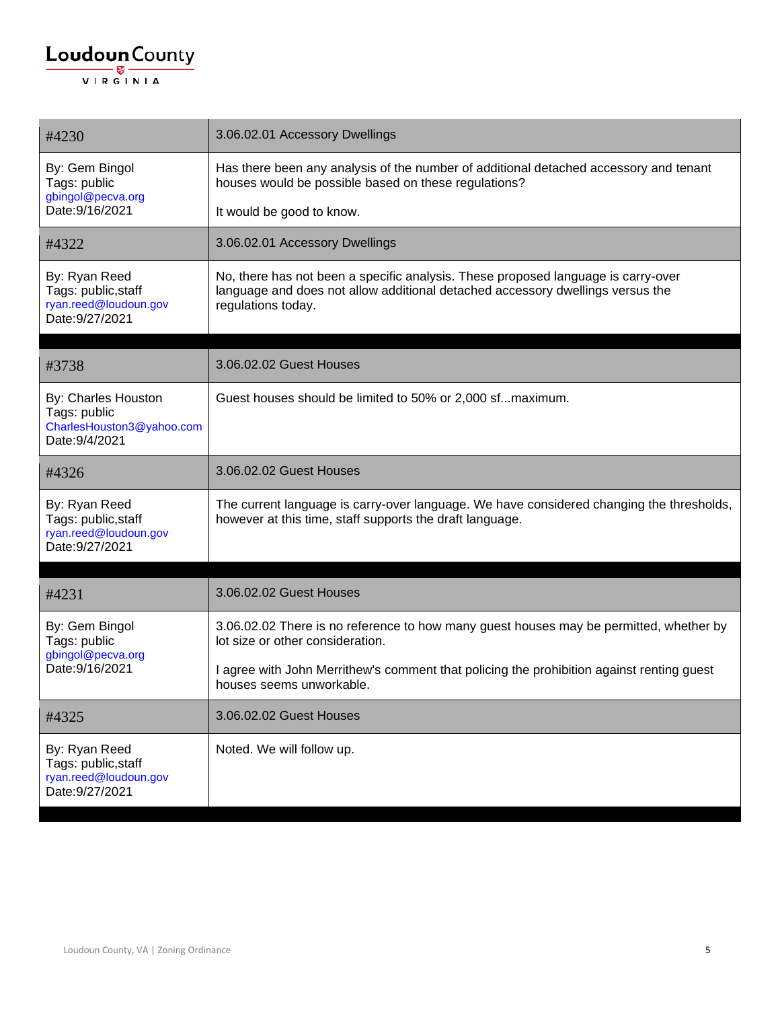| #4230                                                                              | 3.06.02.01 Accessory Dwellings                                                                                                                                                            |
|------------------------------------------------------------------------------------|-------------------------------------------------------------------------------------------------------------------------------------------------------------------------------------------|
| By: Gem Bingol<br>Tags: public                                                     | Has there been any analysis of the number of additional detached accessory and tenant<br>houses would be possible based on these regulations?                                             |
| gbingol@pecva.org<br>Date: 9/16/2021                                               | It would be good to know.                                                                                                                                                                 |
| #4322                                                                              | 3.06.02.01 Accessory Dwellings                                                                                                                                                            |
| By: Ryan Reed<br>Tags: public, staff<br>ryan.reed@loudoun.gov<br>Date: 9/27/2021   | No, there has not been a specific analysis. These proposed language is carry-over<br>language and does not allow additional detached accessory dwellings versus the<br>regulations today. |
| #3738                                                                              | 3.06.02.02 Guest Houses                                                                                                                                                                   |
| By: Charles Houston<br>Tags: public<br>CharlesHouston3@yahoo.com<br>Date: 9/4/2021 | Guest houses should be limited to 50% or 2,000 sfmaximum.                                                                                                                                 |
| #4326                                                                              | 3.06.02.02 Guest Houses                                                                                                                                                                   |
| By: Ryan Reed<br>Tags: public, staff<br>ryan.reed@loudoun.gov<br>Date: 9/27/2021   | The current language is carry-over language. We have considered changing the thresholds,<br>however at this time, staff supports the draft language.                                      |
| #4231                                                                              | 3.06.02.02 Guest Houses                                                                                                                                                                   |
| By: Gem Bingol<br>Tags: public<br>gbingol@pecva.org<br>Date: 9/16/2021             | 3.06.02.02 There is no reference to how many guest houses may be permitted, whether by<br>lot size or other consideration.                                                                |
|                                                                                    | I agree with John Merrithew's comment that policing the prohibition against renting guest<br>houses seems unworkable.                                                                     |
| #4325                                                                              | 3.06.02.02 Guest Houses                                                                                                                                                                   |
| By: Ryan Reed<br>Tags: public, staff<br>ryan.reed@loudoun.gov<br>Date: 9/27/2021   | Noted. We will follow up.                                                                                                                                                                 |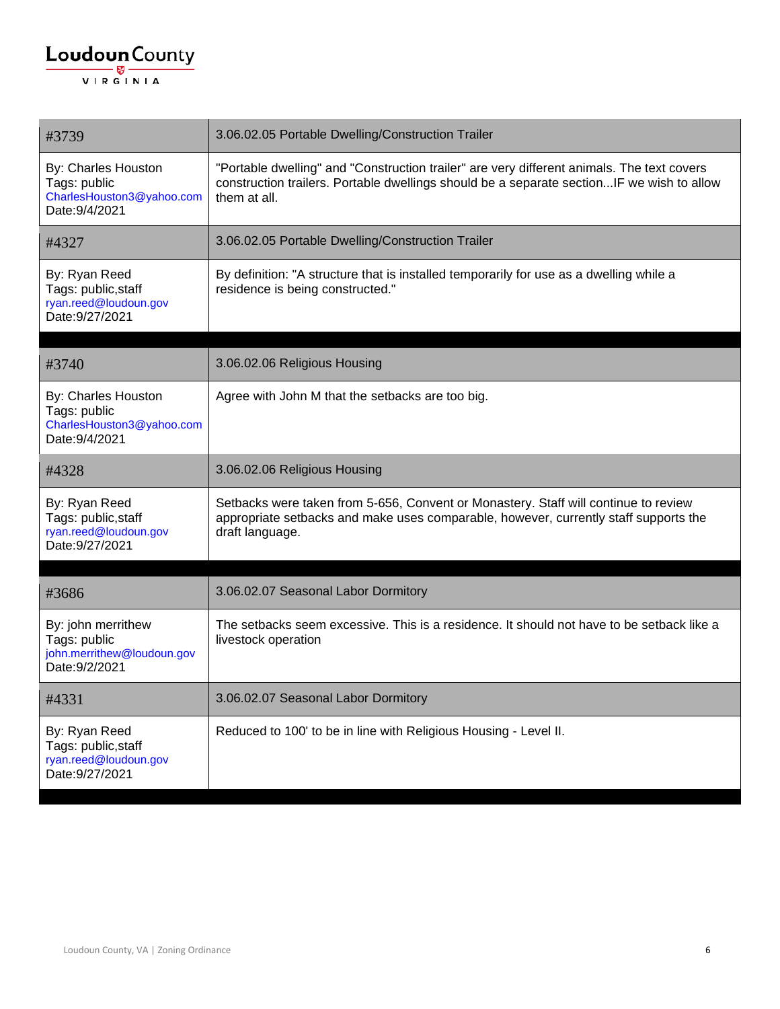| #3739                                                                              | 3.06.02.05 Portable Dwelling/Construction Trailer                                                                                                                                                       |
|------------------------------------------------------------------------------------|---------------------------------------------------------------------------------------------------------------------------------------------------------------------------------------------------------|
| By: Charles Houston<br>Tags: public<br>CharlesHouston3@yahoo.com<br>Date: 9/4/2021 | "Portable dwelling" and "Construction trailer" are very different animals. The text covers<br>construction trailers. Portable dwellings should be a separate sectionIF we wish to allow<br>them at all. |
| #4327                                                                              | 3.06.02.05 Portable Dwelling/Construction Trailer                                                                                                                                                       |
| By: Ryan Reed<br>Tags: public, staff<br>ryan.reed@loudoun.gov<br>Date: 9/27/2021   | By definition: "A structure that is installed temporarily for use as a dwelling while a<br>residence is being constructed."                                                                             |
| #3740                                                                              | 3.06.02.06 Religious Housing                                                                                                                                                                            |
| By: Charles Houston<br>Tags: public<br>CharlesHouston3@yahoo.com<br>Date: 9/4/2021 | Agree with John M that the setbacks are too big.                                                                                                                                                        |
| #4328                                                                              | 3.06.02.06 Religious Housing                                                                                                                                                                            |
| By: Ryan Reed<br>Tags: public, staff<br>ryan.reed@loudoun.gov<br>Date: 9/27/2021   | Setbacks were taken from 5-656, Convent or Monastery. Staff will continue to review<br>appropriate setbacks and make uses comparable, however, currently staff supports the<br>draft language.          |
| #3686                                                                              | 3.06.02.07 Seasonal Labor Dormitory                                                                                                                                                                     |
| By: john merrithew<br>Tags: public<br>john.merrithew@loudoun.gov<br>Date: 9/2/2021 | The setbacks seem excessive. This is a residence. It should not have to be setback like a<br>livestock operation                                                                                        |
| #4331                                                                              | 3.06.02.07 Seasonal Labor Dormitory                                                                                                                                                                     |
| By: Ryan Reed<br>Tags: public, staff<br>ryan.reed@loudoun.gov<br>Date: 9/27/2021   | Reduced to 100' to be in line with Religious Housing - Level II.                                                                                                                                        |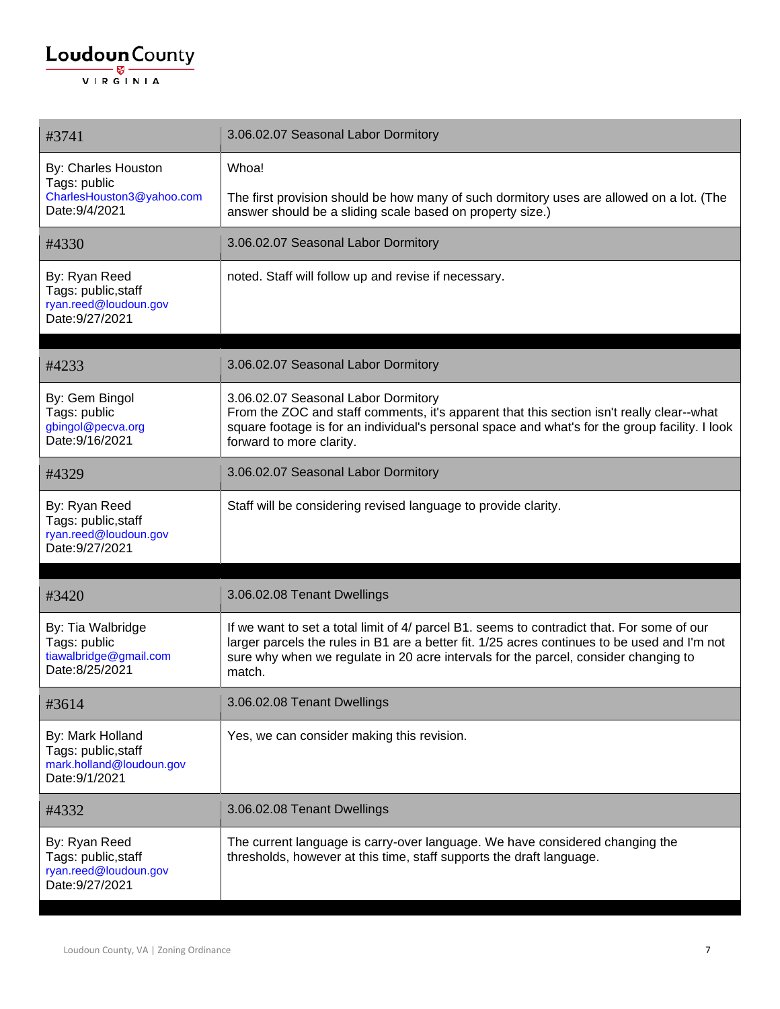#### $\underbrace{\textbf{Loudoun}\xspace}_{\text{VIR GINIA}}$

| #3741                                                                                 | 3.06.02.07 Seasonal Labor Dormitory                                                                                                                                                                                                                                                         |
|---------------------------------------------------------------------------------------|---------------------------------------------------------------------------------------------------------------------------------------------------------------------------------------------------------------------------------------------------------------------------------------------|
| By: Charles Houston<br>Tags: public<br>CharlesHouston3@yahoo.com<br>Date: 9/4/2021    | Whoa!<br>The first provision should be how many of such dormitory uses are allowed on a lot. (The<br>answer should be a sliding scale based on property size.)                                                                                                                              |
| #4330                                                                                 | 3.06.02.07 Seasonal Labor Dormitory                                                                                                                                                                                                                                                         |
| By: Ryan Reed<br>Tags: public, staff<br>ryan.reed@loudoun.gov<br>Date: 9/27/2021      | noted. Staff will follow up and revise if necessary.                                                                                                                                                                                                                                        |
| #4233                                                                                 | 3.06.02.07 Seasonal Labor Dormitory                                                                                                                                                                                                                                                         |
| By: Gem Bingol<br>Tags: public<br>gbingol@pecva.org<br>Date: 9/16/2021                | 3.06.02.07 Seasonal Labor Dormitory<br>From the ZOC and staff comments, it's apparent that this section isn't really clear--what<br>square footage is for an individual's personal space and what's for the group facility. I look<br>forward to more clarity.                              |
| #4329                                                                                 | 3.06.02.07 Seasonal Labor Dormitory                                                                                                                                                                                                                                                         |
| By: Ryan Reed<br>Tags: public, staff<br>ryan.reed@loudoun.gov<br>Date: 9/27/2021      | Staff will be considering revised language to provide clarity.                                                                                                                                                                                                                              |
| #3420                                                                                 | 3.06.02.08 Tenant Dwellings                                                                                                                                                                                                                                                                 |
| By: Tia Walbridge<br>Tags: public<br>tiawalbridge@gmail.com<br>Date:8/25/2021         | If we want to set a total limit of 4/ parcel B1. seems to contradict that. For some of our<br>larger parcels the rules in B1 are a better fit. 1/25 acres continues to be used and I'm not<br>sure why when we regulate in 20 acre intervals for the parcel, consider changing to<br>match. |
| #3614                                                                                 | 3.06.02.08 Tenant Dwellings                                                                                                                                                                                                                                                                 |
| By: Mark Holland<br>Tags: public, staff<br>mark.holland@loudoun.gov<br>Date: 9/1/2021 | Yes, we can consider making this revision.                                                                                                                                                                                                                                                  |
| #4332                                                                                 | 3.06.02.08 Tenant Dwellings                                                                                                                                                                                                                                                                 |
| By: Ryan Reed<br>Tags: public, staff<br>ryan.reed@loudoun.gov<br>Date: 9/27/2021      | The current language is carry-over language. We have considered changing the<br>thresholds, however at this time, staff supports the draft language.                                                                                                                                        |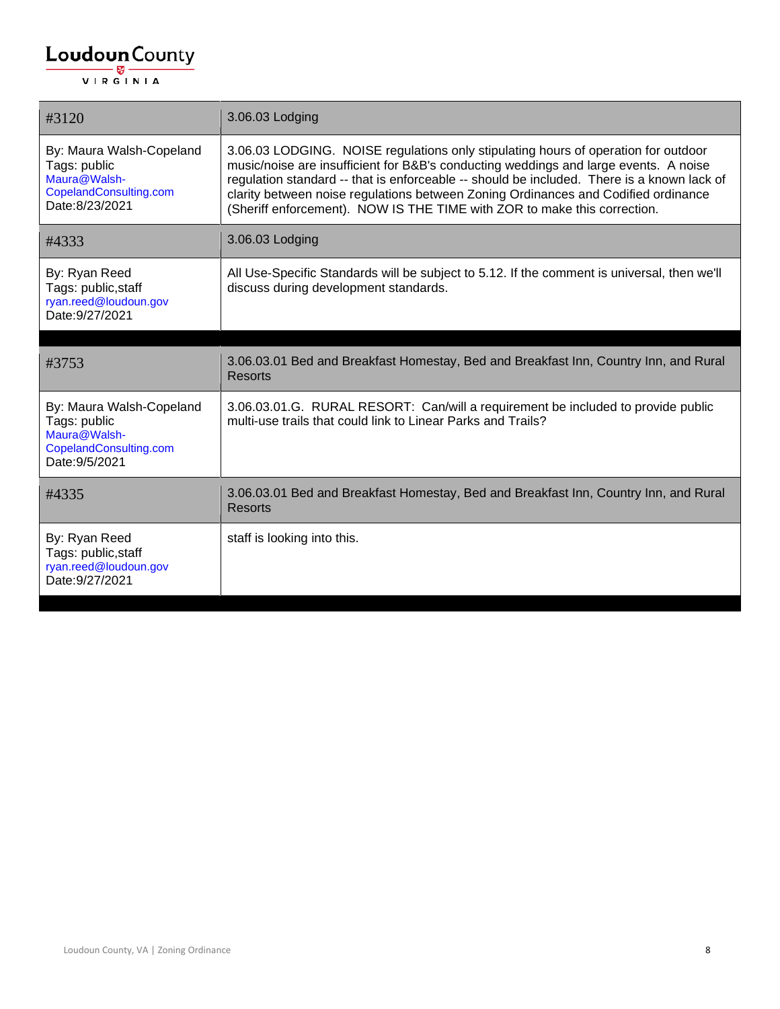| #3120                                                                                                | 3.06.03 Lodging                                                                                                                                                                                                                                                                                                                                                                                                                            |
|------------------------------------------------------------------------------------------------------|--------------------------------------------------------------------------------------------------------------------------------------------------------------------------------------------------------------------------------------------------------------------------------------------------------------------------------------------------------------------------------------------------------------------------------------------|
| By: Maura Walsh-Copeland<br>Tags: public<br>Maura@Walsh-<br>CopelandConsulting.com<br>Date:8/23/2021 | 3.06.03 LODGING. NOISE regulations only stipulating hours of operation for outdoor<br>music/noise are insufficient for B&B's conducting weddings and large events. A noise<br>regulation standard -- that is enforceable -- should be included. There is a known lack of<br>clarity between noise regulations between Zoning Ordinances and Codified ordinance<br>(Sheriff enforcement). NOW IS THE TIME with ZOR to make this correction. |
| #4333                                                                                                | 3.06.03 Lodging                                                                                                                                                                                                                                                                                                                                                                                                                            |
| By: Ryan Reed<br>Tags: public, staff<br>ryan.reed@loudoun.gov<br>Date: 9/27/2021                     | All Use-Specific Standards will be subject to 5.12. If the comment is universal, then we'll<br>discuss during development standards.                                                                                                                                                                                                                                                                                                       |
|                                                                                                      |                                                                                                                                                                                                                                                                                                                                                                                                                                            |
| #3753                                                                                                | 3.06.03.01 Bed and Breakfast Homestay, Bed and Breakfast Inn, Country Inn, and Rural<br><b>Resorts</b>                                                                                                                                                                                                                                                                                                                                     |
| By: Maura Walsh-Copeland<br>Tags: public<br>Maura@Walsh-<br>CopelandConsulting.com<br>Date: 9/5/2021 | 3.06.03.01.G. RURAL RESORT: Can/will a requirement be included to provide public<br>multi-use trails that could link to Linear Parks and Trails?                                                                                                                                                                                                                                                                                           |
| #4335                                                                                                | 3.06.03.01 Bed and Breakfast Homestay, Bed and Breakfast Inn, Country Inn, and Rural<br><b>Resorts</b>                                                                                                                                                                                                                                                                                                                                     |
| By: Ryan Reed<br>Tags: public, staff<br>ryan.reed@loudoun.gov<br>Date: 9/27/2021                     | staff is looking into this.                                                                                                                                                                                                                                                                                                                                                                                                                |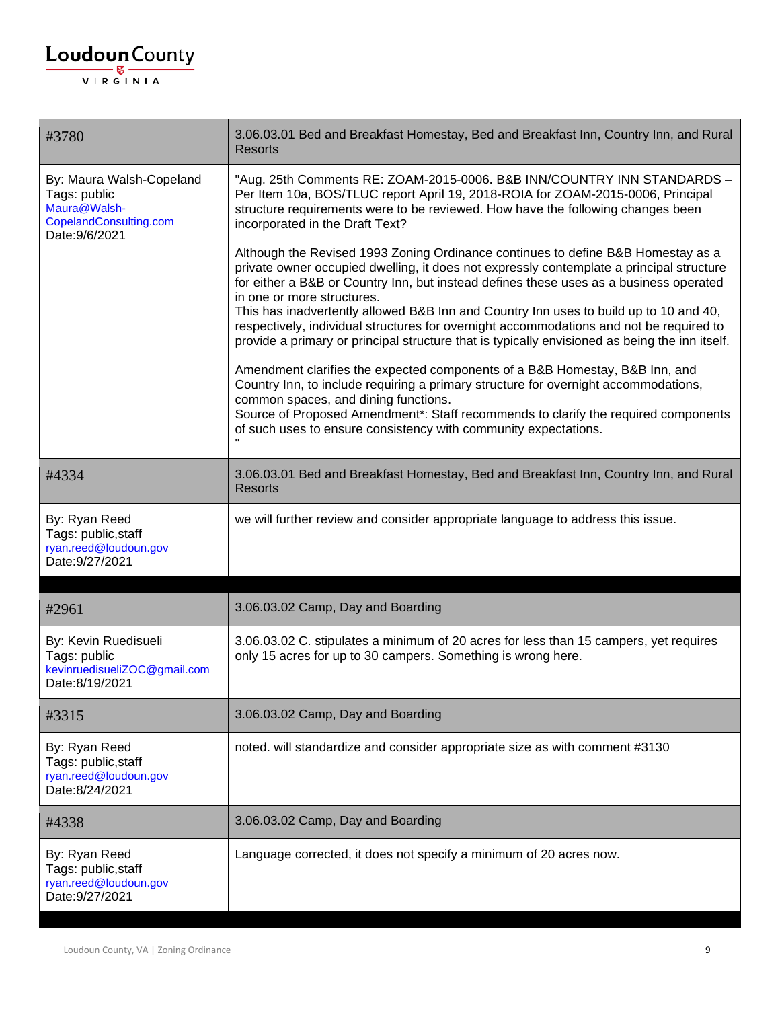#### $\underbrace{\textbf{Loudoun}\xspace}_{\text{VIR GINIA}}$

| #3780                                                                                                | 3.06.03.01 Bed and Breakfast Homestay, Bed and Breakfast Inn, Country Inn, and Rural<br><b>Resorts</b>                                                                                                                                                                                                                                                                                                                                                                                                                                                                                                                                                                                                                                                           |
|------------------------------------------------------------------------------------------------------|------------------------------------------------------------------------------------------------------------------------------------------------------------------------------------------------------------------------------------------------------------------------------------------------------------------------------------------------------------------------------------------------------------------------------------------------------------------------------------------------------------------------------------------------------------------------------------------------------------------------------------------------------------------------------------------------------------------------------------------------------------------|
| By: Maura Walsh-Copeland<br>Tags: public<br>Maura@Walsh-<br>CopelandConsulting.com<br>Date: 9/6/2021 | "Aug. 25th Comments RE: ZOAM-2015-0006. B&B INN/COUNTRY INN STANDARDS -<br>Per Item 10a, BOS/TLUC report April 19, 2018-ROIA for ZOAM-2015-0006, Principal<br>structure requirements were to be reviewed. How have the following changes been<br>incorporated in the Draft Text?                                                                                                                                                                                                                                                                                                                                                                                                                                                                                 |
|                                                                                                      | Although the Revised 1993 Zoning Ordinance continues to define B&B Homestay as a<br>private owner occupied dwelling, it does not expressly contemplate a principal structure<br>for either a B&B or Country Inn, but instead defines these uses as a business operated<br>in one or more structures.<br>This has inadvertently allowed B&B Inn and Country Inn uses to build up to 10 and 40,<br>respectively, individual structures for overnight accommodations and not be required to<br>provide a primary or principal structure that is typically envisioned as being the inn itself.<br>Amendment clarifies the expected components of a B&B Homestay, B&B Inn, and<br>Country Inn, to include requiring a primary structure for overnight accommodations, |
|                                                                                                      | common spaces, and dining functions.<br>Source of Proposed Amendment*: Staff recommends to clarify the required components<br>of such uses to ensure consistency with community expectations.                                                                                                                                                                                                                                                                                                                                                                                                                                                                                                                                                                    |
| #4334                                                                                                | 3.06.03.01 Bed and Breakfast Homestay, Bed and Breakfast Inn, Country Inn, and Rural<br><b>Resorts</b>                                                                                                                                                                                                                                                                                                                                                                                                                                                                                                                                                                                                                                                           |
| By: Ryan Reed<br>Tags: public, staff<br>ryan.reed@loudoun.gov<br>Date: 9/27/2021                     | we will further review and consider appropriate language to address this issue.                                                                                                                                                                                                                                                                                                                                                                                                                                                                                                                                                                                                                                                                                  |
| #2961                                                                                                | 3.06.03.02 Camp, Day and Boarding                                                                                                                                                                                                                                                                                                                                                                                                                                                                                                                                                                                                                                                                                                                                |
| By: Kevin Ruedisueli<br>Tags: public<br>kevinruedisueliZOC@gmail.com<br>Date:8/19/2021               | 3.06.03.02 C. stipulates a minimum of 20 acres for less than 15 campers, yet requires<br>only 15 acres for up to 30 campers. Something is wrong here.                                                                                                                                                                                                                                                                                                                                                                                                                                                                                                                                                                                                            |
| #3315                                                                                                | 3.06.03.02 Camp, Day and Boarding                                                                                                                                                                                                                                                                                                                                                                                                                                                                                                                                                                                                                                                                                                                                |
| By: Ryan Reed<br>Tags: public, staff<br>ryan.reed@loudoun.gov<br>Date:8/24/2021                      | noted. will standardize and consider appropriate size as with comment #3130                                                                                                                                                                                                                                                                                                                                                                                                                                                                                                                                                                                                                                                                                      |
| #4338                                                                                                | 3.06.03.02 Camp, Day and Boarding                                                                                                                                                                                                                                                                                                                                                                                                                                                                                                                                                                                                                                                                                                                                |
| By: Ryan Reed<br>Tags: public, staff<br>ryan.reed@loudoun.gov<br>Date: 9/27/2021                     | Language corrected, it does not specify a minimum of 20 acres now.                                                                                                                                                                                                                                                                                                                                                                                                                                                                                                                                                                                                                                                                                               |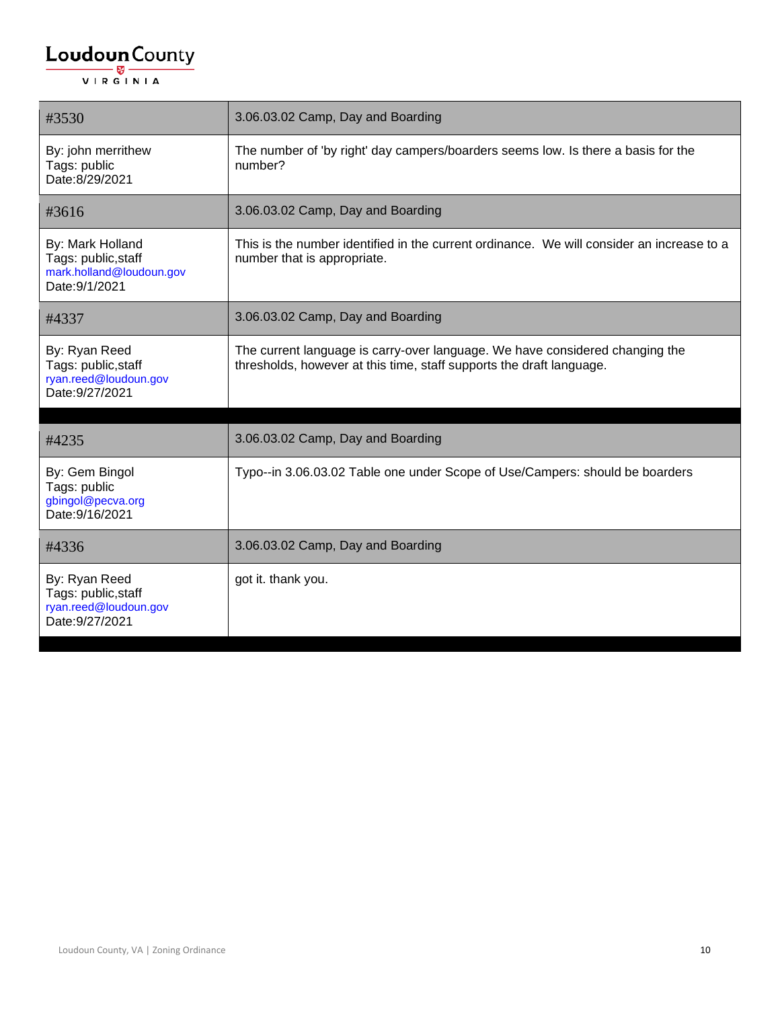| #3530                                                                                 | 3.06.03.02 Camp, Day and Boarding                                                                                                                    |
|---------------------------------------------------------------------------------------|------------------------------------------------------------------------------------------------------------------------------------------------------|
| By: john merrithew<br>Tags: public<br>Date:8/29/2021                                  | The number of 'by right' day campers/boarders seems low. Is there a basis for the<br>number?                                                         |
| #3616                                                                                 | 3.06.03.02 Camp, Day and Boarding                                                                                                                    |
| By: Mark Holland<br>Tags: public, staff<br>mark.holland@loudoun.gov<br>Date: 9/1/2021 | This is the number identified in the current ordinance. We will consider an increase to a<br>number that is appropriate.                             |
| #4337                                                                                 | 3.06.03.02 Camp, Day and Boarding                                                                                                                    |
| By: Ryan Reed<br>Tags: public, staff<br>ryan.reed@loudoun.gov<br>Date: 9/27/2021      | The current language is carry-over language. We have considered changing the<br>thresholds, however at this time, staff supports the draft language. |
| #4235                                                                                 | 3.06.03.02 Camp, Day and Boarding                                                                                                                    |
| By: Gem Bingol<br>Tags: public<br>gbingol@pecva.org<br>Date: 9/16/2021                | Typo--in 3.06.03.02 Table one under Scope of Use/Campers: should be boarders                                                                         |
| #4336                                                                                 | 3.06.03.02 Camp, Day and Boarding                                                                                                                    |
| By: Ryan Reed<br>Tags: public, staff<br>ryan.reed@loudoun.gov<br>Date: 9/27/2021      | got it. thank you.                                                                                                                                   |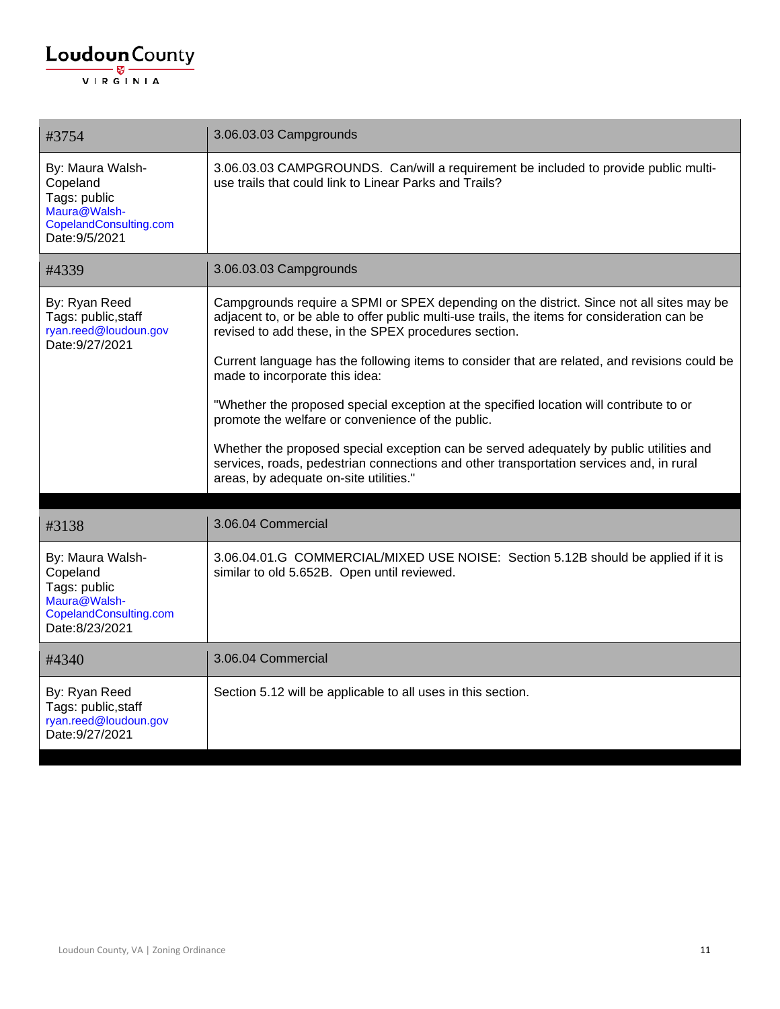| #3754                                                                                                    | 3.06.03.03 Campgrounds                                                                                                                                                                                                                                                                                                                                                                                                                                                                                                                                                                                                                                                                                                                                               |
|----------------------------------------------------------------------------------------------------------|----------------------------------------------------------------------------------------------------------------------------------------------------------------------------------------------------------------------------------------------------------------------------------------------------------------------------------------------------------------------------------------------------------------------------------------------------------------------------------------------------------------------------------------------------------------------------------------------------------------------------------------------------------------------------------------------------------------------------------------------------------------------|
| By: Maura Walsh-<br>Copeland<br>Tags: public<br>Maura@Walsh-<br>CopelandConsulting.com<br>Date: 9/5/2021 | 3.06.03.03 CAMPGROUNDS. Can/will a requirement be included to provide public multi-<br>use trails that could link to Linear Parks and Trails?                                                                                                                                                                                                                                                                                                                                                                                                                                                                                                                                                                                                                        |
| #4339                                                                                                    | 3.06.03.03 Campgrounds                                                                                                                                                                                                                                                                                                                                                                                                                                                                                                                                                                                                                                                                                                                                               |
| By: Ryan Reed<br>Tags: public, staff<br>ryan.reed@loudoun.gov<br>Date: 9/27/2021                         | Campgrounds require a SPMI or SPEX depending on the district. Since not all sites may be<br>adjacent to, or be able to offer public multi-use trails, the items for consideration can be<br>revised to add these, in the SPEX procedures section.<br>Current language has the following items to consider that are related, and revisions could be<br>made to incorporate this idea:<br>"Whether the proposed special exception at the specified location will contribute to or<br>promote the welfare or convenience of the public.<br>Whether the proposed special exception can be served adequately by public utilities and<br>services, roads, pedestrian connections and other transportation services and, in rural<br>areas, by adequate on-site utilities." |
| #3138                                                                                                    | 3.06.04 Commercial                                                                                                                                                                                                                                                                                                                                                                                                                                                                                                                                                                                                                                                                                                                                                   |
| By: Maura Walsh-<br>Copeland<br>Tags: public<br>Maura@Walsh-<br>CopelandConsulting.com<br>Date:8/23/2021 | 3.06.04.01.G COMMERCIAL/MIXED USE NOISE: Section 5.12B should be applied if it is<br>similar to old 5.652B. Open until reviewed.                                                                                                                                                                                                                                                                                                                                                                                                                                                                                                                                                                                                                                     |
| #4340                                                                                                    | 3.06.04 Commercial                                                                                                                                                                                                                                                                                                                                                                                                                                                                                                                                                                                                                                                                                                                                                   |
| By: Ryan Reed<br>Tags: public, staff<br>ryan.reed@loudoun.gov<br>Date: 9/27/2021                         | Section 5.12 will be applicable to all uses in this section.                                                                                                                                                                                                                                                                                                                                                                                                                                                                                                                                                                                                                                                                                                         |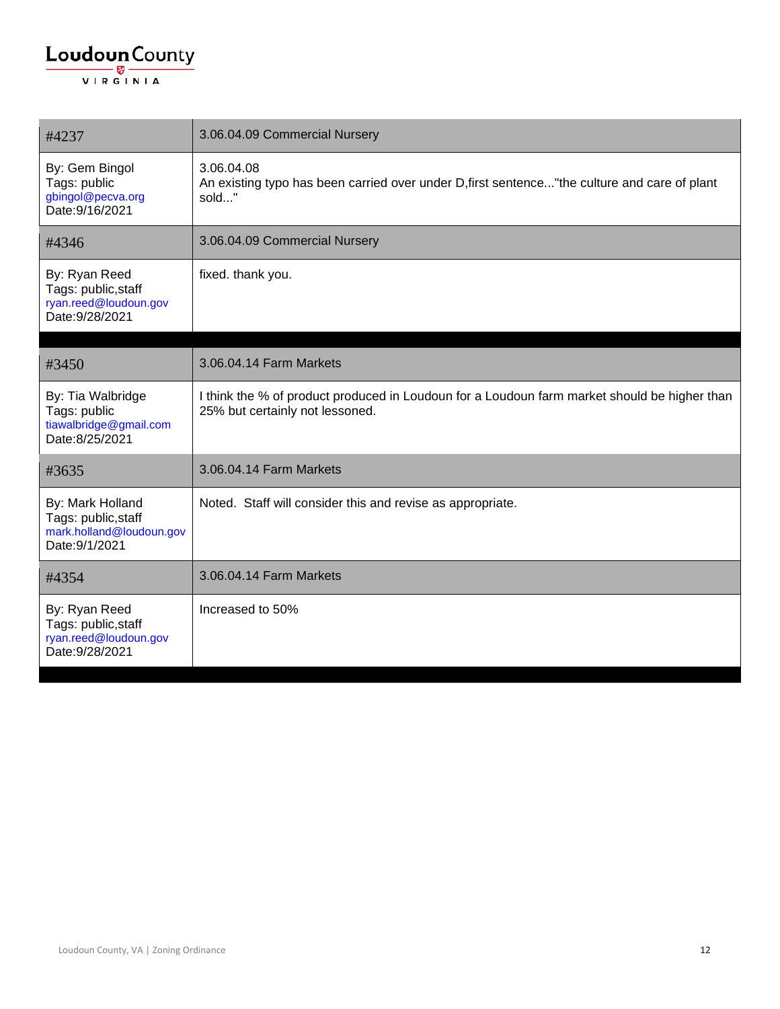| #4237                                                                                 | 3.06.04.09 Commercial Nursery                                                                                                   |
|---------------------------------------------------------------------------------------|---------------------------------------------------------------------------------------------------------------------------------|
| By: Gem Bingol<br>Tags: public<br>gbingol@pecva.org<br>Date: 9/16/2021                | 3.06.04.08<br>An existing typo has been carried over under D, first sentence" the culture and care of plant<br>sold"            |
| #4346                                                                                 | 3.06.04.09 Commercial Nursery                                                                                                   |
| By: Ryan Reed<br>Tags: public, staff<br>ryan.reed@loudoun.gov<br>Date: 9/28/2021      | fixed. thank you.                                                                                                               |
|                                                                                       |                                                                                                                                 |
| #3450                                                                                 | 3.06.04.14 Farm Markets                                                                                                         |
| By: Tia Walbridge<br>Tags: public<br>tiawalbridge@gmail.com<br>Date: 8/25/2021        | I think the % of product produced in Loudoun for a Loudoun farm market should be higher than<br>25% but certainly not lessoned. |
| #3635                                                                                 | 3.06.04.14 Farm Markets                                                                                                         |
| By: Mark Holland<br>Tags: public, staff<br>mark.holland@loudoun.gov<br>Date: 9/1/2021 | Noted. Staff will consider this and revise as appropriate.                                                                      |
| #4354                                                                                 | 3.06.04.14 Farm Markets                                                                                                         |
| By: Ryan Reed<br>Tags: public, staff<br>ryan.reed@loudoun.gov<br>Date: 9/28/2021      | Increased to 50%                                                                                                                |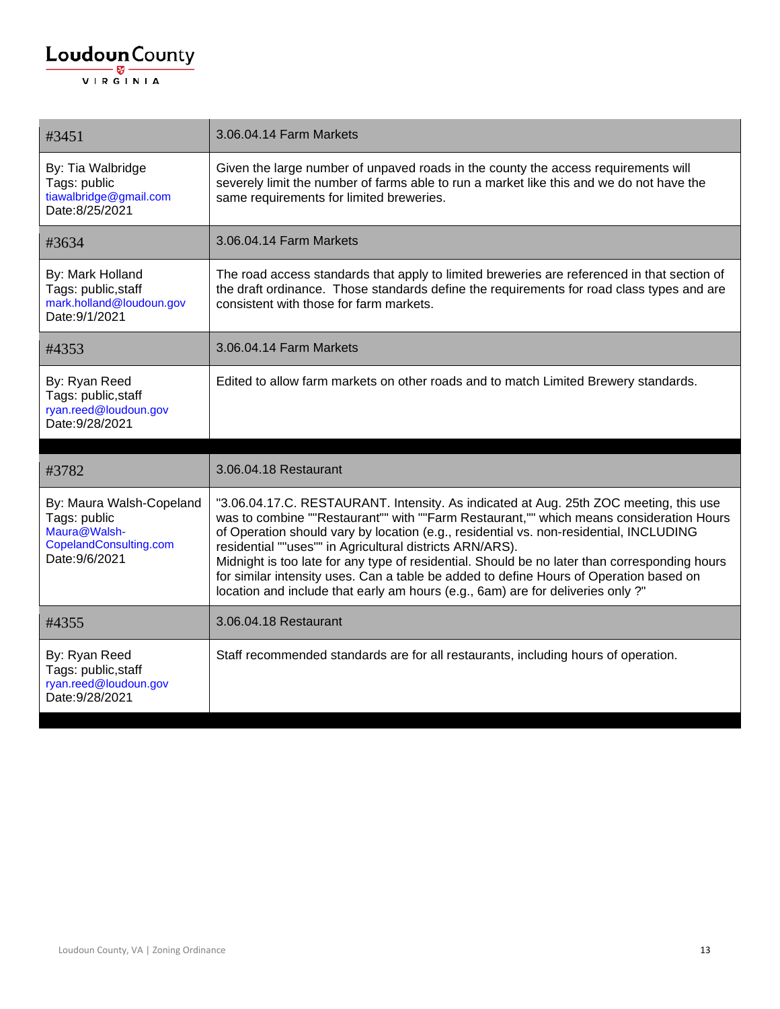| #3451                                                                                                | 3.06.04.14 Farm Markets                                                                                                                                                                                                                                                                                                                                                                                                                                                                                                                                                                                              |
|------------------------------------------------------------------------------------------------------|----------------------------------------------------------------------------------------------------------------------------------------------------------------------------------------------------------------------------------------------------------------------------------------------------------------------------------------------------------------------------------------------------------------------------------------------------------------------------------------------------------------------------------------------------------------------------------------------------------------------|
| By: Tia Walbridge<br>Tags: public<br>tiawalbridge@gmail.com<br>Date:8/25/2021                        | Given the large number of unpaved roads in the county the access requirements will<br>severely limit the number of farms able to run a market like this and we do not have the<br>same requirements for limited breweries.                                                                                                                                                                                                                                                                                                                                                                                           |
| #3634                                                                                                | 3.06.04.14 Farm Markets                                                                                                                                                                                                                                                                                                                                                                                                                                                                                                                                                                                              |
| By: Mark Holland<br>Tags: public, staff<br>mark.holland@loudoun.gov<br>Date: 9/1/2021                | The road access standards that apply to limited breweries are referenced in that section of<br>the draft ordinance. Those standards define the requirements for road class types and are<br>consistent with those for farm markets.                                                                                                                                                                                                                                                                                                                                                                                  |
| #4353                                                                                                | 3.06.04.14 Farm Markets                                                                                                                                                                                                                                                                                                                                                                                                                                                                                                                                                                                              |
| By: Ryan Reed<br>Tags: public, staff<br>ryan.reed@loudoun.gov<br>Date: 9/28/2021                     | Edited to allow farm markets on other roads and to match Limited Brewery standards.                                                                                                                                                                                                                                                                                                                                                                                                                                                                                                                                  |
|                                                                                                      |                                                                                                                                                                                                                                                                                                                                                                                                                                                                                                                                                                                                                      |
| #3782                                                                                                | 3.06.04.18 Restaurant                                                                                                                                                                                                                                                                                                                                                                                                                                                                                                                                                                                                |
| By: Maura Walsh-Copeland<br>Tags: public<br>Maura@Walsh-<br>CopelandConsulting.com<br>Date: 9/6/2021 | "3.06.04.17.C. RESTAURANT. Intensity. As indicated at Aug. 25th ZOC meeting, this use<br>was to combine ""Restaurant"" with ""Farm Restaurant,"" which means consideration Hours<br>of Operation should vary by location (e.g., residential vs. non-residential, INCLUDING<br>residential ""uses"" in Agricultural districts ARN/ARS).<br>Midnight is too late for any type of residential. Should be no later than corresponding hours<br>for similar intensity uses. Can a table be added to define Hours of Operation based on<br>location and include that early am hours (e.g., 6am) are for deliveries only ?" |
| #4355                                                                                                | 3.06.04.18 Restaurant                                                                                                                                                                                                                                                                                                                                                                                                                                                                                                                                                                                                |
| By: Ryan Reed<br>Tags: public, staff<br>ryan.reed@loudoun.gov<br>Date: 9/28/2021                     | Staff recommended standards are for all restaurants, including hours of operation.                                                                                                                                                                                                                                                                                                                                                                                                                                                                                                                                   |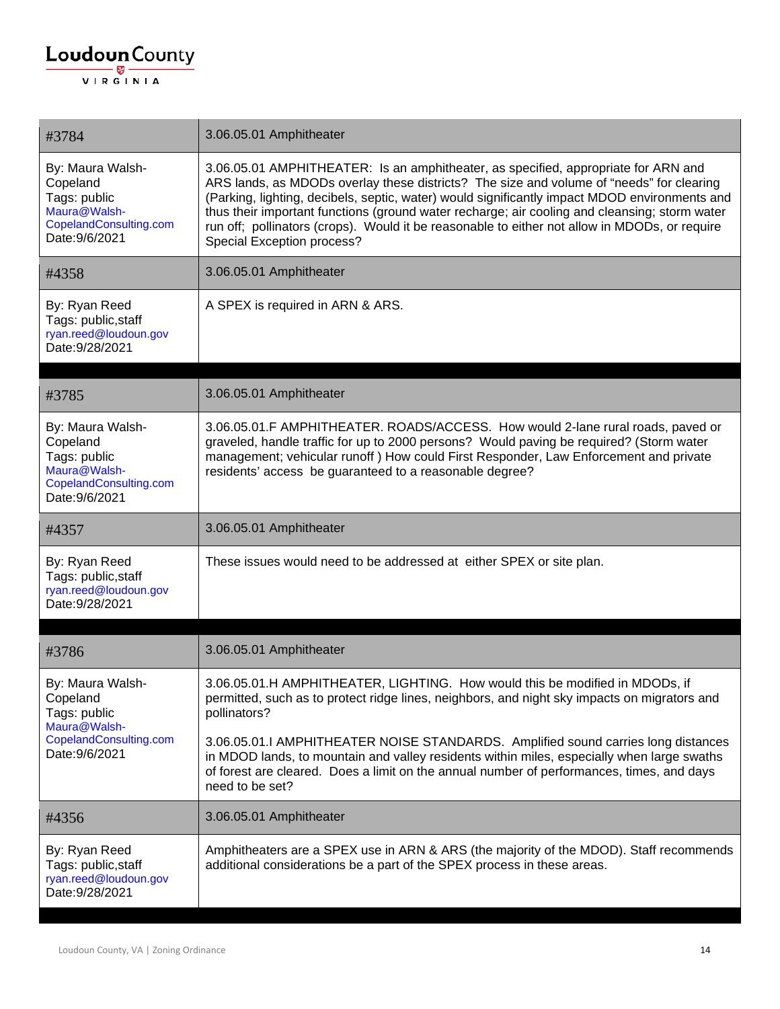#### $\underbrace{\textbf{Loudoun}\xspace}_{\text{VIR GINIA}}$

| #3784                                                                                                    | 3.06.05.01 Amphitheater                                                                                                                                                                                                                                                                                                                                                                                                                                                                                         |
|----------------------------------------------------------------------------------------------------------|-----------------------------------------------------------------------------------------------------------------------------------------------------------------------------------------------------------------------------------------------------------------------------------------------------------------------------------------------------------------------------------------------------------------------------------------------------------------------------------------------------------------|
| By: Maura Walsh-<br>Copeland<br>Tags: public<br>Maura@Walsh-<br>CopelandConsulting.com<br>Date: 9/6/2021 | 3.06.05.01 AMPHITHEATER: Is an amphitheater, as specified, appropriate for ARN and<br>ARS lands, as MDODs overlay these districts? The size and volume of "needs" for clearing<br>(Parking, lighting, decibels, septic, water) would significantly impact MDOD environments and<br>thus their important functions (ground water recharge; air cooling and cleansing; storm water<br>run off; pollinators (crops). Would it be reasonable to either not allow in MDODs, or require<br>Special Exception process? |
| #4358                                                                                                    | 3.06.05.01 Amphitheater                                                                                                                                                                                                                                                                                                                                                                                                                                                                                         |
| By: Ryan Reed<br>Tags: public, staff<br>ryan.reed@loudoun.gov<br>Date: 9/28/2021                         | A SPEX is required in ARN & ARS.                                                                                                                                                                                                                                                                                                                                                                                                                                                                                |
| #3785                                                                                                    | 3.06.05.01 Amphitheater                                                                                                                                                                                                                                                                                                                                                                                                                                                                                         |
| By: Maura Walsh-<br>Copeland<br>Tags: public<br>Maura@Walsh-<br>CopelandConsulting.com<br>Date: 9/6/2021 | 3.06.05.01.F AMPHITHEATER. ROADS/ACCESS. How would 2-lane rural roads, paved or<br>graveled, handle traffic for up to 2000 persons? Would paving be required? (Storm water<br>management; vehicular runoff) How could First Responder, Law Enforcement and private<br>residents' access be guaranteed to a reasonable degree?                                                                                                                                                                                   |
| #4357                                                                                                    | 3.06.05.01 Amphitheater                                                                                                                                                                                                                                                                                                                                                                                                                                                                                         |
| By: Ryan Reed<br>Tags: public, staff<br>ryan.reed@loudoun.gov<br>Date: 9/28/2021                         | These issues would need to be addressed at either SPEX or site plan.                                                                                                                                                                                                                                                                                                                                                                                                                                            |
| #3786                                                                                                    | 3.06.05.01 Amphitheater                                                                                                                                                                                                                                                                                                                                                                                                                                                                                         |
| By: Maura Walsh-<br>Copeland<br>Tags: public<br>Maura@Walsh-<br>CopelandConsulting.com<br>Date: 9/6/2021 | 3.06.05.01.H AMPHITHEATER, LIGHTING. How would this be modified in MDODs, if<br>permitted, such as to protect ridge lines, neighbors, and night sky impacts on migrators and<br>pollinators?<br>3.06.05.01.I AMPHITHEATER NOISE STANDARDS. Amplified sound carries long distances<br>in MDOD lands, to mountain and valley residents within miles, especially when large swaths<br>of forest are cleared. Does a limit on the annual number of performances, times, and days<br>need to be set?                 |
| #4356                                                                                                    | 3.06.05.01 Amphitheater                                                                                                                                                                                                                                                                                                                                                                                                                                                                                         |
| By: Ryan Reed<br>Tags: public, staff<br>ryan.reed@loudoun.gov<br>Date: 9/28/2021                         | Amphitheaters are a SPEX use in ARN & ARS (the majority of the MDOD). Staff recommends<br>additional considerations be a part of the SPEX process in these areas.                                                                                                                                                                                                                                                                                                                                               |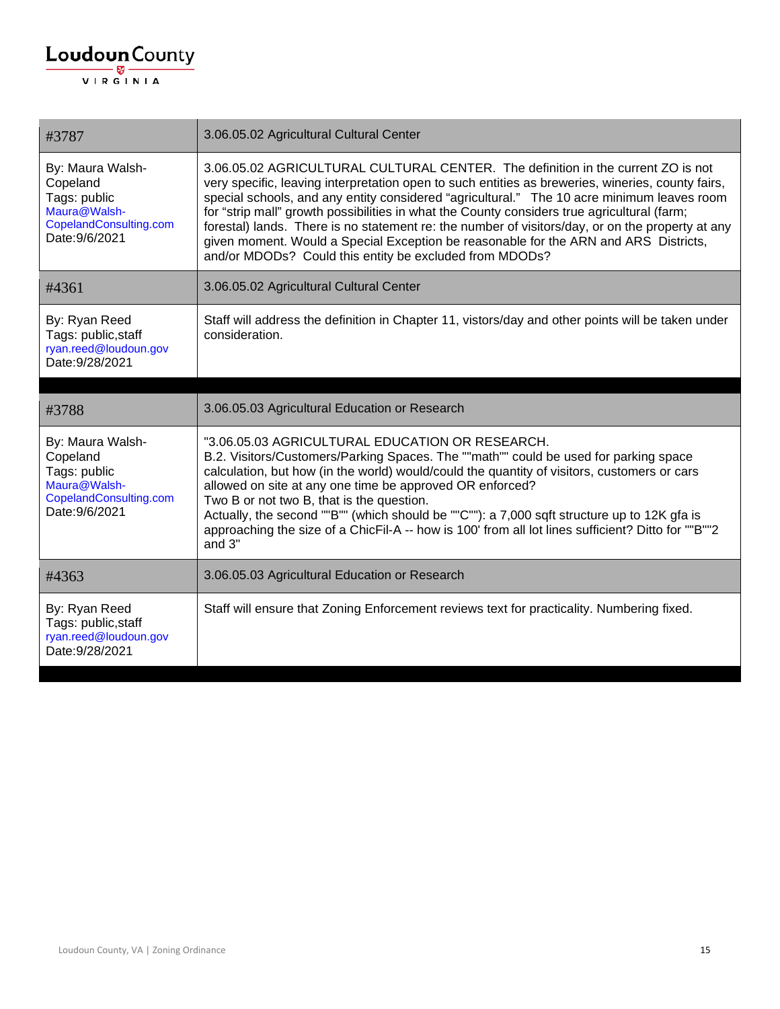| #3787                                                                                                    | 3.06.05.02 Agricultural Cultural Center                                                                                                                                                                                                                                                                                                                                                                                                                                                                                                                                                                                                   |
|----------------------------------------------------------------------------------------------------------|-------------------------------------------------------------------------------------------------------------------------------------------------------------------------------------------------------------------------------------------------------------------------------------------------------------------------------------------------------------------------------------------------------------------------------------------------------------------------------------------------------------------------------------------------------------------------------------------------------------------------------------------|
| By: Maura Walsh-<br>Copeland<br>Tags: public<br>Maura@Walsh-<br>CopelandConsulting.com<br>Date: 9/6/2021 | 3.06.05.02 AGRICULTURAL CULTURAL CENTER. The definition in the current ZO is not<br>very specific, leaving interpretation open to such entities as breweries, wineries, county fairs,<br>special schools, and any entity considered "agricultural." The 10 acre minimum leaves room<br>for "strip mall" growth possibilities in what the County considers true agricultural (farm;<br>forestal) lands. There is no statement re: the number of visitors/day, or on the property at any<br>given moment. Would a Special Exception be reasonable for the ARN and ARS Districts,<br>and/or MDODs? Could this entity be excluded from MDODs? |
| #4361                                                                                                    | 3.06.05.02 Agricultural Cultural Center                                                                                                                                                                                                                                                                                                                                                                                                                                                                                                                                                                                                   |
| By: Ryan Reed<br>Tags: public, staff<br>ryan.reed@loudoun.gov<br>Date: 9/28/2021                         | Staff will address the definition in Chapter 11, vistors/day and other points will be taken under<br>consideration.                                                                                                                                                                                                                                                                                                                                                                                                                                                                                                                       |
| #3788                                                                                                    | 3.06.05.03 Agricultural Education or Research                                                                                                                                                                                                                                                                                                                                                                                                                                                                                                                                                                                             |
| By: Maura Walsh-<br>Copeland<br>Tags: public<br>Maura@Walsh-<br>CopelandConsulting.com<br>Date: 9/6/2021 | "3.06.05.03 AGRICULTURAL EDUCATION OR RESEARCH.<br>B.2. Visitors/Customers/Parking Spaces. The ""math"" could be used for parking space<br>calculation, but how (in the world) would/could the quantity of visitors, customers or cars<br>allowed on site at any one time be approved OR enforced?<br>Two B or not two B, that is the question.<br>Actually, the second ""B"" (which should be ""C""): a 7,000 sqft structure up to 12K gfa is<br>approaching the size of a ChicFil-A -- how is 100' from all lot lines sufficient? Ditto for ""B""2<br>and 3"                                                                            |
| #4363                                                                                                    | 3.06.05.03 Agricultural Education or Research                                                                                                                                                                                                                                                                                                                                                                                                                                                                                                                                                                                             |
| By: Ryan Reed                                                                                            | Staff will ensure that Zoning Enforcement reviews text for practicality. Numbering fixed.                                                                                                                                                                                                                                                                                                                                                                                                                                                                                                                                                 |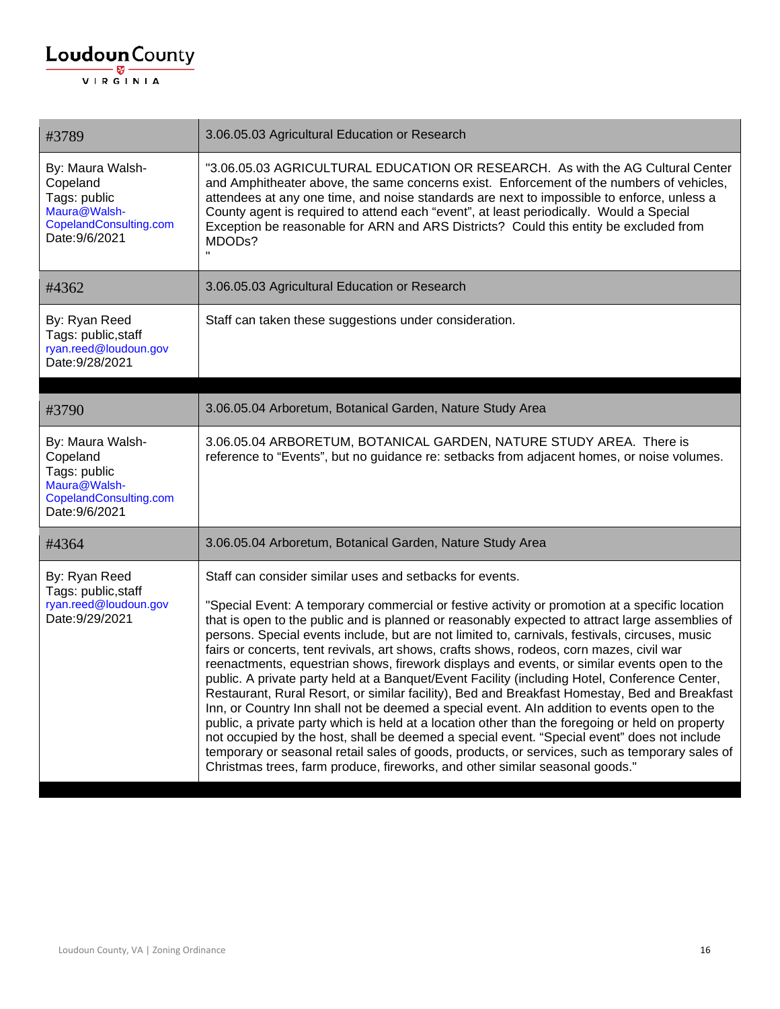| #3789                                                                                                    | 3.06.05.03 Agricultural Education or Research                                                                                                                                                                                                                                                                                                                                                                                                                                                                                                                                                                                                                                                                                                                                                                                                                                                                                                                                                                                                                                                                                                                                                                                                    |
|----------------------------------------------------------------------------------------------------------|--------------------------------------------------------------------------------------------------------------------------------------------------------------------------------------------------------------------------------------------------------------------------------------------------------------------------------------------------------------------------------------------------------------------------------------------------------------------------------------------------------------------------------------------------------------------------------------------------------------------------------------------------------------------------------------------------------------------------------------------------------------------------------------------------------------------------------------------------------------------------------------------------------------------------------------------------------------------------------------------------------------------------------------------------------------------------------------------------------------------------------------------------------------------------------------------------------------------------------------------------|
| By: Maura Walsh-<br>Copeland<br>Tags: public<br>Maura@Walsh-<br>CopelandConsulting.com<br>Date: 9/6/2021 | "3.06.05.03 AGRICULTURAL EDUCATION OR RESEARCH. As with the AG Cultural Center<br>and Amphitheater above, the same concerns exist. Enforcement of the numbers of vehicles,<br>attendees at any one time, and noise standards are next to impossible to enforce, unless a<br>County agent is required to attend each "event", at least periodically. Would a Special<br>Exception be reasonable for ARN and ARS Districts? Could this entity be excluded from<br>MDODs?                                                                                                                                                                                                                                                                                                                                                                                                                                                                                                                                                                                                                                                                                                                                                                           |
| #4362                                                                                                    | 3.06.05.03 Agricultural Education or Research                                                                                                                                                                                                                                                                                                                                                                                                                                                                                                                                                                                                                                                                                                                                                                                                                                                                                                                                                                                                                                                                                                                                                                                                    |
| By: Ryan Reed<br>Tags: public, staff<br>ryan.reed@loudoun.gov<br>Date: 9/28/2021                         | Staff can taken these suggestions under consideration.                                                                                                                                                                                                                                                                                                                                                                                                                                                                                                                                                                                                                                                                                                                                                                                                                                                                                                                                                                                                                                                                                                                                                                                           |
| #3790                                                                                                    | 3.06.05.04 Arboretum, Botanical Garden, Nature Study Area                                                                                                                                                                                                                                                                                                                                                                                                                                                                                                                                                                                                                                                                                                                                                                                                                                                                                                                                                                                                                                                                                                                                                                                        |
| By: Maura Walsh-<br>Copeland<br>Tags: public<br>Maura@Walsh-<br>CopelandConsulting.com<br>Date: 9/6/2021 | 3.06.05.04 ARBORETUM, BOTANICAL GARDEN, NATURE STUDY AREA. There is<br>reference to "Events", but no guidance re: setbacks from adjacent homes, or noise volumes.                                                                                                                                                                                                                                                                                                                                                                                                                                                                                                                                                                                                                                                                                                                                                                                                                                                                                                                                                                                                                                                                                |
| #4364                                                                                                    | 3.06.05.04 Arboretum, Botanical Garden, Nature Study Area                                                                                                                                                                                                                                                                                                                                                                                                                                                                                                                                                                                                                                                                                                                                                                                                                                                                                                                                                                                                                                                                                                                                                                                        |
| By: Ryan Reed<br>Tags: public, staff<br>ryan.reed@loudoun.gov<br>Date: 9/29/2021                         | Staff can consider similar uses and setbacks for events.<br>"Special Event: A temporary commercial or festive activity or promotion at a specific location<br>that is open to the public and is planned or reasonably expected to attract large assemblies of<br>persons. Special events include, but are not limited to, carnivals, festivals, circuses, music<br>fairs or concerts, tent revivals, art shows, crafts shows, rodeos, corn mazes, civil war<br>reenactments, equestrian shows, firework displays and events, or similar events open to the<br>public. A private party held at a Banquet/Event Facility (including Hotel, Conference Center,<br>Restaurant, Rural Resort, or similar facility), Bed and Breakfast Homestay, Bed and Breakfast<br>Inn, or Country Inn shall not be deemed a special event. Aln addition to events open to the<br>public, a private party which is held at a location other than the foregoing or held on property<br>not occupied by the host, shall be deemed a special event. "Special event" does not include<br>temporary or seasonal retail sales of goods, products, or services, such as temporary sales of<br>Christmas trees, farm produce, fireworks, and other similar seasonal goods." |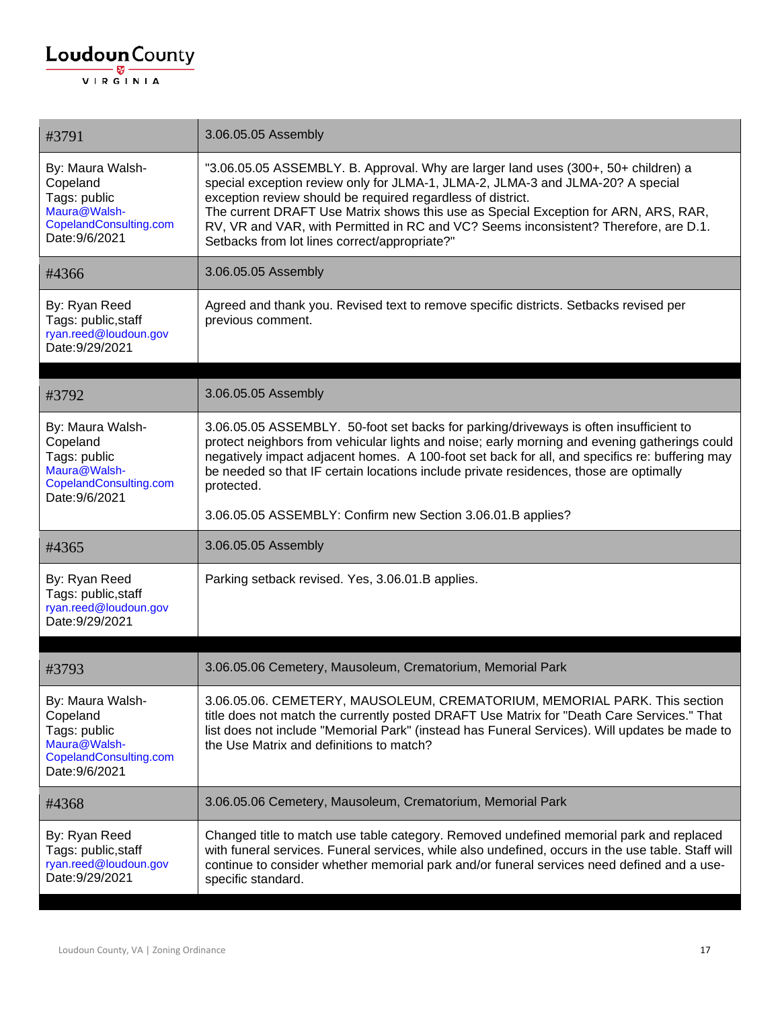#### $\underbrace{\textbf{Loudoun}\xspace}_{\text{VIR GINIA}}$

| #3791                                                                                                    | 3.06.05.05 Assembly                                                                                                                                                                                                                                                                                                                                                                                                                                                  |
|----------------------------------------------------------------------------------------------------------|----------------------------------------------------------------------------------------------------------------------------------------------------------------------------------------------------------------------------------------------------------------------------------------------------------------------------------------------------------------------------------------------------------------------------------------------------------------------|
| By: Maura Walsh-<br>Copeland<br>Tags: public<br>Maura@Walsh-<br>CopelandConsulting.com<br>Date: 9/6/2021 | "3.06.05.05 ASSEMBLY. B. Approval. Why are larger land uses (300+, 50+ children) a<br>special exception review only for JLMA-1, JLMA-2, JLMA-3 and JLMA-20? A special<br>exception review should be required regardless of district.<br>The current DRAFT Use Matrix shows this use as Special Exception for ARN, ARS, RAR,<br>RV, VR and VAR, with Permitted in RC and VC? Seems inconsistent? Therefore, are D.1.<br>Setbacks from lot lines correct/appropriate?" |
| #4366                                                                                                    | 3.06.05.05 Assembly                                                                                                                                                                                                                                                                                                                                                                                                                                                  |
| By: Ryan Reed<br>Tags: public, staff<br>ryan.reed@loudoun.gov<br>Date: 9/29/2021                         | Agreed and thank you. Revised text to remove specific districts. Setbacks revised per<br>previous comment.                                                                                                                                                                                                                                                                                                                                                           |
| #3792                                                                                                    | 3.06.05.05 Assembly                                                                                                                                                                                                                                                                                                                                                                                                                                                  |
| By: Maura Walsh-<br>Copeland<br>Tags: public<br>Maura@Walsh-<br>CopelandConsulting.com<br>Date: 9/6/2021 | 3.06.05.05 ASSEMBLY. 50-foot set backs for parking/driveways is often insufficient to<br>protect neighbors from vehicular lights and noise; early morning and evening gatherings could<br>negatively impact adjacent homes. A 100-foot set back for all, and specifics re: buffering may<br>be needed so that IF certain locations include private residences, those are optimally<br>protected.<br>3.06.05.05 ASSEMBLY: Confirm new Section 3.06.01.B applies?      |
| #4365                                                                                                    | 3.06.05.05 Assembly                                                                                                                                                                                                                                                                                                                                                                                                                                                  |
| By: Ryan Reed<br>Tags: public, staff<br>ryan.reed@loudoun.gov<br>Date: 9/29/2021                         | Parking setback revised. Yes, 3.06.01.B applies.                                                                                                                                                                                                                                                                                                                                                                                                                     |
|                                                                                                          |                                                                                                                                                                                                                                                                                                                                                                                                                                                                      |
| #3793                                                                                                    | 3.06.05.06 Cemetery, Mausoleum, Crematorium, Memorial Park                                                                                                                                                                                                                                                                                                                                                                                                           |
| By: Maura Walsh-<br>Copeland<br>Tags: public<br>Maura@Walsh-<br>CopelandConsulting.com<br>Date: 9/6/2021 | 3.06.05.06. CEMETERY, MAUSOLEUM, CREMATORIUM, MEMORIAL PARK. This section<br>title does not match the currently posted DRAFT Use Matrix for "Death Care Services." That<br>list does not include "Memorial Park" (instead has Funeral Services). Will updates be made to<br>the Use Matrix and definitions to match?                                                                                                                                                 |
| #4368                                                                                                    | 3.06.05.06 Cemetery, Mausoleum, Crematorium, Memorial Park                                                                                                                                                                                                                                                                                                                                                                                                           |
| By: Ryan Reed<br>Tags: public, staff<br>ryan.reed@loudoun.gov<br>Date: 9/29/2021                         | Changed title to match use table category. Removed undefined memorial park and replaced<br>with funeral services. Funeral services, while also undefined, occurs in the use table. Staff will<br>continue to consider whether memorial park and/or funeral services need defined and a use-<br>specific standard.                                                                                                                                                    |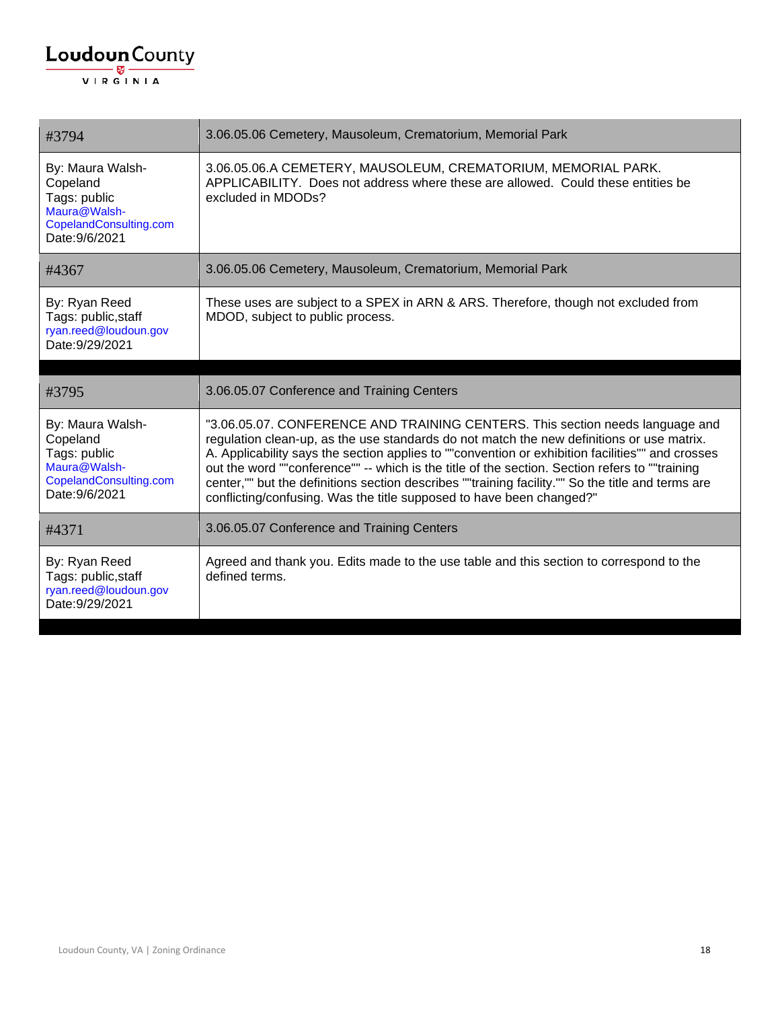| #3794                                                                                                    | 3.06.05.06 Cemetery, Mausoleum, Crematorium, Memorial Park                                                                                                                                                                                                                                                                                                                                                                                                                                                                                                    |
|----------------------------------------------------------------------------------------------------------|---------------------------------------------------------------------------------------------------------------------------------------------------------------------------------------------------------------------------------------------------------------------------------------------------------------------------------------------------------------------------------------------------------------------------------------------------------------------------------------------------------------------------------------------------------------|
| By: Maura Walsh-<br>Copeland<br>Tags: public<br>Maura@Walsh-<br>CopelandConsulting.com<br>Date: 9/6/2021 | 3.06.05.06.A CEMETERY, MAUSOLEUM, CREMATORIUM, MEMORIAL PARK.<br>APPLICABILITY. Does not address where these are allowed. Could these entities be<br>excluded in MDODs?                                                                                                                                                                                                                                                                                                                                                                                       |
| #4367                                                                                                    | 3.06.05.06 Cemetery, Mausoleum, Crematorium, Memorial Park                                                                                                                                                                                                                                                                                                                                                                                                                                                                                                    |
| By: Ryan Reed<br>Tags: public, staff<br>ryan.reed@loudoun.gov<br>Date: 9/29/2021                         | These uses are subject to a SPEX in ARN & ARS. Therefore, though not excluded from<br>MDOD, subject to public process.                                                                                                                                                                                                                                                                                                                                                                                                                                        |
|                                                                                                          |                                                                                                                                                                                                                                                                                                                                                                                                                                                                                                                                                               |
|                                                                                                          |                                                                                                                                                                                                                                                                                                                                                                                                                                                                                                                                                               |
| #3795                                                                                                    | 3.06.05.07 Conference and Training Centers                                                                                                                                                                                                                                                                                                                                                                                                                                                                                                                    |
| By: Maura Walsh-<br>Copeland<br>Tags: public<br>Maura@Walsh-<br>CopelandConsulting.com<br>Date: 9/6/2021 | "3.06.05.07. CONFERENCE AND TRAINING CENTERS. This section needs language and<br>regulation clean-up, as the use standards do not match the new definitions or use matrix.<br>A. Applicability says the section applies to ""convention or exhibition facilities"" and crosses<br>out the word ""conference"" -- which is the title of the section. Section refers to ""training<br>center,"" but the definitions section describes ""training facility."" So the title and terms are<br>conflicting/confusing. Was the title supposed to have been changed?" |
| #4371                                                                                                    | 3.06.05.07 Conference and Training Centers                                                                                                                                                                                                                                                                                                                                                                                                                                                                                                                    |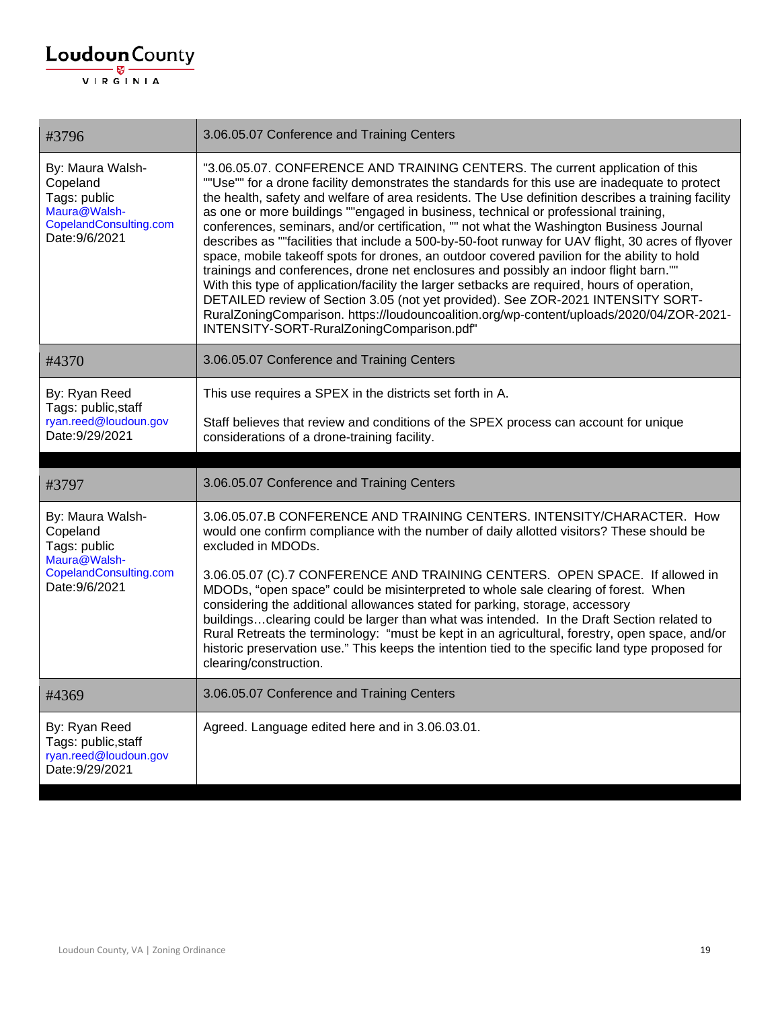| #3796                                                                                                    | 3.06.05.07 Conference and Training Centers                                                                                                                                                                                                                                                                                                                                                                                                                                                                                                                                                                                                                                                                                                                                                                                                                                                                                                                                                                                                                                                          |
|----------------------------------------------------------------------------------------------------------|-----------------------------------------------------------------------------------------------------------------------------------------------------------------------------------------------------------------------------------------------------------------------------------------------------------------------------------------------------------------------------------------------------------------------------------------------------------------------------------------------------------------------------------------------------------------------------------------------------------------------------------------------------------------------------------------------------------------------------------------------------------------------------------------------------------------------------------------------------------------------------------------------------------------------------------------------------------------------------------------------------------------------------------------------------------------------------------------------------|
| By: Maura Walsh-<br>Copeland<br>Tags: public<br>Maura@Walsh-<br>CopelandConsulting.com<br>Date: 9/6/2021 | "3.06.05.07. CONFERENCE AND TRAINING CENTERS. The current application of this<br>""Use"" for a drone facility demonstrates the standards for this use are inadequate to protect<br>the health, safety and welfare of area residents. The Use definition describes a training facility<br>as one or more buildings ""engaged in business, technical or professional training,<br>conferences, seminars, and/or certification, "" not what the Washington Business Journal<br>describes as ""facilities that include a 500-by-50-foot runway for UAV flight, 30 acres of flyover<br>space, mobile takeoff spots for drones, an outdoor covered pavilion for the ability to hold<br>trainings and conferences, drone net enclosures and possibly an indoor flight barn.""<br>With this type of application/facility the larger setbacks are required, hours of operation,<br>DETAILED review of Section 3.05 (not yet provided). See ZOR-2021 INTENSITY SORT-<br>RuralZoningComparison. https://loudouncoalition.org/wp-content/uploads/2020/04/ZOR-2021-<br>INTENSITY-SORT-RuralZoningComparison.pdf" |
| #4370                                                                                                    | 3.06.05.07 Conference and Training Centers                                                                                                                                                                                                                                                                                                                                                                                                                                                                                                                                                                                                                                                                                                                                                                                                                                                                                                                                                                                                                                                          |
| By: Ryan Reed<br>Tags: public, staff                                                                     | This use requires a SPEX in the districts set forth in A.                                                                                                                                                                                                                                                                                                                                                                                                                                                                                                                                                                                                                                                                                                                                                                                                                                                                                                                                                                                                                                           |
| ryan.reed@loudoun.gov<br>Date: 9/29/2021                                                                 | Staff believes that review and conditions of the SPEX process can account for unique<br>considerations of a drone-training facility.                                                                                                                                                                                                                                                                                                                                                                                                                                                                                                                                                                                                                                                                                                                                                                                                                                                                                                                                                                |
|                                                                                                          |                                                                                                                                                                                                                                                                                                                                                                                                                                                                                                                                                                                                                                                                                                                                                                                                                                                                                                                                                                                                                                                                                                     |
|                                                                                                          |                                                                                                                                                                                                                                                                                                                                                                                                                                                                                                                                                                                                                                                                                                                                                                                                                                                                                                                                                                                                                                                                                                     |
| #3797                                                                                                    | 3.06.05.07 Conference and Training Centers                                                                                                                                                                                                                                                                                                                                                                                                                                                                                                                                                                                                                                                                                                                                                                                                                                                                                                                                                                                                                                                          |
| By: Maura Walsh-<br>Copeland<br>Tags: public                                                             | 3.06.05.07.B CONFERENCE AND TRAINING CENTERS. INTENSITY/CHARACTER. How<br>would one confirm compliance with the number of daily allotted visitors? These should be<br>excluded in MDODs.                                                                                                                                                                                                                                                                                                                                                                                                                                                                                                                                                                                                                                                                                                                                                                                                                                                                                                            |
| Maura@Walsh-<br>CopelandConsulting.com<br>Date: 9/6/2021                                                 | 3.06.05.07 (C).7 CONFERENCE AND TRAINING CENTERS. OPEN SPACE. If allowed in<br>MDODs, "open space" could be misinterpreted to whole sale clearing of forest. When<br>considering the additional allowances stated for parking, storage, accessory<br>buildingsclearing could be larger than what was intended. In the Draft Section related to<br>Rural Retreats the terminology: "must be kept in an agricultural, forestry, open space, and/or<br>historic preservation use." This keeps the intention tied to the specific land type proposed for<br>clearing/construction.                                                                                                                                                                                                                                                                                                                                                                                                                                                                                                                      |
| #4369                                                                                                    | 3.06.05.07 Conference and Training Centers                                                                                                                                                                                                                                                                                                                                                                                                                                                                                                                                                                                                                                                                                                                                                                                                                                                                                                                                                                                                                                                          |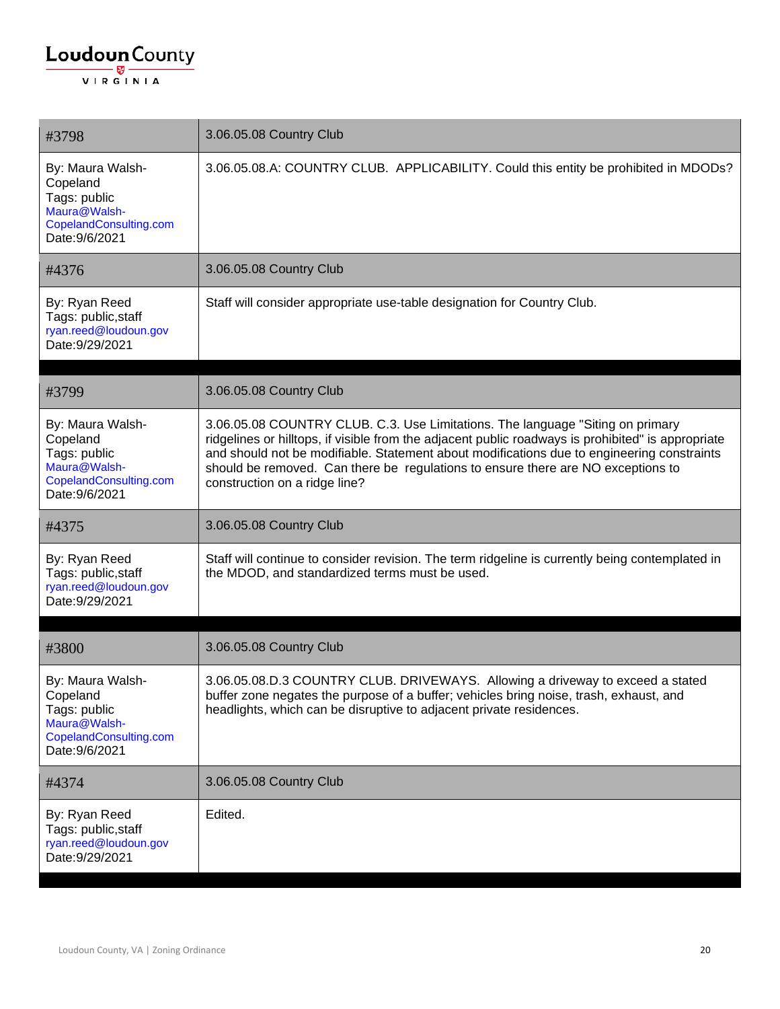| #3798                                                                                                    | 3.06.05.08 Country Club                                                                                                                                                                                                                                                                                                                                                                                 |
|----------------------------------------------------------------------------------------------------------|---------------------------------------------------------------------------------------------------------------------------------------------------------------------------------------------------------------------------------------------------------------------------------------------------------------------------------------------------------------------------------------------------------|
| By: Maura Walsh-<br>Copeland<br>Tags: public<br>Maura@Walsh-<br>CopelandConsulting.com<br>Date: 9/6/2021 | 3.06.05.08.A: COUNTRY CLUB. APPLICABILITY. Could this entity be prohibited in MDODs?                                                                                                                                                                                                                                                                                                                    |
| #4376                                                                                                    | 3.06.05.08 Country Club                                                                                                                                                                                                                                                                                                                                                                                 |
| By: Ryan Reed<br>Tags: public, staff<br>ryan.reed@loudoun.gov<br>Date: 9/29/2021                         | Staff will consider appropriate use-table designation for Country Club.                                                                                                                                                                                                                                                                                                                                 |
| #3799                                                                                                    | 3.06.05.08 Country Club                                                                                                                                                                                                                                                                                                                                                                                 |
| By: Maura Walsh-<br>Copeland<br>Tags: public<br>Maura@Walsh-<br>CopelandConsulting.com<br>Date: 9/6/2021 | 3.06.05.08 COUNTRY CLUB. C.3. Use Limitations. The language "Siting on primary<br>ridgelines or hilltops, if visible from the adjacent public roadways is prohibited" is appropriate<br>and should not be modifiable. Statement about modifications due to engineering constraints<br>should be removed. Can there be regulations to ensure there are NO exceptions to<br>construction on a ridge line? |
| #4375                                                                                                    | 3.06.05.08 Country Club                                                                                                                                                                                                                                                                                                                                                                                 |
| By: Ryan Reed<br>Tags: public, staff<br>ryan.reed@loudoun.gov<br>Date: 9/29/2021                         | Staff will continue to consider revision. The term ridgeline is currently being contemplated in<br>the MDOD, and standardized terms must be used.                                                                                                                                                                                                                                                       |
| #3800                                                                                                    | 3.06.05.08 Country Club                                                                                                                                                                                                                                                                                                                                                                                 |
| By: Maura Walsh-<br>Copeland<br>Tags: public<br>Maura@Walsh-<br>CopelandConsulting.com<br>Date: 9/6/2021 | 3.06.05.08.D.3 COUNTRY CLUB. DRIVEWAYS. Allowing a driveway to exceed a stated<br>buffer zone negates the purpose of a buffer; vehicles bring noise, trash, exhaust, and<br>headlights, which can be disruptive to adjacent private residences.                                                                                                                                                         |
| #4374                                                                                                    | 3.06.05.08 Country Club                                                                                                                                                                                                                                                                                                                                                                                 |
| By: Ryan Reed<br>Tags: public, staff<br>ryan.reed@loudoun.gov<br>Date: 9/29/2021                         | Edited.                                                                                                                                                                                                                                                                                                                                                                                                 |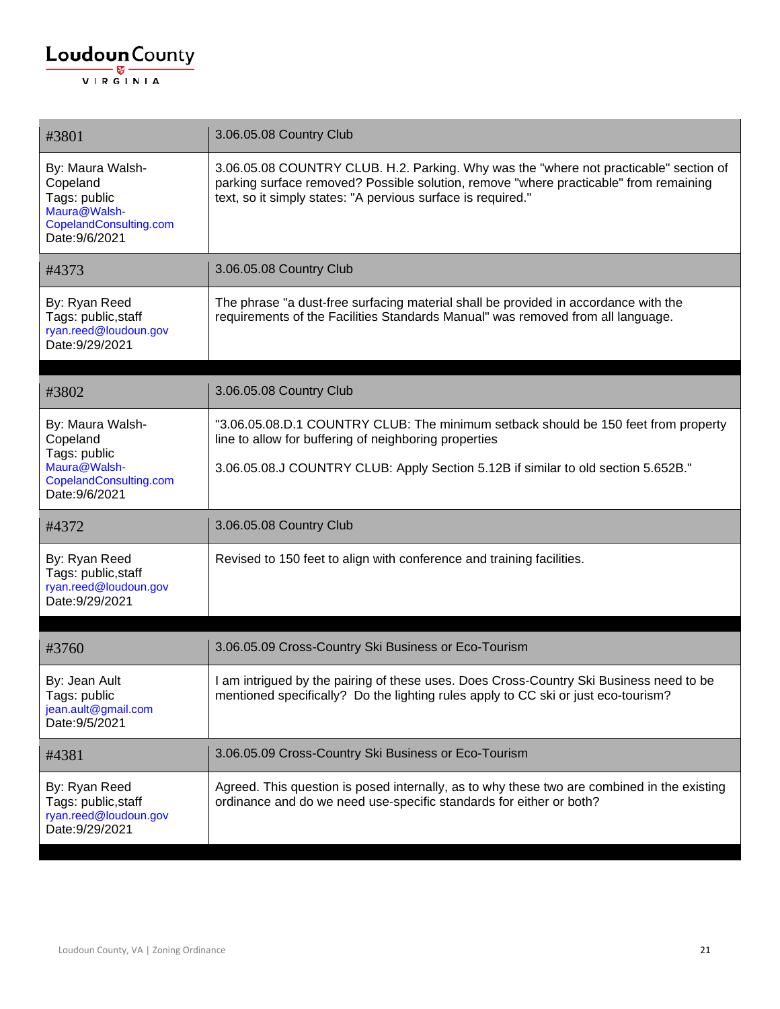| #3801                                                                                                    | 3.06.05.08 Country Club                                                                                                                                                                                                                        |
|----------------------------------------------------------------------------------------------------------|------------------------------------------------------------------------------------------------------------------------------------------------------------------------------------------------------------------------------------------------|
| By: Maura Walsh-<br>Copeland<br>Tags: public<br>Maura@Walsh-<br>CopelandConsulting.com<br>Date: 9/6/2021 | 3.06.05.08 COUNTRY CLUB. H.2. Parking. Why was the "where not practicable" section of<br>parking surface removed? Possible solution, remove "where practicable" from remaining<br>text, so it simply states: "A pervious surface is required." |
| #4373                                                                                                    | 3.06.05.08 Country Club                                                                                                                                                                                                                        |
| By: Ryan Reed<br>Tags: public, staff<br>ryan.reed@loudoun.gov<br>Date: 9/29/2021                         | The phrase "a dust-free surfacing material shall be provided in accordance with the<br>requirements of the Facilities Standards Manual" was removed from all language.                                                                         |
| #3802                                                                                                    | 3.06.05.08 Country Club                                                                                                                                                                                                                        |
|                                                                                                          |                                                                                                                                                                                                                                                |
| By: Maura Walsh-<br>Copeland                                                                             | "3.06.05.08.D.1 COUNTRY CLUB: The minimum setback should be 150 feet from property<br>line to allow for buffering of neighboring properties                                                                                                    |
| Tags: public<br>Maura@Walsh-<br>CopelandConsulting.com<br>Date: 9/6/2021                                 | 3.06.05.08.J COUNTRY CLUB: Apply Section 5.12B if similar to old section 5.652B."                                                                                                                                                              |
| #4372                                                                                                    | 3.06.05.08 Country Club                                                                                                                                                                                                                        |
| By: Ryan Reed<br>Tags: public, staff<br>ryan.reed@loudoun.gov<br>Date: 9/29/2021                         | Revised to 150 feet to align with conference and training facilities.                                                                                                                                                                          |
|                                                                                                          |                                                                                                                                                                                                                                                |
| #3760                                                                                                    | 3.06.05.09 Cross-Country Ski Business or Eco-Tourism                                                                                                                                                                                           |
| By: Jean Ault<br>Tags: public<br>jean.ault@gmail.com<br>Date: 9/5/2021                                   | I am intrigued by the pairing of these uses. Does Cross-Country Ski Business need to be<br>mentioned specifically? Do the lighting rules apply to CC ski or just eco-tourism?                                                                  |
| #4381                                                                                                    | 3.06.05.09 Cross-Country Ski Business or Eco-Tourism                                                                                                                                                                                           |
| By: Ryan Reed<br>Tags: public, staff<br>ryan.reed@loudoun.gov<br>Date: 9/29/2021                         | Agreed. This question is posed internally, as to why these two are combined in the existing<br>ordinance and do we need use-specific standards for either or both?                                                                             |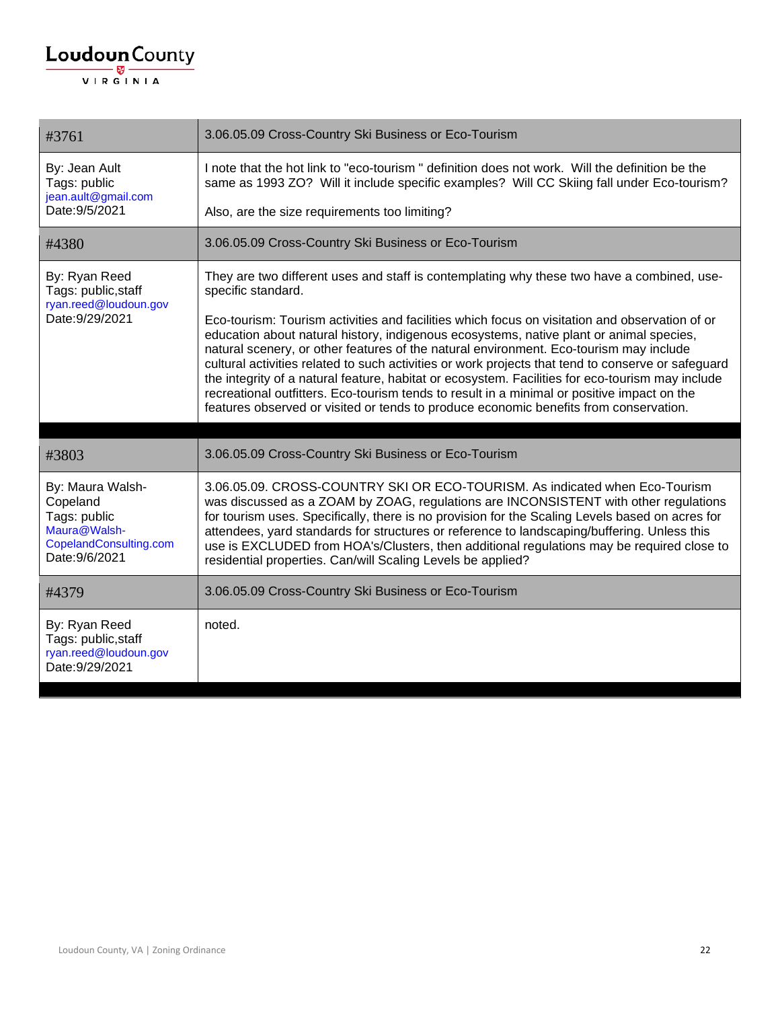| #3761                                                                                                    | 3.06.05.09 Cross-Country Ski Business or Eco-Tourism                                                                                                                                                                                                                                                                                                                                                                                                                                                                                                                                                                                                                                  |
|----------------------------------------------------------------------------------------------------------|---------------------------------------------------------------------------------------------------------------------------------------------------------------------------------------------------------------------------------------------------------------------------------------------------------------------------------------------------------------------------------------------------------------------------------------------------------------------------------------------------------------------------------------------------------------------------------------------------------------------------------------------------------------------------------------|
| By: Jean Ault<br>Tags: public<br>jean.ault@gmail.com<br>Date: 9/5/2021                                   | I note that the hot link to "eco-tourism" definition does not work. Will the definition be the<br>same as 1993 ZO? Will it include specific examples? Will CC Skiing fall under Eco-tourism?                                                                                                                                                                                                                                                                                                                                                                                                                                                                                          |
|                                                                                                          | Also, are the size requirements too limiting?                                                                                                                                                                                                                                                                                                                                                                                                                                                                                                                                                                                                                                         |
| #4380                                                                                                    | 3.06.05.09 Cross-Country Ski Business or Eco-Tourism                                                                                                                                                                                                                                                                                                                                                                                                                                                                                                                                                                                                                                  |
| By: Ryan Reed<br>Tags: public, staff                                                                     | They are two different uses and staff is contemplating why these two have a combined, use-<br>specific standard.                                                                                                                                                                                                                                                                                                                                                                                                                                                                                                                                                                      |
| ryan.reed@loudoun.gov<br>Date: 9/29/2021                                                                 | Eco-tourism: Tourism activities and facilities which focus on visitation and observation of or<br>education about natural history, indigenous ecosystems, native plant or animal species,<br>natural scenery, or other features of the natural environment. Eco-tourism may include<br>cultural activities related to such activities or work projects that tend to conserve or safeguard<br>the integrity of a natural feature, habitat or ecosystem. Facilities for eco-tourism may include<br>recreational outfitters. Eco-tourism tends to result in a minimal or positive impact on the<br>features observed or visited or tends to produce economic benefits from conservation. |
|                                                                                                          |                                                                                                                                                                                                                                                                                                                                                                                                                                                                                                                                                                                                                                                                                       |
| #3803                                                                                                    | 3.06.05.09 Cross-Country Ski Business or Eco-Tourism                                                                                                                                                                                                                                                                                                                                                                                                                                                                                                                                                                                                                                  |
| By: Maura Walsh-<br>Copeland<br>Tags: public<br>Maura@Walsh-<br>CopelandConsulting.com<br>Date: 9/6/2021 | 3.06.05.09. CROSS-COUNTRY SKI OR ECO-TOURISM. As indicated when Eco-Tourism<br>was discussed as a ZOAM by ZOAG, regulations are INCONSISTENT with other regulations<br>for tourism uses. Specifically, there is no provision for the Scaling Levels based on acres for<br>attendees, yard standards for structures or reference to landscaping/buffering. Unless this<br>use is EXCLUDED from HOA's/Clusters, then additional regulations may be required close to<br>residential properties. Can/will Scaling Levels be applied?                                                                                                                                                     |
| #4379                                                                                                    | 3.06.05.09 Cross-Country Ski Business or Eco-Tourism                                                                                                                                                                                                                                                                                                                                                                                                                                                                                                                                                                                                                                  |
| By: Ryan Reed<br>Tags: public, staff<br>ryan.reed@loudoun.gov<br>Date: 9/29/2021                         | noted.                                                                                                                                                                                                                                                                                                                                                                                                                                                                                                                                                                                                                                                                                |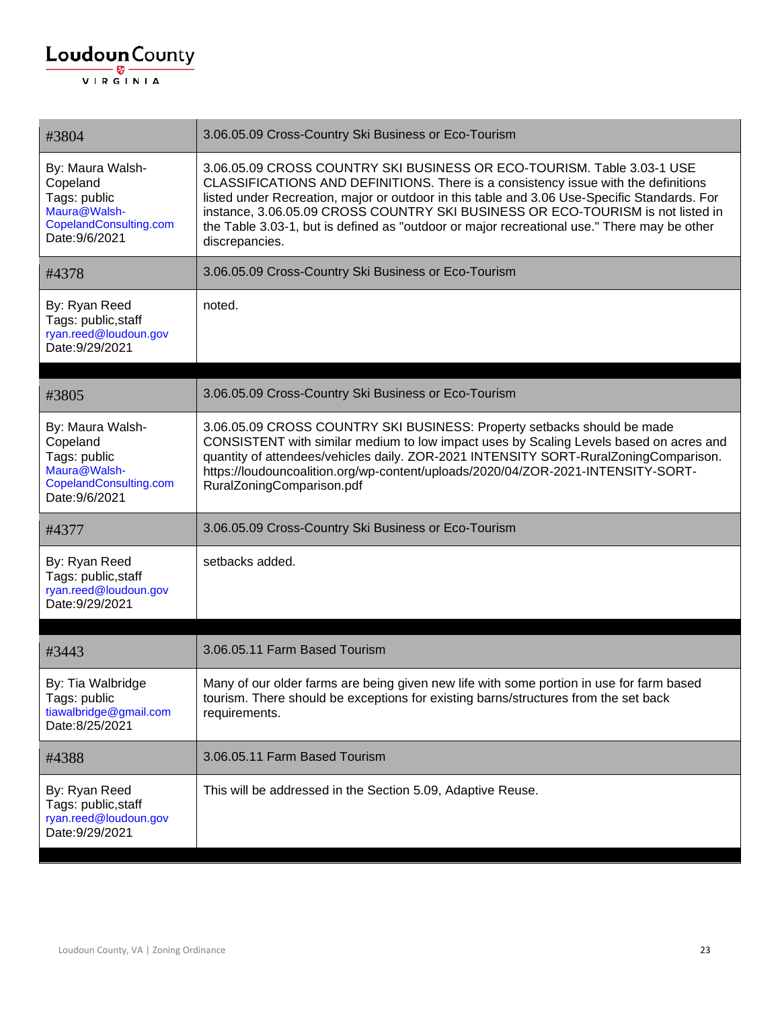| #3804                                                                                                    | 3.06.05.09 Cross-Country Ski Business or Eco-Tourism                                                                                                                                                                                                                                                                                                                                                                                                             |
|----------------------------------------------------------------------------------------------------------|------------------------------------------------------------------------------------------------------------------------------------------------------------------------------------------------------------------------------------------------------------------------------------------------------------------------------------------------------------------------------------------------------------------------------------------------------------------|
| By: Maura Walsh-<br>Copeland<br>Tags: public<br>Maura@Walsh-<br>CopelandConsulting.com<br>Date: 9/6/2021 | 3.06.05.09 CROSS COUNTRY SKI BUSINESS OR ECO-TOURISM. Table 3.03-1 USE<br>CLASSIFICATIONS AND DEFINITIONS. There is a consistency issue with the definitions<br>listed under Recreation, major or outdoor in this table and 3.06 Use-Specific Standards. For<br>instance, 3.06.05.09 CROSS COUNTRY SKI BUSINESS OR ECO-TOURISM is not listed in<br>the Table 3.03-1, but is defined as "outdoor or major recreational use." There may be other<br>discrepancies. |
| #4378                                                                                                    | 3.06.05.09 Cross-Country Ski Business or Eco-Tourism                                                                                                                                                                                                                                                                                                                                                                                                             |
| By: Ryan Reed<br>Tags: public, staff<br>ryan.reed@loudoun.gov<br>Date: 9/29/2021                         | noted.                                                                                                                                                                                                                                                                                                                                                                                                                                                           |
|                                                                                                          |                                                                                                                                                                                                                                                                                                                                                                                                                                                                  |
| #3805                                                                                                    | 3.06.05.09 Cross-Country Ski Business or Eco-Tourism                                                                                                                                                                                                                                                                                                                                                                                                             |
| By: Maura Walsh-<br>Copeland<br>Tags: public<br>Maura@Walsh-<br>CopelandConsulting.com<br>Date: 9/6/2021 | 3.06.05.09 CROSS COUNTRY SKI BUSINESS: Property setbacks should be made<br>CONSISTENT with similar medium to low impact uses by Scaling Levels based on acres and<br>quantity of attendees/vehicles daily. ZOR-2021 INTENSITY SORT-RuralZoningComparison.<br>https://loudouncoalition.org/wp-content/uploads/2020/04/ZOR-2021-INTENSITY-SORT-<br>RuralZoningComparison.pdf                                                                                       |
| #4377                                                                                                    | 3.06.05.09 Cross-Country Ski Business or Eco-Tourism                                                                                                                                                                                                                                                                                                                                                                                                             |
| By: Ryan Reed<br>Tags: public, staff<br>ryan.reed@loudoun.gov<br>Date: 9/29/2021                         | setbacks added.                                                                                                                                                                                                                                                                                                                                                                                                                                                  |
|                                                                                                          |                                                                                                                                                                                                                                                                                                                                                                                                                                                                  |
| #3443                                                                                                    | 3.06.05.11 Farm Based Tourism                                                                                                                                                                                                                                                                                                                                                                                                                                    |
| By: Tia Walbridge<br>Tags: public<br>tiawalbridge@gmail.com<br>Date:8/25/2021                            | Many of our older farms are being given new life with some portion in use for farm based<br>tourism. There should be exceptions for existing barns/structures from the set back<br>requirements.                                                                                                                                                                                                                                                                 |
| #4388                                                                                                    | 3.06.05.11 Farm Based Tourism                                                                                                                                                                                                                                                                                                                                                                                                                                    |
| By: Ryan Reed<br>Tags: public, staff<br>ryan.reed@loudoun.gov<br>Date: 9/29/2021                         | This will be addressed in the Section 5.09, Adaptive Reuse.                                                                                                                                                                                                                                                                                                                                                                                                      |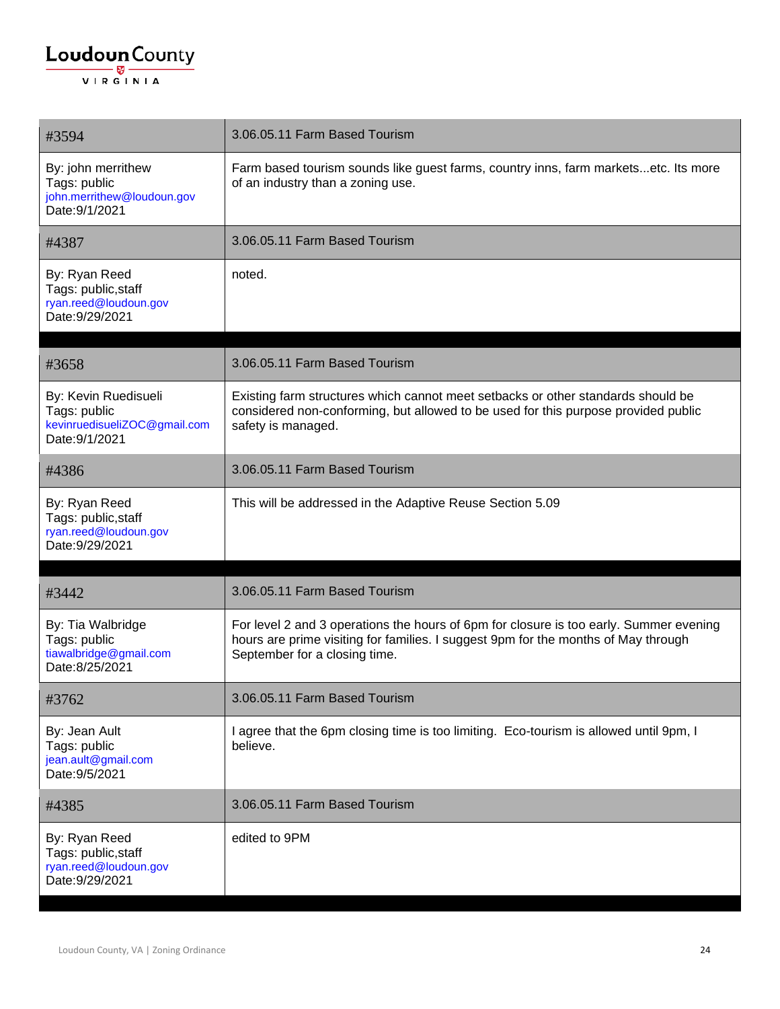| #3594                                                                                  | 3.06.05.11 Farm Based Tourism                                                                                                                                                                                 |
|----------------------------------------------------------------------------------------|---------------------------------------------------------------------------------------------------------------------------------------------------------------------------------------------------------------|
| By: john merrithew<br>Tags: public<br>john.merrithew@loudoun.gov<br>Date: 9/1/2021     | Farm based tourism sounds like guest farms, country inns, farm marketsetc. Its more<br>of an industry than a zoning use.                                                                                      |
| #4387                                                                                  | 3.06.05.11 Farm Based Tourism                                                                                                                                                                                 |
| By: Ryan Reed<br>Tags: public, staff<br>ryan.reed@loudoun.gov<br>Date: 9/29/2021       | noted.                                                                                                                                                                                                        |
| #3658                                                                                  | 3.06.05.11 Farm Based Tourism                                                                                                                                                                                 |
| By: Kevin Ruedisueli<br>Tags: public<br>kevinruedisueliZOC@gmail.com<br>Date: 9/1/2021 | Existing farm structures which cannot meet setbacks or other standards should be<br>considered non-conforming, but allowed to be used for this purpose provided public<br>safety is managed.                  |
| #4386                                                                                  | 3.06.05.11 Farm Based Tourism                                                                                                                                                                                 |
| By: Ryan Reed<br>Tags: public, staff<br>ryan.reed@loudoun.gov<br>Date: 9/29/2021       | This will be addressed in the Adaptive Reuse Section 5.09                                                                                                                                                     |
| #3442                                                                                  | 3.06.05.11 Farm Based Tourism                                                                                                                                                                                 |
| By: Tia Walbridge<br>Tags: public<br>tiawalbridge@gmail.com<br>Date:8/25/2021          | For level 2 and 3 operations the hours of 6pm for closure is too early. Summer evening<br>hours are prime visiting for families. I suggest 9pm for the months of May through<br>September for a closing time. |
| #3762                                                                                  | 3.06.05.11 Farm Based Tourism                                                                                                                                                                                 |
| By: Jean Ault<br>Tags: public<br>jean.ault@gmail.com<br>Date: 9/5/2021                 | I agree that the 6pm closing time is too limiting. Eco-tourism is allowed until 9pm, I<br>believe.                                                                                                            |
| #4385                                                                                  | 3.06.05.11 Farm Based Tourism                                                                                                                                                                                 |
| By: Ryan Reed<br>Tags: public, staff<br>ryan.reed@loudoun.gov<br>Date: 9/29/2021       | edited to 9PM                                                                                                                                                                                                 |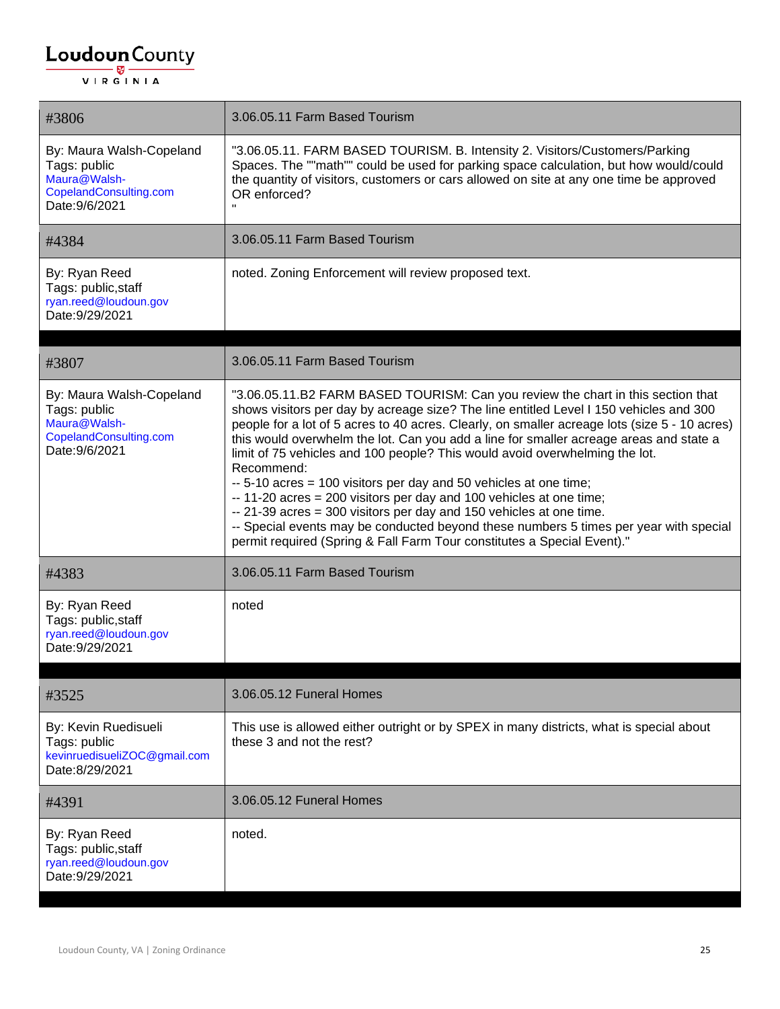| #3806                                                                                                | 3.06.05.11 Farm Based Tourism                                                                                                                                                                                                                                                                                                                                                                                                                                                                                                                                                                                                                                                                                                                                                                                                                             |
|------------------------------------------------------------------------------------------------------|-----------------------------------------------------------------------------------------------------------------------------------------------------------------------------------------------------------------------------------------------------------------------------------------------------------------------------------------------------------------------------------------------------------------------------------------------------------------------------------------------------------------------------------------------------------------------------------------------------------------------------------------------------------------------------------------------------------------------------------------------------------------------------------------------------------------------------------------------------------|
| By: Maura Walsh-Copeland<br>Tags: public<br>Maura@Walsh-<br>CopelandConsulting.com<br>Date: 9/6/2021 | "3.06.05.11. FARM BASED TOURISM. B. Intensity 2. Visitors/Customers/Parking<br>Spaces. The ""math"" could be used for parking space calculation, but how would/could<br>the quantity of visitors, customers or cars allowed on site at any one time be approved<br>OR enforced?                                                                                                                                                                                                                                                                                                                                                                                                                                                                                                                                                                           |
| #4384                                                                                                | 3.06.05.11 Farm Based Tourism                                                                                                                                                                                                                                                                                                                                                                                                                                                                                                                                                                                                                                                                                                                                                                                                                             |
| By: Ryan Reed<br>Tags: public, staff<br>ryan.reed@loudoun.gov<br>Date: 9/29/2021                     | noted. Zoning Enforcement will review proposed text.                                                                                                                                                                                                                                                                                                                                                                                                                                                                                                                                                                                                                                                                                                                                                                                                      |
| #3807                                                                                                | 3.06.05.11 Farm Based Tourism                                                                                                                                                                                                                                                                                                                                                                                                                                                                                                                                                                                                                                                                                                                                                                                                                             |
| By: Maura Walsh-Copeland<br>Tags: public<br>Maura@Walsh-<br>CopelandConsulting.com<br>Date: 9/6/2021 | "3.06.05.11.B2 FARM BASED TOURISM: Can you review the chart in this section that<br>shows visitors per day by acreage size? The line entitled Level I 150 vehicles and 300<br>people for a lot of 5 acres to 40 acres. Clearly, on smaller acreage lots (size 5 - 10 acres)<br>this would overwhelm the lot. Can you add a line for smaller acreage areas and state a<br>limit of 75 vehicles and 100 people? This would avoid overwhelming the lot.<br>Recommend:<br>-- 5-10 acres = 100 visitors per day and 50 vehicles at one time;<br>-- 11-20 acres = 200 visitors per day and 100 vehicles at one time;<br>-- 21-39 acres = 300 visitors per day and 150 vehicles at one time.<br>-- Special events may be conducted beyond these numbers 5 times per year with special<br>permit required (Spring & Fall Farm Tour constitutes a Special Event)." |
| #4383                                                                                                | 3.06.05.11 Farm Based Tourism                                                                                                                                                                                                                                                                                                                                                                                                                                                                                                                                                                                                                                                                                                                                                                                                                             |
| By: Ryan Reed<br>Tags: public, staff<br>ryan.reed@loudoun.gov<br>Date: 9/29/2021                     | noted                                                                                                                                                                                                                                                                                                                                                                                                                                                                                                                                                                                                                                                                                                                                                                                                                                                     |
| #3525                                                                                                | 3.06.05.12 Funeral Homes                                                                                                                                                                                                                                                                                                                                                                                                                                                                                                                                                                                                                                                                                                                                                                                                                                  |
| By: Kevin Ruedisueli<br>Tags: public<br>kevinruedisueliZOC@gmail.com<br>Date:8/29/2021               | This use is allowed either outright or by SPEX in many districts, what is special about<br>these 3 and not the rest?                                                                                                                                                                                                                                                                                                                                                                                                                                                                                                                                                                                                                                                                                                                                      |
| #4391                                                                                                | 3.06.05.12 Funeral Homes                                                                                                                                                                                                                                                                                                                                                                                                                                                                                                                                                                                                                                                                                                                                                                                                                                  |
| By: Ryan Reed<br>Tags: public, staff<br>ryan.reed@loudoun.gov<br>Date: 9/29/2021                     | noted.                                                                                                                                                                                                                                                                                                                                                                                                                                                                                                                                                                                                                                                                                                                                                                                                                                                    |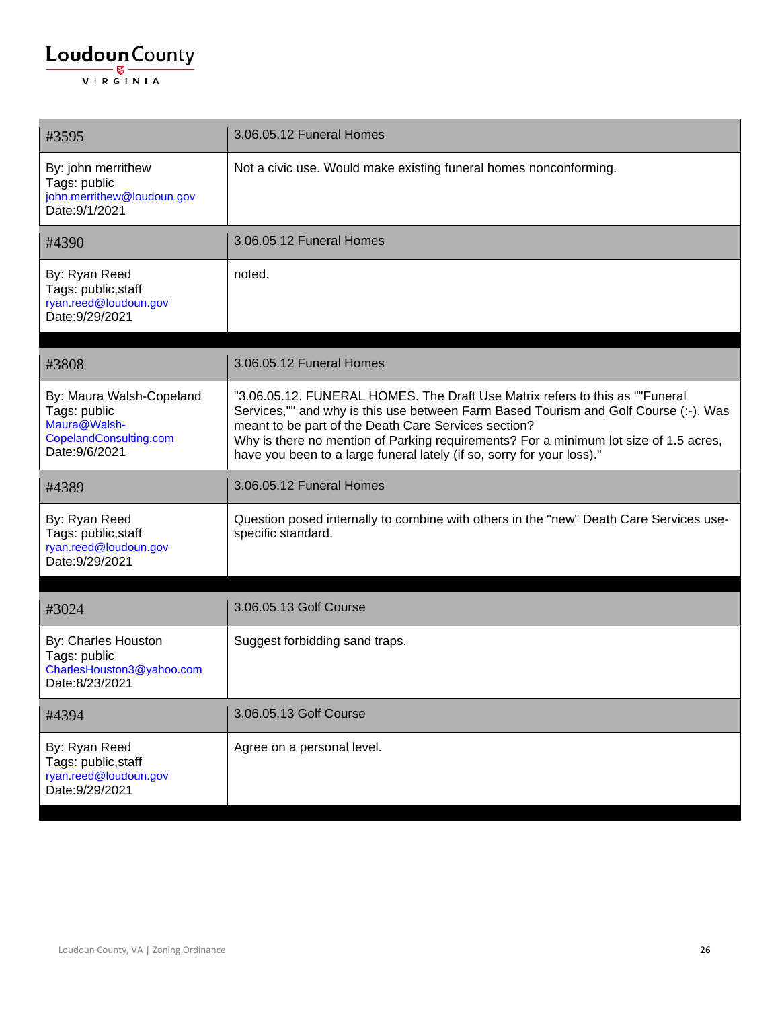| #3595                                                                                                | 3.06.05.12 Funeral Homes                                                                                                                                                                                                                                                                                                                                                                        |
|------------------------------------------------------------------------------------------------------|-------------------------------------------------------------------------------------------------------------------------------------------------------------------------------------------------------------------------------------------------------------------------------------------------------------------------------------------------------------------------------------------------|
| By: john merrithew<br>Tags: public<br>john.merrithew@loudoun.gov<br>Date: 9/1/2021                   | Not a civic use. Would make existing funeral homes nonconforming.                                                                                                                                                                                                                                                                                                                               |
| #4390                                                                                                | 3.06.05.12 Funeral Homes                                                                                                                                                                                                                                                                                                                                                                        |
| By: Ryan Reed<br>Tags: public, staff<br>ryan.reed@loudoun.gov<br>Date: 9/29/2021                     | noted.                                                                                                                                                                                                                                                                                                                                                                                          |
| #3808                                                                                                | 3.06.05.12 Funeral Homes                                                                                                                                                                                                                                                                                                                                                                        |
| By: Maura Walsh-Copeland<br>Tags: public<br>Maura@Walsh-<br>CopelandConsulting.com<br>Date: 9/6/2021 | "3.06.05.12. FUNERAL HOMES. The Draft Use Matrix refers to this as ""Funeral<br>Services,"" and why is this use between Farm Based Tourism and Golf Course (:-). Was<br>meant to be part of the Death Care Services section?<br>Why is there no mention of Parking requirements? For a minimum lot size of 1.5 acres,<br>have you been to a large funeral lately (if so, sorry for your loss)." |
| #4389                                                                                                | 3.06.05.12 Funeral Homes                                                                                                                                                                                                                                                                                                                                                                        |
| By: Ryan Reed<br>Tags: public, staff<br>ryan.reed@loudoun.gov<br>Date: 9/29/2021                     | Question posed internally to combine with others in the "new" Death Care Services use-<br>specific standard.                                                                                                                                                                                                                                                                                    |
| #3024                                                                                                | 3.06.05.13 Golf Course                                                                                                                                                                                                                                                                                                                                                                          |
| By: Charles Houston<br>Tags: public<br>CharlesHouston3@yahoo.com<br>Date:8/23/2021                   | Suggest forbidding sand traps.                                                                                                                                                                                                                                                                                                                                                                  |
| #4394                                                                                                | 3.06.05.13 Golf Course                                                                                                                                                                                                                                                                                                                                                                          |
| By: Ryan Reed<br>Tags: public, staff<br>ryan.reed@loudoun.gov<br>Date: 9/29/2021                     | Agree on a personal level.                                                                                                                                                                                                                                                                                                                                                                      |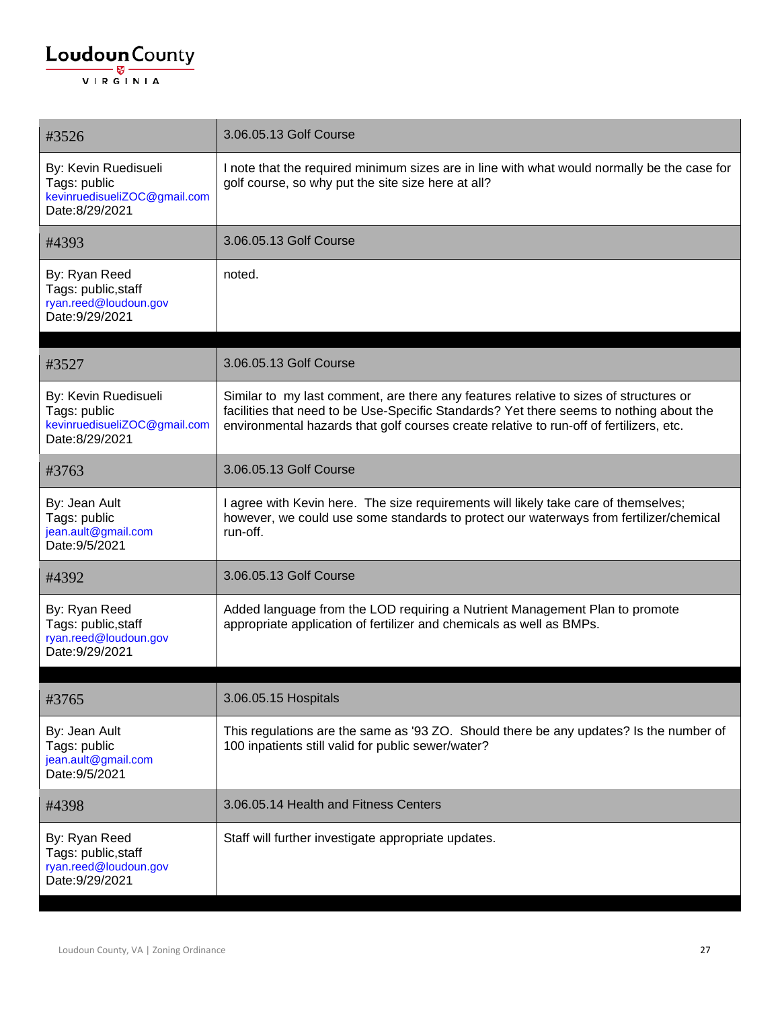#### $\underbrace{\textbf{Loudoun}\xspace}_{\text{VIR GINIA}}$

| #3526                                                                                  | 3.06.05.13 Golf Course                                                                                                                                                                                                                                                      |
|----------------------------------------------------------------------------------------|-----------------------------------------------------------------------------------------------------------------------------------------------------------------------------------------------------------------------------------------------------------------------------|
| By: Kevin Ruedisueli<br>Tags: public<br>kevinruedisueliZOC@gmail.com<br>Date:8/29/2021 | I note that the required minimum sizes are in line with what would normally be the case for<br>golf course, so why put the site size here at all?                                                                                                                           |
| #4393                                                                                  | 3.06.05.13 Golf Course                                                                                                                                                                                                                                                      |
| By: Ryan Reed<br>Tags: public, staff<br>ryan.reed@loudoun.gov<br>Date: 9/29/2021       | noted.                                                                                                                                                                                                                                                                      |
| #3527                                                                                  | 3.06.05.13 Golf Course                                                                                                                                                                                                                                                      |
| By: Kevin Ruedisueli<br>Tags: public<br>kevinruedisueliZOC@gmail.com<br>Date:8/29/2021 | Similar to my last comment, are there any features relative to sizes of structures or<br>facilities that need to be Use-Specific Standards? Yet there seems to nothing about the<br>environmental hazards that golf courses create relative to run-off of fertilizers, etc. |
| #3763                                                                                  | 3.06.05.13 Golf Course                                                                                                                                                                                                                                                      |
| By: Jean Ault<br>Tags: public<br>jean.ault@gmail.com<br>Date: 9/5/2021                 | I agree with Kevin here. The size requirements will likely take care of themselves;<br>however, we could use some standards to protect our waterways from fertilizer/chemical<br>run-off.                                                                                   |
| #4392                                                                                  | 3.06.05.13 Golf Course                                                                                                                                                                                                                                                      |
| By: Ryan Reed<br>Tags: public, staff<br>ryan.reed@loudoun.gov<br>Date: 9/29/2021       | Added language from the LOD requiring a Nutrient Management Plan to promote<br>appropriate application of fertilizer and chemicals as well as BMPs.                                                                                                                         |
| #3765                                                                                  | 3.06.05.15 Hospitals                                                                                                                                                                                                                                                        |
| By: Jean Ault<br>Tags: public<br>jean.ault@gmail.com<br>Date: 9/5/2021                 | This regulations are the same as '93 ZO. Should there be any updates? Is the number of<br>100 inpatients still valid for public sewer/water?                                                                                                                                |
| #4398                                                                                  | 3.06.05.14 Health and Fitness Centers                                                                                                                                                                                                                                       |
| By: Ryan Reed<br>Tags: public, staff<br>ryan.reed@loudoun.gov<br>Date: 9/29/2021       | Staff will further investigate appropriate updates.                                                                                                                                                                                                                         |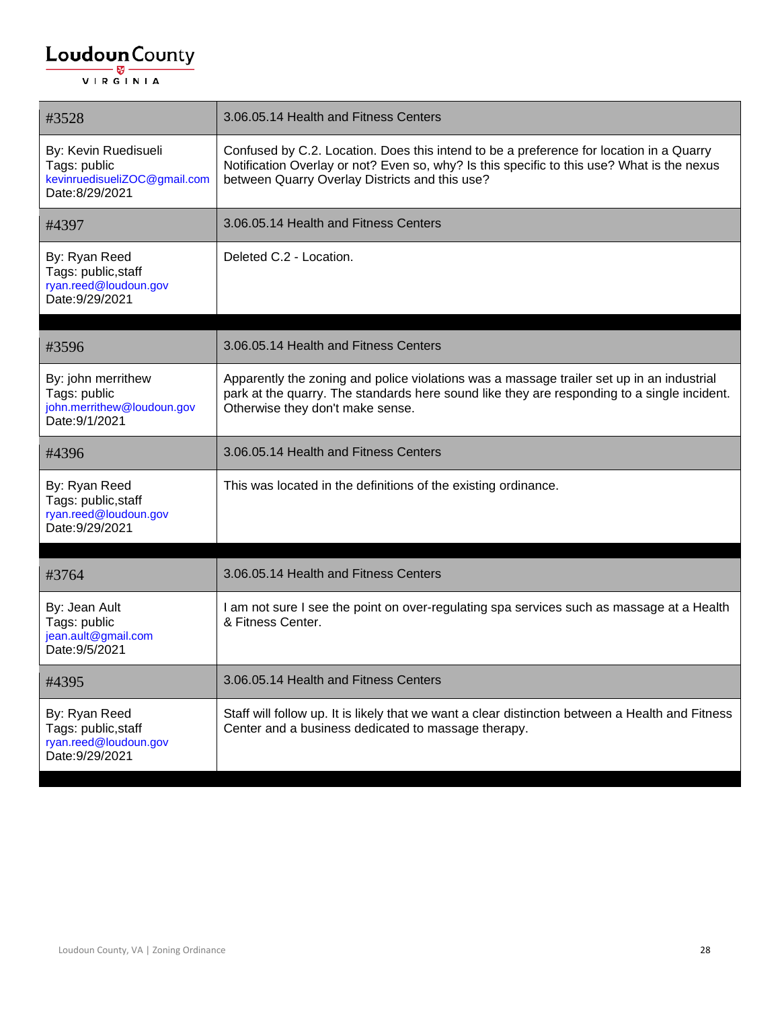| #3528                                                                                  | 3.06.05.14 Health and Fitness Centers                                                                                                                                                                                                   |
|----------------------------------------------------------------------------------------|-----------------------------------------------------------------------------------------------------------------------------------------------------------------------------------------------------------------------------------------|
| By: Kevin Ruedisueli<br>Tags: public<br>kevinruedisueliZOC@gmail.com<br>Date:8/29/2021 | Confused by C.2. Location. Does this intend to be a preference for location in a Quarry<br>Notification Overlay or not? Even so, why? Is this specific to this use? What is the nexus<br>between Quarry Overlay Districts and this use? |
| #4397                                                                                  | 3.06.05.14 Health and Fitness Centers                                                                                                                                                                                                   |
| By: Ryan Reed<br>Tags: public, staff<br>ryan.reed@loudoun.gov<br>Date: 9/29/2021       | Deleted C.2 - Location.                                                                                                                                                                                                                 |
| #3596                                                                                  | 3.06.05.14 Health and Fitness Centers                                                                                                                                                                                                   |
| By: john merrithew<br>Tags: public<br>john.merrithew@loudoun.gov<br>Date: 9/1/2021     | Apparently the zoning and police violations was a massage trailer set up in an industrial<br>park at the quarry. The standards here sound like they are responding to a single incident.<br>Otherwise they don't make sense.            |
| #4396                                                                                  | 3.06.05.14 Health and Fitness Centers                                                                                                                                                                                                   |
| By: Ryan Reed<br>Tags: public, staff<br>ryan.reed@loudoun.gov<br>Date: 9/29/2021       | This was located in the definitions of the existing ordinance.                                                                                                                                                                          |
| #3764                                                                                  | 3.06.05.14 Health and Fitness Centers                                                                                                                                                                                                   |
| By: Jean Ault<br>Tags: public<br>jean.ault@gmail.com<br>Date: 9/5/2021                 | I am not sure I see the point on over-regulating spa services such as massage at a Health<br>& Fitness Center.                                                                                                                          |
| #4395                                                                                  | 3.06.05.14 Health and Fitness Centers                                                                                                                                                                                                   |
| By: Ryan Reed<br>Tags: public, staff<br>ryan.reed@loudoun.gov<br>Date: 9/29/2021       | Staff will follow up. It is likely that we want a clear distinction between a Health and Fitness<br>Center and a business dedicated to massage therapy.                                                                                 |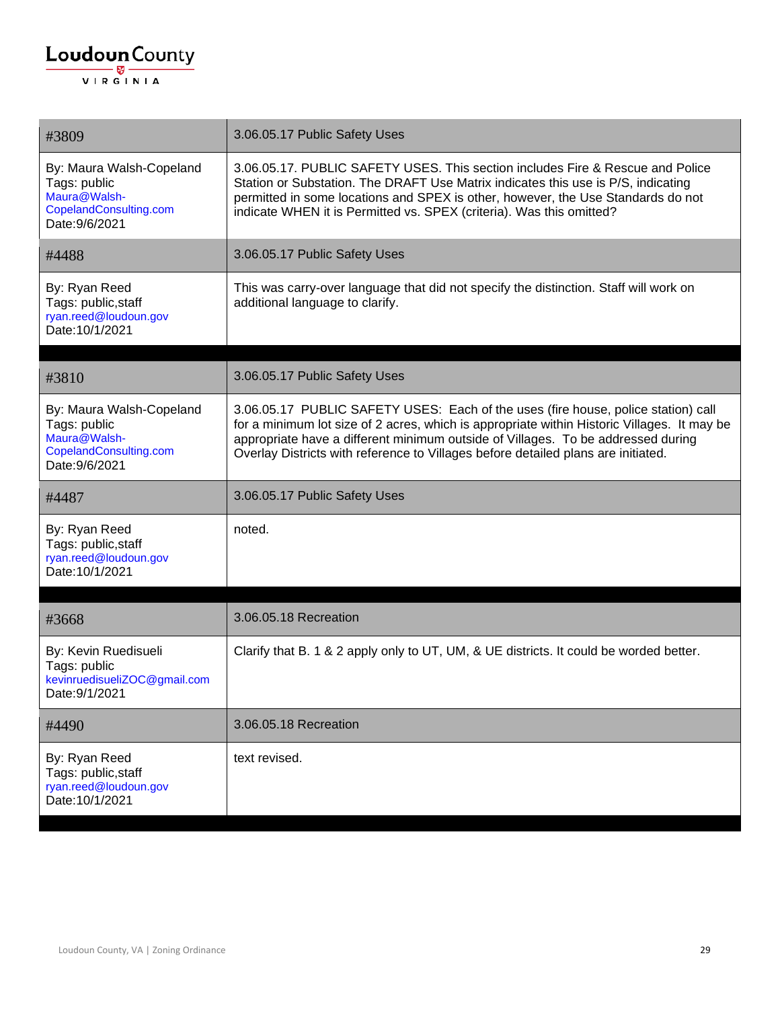| #3809                                                                                                | 3.06.05.17 Public Safety Uses                                                                                                                                                                                                                                                                                                                             |
|------------------------------------------------------------------------------------------------------|-----------------------------------------------------------------------------------------------------------------------------------------------------------------------------------------------------------------------------------------------------------------------------------------------------------------------------------------------------------|
| By: Maura Walsh-Copeland<br>Tags: public<br>Maura@Walsh-<br>CopelandConsulting.com<br>Date: 9/6/2021 | 3.06.05.17. PUBLIC SAFETY USES. This section includes Fire & Rescue and Police<br>Station or Substation. The DRAFT Use Matrix indicates this use is P/S, indicating<br>permitted in some locations and SPEX is other, however, the Use Standards do not<br>indicate WHEN it is Permitted vs. SPEX (criteria). Was this omitted?                           |
| #4488                                                                                                | 3.06.05.17 Public Safety Uses                                                                                                                                                                                                                                                                                                                             |
| By: Ryan Reed<br>Tags: public, staff<br>ryan.reed@loudoun.gov<br>Date: 10/1/2021                     | This was carry-over language that did not specify the distinction. Staff will work on<br>additional language to clarify.                                                                                                                                                                                                                                  |
| #3810                                                                                                | 3.06.05.17 Public Safety Uses                                                                                                                                                                                                                                                                                                                             |
| By: Maura Walsh-Copeland<br>Tags: public<br>Maura@Walsh-<br>CopelandConsulting.com<br>Date: 9/6/2021 | 3.06.05.17 PUBLIC SAFETY USES: Each of the uses (fire house, police station) call<br>for a minimum lot size of 2 acres, which is appropriate within Historic Villages. It may be<br>appropriate have a different minimum outside of Villages. To be addressed during<br>Overlay Districts with reference to Villages before detailed plans are initiated. |
| #4487                                                                                                | 3.06.05.17 Public Safety Uses                                                                                                                                                                                                                                                                                                                             |
| By: Ryan Reed<br>Tags: public, staff<br>ryan.reed@loudoun.gov<br>Date: 10/1/2021                     | noted.                                                                                                                                                                                                                                                                                                                                                    |
| #3668                                                                                                | 3.06.05.18 Recreation                                                                                                                                                                                                                                                                                                                                     |
| By: Kevin Ruedisueli<br>Tags: public<br>kevinruedisueliZOC@gmail.com<br>Date: 9/1/2021               | Clarify that B. 1 & 2 apply only to UT, UM, & UE districts. It could be worded better.                                                                                                                                                                                                                                                                    |
| #4490                                                                                                | 3.06.05.18 Recreation                                                                                                                                                                                                                                                                                                                                     |
| By: Ryan Reed<br>Tags: public, staff<br>ryan.reed@loudoun.gov<br>Date: 10/1/2021                     | text revised.                                                                                                                                                                                                                                                                                                                                             |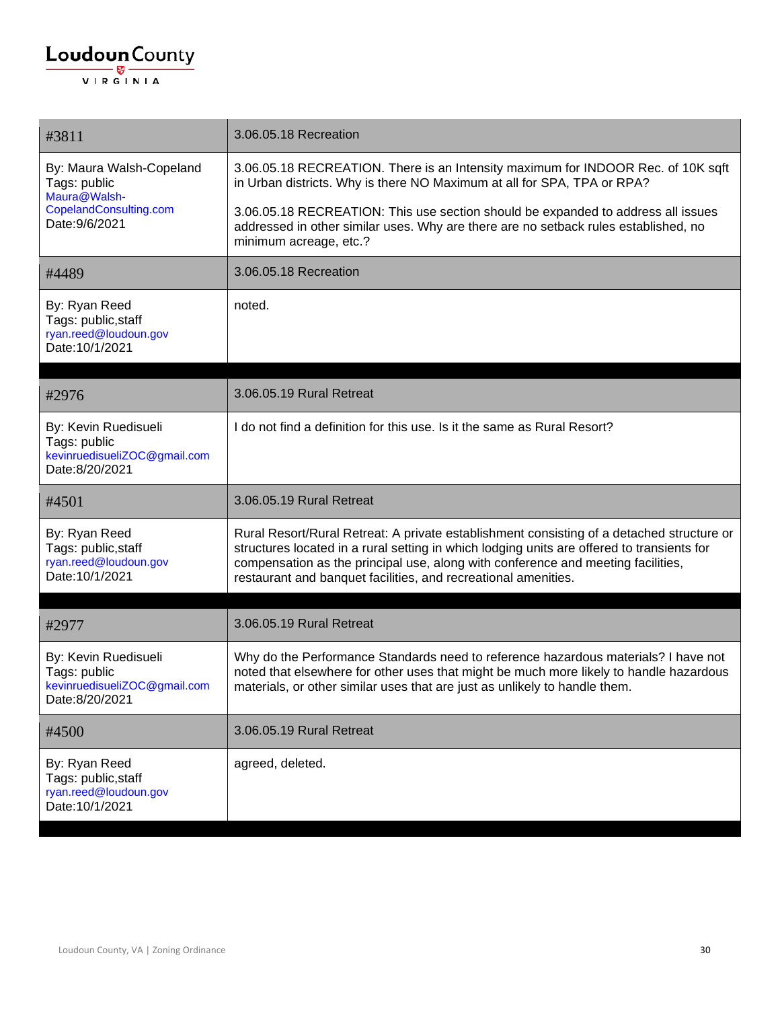| #3811                                                                                                | 3.06.05.18 Recreation                                                                                                                                                                                                                                                                                                                         |
|------------------------------------------------------------------------------------------------------|-----------------------------------------------------------------------------------------------------------------------------------------------------------------------------------------------------------------------------------------------------------------------------------------------------------------------------------------------|
| By: Maura Walsh-Copeland<br>Tags: public<br>Maura@Walsh-<br>CopelandConsulting.com<br>Date: 9/6/2021 | 3.06.05.18 RECREATION. There is an Intensity maximum for INDOOR Rec. of 10K sqft<br>in Urban districts. Why is there NO Maximum at all for SPA, TPA or RPA?                                                                                                                                                                                   |
|                                                                                                      | 3.06.05.18 RECREATION: This use section should be expanded to address all issues<br>addressed in other similar uses. Why are there are no setback rules established, no<br>minimum acreage, etc.?                                                                                                                                             |
| #4489                                                                                                | 3.06.05.18 Recreation                                                                                                                                                                                                                                                                                                                         |
| By: Ryan Reed<br>Tags: public, staff<br>ryan.reed@loudoun.gov<br>Date: 10/1/2021                     | noted.                                                                                                                                                                                                                                                                                                                                        |
| #2976                                                                                                | 3.06.05.19 Rural Retreat                                                                                                                                                                                                                                                                                                                      |
| By: Kevin Ruedisueli<br>Tags: public<br>kevinruedisueliZOC@gmail.com<br>Date:8/20/2021               | I do not find a definition for this use. Is it the same as Rural Resort?                                                                                                                                                                                                                                                                      |
| #4501                                                                                                | 3.06.05.19 Rural Retreat                                                                                                                                                                                                                                                                                                                      |
| By: Ryan Reed<br>Tags: public, staff<br>ryan.reed@loudoun.gov<br>Date: 10/1/2021                     | Rural Resort/Rural Retreat: A private establishment consisting of a detached structure or<br>structures located in a rural setting in which lodging units are offered to transients for<br>compensation as the principal use, along with conference and meeting facilities,<br>restaurant and banquet facilities, and recreational amenities. |
| #2977                                                                                                | 3.06.05.19 Rural Retreat                                                                                                                                                                                                                                                                                                                      |
| By: Kevin Ruedisueli<br>Tags: public<br>kevinruedisueliZOC@gmail.com<br>Date:8/20/2021               | Why do the Performance Standards need to reference hazardous materials? I have not<br>noted that elsewhere for other uses that might be much more likely to handle hazardous<br>materials, or other similar uses that are just as unlikely to handle them.                                                                                    |
| #4500                                                                                                | 3.06.05.19 Rural Retreat                                                                                                                                                                                                                                                                                                                      |
| By: Ryan Reed<br>Tags: public, staff<br>ryan.reed@loudoun.gov<br>Date: 10/1/2021                     | agreed, deleted.                                                                                                                                                                                                                                                                                                                              |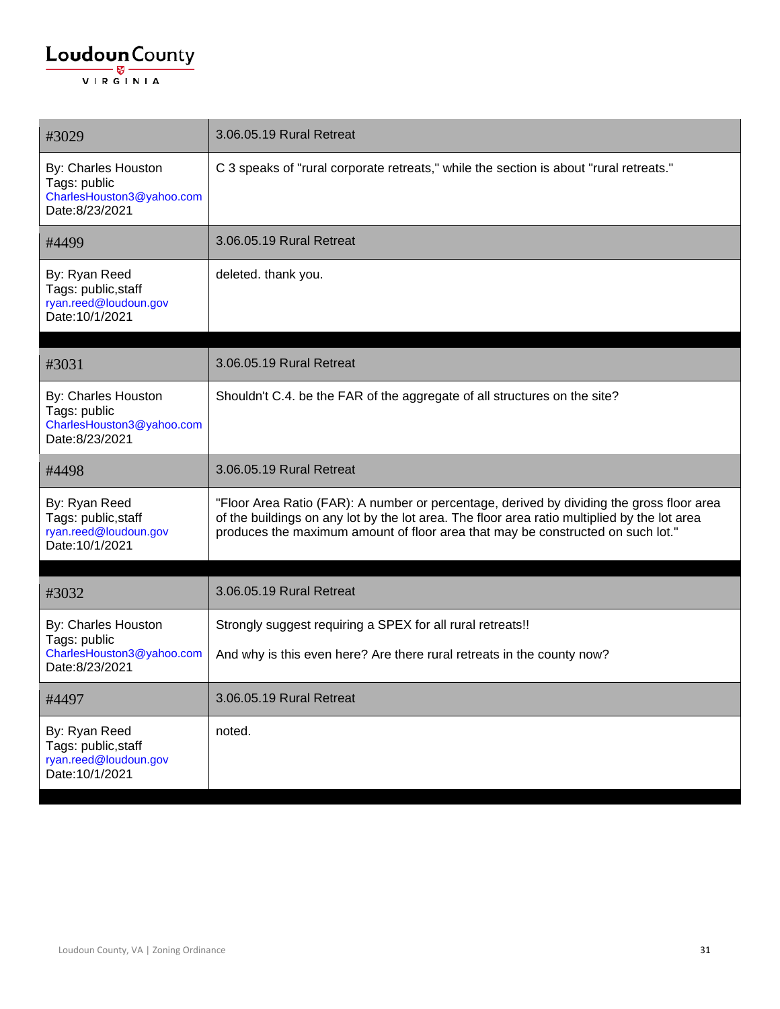| #3029                                                                              | 3.06.05.19 Rural Retreat                                                                                                                                                                                                                                                     |
|------------------------------------------------------------------------------------|------------------------------------------------------------------------------------------------------------------------------------------------------------------------------------------------------------------------------------------------------------------------------|
| By: Charles Houston<br>Tags: public<br>CharlesHouston3@yahoo.com<br>Date:8/23/2021 | C 3 speaks of "rural corporate retreats," while the section is about "rural retreats."                                                                                                                                                                                       |
| #4499                                                                              | 3.06.05.19 Rural Retreat                                                                                                                                                                                                                                                     |
| By: Ryan Reed<br>Tags: public, staff<br>ryan.reed@loudoun.gov<br>Date: 10/1/2021   | deleted. thank you.                                                                                                                                                                                                                                                          |
| #3031                                                                              | 3.06.05.19 Rural Retreat                                                                                                                                                                                                                                                     |
| By: Charles Houston<br>Tags: public<br>CharlesHouston3@yahoo.com<br>Date:8/23/2021 | Shouldn't C.4. be the FAR of the aggregate of all structures on the site?                                                                                                                                                                                                    |
| #4498                                                                              | 3.06.05.19 Rural Retreat                                                                                                                                                                                                                                                     |
| By: Ryan Reed<br>Tags: public, staff<br>ryan.reed@loudoun.gov<br>Date: 10/1/2021   | "Floor Area Ratio (FAR): A number or percentage, derived by dividing the gross floor area<br>of the buildings on any lot by the lot area. The floor area ratio multiplied by the lot area<br>produces the maximum amount of floor area that may be constructed on such lot." |
| #3032                                                                              | 3.06.05.19 Rural Retreat                                                                                                                                                                                                                                                     |
| By: Charles Houston                                                                | Strongly suggest requiring a SPEX for all rural retreats!!                                                                                                                                                                                                                   |
| Tags: public<br>CharlesHouston3@yahoo.com<br>Date: 8/23/2021                       | And why is this even here? Are there rural retreats in the county now?                                                                                                                                                                                                       |
| #4497                                                                              | 3.06.05.19 Rural Retreat                                                                                                                                                                                                                                                     |
| By: Ryan Reed<br>Tags: public, staff<br>ryan.reed@loudoun.gov<br>Date: 10/1/2021   | noted.                                                                                                                                                                                                                                                                       |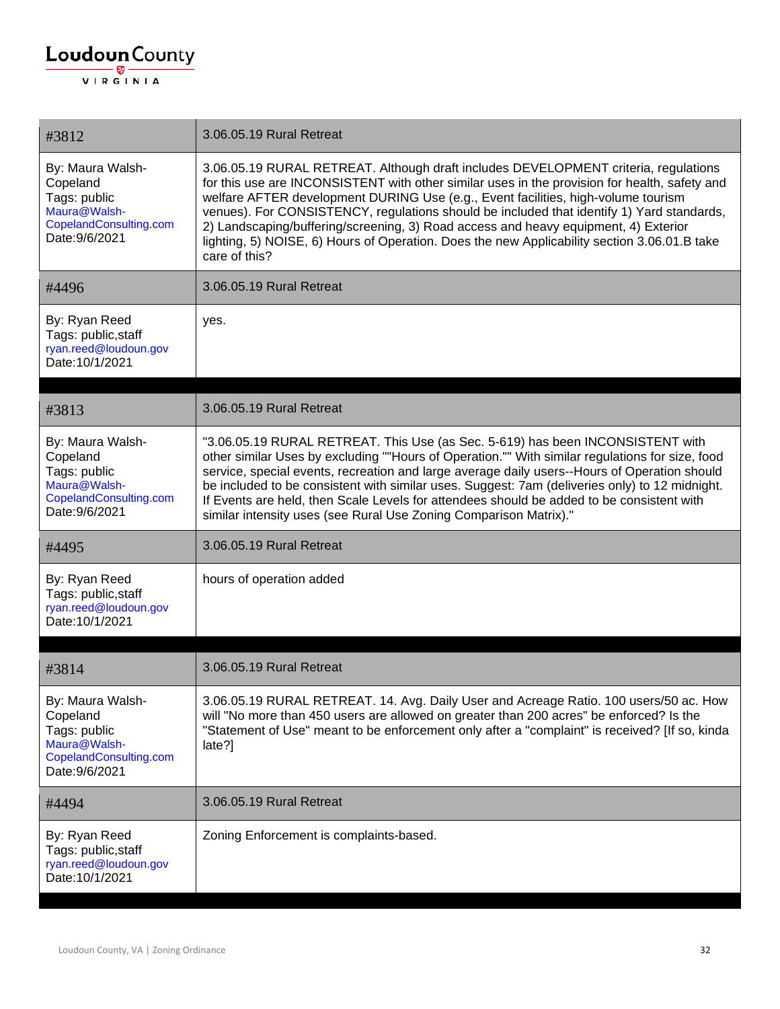| #3812                                                                                                    | 3.06.05.19 Rural Retreat                                                                                                                                                                                                                                                                                                                                                                                                                                                                                                                                                       |
|----------------------------------------------------------------------------------------------------------|--------------------------------------------------------------------------------------------------------------------------------------------------------------------------------------------------------------------------------------------------------------------------------------------------------------------------------------------------------------------------------------------------------------------------------------------------------------------------------------------------------------------------------------------------------------------------------|
| By: Maura Walsh-<br>Copeland<br>Tags: public<br>Maura@Walsh-<br>CopelandConsulting.com<br>Date: 9/6/2021 | 3.06.05.19 RURAL RETREAT. Although draft includes DEVELOPMENT criteria, regulations<br>for this use are INCONSISTENT with other similar uses in the provision for health, safety and<br>welfare AFTER development DURING Use (e.g., Event facilities, high-volume tourism<br>venues). For CONSISTENCY, regulations should be included that identify 1) Yard standards,<br>2) Landscaping/buffering/screening, 3) Road access and heavy equipment, 4) Exterior<br>lighting, 5) NOISE, 6) Hours of Operation. Does the new Applicability section 3.06.01.B take<br>care of this? |
| #4496                                                                                                    | 3.06.05.19 Rural Retreat                                                                                                                                                                                                                                                                                                                                                                                                                                                                                                                                                       |
| By: Ryan Reed<br>Tags: public, staff<br>ryan.reed@loudoun.gov<br>Date: 10/1/2021                         | yes.                                                                                                                                                                                                                                                                                                                                                                                                                                                                                                                                                                           |
|                                                                                                          |                                                                                                                                                                                                                                                                                                                                                                                                                                                                                                                                                                                |
| #3813                                                                                                    | 3.06.05.19 Rural Retreat                                                                                                                                                                                                                                                                                                                                                                                                                                                                                                                                                       |
| By: Maura Walsh-<br>Copeland<br>Tags: public<br>Maura@Walsh-<br>CopelandConsulting.com<br>Date: 9/6/2021 | "3.06.05.19 RURAL RETREAT. This Use (as Sec. 5-619) has been INCONSISTENT with<br>other similar Uses by excluding ""Hours of Operation."" With similar regulations for size, food<br>service, special events, recreation and large average daily users--Hours of Operation should<br>be included to be consistent with similar uses. Suggest: 7am (deliveries only) to 12 midnight.<br>If Events are held, then Scale Levels for attendees should be added to be consistent with<br>similar intensity uses (see Rural Use Zoning Comparison Matrix)."                          |
| #4495                                                                                                    | 3.06.05.19 Rural Retreat                                                                                                                                                                                                                                                                                                                                                                                                                                                                                                                                                       |
| By: Ryan Reed<br>Tags: public, staff<br>ryan.reed@loudoun.gov<br>Date: 10/1/2021                         | hours of operation added                                                                                                                                                                                                                                                                                                                                                                                                                                                                                                                                                       |
|                                                                                                          |                                                                                                                                                                                                                                                                                                                                                                                                                                                                                                                                                                                |
| #3814                                                                                                    | 3.06.05.19 Rural Retreat                                                                                                                                                                                                                                                                                                                                                                                                                                                                                                                                                       |
| By: Maura Walsh-<br>Copeland<br>Tags: public<br>Maura@Walsh-<br>CopelandConsulting.com<br>Date: 9/6/2021 | 3.06.05.19 RURAL RETREAT. 14. Avg. Daily User and Acreage Ratio. 100 users/50 ac. How<br>will "No more than 450 users are allowed on greater than 200 acres" be enforced? Is the<br>"Statement of Use" meant to be enforcement only after a "complaint" is received? [If so, kinda<br>late?                                                                                                                                                                                                                                                                                    |
| #4494                                                                                                    | 3.06.05.19 Rural Retreat                                                                                                                                                                                                                                                                                                                                                                                                                                                                                                                                                       |
| By: Ryan Reed<br>Tags: public, staff<br>ryan.reed@loudoun.gov<br>Date: 10/1/2021                         | Zoning Enforcement is complaints-based.                                                                                                                                                                                                                                                                                                                                                                                                                                                                                                                                        |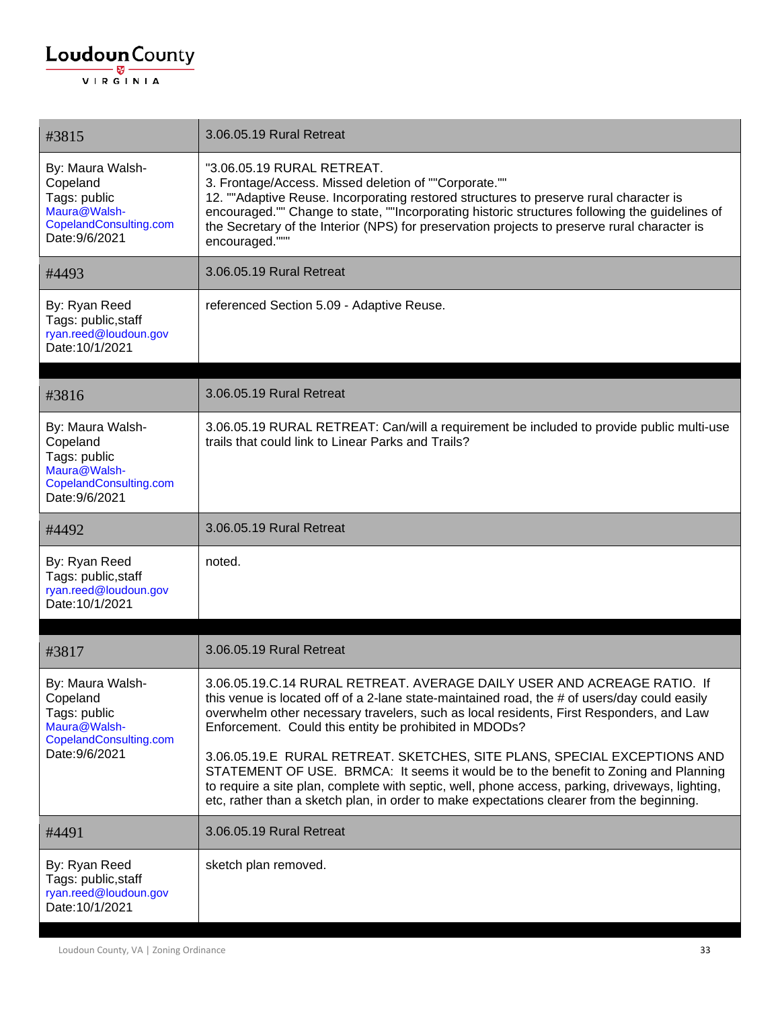#### $\underbrace{\textbf{Loudoun}\xspace}_{\text{VIR GINIA}}$

| #3815                                                                                                    | 3.06.05.19 Rural Retreat                                                                                                                                                                                                                                                                                                                                                                          |
|----------------------------------------------------------------------------------------------------------|---------------------------------------------------------------------------------------------------------------------------------------------------------------------------------------------------------------------------------------------------------------------------------------------------------------------------------------------------------------------------------------------------|
| By: Maura Walsh-<br>Copeland<br>Tags: public<br>Maura@Walsh-<br>CopelandConsulting.com<br>Date: 9/6/2021 | "3.06.05.19 RURAL RETREAT.<br>3. Frontage/Access. Missed deletion of ""Corporate.""<br>12. ""Adaptive Reuse. Incorporating restored structures to preserve rural character is<br>encouraged."" Change to state, ""Incorporating historic structures following the guidelines of<br>the Secretary of the Interior (NPS) for preservation projects to preserve rural character is<br>encouraged.""" |
| #4493                                                                                                    | 3.06.05.19 Rural Retreat                                                                                                                                                                                                                                                                                                                                                                          |
| By: Ryan Reed<br>Tags: public, staff<br>ryan.reed@loudoun.gov<br>Date: 10/1/2021                         | referenced Section 5.09 - Adaptive Reuse.                                                                                                                                                                                                                                                                                                                                                         |
| #3816                                                                                                    | 3.06.05.19 Rural Retreat                                                                                                                                                                                                                                                                                                                                                                          |
| By: Maura Walsh-<br>Copeland<br>Tags: public<br>Maura@Walsh-<br>CopelandConsulting.com<br>Date: 9/6/2021 | 3.06.05.19 RURAL RETREAT: Can/will a requirement be included to provide public multi-use<br>trails that could link to Linear Parks and Trails?                                                                                                                                                                                                                                                    |
| #4492                                                                                                    | 3.06.05.19 Rural Retreat                                                                                                                                                                                                                                                                                                                                                                          |
| By: Ryan Reed<br>Tags: public, staff<br>ryan.reed@loudoun.gov<br>Date: 10/1/2021                         | noted.                                                                                                                                                                                                                                                                                                                                                                                            |
|                                                                                                          |                                                                                                                                                                                                                                                                                                                                                                                                   |
| #3817                                                                                                    | 3.06.05.19 Rural Retreat                                                                                                                                                                                                                                                                                                                                                                          |
| By: Maura Walsh-<br>Copeland<br>Tags: public<br>Maura@Walsh-<br>CopelandConsulting.com<br>Date: 9/6/2021 | 3.06.05.19.C.14 RURAL RETREAT. AVERAGE DAILY USER AND ACREAGE RATIO. If<br>this venue is located off of a 2-lane state-maintained road, the # of users/day could easily<br>overwhelm other necessary travelers, such as local residents, First Responders, and Law<br>Enforcement. Could this entity be prohibited in MDODs?                                                                      |
|                                                                                                          | 3.06.05.19.E RURAL RETREAT. SKETCHES, SITE PLANS, SPECIAL EXCEPTIONS AND<br>STATEMENT OF USE. BRMCA: It seems it would be to the benefit to Zoning and Planning<br>to require a site plan, complete with septic, well, phone access, parking, driveways, lighting,<br>etc, rather than a sketch plan, in order to make expectations clearer from the beginning.                                   |
| #4491                                                                                                    | 3.06.05.19 Rural Retreat                                                                                                                                                                                                                                                                                                                                                                          |
| By: Ryan Reed<br>Tags: public, staff<br>ryan.reed@loudoun.gov<br>Date: 10/1/2021                         | sketch plan removed.                                                                                                                                                                                                                                                                                                                                                                              |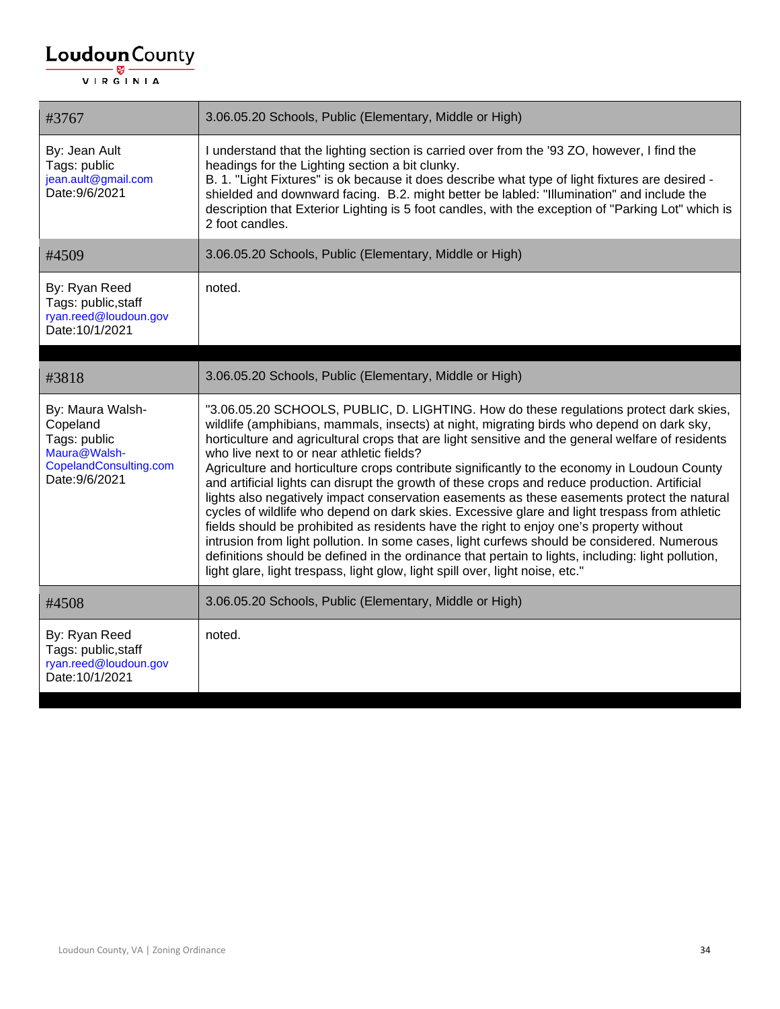| #3767                                                                                                    | 3.06.05.20 Schools, Public (Elementary, Middle or High)                                                                                                                                                                                                                                                                                                                                                                                                                                                                                                                                                                                                                                                                                                                                                                                                                                                                                                                                                                                                                                                                 |
|----------------------------------------------------------------------------------------------------------|-------------------------------------------------------------------------------------------------------------------------------------------------------------------------------------------------------------------------------------------------------------------------------------------------------------------------------------------------------------------------------------------------------------------------------------------------------------------------------------------------------------------------------------------------------------------------------------------------------------------------------------------------------------------------------------------------------------------------------------------------------------------------------------------------------------------------------------------------------------------------------------------------------------------------------------------------------------------------------------------------------------------------------------------------------------------------------------------------------------------------|
| By: Jean Ault<br>Tags: public<br>jean.ault@gmail.com<br>Date: 9/6/2021                                   | I understand that the lighting section is carried over from the '93 ZO, however, I find the<br>headings for the Lighting section a bit clunky.<br>B. 1. "Light Fixtures" is ok because it does describe what type of light fixtures are desired -<br>shielded and downward facing. B.2. might better be labled: "Illumination" and include the<br>description that Exterior Lighting is 5 foot candles, with the exception of "Parking Lot" which is<br>2 foot candles.                                                                                                                                                                                                                                                                                                                                                                                                                                                                                                                                                                                                                                                 |
| #4509                                                                                                    | 3.06.05.20 Schools, Public (Elementary, Middle or High)                                                                                                                                                                                                                                                                                                                                                                                                                                                                                                                                                                                                                                                                                                                                                                                                                                                                                                                                                                                                                                                                 |
| By: Ryan Reed<br>Tags: public, staff<br>ryan.reed@loudoun.gov<br>Date: 10/1/2021                         | noted.                                                                                                                                                                                                                                                                                                                                                                                                                                                                                                                                                                                                                                                                                                                                                                                                                                                                                                                                                                                                                                                                                                                  |
|                                                                                                          |                                                                                                                                                                                                                                                                                                                                                                                                                                                                                                                                                                                                                                                                                                                                                                                                                                                                                                                                                                                                                                                                                                                         |
| #3818                                                                                                    | 3.06.05.20 Schools, Public (Elementary, Middle or High)                                                                                                                                                                                                                                                                                                                                                                                                                                                                                                                                                                                                                                                                                                                                                                                                                                                                                                                                                                                                                                                                 |
| By: Maura Walsh-<br>Copeland<br>Tags: public<br>Maura@Walsh-<br>CopelandConsulting.com<br>Date: 9/6/2021 | "3.06.05.20 SCHOOLS, PUBLIC, D. LIGHTING. How do these regulations protect dark skies,<br>wildlife (amphibians, mammals, insects) at night, migrating birds who depend on dark sky,<br>horticulture and agricultural crops that are light sensitive and the general welfare of residents<br>who live next to or near athletic fields?<br>Agriculture and horticulture crops contribute significantly to the economy in Loudoun County<br>and artificial lights can disrupt the growth of these crops and reduce production. Artificial<br>lights also negatively impact conservation easements as these easements protect the natural<br>cycles of wildlife who depend on dark skies. Excessive glare and light trespass from athletic<br>fields should be prohibited as residents have the right to enjoy one's property without<br>intrusion from light pollution. In some cases, light curfews should be considered. Numerous<br>definitions should be defined in the ordinance that pertain to lights, including: light pollution,<br>light glare, light trespass, light glow, light spill over, light noise, etc." |
| #4508                                                                                                    | 3.06.05.20 Schools, Public (Elementary, Middle or High)                                                                                                                                                                                                                                                                                                                                                                                                                                                                                                                                                                                                                                                                                                                                                                                                                                                                                                                                                                                                                                                                 |
| By: Ryan Reed<br>Tags: public, staff<br>ryan.reed@loudoun.gov<br>Date: 10/1/2021                         | noted.                                                                                                                                                                                                                                                                                                                                                                                                                                                                                                                                                                                                                                                                                                                                                                                                                                                                                                                                                                                                                                                                                                                  |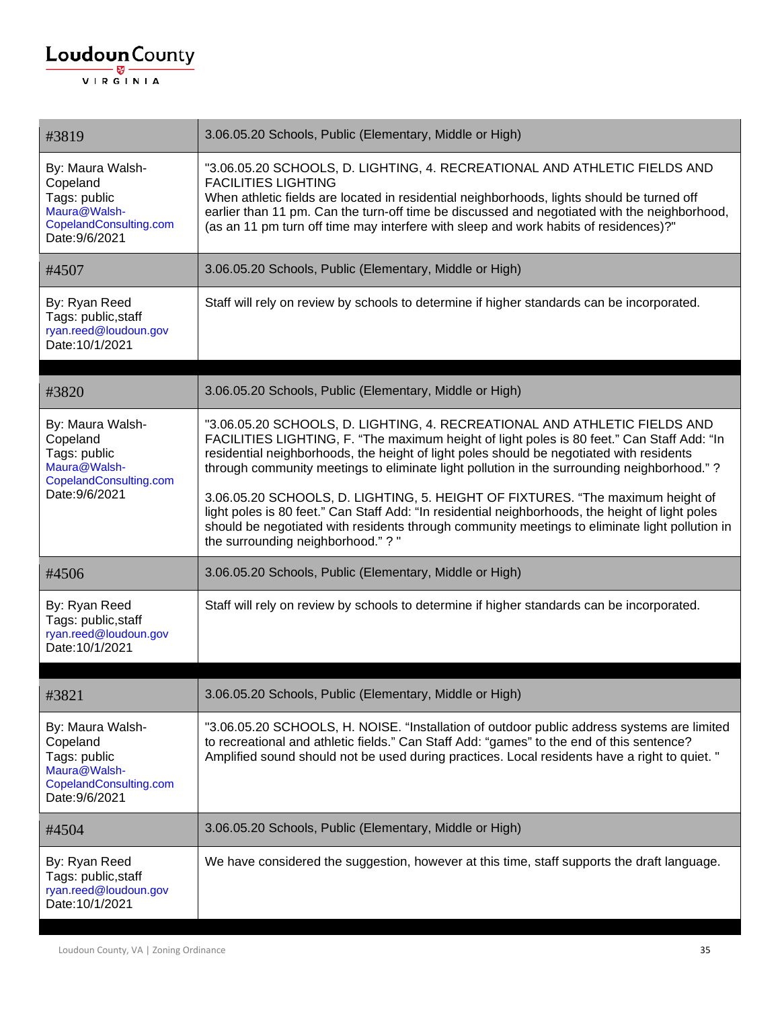#### $\underbrace{\textbf{Loudoun}\xspace}_{\text{VIR GINIA}}$

| #3819                                                                                                    | 3.06.05.20 Schools, Public (Elementary, Middle or High)                                                                                                                                                                                                                                                                                                                                                                                                                                                                                                                                                                                                                                        |
|----------------------------------------------------------------------------------------------------------|------------------------------------------------------------------------------------------------------------------------------------------------------------------------------------------------------------------------------------------------------------------------------------------------------------------------------------------------------------------------------------------------------------------------------------------------------------------------------------------------------------------------------------------------------------------------------------------------------------------------------------------------------------------------------------------------|
| By: Maura Walsh-<br>Copeland<br>Tags: public<br>Maura@Walsh-<br>CopelandConsulting.com<br>Date: 9/6/2021 | "3.06.05.20 SCHOOLS, D. LIGHTING, 4. RECREATIONAL AND ATHLETIC FIELDS AND<br><b>FACILITIES LIGHTING</b><br>When athletic fields are located in residential neighborhoods, lights should be turned off<br>earlier than 11 pm. Can the turn-off time be discussed and negotiated with the neighborhood,<br>(as an 11 pm turn off time may interfere with sleep and work habits of residences)?"                                                                                                                                                                                                                                                                                                  |
| #4507                                                                                                    | 3.06.05.20 Schools, Public (Elementary, Middle or High)                                                                                                                                                                                                                                                                                                                                                                                                                                                                                                                                                                                                                                        |
| By: Ryan Reed<br>Tags: public, staff<br>ryan.reed@loudoun.gov<br>Date: 10/1/2021                         | Staff will rely on review by schools to determine if higher standards can be incorporated.                                                                                                                                                                                                                                                                                                                                                                                                                                                                                                                                                                                                     |
| #3820                                                                                                    | 3.06.05.20 Schools, Public (Elementary, Middle or High)                                                                                                                                                                                                                                                                                                                                                                                                                                                                                                                                                                                                                                        |
| By: Maura Walsh-<br>Copeland<br>Tags: public<br>Maura@Walsh-<br>CopelandConsulting.com<br>Date: 9/6/2021 | "3.06.05.20 SCHOOLS, D. LIGHTING, 4. RECREATIONAL AND ATHLETIC FIELDS AND<br>FACILITIES LIGHTING, F. "The maximum height of light poles is 80 feet." Can Staff Add: "In<br>residential neighborhoods, the height of light poles should be negotiated with residents<br>through community meetings to eliminate light pollution in the surrounding neighborhood." ?<br>3.06.05.20 SCHOOLS, D. LIGHTING, 5. HEIGHT OF FIXTURES. "The maximum height of<br>light poles is 80 feet." Can Staff Add: "In residential neighborhoods, the height of light poles<br>should be negotiated with residents through community meetings to eliminate light pollution in<br>the surrounding neighborhood."?" |
| #4506                                                                                                    | 3.06.05.20 Schools, Public (Elementary, Middle or High)                                                                                                                                                                                                                                                                                                                                                                                                                                                                                                                                                                                                                                        |
| By: Ryan Reed<br>Tags: public, staff<br>ryan.reed@loudoun.gov<br>Date: 10/1/2021                         | Staff will rely on review by schools to determine if higher standards can be incorporated.                                                                                                                                                                                                                                                                                                                                                                                                                                                                                                                                                                                                     |
| #3821                                                                                                    | 3.06.05.20 Schools, Public (Elementary, Middle or High)                                                                                                                                                                                                                                                                                                                                                                                                                                                                                                                                                                                                                                        |
| By: Maura Walsh-<br>Copeland<br>Tags: public<br>Maura@Walsh-<br>CopelandConsulting.com<br>Date: 9/6/2021 | "3.06.05.20 SCHOOLS, H. NOISE. "Installation of outdoor public address systems are limited<br>to recreational and athletic fields." Can Staff Add: "games" to the end of this sentence?<br>Amplified sound should not be used during practices. Local residents have a right to quiet. "                                                                                                                                                                                                                                                                                                                                                                                                       |
| #4504                                                                                                    | 3.06.05.20 Schools, Public (Elementary, Middle or High)                                                                                                                                                                                                                                                                                                                                                                                                                                                                                                                                                                                                                                        |
| By: Ryan Reed<br>Tags: public, staff<br>ryan.reed@loudoun.gov<br>Date: 10/1/2021                         | We have considered the suggestion, however at this time, staff supports the draft language.                                                                                                                                                                                                                                                                                                                                                                                                                                                                                                                                                                                                    |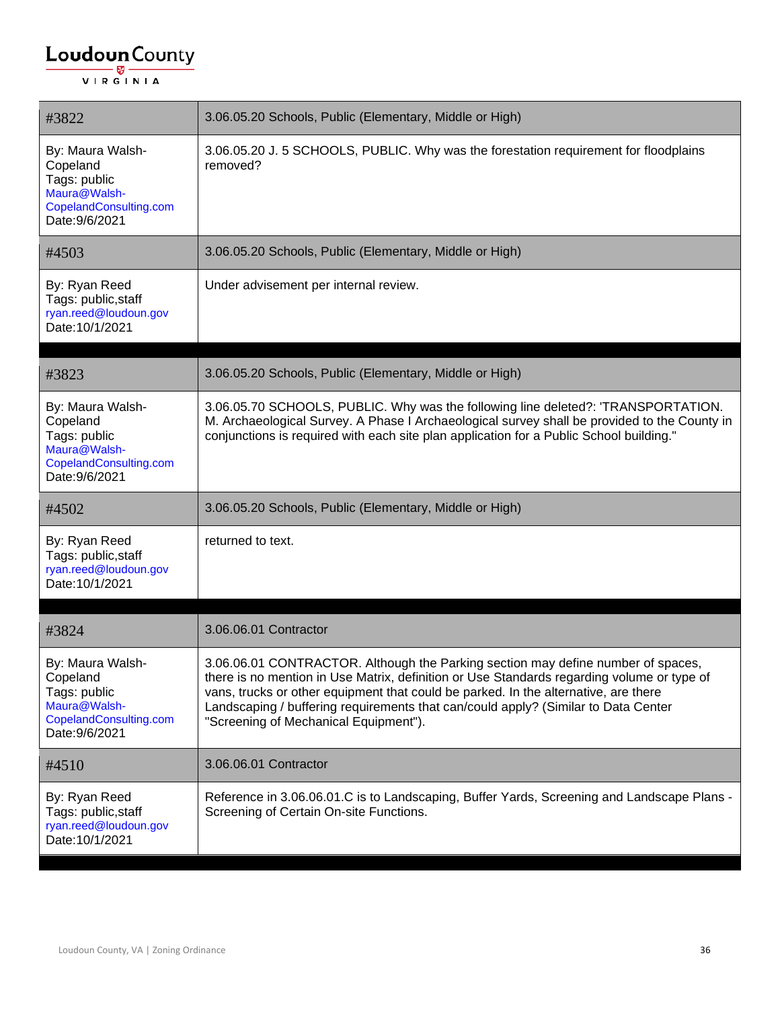| #3822                                                                                                    | 3.06.05.20 Schools, Public (Elementary, Middle or High)                                                                                                                                                                                                                                                                                                                                              |
|----------------------------------------------------------------------------------------------------------|------------------------------------------------------------------------------------------------------------------------------------------------------------------------------------------------------------------------------------------------------------------------------------------------------------------------------------------------------------------------------------------------------|
| By: Maura Walsh-<br>Copeland<br>Tags: public<br>Maura@Walsh-<br>CopelandConsulting.com<br>Date: 9/6/2021 | 3.06.05.20 J. 5 SCHOOLS, PUBLIC. Why was the forestation requirement for floodplains<br>removed?                                                                                                                                                                                                                                                                                                     |
| #4503                                                                                                    | 3.06.05.20 Schools, Public (Elementary, Middle or High)                                                                                                                                                                                                                                                                                                                                              |
| By: Ryan Reed<br>Tags: public, staff<br>ryan.reed@loudoun.gov<br>Date: 10/1/2021                         | Under advisement per internal review.                                                                                                                                                                                                                                                                                                                                                                |
| #3823                                                                                                    | 3.06.05.20 Schools, Public (Elementary, Middle or High)                                                                                                                                                                                                                                                                                                                                              |
| By: Maura Walsh-<br>Copeland<br>Tags: public<br>Maura@Walsh-<br>CopelandConsulting.com<br>Date: 9/6/2021 | 3.06.05.70 SCHOOLS, PUBLIC. Why was the following line deleted?: 'TRANSPORTATION.<br>M. Archaeological Survey. A Phase I Archaeological survey shall be provided to the County in<br>conjunctions is required with each site plan application for a Public School building."                                                                                                                         |
| #4502                                                                                                    | 3.06.05.20 Schools, Public (Elementary, Middle or High)                                                                                                                                                                                                                                                                                                                                              |
| By: Ryan Reed<br>Tags: public, staff<br>ryan.reed@loudoun.gov<br>Date: 10/1/2021                         | returned to text.                                                                                                                                                                                                                                                                                                                                                                                    |
| #3824                                                                                                    | 3.06.06.01 Contractor                                                                                                                                                                                                                                                                                                                                                                                |
| By: Maura Walsh-<br>Copeland<br>Tags: public<br>Maura@Walsh-<br>CopelandConsulting.com<br>Date: 9/6/2021 | 3.06.06.01 CONTRACTOR. Although the Parking section may define number of spaces,<br>there is no mention in Use Matrix, definition or Use Standards regarding volume or type of<br>vans, trucks or other equipment that could be parked. In the alternative, are there<br>Landscaping / buffering requirements that can/could apply? (Similar to Data Center<br>"Screening of Mechanical Equipment"). |
| #4510                                                                                                    | 3.06.06.01 Contractor                                                                                                                                                                                                                                                                                                                                                                                |
| By: Ryan Reed<br>Tags: public, staff<br>ryan.reed@loudoun.gov<br>Date: 10/1/2021                         | Reference in 3.06.06.01.C is to Landscaping, Buffer Yards, Screening and Landscape Plans -<br>Screening of Certain On-site Functions.                                                                                                                                                                                                                                                                |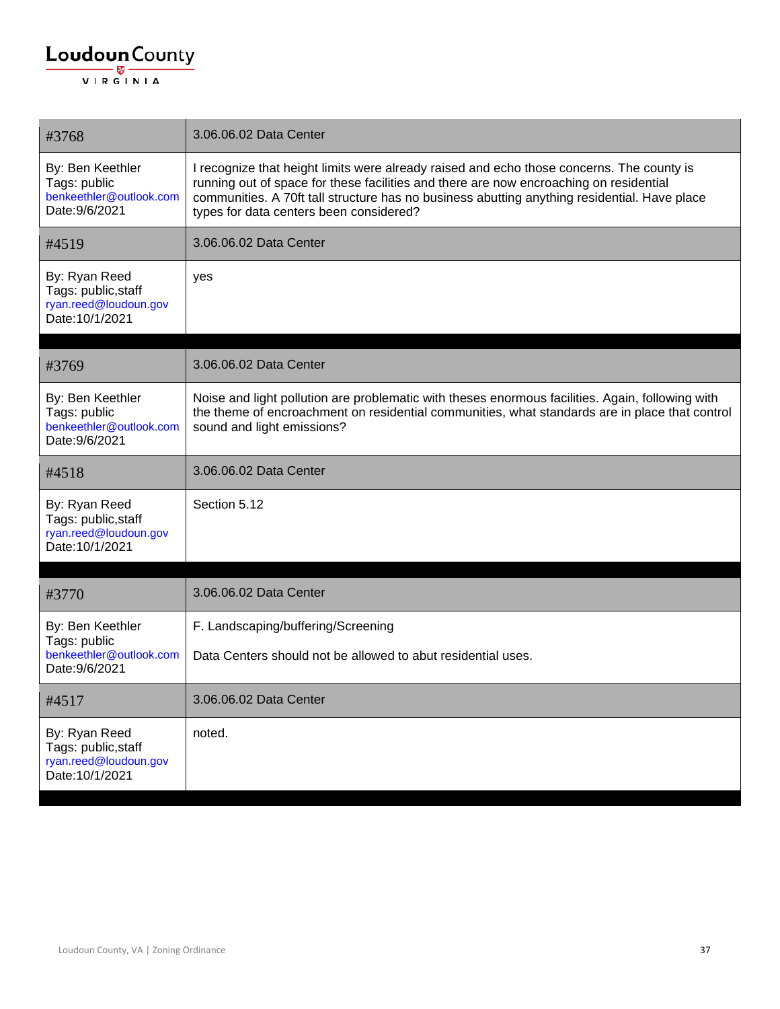| #3768                                                                            | 3.06.06.02 Data Center                                                                                                                                                                                                                                                                                                         |
|----------------------------------------------------------------------------------|--------------------------------------------------------------------------------------------------------------------------------------------------------------------------------------------------------------------------------------------------------------------------------------------------------------------------------|
| By: Ben Keethler<br>Tags: public<br>benkeethler@outlook.com<br>Date: 9/6/2021    | I recognize that height limits were already raised and echo those concerns. The county is<br>running out of space for these facilities and there are now encroaching on residential<br>communities. A 70ft tall structure has no business abutting anything residential. Have place<br>types for data centers been considered? |
| #4519                                                                            | 3.06.06.02 Data Center                                                                                                                                                                                                                                                                                                         |
| By: Ryan Reed<br>Tags: public, staff<br>ryan.reed@loudoun.gov<br>Date: 10/1/2021 | yes                                                                                                                                                                                                                                                                                                                            |
| #3769                                                                            | 3.06.06.02 Data Center                                                                                                                                                                                                                                                                                                         |
| By: Ben Keethler<br>Tags: public<br>benkeethler@outlook.com<br>Date: 9/6/2021    | Noise and light pollution are problematic with theses enormous facilities. Again, following with<br>the theme of encroachment on residential communities, what standards are in place that control<br>sound and light emissions?                                                                                               |
| #4518                                                                            | 3.06.06.02 Data Center                                                                                                                                                                                                                                                                                                         |
| By: Ryan Reed<br>Tags: public, staff<br>ryan.reed@loudoun.gov<br>Date: 10/1/2021 | Section 5.12                                                                                                                                                                                                                                                                                                                   |
| #3770                                                                            | 3.06.06.02 Data Center                                                                                                                                                                                                                                                                                                         |
| By: Ben Keethler<br>Tags: public                                                 | F. Landscaping/buffering/Screening                                                                                                                                                                                                                                                                                             |
| benkeethler@outlook.com<br>Date: 9/6/2021                                        | Data Centers should not be allowed to abut residential uses.                                                                                                                                                                                                                                                                   |
| #4517                                                                            | 3.06.06.02 Data Center                                                                                                                                                                                                                                                                                                         |
| By: Ryan Reed<br>Tags: public, staff<br>ryan.reed@loudoun.gov<br>Date: 10/1/2021 | noted.                                                                                                                                                                                                                                                                                                                         |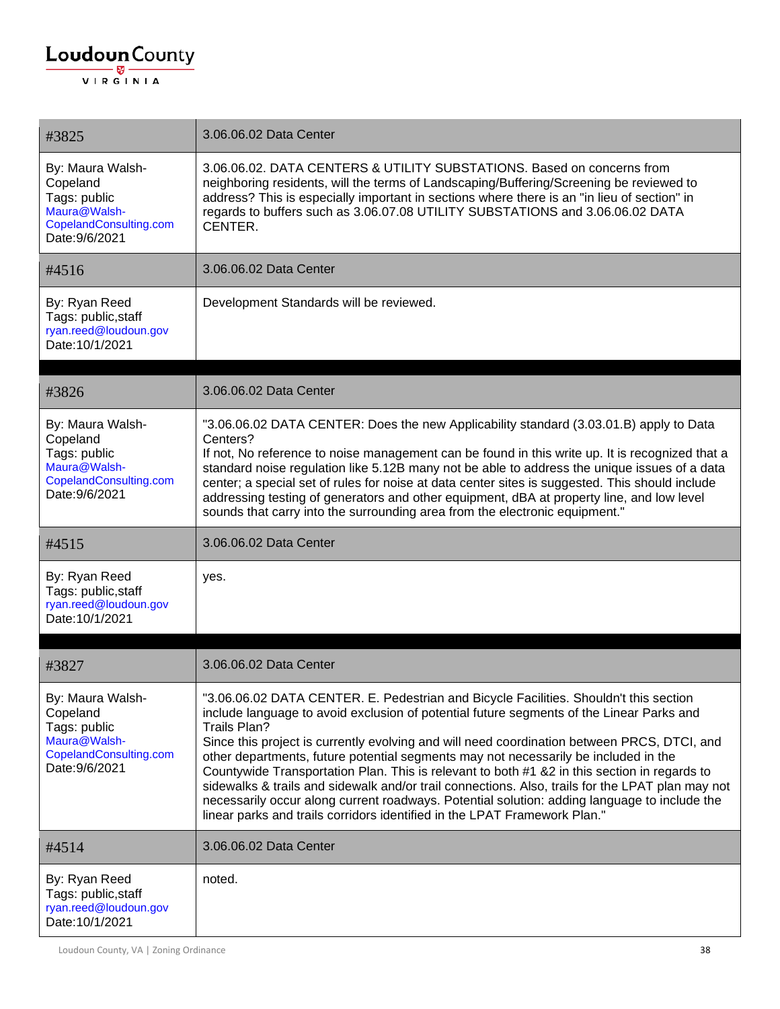| #3825                                                                                                    | 3.06.06.02 Data Center                                                                                                                                                                                                                                                                                                                                                                                                                                                                                                                                                                                                                                                                                                                                                   |
|----------------------------------------------------------------------------------------------------------|--------------------------------------------------------------------------------------------------------------------------------------------------------------------------------------------------------------------------------------------------------------------------------------------------------------------------------------------------------------------------------------------------------------------------------------------------------------------------------------------------------------------------------------------------------------------------------------------------------------------------------------------------------------------------------------------------------------------------------------------------------------------------|
| By: Maura Walsh-<br>Copeland<br>Tags: public<br>Maura@Walsh-<br>CopelandConsulting.com<br>Date: 9/6/2021 | 3.06.06.02. DATA CENTERS & UTILITY SUBSTATIONS. Based on concerns from<br>neighboring residents, will the terms of Landscaping/Buffering/Screening be reviewed to<br>address? This is especially important in sections where there is an "in lieu of section" in<br>regards to buffers such as 3.06.07.08 UTILITY SUBSTATIONS and 3.06.06.02 DATA<br>CENTER.                                                                                                                                                                                                                                                                                                                                                                                                             |
| #4516                                                                                                    | 3.06.06.02 Data Center                                                                                                                                                                                                                                                                                                                                                                                                                                                                                                                                                                                                                                                                                                                                                   |
| By: Ryan Reed<br>Tags: public, staff<br>ryan.reed@loudoun.gov<br>Date: 10/1/2021                         | Development Standards will be reviewed.                                                                                                                                                                                                                                                                                                                                                                                                                                                                                                                                                                                                                                                                                                                                  |
| #3826                                                                                                    | 3.06.06.02 Data Center                                                                                                                                                                                                                                                                                                                                                                                                                                                                                                                                                                                                                                                                                                                                                   |
| By: Maura Walsh-<br>Copeland<br>Tags: public<br>Maura@Walsh-<br>CopelandConsulting.com<br>Date: 9/6/2021 | "3.06.06.02 DATA CENTER: Does the new Applicability standard (3.03.01.B) apply to Data<br>Centers?<br>If not, No reference to noise management can be found in this write up. It is recognized that a<br>standard noise regulation like 5.12B many not be able to address the unique issues of a data<br>center; a special set of rules for noise at data center sites is suggested. This should include<br>addressing testing of generators and other equipment, dBA at property line, and low level<br>sounds that carry into the surrounding area from the electronic equipment."                                                                                                                                                                                     |
|                                                                                                          |                                                                                                                                                                                                                                                                                                                                                                                                                                                                                                                                                                                                                                                                                                                                                                          |
| #4515                                                                                                    | 3.06.06.02 Data Center                                                                                                                                                                                                                                                                                                                                                                                                                                                                                                                                                                                                                                                                                                                                                   |
| By: Ryan Reed<br>Tags: public, staff<br>ryan.reed@loudoun.gov<br>Date: 10/1/2021                         | yes.                                                                                                                                                                                                                                                                                                                                                                                                                                                                                                                                                                                                                                                                                                                                                                     |
| #3827                                                                                                    | 3.06.06.02 Data Center                                                                                                                                                                                                                                                                                                                                                                                                                                                                                                                                                                                                                                                                                                                                                   |
| By: Maura Walsh-<br>Copeland<br>Tags: public<br>Maura@Walsh-<br>CopelandConsulting.com<br>Date: 9/6/2021 | "3.06.06.02 DATA CENTER. E. Pedestrian and Bicycle Facilities. Shouldn't this section<br>include language to avoid exclusion of potential future segments of the Linear Parks and<br>Trails Plan?<br>Since this project is currently evolving and will need coordination between PRCS, DTCI, and<br>other departments, future potential segments may not necessarily be included in the<br>Countywide Transportation Plan. This is relevant to both #1 &2 in this section in regards to<br>sidewalks & trails and sidewalk and/or trail connections. Also, trails for the LPAT plan may not<br>necessarily occur along current roadways. Potential solution: adding language to include the<br>linear parks and trails corridors identified in the LPAT Framework Plan." |
| #4514                                                                                                    | 3.06.06.02 Data Center                                                                                                                                                                                                                                                                                                                                                                                                                                                                                                                                                                                                                                                                                                                                                   |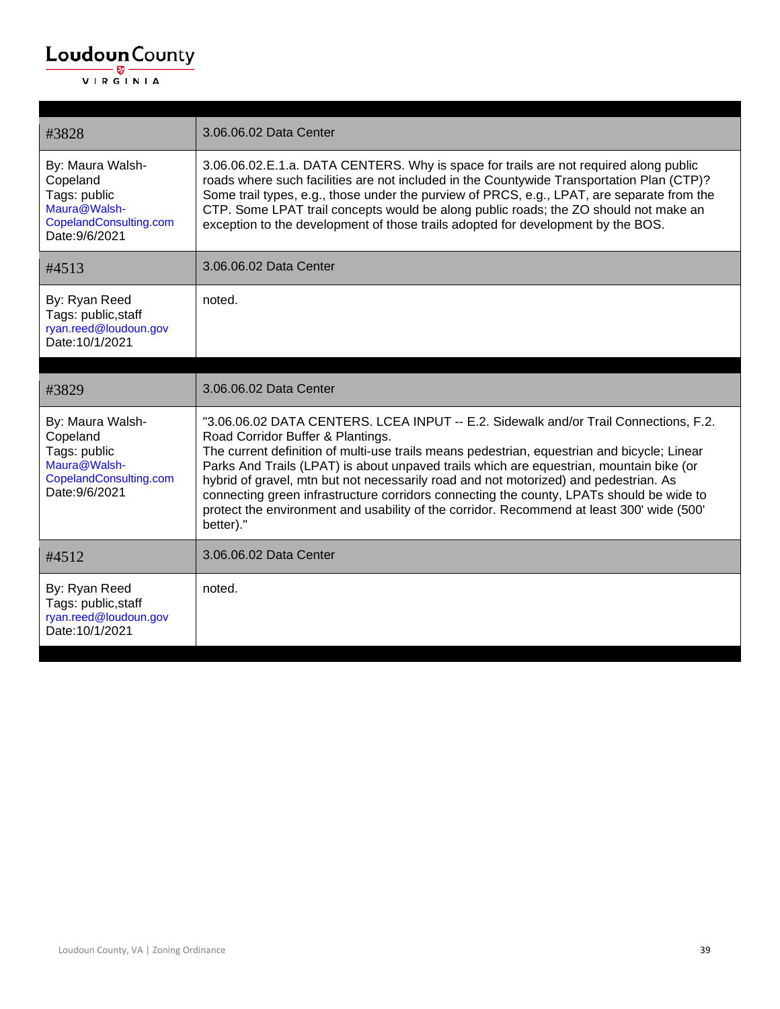| #3828                                                                                                    | 3.06.06.02 Data Center                                                                                                                                                                                                                                                                                                                                                                                                                                                                                                                                                                                            |
|----------------------------------------------------------------------------------------------------------|-------------------------------------------------------------------------------------------------------------------------------------------------------------------------------------------------------------------------------------------------------------------------------------------------------------------------------------------------------------------------------------------------------------------------------------------------------------------------------------------------------------------------------------------------------------------------------------------------------------------|
| By: Maura Walsh-<br>Copeland<br>Tags: public<br>Maura@Walsh-<br>CopelandConsulting.com<br>Date: 9/6/2021 | 3.06.06.02.E.1.a. DATA CENTERS. Why is space for trails are not required along public<br>roads where such facilities are not included in the Countywide Transportation Plan (CTP)?<br>Some trail types, e.g., those under the purview of PRCS, e.g., LPAT, are separate from the<br>CTP. Some LPAT trail concepts would be along public roads; the ZO should not make an<br>exception to the development of those trails adopted for development by the BOS.                                                                                                                                                      |
| #4513                                                                                                    | 3.06.06.02 Data Center                                                                                                                                                                                                                                                                                                                                                                                                                                                                                                                                                                                            |
| By: Ryan Reed<br>Tags: public, staff<br>ryan.reed@loudoun.gov<br>Date: 10/1/2021                         | noted.                                                                                                                                                                                                                                                                                                                                                                                                                                                                                                                                                                                                            |
| #3829                                                                                                    | 3.06.06.02 Data Center                                                                                                                                                                                                                                                                                                                                                                                                                                                                                                                                                                                            |
| By: Maura Walsh-<br>Copeland<br>Tags: public<br>Maura@Walsh-<br>CopelandConsulting.com<br>Date: 9/6/2021 | "3.06.06.02 DATA CENTERS. LCEA INPUT -- E.2. Sidewalk and/or Trail Connections, F.2.<br>Road Corridor Buffer & Plantings.<br>The current definition of multi-use trails means pedestrian, equestrian and bicycle; Linear<br>Parks And Trails (LPAT) is about unpaved trails which are equestrian, mountain bike (or<br>hybrid of gravel, mtn but not necessarily road and not motorized) and pedestrian. As<br>connecting green infrastructure corridors connecting the county, LPATs should be wide to<br>protect the environment and usability of the corridor. Recommend at least 300' wide (500'<br>better)." |
| #4512                                                                                                    | 3.06.06.02 Data Center                                                                                                                                                                                                                                                                                                                                                                                                                                                                                                                                                                                            |
| By: Ryan Reed<br>Tags: public, staff<br>ryan.reed@loudoun.gov<br>Date: 10/1/2021                         | noted.                                                                                                                                                                                                                                                                                                                                                                                                                                                                                                                                                                                                            |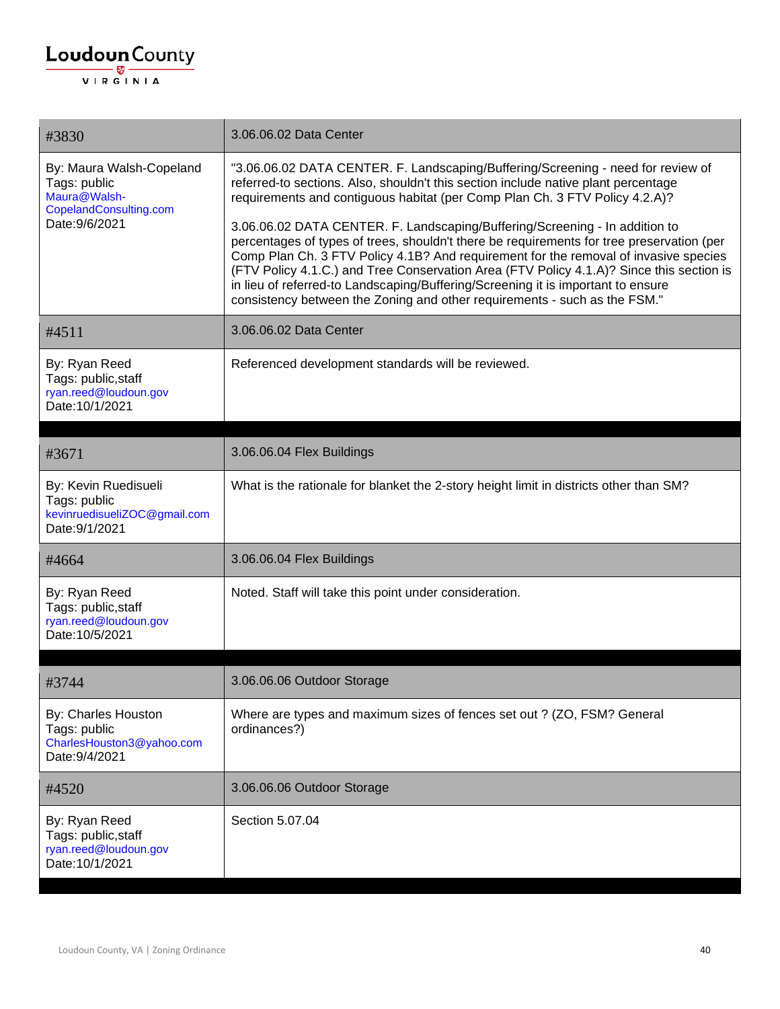| #3830                                                                                                | 3.06.06.02 Data Center                                                                                                                                                                                                                                                                                                                                                                                                                                                                                                        |
|------------------------------------------------------------------------------------------------------|-------------------------------------------------------------------------------------------------------------------------------------------------------------------------------------------------------------------------------------------------------------------------------------------------------------------------------------------------------------------------------------------------------------------------------------------------------------------------------------------------------------------------------|
| By: Maura Walsh-Copeland<br>Tags: public<br>Maura@Walsh-<br>CopelandConsulting.com<br>Date: 9/6/2021 | "3.06.06.02 DATA CENTER. F. Landscaping/Buffering/Screening - need for review of<br>referred-to sections. Also, shouldn't this section include native plant percentage<br>requirements and contiguous habitat (per Comp Plan Ch. 3 FTV Policy 4.2.A)?                                                                                                                                                                                                                                                                         |
|                                                                                                      | 3.06.06.02 DATA CENTER. F. Landscaping/Buffering/Screening - In addition to<br>percentages of types of trees, shouldn't there be requirements for tree preservation (per<br>Comp Plan Ch. 3 FTV Policy 4.1B? And requirement for the removal of invasive species<br>(FTV Policy 4.1.C.) and Tree Conservation Area (FTV Policy 4.1.A)? Since this section is<br>in lieu of referred-to Landscaping/Buffering/Screening it is important to ensure<br>consistency between the Zoning and other requirements - such as the FSM." |
| #4511                                                                                                | 3.06.06.02 Data Center                                                                                                                                                                                                                                                                                                                                                                                                                                                                                                        |
| By: Ryan Reed<br>Tags: public, staff<br>ryan.reed@loudoun.gov<br>Date: 10/1/2021                     | Referenced development standards will be reviewed.                                                                                                                                                                                                                                                                                                                                                                                                                                                                            |
| #3671                                                                                                | 3.06.06.04 Flex Buildings                                                                                                                                                                                                                                                                                                                                                                                                                                                                                                     |
| By: Kevin Ruedisueli<br>Tags: public<br>kevinruedisueliZOC@gmail.com<br>Date: 9/1/2021               | What is the rationale for blanket the 2-story height limit in districts other than SM?                                                                                                                                                                                                                                                                                                                                                                                                                                        |
| #4664                                                                                                | 3.06.06.04 Flex Buildings                                                                                                                                                                                                                                                                                                                                                                                                                                                                                                     |
| By: Ryan Reed<br>Tags: public, staff<br>ryan.reed@loudoun.gov<br>Date: 10/5/2021                     | Noted. Staff will take this point under consideration.                                                                                                                                                                                                                                                                                                                                                                                                                                                                        |
| #3744                                                                                                | 3.06.06.06 Outdoor Storage                                                                                                                                                                                                                                                                                                                                                                                                                                                                                                    |
| By: Charles Houston<br>Tags: public<br>CharlesHouston3@yahoo.com<br>Date: 9/4/2021                   | Where are types and maximum sizes of fences set out ? (ZO, FSM? General<br>ordinances?)                                                                                                                                                                                                                                                                                                                                                                                                                                       |
| #4520                                                                                                | 3.06.06.06 Outdoor Storage                                                                                                                                                                                                                                                                                                                                                                                                                                                                                                    |
| By: Ryan Reed<br>Tags: public, staff<br>ryan.reed@loudoun.gov<br>Date: 10/1/2021                     | Section 5.07.04                                                                                                                                                                                                                                                                                                                                                                                                                                                                                                               |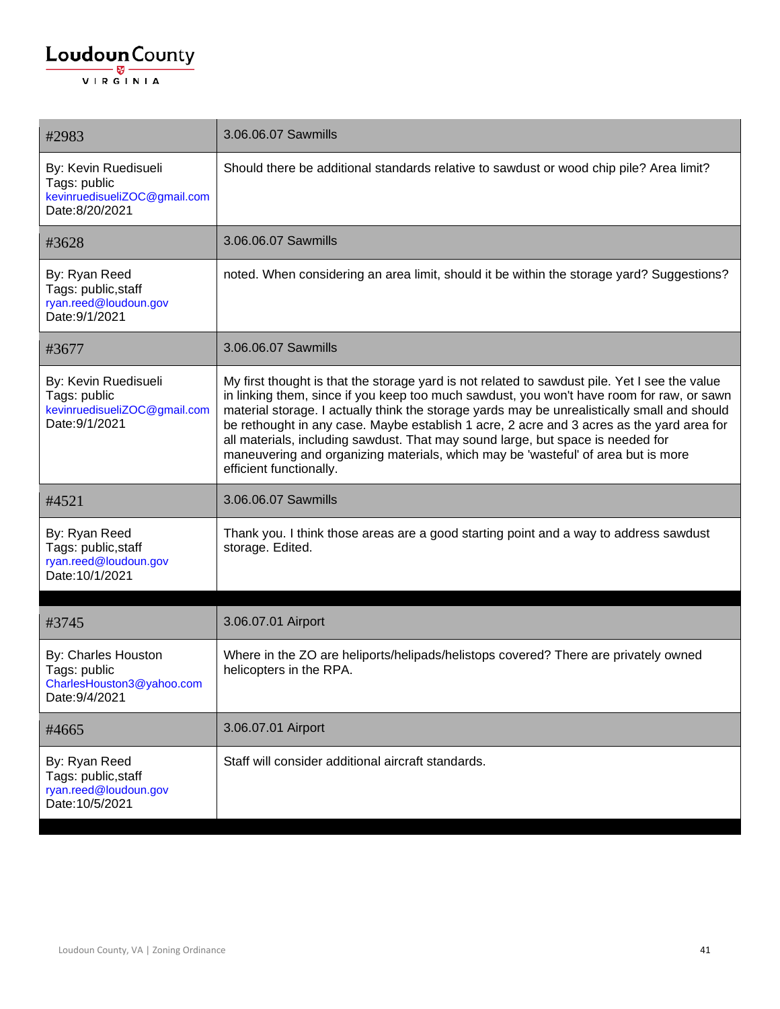| #2983                                                                                  | 3.06.06.07 Sawmills                                                                                                                                                                                                                                                                                                                                                                                                                                                                                                                                                                        |
|----------------------------------------------------------------------------------------|--------------------------------------------------------------------------------------------------------------------------------------------------------------------------------------------------------------------------------------------------------------------------------------------------------------------------------------------------------------------------------------------------------------------------------------------------------------------------------------------------------------------------------------------------------------------------------------------|
| By: Kevin Ruedisueli<br>Tags: public<br>kevinruedisueliZOC@gmail.com<br>Date:8/20/2021 | Should there be additional standards relative to sawdust or wood chip pile? Area limit?                                                                                                                                                                                                                                                                                                                                                                                                                                                                                                    |
| #3628                                                                                  | 3.06.06.07 Sawmills                                                                                                                                                                                                                                                                                                                                                                                                                                                                                                                                                                        |
| By: Ryan Reed<br>Tags: public, staff<br>ryan.reed@loudoun.gov<br>Date: 9/1/2021        | noted. When considering an area limit, should it be within the storage yard? Suggestions?                                                                                                                                                                                                                                                                                                                                                                                                                                                                                                  |
| #3677                                                                                  | 3.06.06.07 Sawmills                                                                                                                                                                                                                                                                                                                                                                                                                                                                                                                                                                        |
| By: Kevin Ruedisueli<br>Tags: public<br>kevinruedisueliZOC@gmail.com<br>Date: 9/1/2021 | My first thought is that the storage yard is not related to sawdust pile. Yet I see the value<br>in linking them, since if you keep too much sawdust, you won't have room for raw, or sawn<br>material storage. I actually think the storage yards may be unrealistically small and should<br>be rethought in any case. Maybe establish 1 acre, 2 acre and 3 acres as the yard area for<br>all materials, including sawdust. That may sound large, but space is needed for<br>maneuvering and organizing materials, which may be 'wasteful' of area but is more<br>efficient functionally. |
| #4521                                                                                  | 3.06.06.07 Sawmills                                                                                                                                                                                                                                                                                                                                                                                                                                                                                                                                                                        |
| By: Ryan Reed<br>Tags: public, staff<br>ryan.reed@loudoun.gov<br>Date: 10/1/2021       | Thank you. I think those areas are a good starting point and a way to address sawdust<br>storage. Edited.                                                                                                                                                                                                                                                                                                                                                                                                                                                                                  |
| #3745                                                                                  | 3.06.07.01 Airport                                                                                                                                                                                                                                                                                                                                                                                                                                                                                                                                                                         |
| By: Charles Houston<br>Tags: public<br>CharlesHouston3@yahoo.com<br>Date: 9/4/2021     | Where in the ZO are heliports/helipads/helistops covered? There are privately owned<br>helicopters in the RPA.                                                                                                                                                                                                                                                                                                                                                                                                                                                                             |
| #4665                                                                                  | 3.06.07.01 Airport                                                                                                                                                                                                                                                                                                                                                                                                                                                                                                                                                                         |
| By: Ryan Reed<br>Tags: public, staff<br>ryan.reed@loudoun.gov<br>Date: 10/5/2021       | Staff will consider additional aircraft standards.                                                                                                                                                                                                                                                                                                                                                                                                                                                                                                                                         |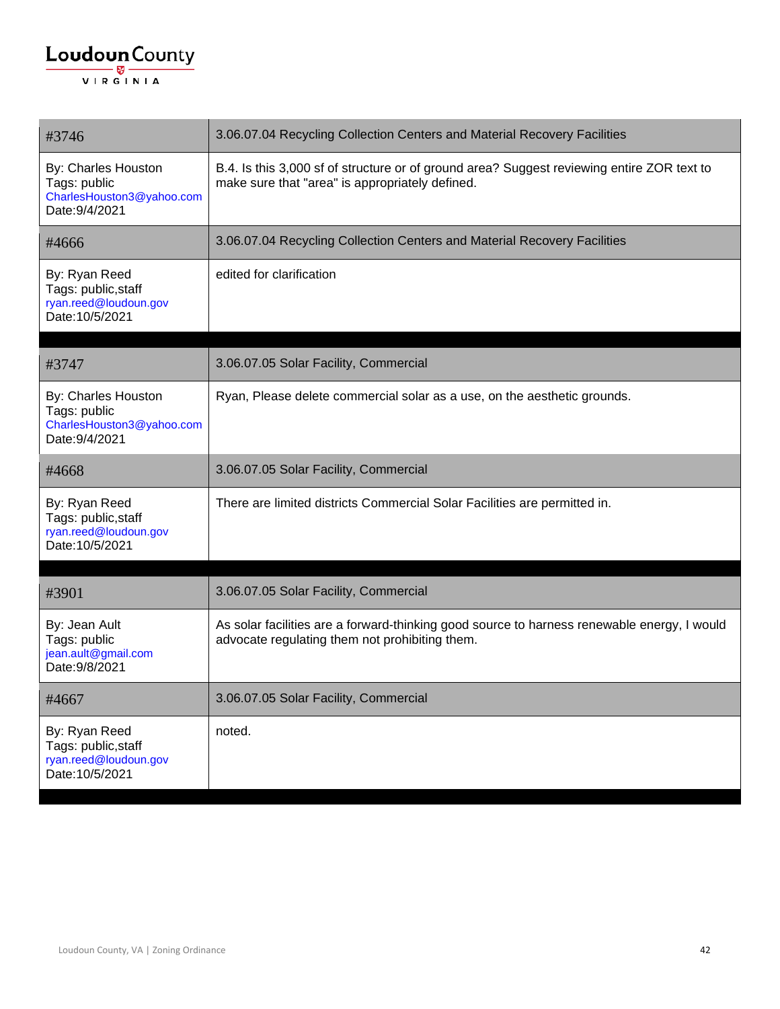| #3746                                                                              | 3.06.07.04 Recycling Collection Centers and Material Recovery Facilities                                                                      |
|------------------------------------------------------------------------------------|-----------------------------------------------------------------------------------------------------------------------------------------------|
| By: Charles Houston<br>Tags: public<br>CharlesHouston3@yahoo.com<br>Date: 9/4/2021 | B.4. Is this 3,000 sf of structure or of ground area? Suggest reviewing entire ZOR text to<br>make sure that "area" is appropriately defined. |
| #4666                                                                              | 3.06.07.04 Recycling Collection Centers and Material Recovery Facilities                                                                      |
| By: Ryan Reed<br>Tags: public, staff<br>ryan.reed@loudoun.gov<br>Date: 10/5/2021   | edited for clarification                                                                                                                      |
| #3747                                                                              | 3.06.07.05 Solar Facility, Commercial                                                                                                         |
| By: Charles Houston<br>Tags: public<br>CharlesHouston3@yahoo.com<br>Date: 9/4/2021 | Ryan, Please delete commercial solar as a use, on the aesthetic grounds.                                                                      |
| #4668                                                                              | 3.06.07.05 Solar Facility, Commercial                                                                                                         |
| By: Ryan Reed<br>Tags: public, staff<br>ryan.reed@loudoun.gov<br>Date: 10/5/2021   | There are limited districts Commercial Solar Facilities are permitted in.                                                                     |
| #3901                                                                              | 3.06.07.05 Solar Facility, Commercial                                                                                                         |
| By: Jean Ault<br>Tags: public<br>jean.ault@gmail.com<br>Date: 9/8/2021             | As solar facilities are a forward-thinking good source to harness renewable energy, I would<br>advocate regulating them not prohibiting them. |
| #4667                                                                              | 3.06.07.05 Solar Facility, Commercial                                                                                                         |
| By: Ryan Reed<br>Tags: public, staff<br>ryan.reed@loudoun.gov<br>Date: 10/5/2021   | noted.                                                                                                                                        |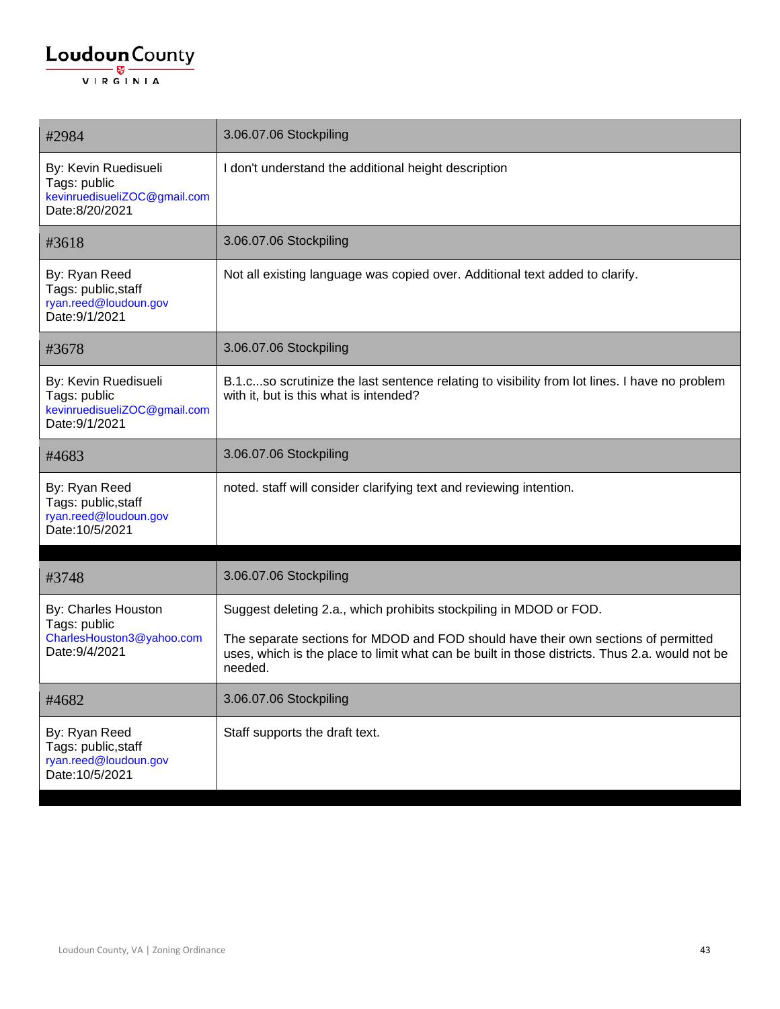| #2984                                                                                  | 3.06.07.06 Stockpiling                                                                                                                                                                                                                                                |
|----------------------------------------------------------------------------------------|-----------------------------------------------------------------------------------------------------------------------------------------------------------------------------------------------------------------------------------------------------------------------|
| By: Kevin Ruedisueli<br>Tags: public<br>kevinruedisueliZOC@gmail.com<br>Date:8/20/2021 | I don't understand the additional height description                                                                                                                                                                                                                  |
| #3618                                                                                  | 3.06.07.06 Stockpiling                                                                                                                                                                                                                                                |
| By: Ryan Reed<br>Tags: public, staff<br>ryan.reed@loudoun.gov<br>Date: 9/1/2021        | Not all existing language was copied over. Additional text added to clarify.                                                                                                                                                                                          |
| #3678                                                                                  | 3.06.07.06 Stockpiling                                                                                                                                                                                                                                                |
| By: Kevin Ruedisueli<br>Tags: public<br>kevinruedisueliZOC@gmail.com<br>Date: 9/1/2021 | B.1.cso scrutinize the last sentence relating to visibility from lot lines. I have no problem<br>with it, but is this what is intended?                                                                                                                               |
| #4683                                                                                  | 3.06.07.06 Stockpiling                                                                                                                                                                                                                                                |
| By: Ryan Reed<br>Tags: public, staff<br>ryan.reed@loudoun.gov<br>Date: 10/5/2021       | noted. staff will consider clarifying text and reviewing intention.                                                                                                                                                                                                   |
| #3748                                                                                  | 3.06.07.06 Stockpiling                                                                                                                                                                                                                                                |
| By: Charles Houston<br>Tags: public<br>CharlesHouston3@yahoo.com<br>Date: 9/4/2021     | Suggest deleting 2.a., which prohibits stockpiling in MDOD or FOD.<br>The separate sections for MDOD and FOD should have their own sections of permitted<br>uses, which is the place to limit what can be built in those districts. Thus 2.a. would not be<br>needed. |
| #4682                                                                                  | 3.06.07.06 Stockpiling                                                                                                                                                                                                                                                |
| By: Ryan Reed<br>Tags: public, staff<br>ryan.reed@loudoun.gov<br>Date: 10/5/2021       | Staff supports the draft text.                                                                                                                                                                                                                                        |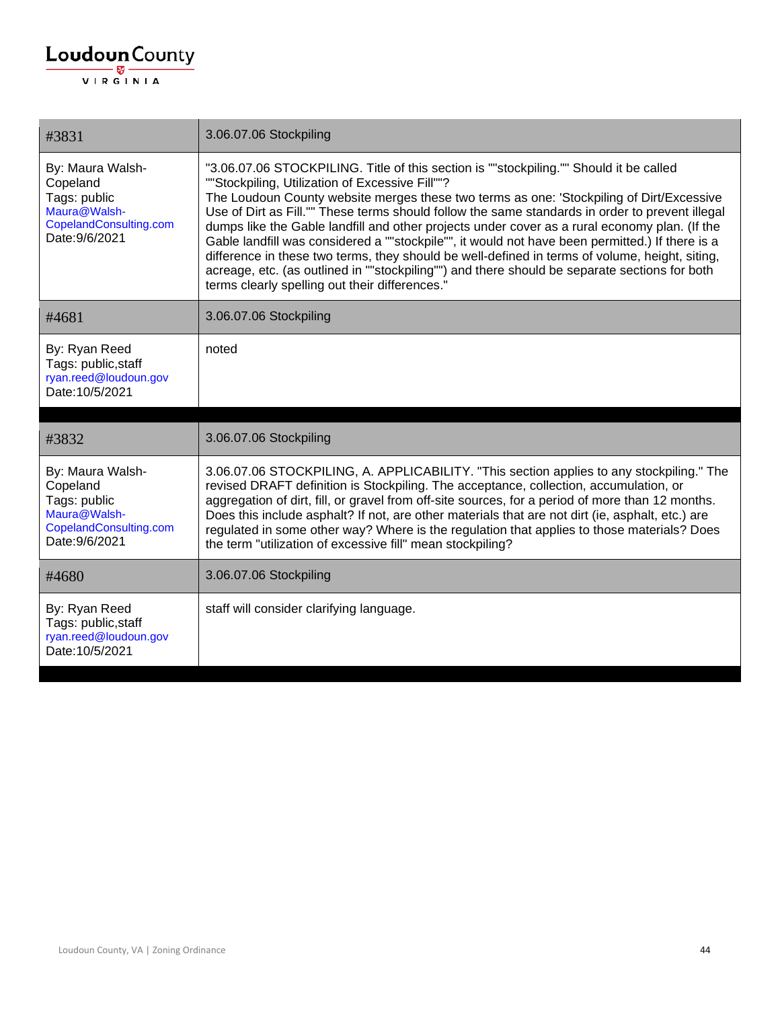| #3831                                                                                                    | 3.06.07.06 Stockpiling                                                                                                                                                                                                                                                                                                                                                                                                                                                                                                                                                                                                                                                                                                                                                                            |
|----------------------------------------------------------------------------------------------------------|---------------------------------------------------------------------------------------------------------------------------------------------------------------------------------------------------------------------------------------------------------------------------------------------------------------------------------------------------------------------------------------------------------------------------------------------------------------------------------------------------------------------------------------------------------------------------------------------------------------------------------------------------------------------------------------------------------------------------------------------------------------------------------------------------|
| By: Maura Walsh-<br>Copeland<br>Tags: public<br>Maura@Walsh-<br>CopelandConsulting.com<br>Date: 9/6/2021 | "3.06.07.06 STOCKPILING. Title of this section is ""stockpiling."" Should it be called<br>""Stockpiling, Utilization of Excessive Fill""?<br>The Loudoun County website merges these two terms as one: 'Stockpiling of Dirt/Excessive<br>Use of Dirt as Fill."" These terms should follow the same standards in order to prevent illegal<br>dumps like the Gable landfill and other projects under cover as a rural economy plan. (If the<br>Gable landfill was considered a ""stockpile"", it would not have been permitted.) If there is a<br>difference in these two terms, they should be well-defined in terms of volume, height, siting,<br>acreage, etc. (as outlined in ""stockpiling"") and there should be separate sections for both<br>terms clearly spelling out their differences." |
| #4681                                                                                                    | 3.06.07.06 Stockpiling                                                                                                                                                                                                                                                                                                                                                                                                                                                                                                                                                                                                                                                                                                                                                                            |
| By: Ryan Reed<br>Tags: public, staff<br>ryan.reed@loudoun.gov<br>Date: 10/5/2021                         | noted                                                                                                                                                                                                                                                                                                                                                                                                                                                                                                                                                                                                                                                                                                                                                                                             |
| #3832                                                                                                    | 3.06.07.06 Stockpiling                                                                                                                                                                                                                                                                                                                                                                                                                                                                                                                                                                                                                                                                                                                                                                            |
| By: Maura Walsh-<br>Copeland<br>Tags: public<br>Maura@Walsh-<br>CopelandConsulting.com<br>Date: 9/6/2021 | 3.06.07.06 STOCKPILING, A. APPLICABILITY. "This section applies to any stockpiling." The<br>revised DRAFT definition is Stockpiling. The acceptance, collection, accumulation, or<br>aggregation of dirt, fill, or gravel from off-site sources, for a period of more than 12 months.<br>Does this include asphalt? If not, are other materials that are not dirt (ie, asphalt, etc.) are<br>regulated in some other way? Where is the regulation that applies to those materials? Does<br>the term "utilization of excessive fill" mean stockpiling?                                                                                                                                                                                                                                             |
| #4680                                                                                                    | 3.06.07.06 Stockpiling                                                                                                                                                                                                                                                                                                                                                                                                                                                                                                                                                                                                                                                                                                                                                                            |
| By: Ryan Reed<br>Tags: public, staff<br>ryan.reed@loudoun.gov<br>Date: 10/5/2021                         | staff will consider clarifying language.                                                                                                                                                                                                                                                                                                                                                                                                                                                                                                                                                                                                                                                                                                                                                          |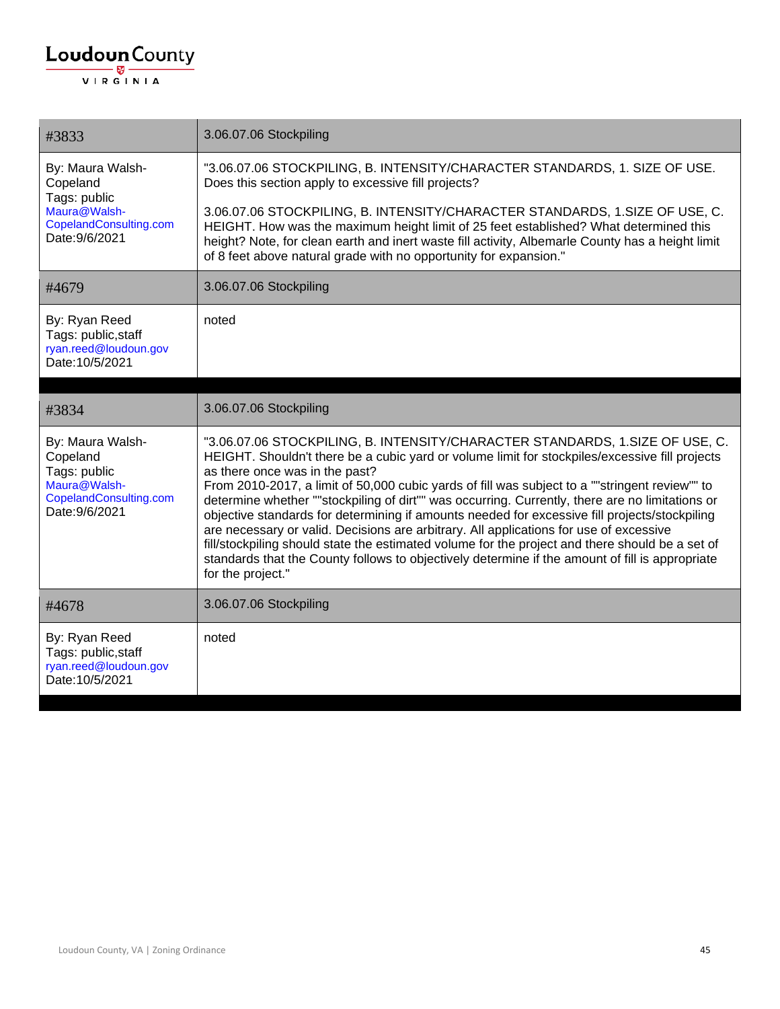| #3833                                                                                                    | 3.06.07.06 Stockpiling                                                                                                                                                                                                                                                                                                                                                                                                                                                                                                                                                                                                                                                                                                                                                                                                                      |
|----------------------------------------------------------------------------------------------------------|---------------------------------------------------------------------------------------------------------------------------------------------------------------------------------------------------------------------------------------------------------------------------------------------------------------------------------------------------------------------------------------------------------------------------------------------------------------------------------------------------------------------------------------------------------------------------------------------------------------------------------------------------------------------------------------------------------------------------------------------------------------------------------------------------------------------------------------------|
| By: Maura Walsh-<br>Copeland<br>Tags: public<br>Maura@Walsh-<br>CopelandConsulting.com<br>Date: 9/6/2021 | "3.06.07.06 STOCKPILING, B. INTENSITY/CHARACTER STANDARDS, 1. SIZE OF USE.<br>Does this section apply to excessive fill projects?                                                                                                                                                                                                                                                                                                                                                                                                                                                                                                                                                                                                                                                                                                           |
|                                                                                                          | 3.06.07.06 STOCKPILING, B. INTENSITY/CHARACTER STANDARDS, 1.SIZE OF USE, C.<br>HEIGHT. How was the maximum height limit of 25 feet established? What determined this<br>height? Note, for clean earth and inert waste fill activity, Albemarle County has a height limit<br>of 8 feet above natural grade with no opportunity for expansion."                                                                                                                                                                                                                                                                                                                                                                                                                                                                                               |
| #4679                                                                                                    | 3.06.07.06 Stockpiling                                                                                                                                                                                                                                                                                                                                                                                                                                                                                                                                                                                                                                                                                                                                                                                                                      |
| By: Ryan Reed<br>Tags: public, staff<br>ryan.reed@loudoun.gov<br>Date: 10/5/2021                         | noted                                                                                                                                                                                                                                                                                                                                                                                                                                                                                                                                                                                                                                                                                                                                                                                                                                       |
| #3834                                                                                                    | 3.06.07.06 Stockpiling                                                                                                                                                                                                                                                                                                                                                                                                                                                                                                                                                                                                                                                                                                                                                                                                                      |
| By: Maura Walsh-<br>Copeland<br>Tags: public<br>Maura@Walsh-<br>CopelandConsulting.com<br>Date: 9/6/2021 | "3.06.07.06 STOCKPILING, B. INTENSITY/CHARACTER STANDARDS, 1.SIZE OF USE, C.<br>HEIGHT. Shouldn't there be a cubic yard or volume limit for stockpiles/excessive fill projects<br>as there once was in the past?<br>From 2010-2017, a limit of 50,000 cubic yards of fill was subject to a ""stringent review"" to<br>determine whether ""stockpiling of dirt"" was occurring. Currently, there are no limitations or<br>objective standards for determining if amounts needed for excessive fill projects/stockpiling<br>are necessary or valid. Decisions are arbitrary. All applications for use of excessive<br>fill/stockpiling should state the estimated volume for the project and there should be a set of<br>standards that the County follows to objectively determine if the amount of fill is appropriate<br>for the project." |
| #4678                                                                                                    | 3.06.07.06 Stockpiling                                                                                                                                                                                                                                                                                                                                                                                                                                                                                                                                                                                                                                                                                                                                                                                                                      |
| By: Ryan Reed<br>Tags: public, staff<br>ryan.reed@loudoun.gov<br>Date: 10/5/2021                         | noted                                                                                                                                                                                                                                                                                                                                                                                                                                                                                                                                                                                                                                                                                                                                                                                                                                       |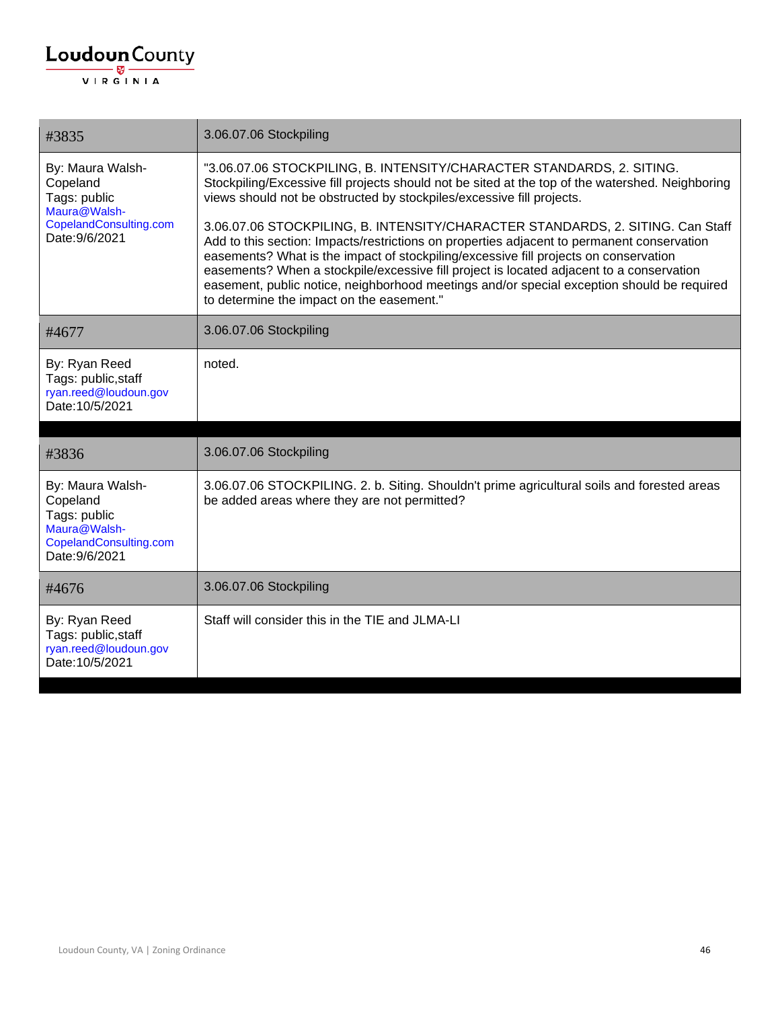| #3835                                                                                                    | 3.06.07.06 Stockpiling                                                                                                                                                                                                                                                                                                                                                                                                                                                                                                                                                                                                                                                                                                                                            |
|----------------------------------------------------------------------------------------------------------|-------------------------------------------------------------------------------------------------------------------------------------------------------------------------------------------------------------------------------------------------------------------------------------------------------------------------------------------------------------------------------------------------------------------------------------------------------------------------------------------------------------------------------------------------------------------------------------------------------------------------------------------------------------------------------------------------------------------------------------------------------------------|
| By: Maura Walsh-<br>Copeland<br>Tags: public<br>Maura@Walsh-<br>CopelandConsulting.com<br>Date: 9/6/2021 | "3.06.07.06 STOCKPILING, B. INTENSITY/CHARACTER STANDARDS, 2. SITING.<br>Stockpiling/Excessive fill projects should not be sited at the top of the watershed. Neighboring<br>views should not be obstructed by stockpiles/excessive fill projects.<br>3.06.07.06 STOCKPILING, B. INTENSITY/CHARACTER STANDARDS, 2. SITING. Can Staff<br>Add to this section: Impacts/restrictions on properties adjacent to permanent conservation<br>easements? What is the impact of stockpiling/excessive fill projects on conservation<br>easements? When a stockpile/excessive fill project is located adjacent to a conservation<br>easement, public notice, neighborhood meetings and/or special exception should be required<br>to determine the impact on the easement." |
| #4677                                                                                                    | 3.06.07.06 Stockpiling                                                                                                                                                                                                                                                                                                                                                                                                                                                                                                                                                                                                                                                                                                                                            |
| By: Ryan Reed<br>Tags: public, staff<br>ryan.reed@loudoun.gov<br>Date: 10/5/2021                         | noted.                                                                                                                                                                                                                                                                                                                                                                                                                                                                                                                                                                                                                                                                                                                                                            |
|                                                                                                          |                                                                                                                                                                                                                                                                                                                                                                                                                                                                                                                                                                                                                                                                                                                                                                   |
| #3836                                                                                                    | 3.06.07.06 Stockpiling                                                                                                                                                                                                                                                                                                                                                                                                                                                                                                                                                                                                                                                                                                                                            |
| By: Maura Walsh-<br>Copeland<br>Tags: public<br>Maura@Walsh-<br>CopelandConsulting.com<br>Date: 9/6/2021 | 3.06.07.06 STOCKPILING. 2. b. Siting. Shouldn't prime agricultural soils and forested areas<br>be added areas where they are not permitted?                                                                                                                                                                                                                                                                                                                                                                                                                                                                                                                                                                                                                       |
| #4676                                                                                                    | 3.06.07.06 Stockpiling                                                                                                                                                                                                                                                                                                                                                                                                                                                                                                                                                                                                                                                                                                                                            |
| By: Ryan Reed<br>Tags: public, staff<br>ryan.reed@loudoun.gov<br>Date: 10/5/2021                         | Staff will consider this in the TIE and JLMA-LI                                                                                                                                                                                                                                                                                                                                                                                                                                                                                                                                                                                                                                                                                                                   |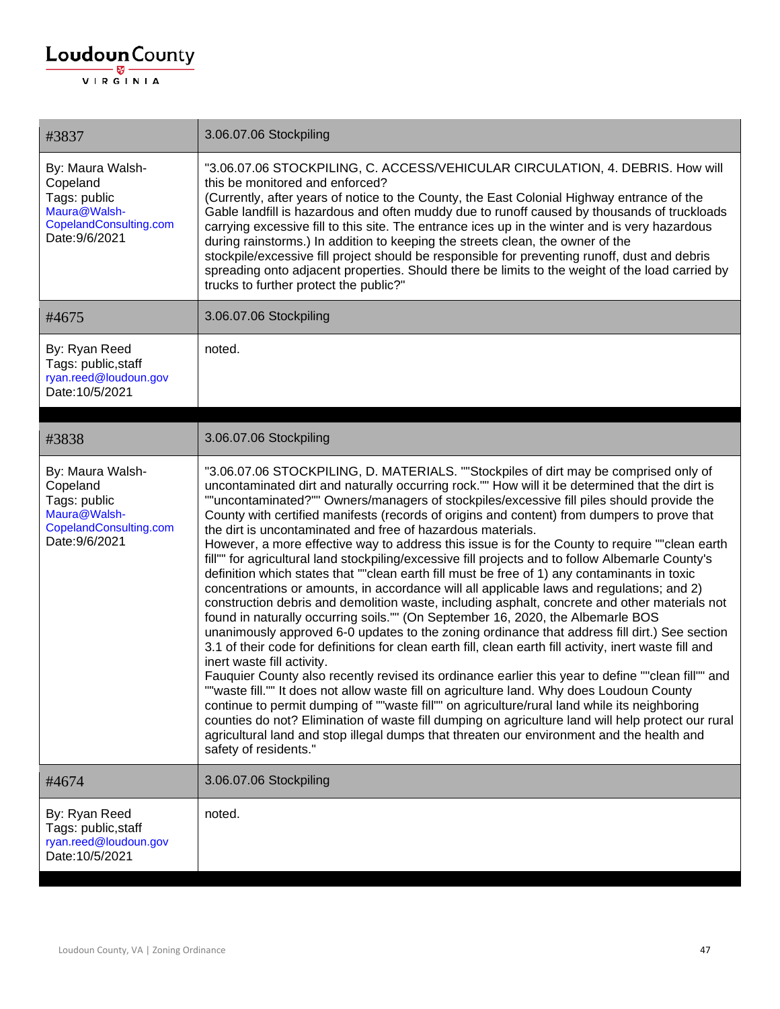| #3837                                                                                                    | 3.06.07.06 Stockpiling                                                                                                                                                                                                                                                                                                                                                                                                                                                                                                                                                                                                                                                                                                                                                                                                                                                                                                                                                                                                                                                                                                                                                                                                                                                                                                                                                                                                                                                                                                                                                                                                                                                                                                                                                                                             |
|----------------------------------------------------------------------------------------------------------|--------------------------------------------------------------------------------------------------------------------------------------------------------------------------------------------------------------------------------------------------------------------------------------------------------------------------------------------------------------------------------------------------------------------------------------------------------------------------------------------------------------------------------------------------------------------------------------------------------------------------------------------------------------------------------------------------------------------------------------------------------------------------------------------------------------------------------------------------------------------------------------------------------------------------------------------------------------------------------------------------------------------------------------------------------------------------------------------------------------------------------------------------------------------------------------------------------------------------------------------------------------------------------------------------------------------------------------------------------------------------------------------------------------------------------------------------------------------------------------------------------------------------------------------------------------------------------------------------------------------------------------------------------------------------------------------------------------------------------------------------------------------------------------------------------------------|
| By: Maura Walsh-<br>Copeland<br>Tags: public<br>Maura@Walsh-<br>CopelandConsulting.com<br>Date: 9/6/2021 | "3.06.07.06 STOCKPILING, C. ACCESS/VEHICULAR CIRCULATION, 4. DEBRIS. How will<br>this be monitored and enforced?<br>(Currently, after years of notice to the County, the East Colonial Highway entrance of the<br>Gable landfill is hazardous and often muddy due to runoff caused by thousands of truckloads<br>carrying excessive fill to this site. The entrance ices up in the winter and is very hazardous<br>during rainstorms.) In addition to keeping the streets clean, the owner of the<br>stockpile/excessive fill project should be responsible for preventing runoff, dust and debris<br>spreading onto adjacent properties. Should there be limits to the weight of the load carried by<br>trucks to further protect the public?"                                                                                                                                                                                                                                                                                                                                                                                                                                                                                                                                                                                                                                                                                                                                                                                                                                                                                                                                                                                                                                                                    |
| #4675                                                                                                    | 3.06.07.06 Stockpiling                                                                                                                                                                                                                                                                                                                                                                                                                                                                                                                                                                                                                                                                                                                                                                                                                                                                                                                                                                                                                                                                                                                                                                                                                                                                                                                                                                                                                                                                                                                                                                                                                                                                                                                                                                                             |
| By: Ryan Reed<br>Tags: public, staff<br>ryan.reed@loudoun.gov<br>Date: 10/5/2021                         | noted.                                                                                                                                                                                                                                                                                                                                                                                                                                                                                                                                                                                                                                                                                                                                                                                                                                                                                                                                                                                                                                                                                                                                                                                                                                                                                                                                                                                                                                                                                                                                                                                                                                                                                                                                                                                                             |
| #3838                                                                                                    | 3.06.07.06 Stockpiling                                                                                                                                                                                                                                                                                                                                                                                                                                                                                                                                                                                                                                                                                                                                                                                                                                                                                                                                                                                                                                                                                                                                                                                                                                                                                                                                                                                                                                                                                                                                                                                                                                                                                                                                                                                             |
| By: Maura Walsh-<br>Copeland<br>Tags: public<br>Maura@Walsh-<br>CopelandConsulting.com<br>Date: 9/6/2021 | "3.06.07.06 STOCKPILING, D. MATERIALS. ""Stockpiles of dirt may be comprised only of<br>uncontaminated dirt and naturally occurring rock."" How will it be determined that the dirt is<br>""uncontaminated?"" Owners/managers of stockpiles/excessive fill piles should provide the<br>County with certified manifests (records of origins and content) from dumpers to prove that<br>the dirt is uncontaminated and free of hazardous materials.<br>However, a more effective way to address this issue is for the County to require ""clean earth<br>fill"" for agricultural land stockpiling/excessive fill projects and to follow Albemarle County's<br>definition which states that ""clean earth fill must be free of 1) any contaminants in toxic<br>concentrations or amounts, in accordance will all applicable laws and regulations; and 2)<br>construction debris and demolition waste, including asphalt, concrete and other materials not<br>found in naturally occurring soils."" (On September 16, 2020, the Albemarle BOS<br>unanimously approved 6-0 updates to the zoning ordinance that address fill dirt.) See section<br>3.1 of their code for definitions for clean earth fill, clean earth fill activity, inert waste fill and<br>inert waste fill activity.<br>Fauquier County also recently revised its ordinance earlier this year to define ""clean fill"" and<br>""waste fill."" It does not allow waste fill on agriculture land. Why does Loudoun County<br>continue to permit dumping of ""waste fill"" on agriculture/rural land while its neighboring<br>counties do not? Elimination of waste fill dumping on agriculture land will help protect our rural<br>agricultural land and stop illegal dumps that threaten our environment and the health and<br>safety of residents." |
| #4674                                                                                                    | 3.06.07.06 Stockpiling                                                                                                                                                                                                                                                                                                                                                                                                                                                                                                                                                                                                                                                                                                                                                                                                                                                                                                                                                                                                                                                                                                                                                                                                                                                                                                                                                                                                                                                                                                                                                                                                                                                                                                                                                                                             |
| By: Ryan Reed<br>Tags: public, staff<br>ryan.reed@loudoun.gov<br>Date: 10/5/2021                         | noted.                                                                                                                                                                                                                                                                                                                                                                                                                                                                                                                                                                                                                                                                                                                                                                                                                                                                                                                                                                                                                                                                                                                                                                                                                                                                                                                                                                                                                                                                                                                                                                                                                                                                                                                                                                                                             |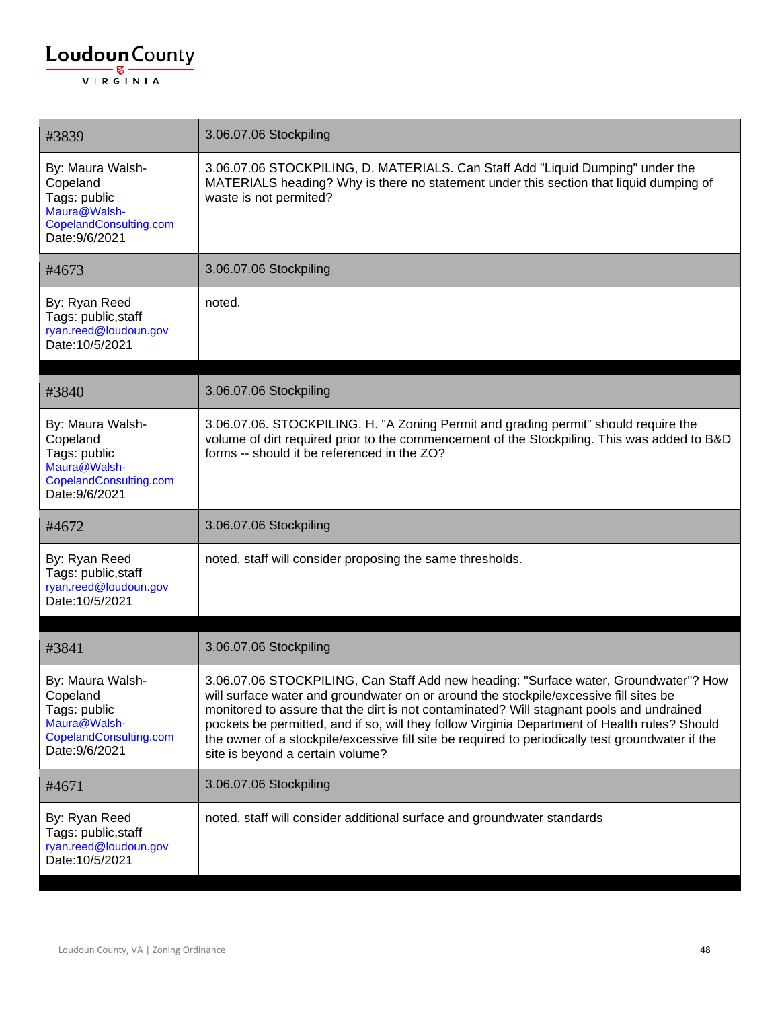| #3839                                                                                                    | 3.06.07.06 Stockpiling                                                                                                                                                                                                                                                                                                                                                                                                                                                                                             |
|----------------------------------------------------------------------------------------------------------|--------------------------------------------------------------------------------------------------------------------------------------------------------------------------------------------------------------------------------------------------------------------------------------------------------------------------------------------------------------------------------------------------------------------------------------------------------------------------------------------------------------------|
| By: Maura Walsh-<br>Copeland<br>Tags: public<br>Maura@Walsh-<br>CopelandConsulting.com<br>Date: 9/6/2021 | 3.06.07.06 STOCKPILING, D. MATERIALS. Can Staff Add "Liquid Dumping" under the<br>MATERIALS heading? Why is there no statement under this section that liquid dumping of<br>waste is not permited?                                                                                                                                                                                                                                                                                                                 |
| #4673                                                                                                    | 3.06.07.06 Stockpiling                                                                                                                                                                                                                                                                                                                                                                                                                                                                                             |
| By: Ryan Reed<br>Tags: public, staff<br>ryan.reed@loudoun.gov<br>Date: 10/5/2021                         | noted.                                                                                                                                                                                                                                                                                                                                                                                                                                                                                                             |
| #3840                                                                                                    | 3.06.07.06 Stockpiling                                                                                                                                                                                                                                                                                                                                                                                                                                                                                             |
| By: Maura Walsh-<br>Copeland<br>Tags: public<br>Maura@Walsh-<br>CopelandConsulting.com<br>Date: 9/6/2021 | 3.06.07.06. STOCKPILING. H. "A Zoning Permit and grading permit" should require the<br>volume of dirt required prior to the commencement of the Stockpiling. This was added to B&D<br>forms -- should it be referenced in the ZO?                                                                                                                                                                                                                                                                                  |
| #4672                                                                                                    | 3.06.07.06 Stockpiling                                                                                                                                                                                                                                                                                                                                                                                                                                                                                             |
| By: Ryan Reed<br>Tags: public, staff<br>ryan.reed@loudoun.gov<br>Date: 10/5/2021                         | noted. staff will consider proposing the same thresholds.                                                                                                                                                                                                                                                                                                                                                                                                                                                          |
| #3841                                                                                                    | 3.06.07.06 Stockpiling                                                                                                                                                                                                                                                                                                                                                                                                                                                                                             |
| By: Maura Walsh-<br>Copeland<br>Tags: public<br>Maura@Walsh-<br>CopelandConsulting.com<br>Date: 9/6/2021 | 3.06.07.06 STOCKPILING, Can Staff Add new heading: "Surface water, Groundwater"? How<br>will surface water and groundwater on or around the stockpile/excessive fill sites be<br>monitored to assure that the dirt is not contaminated? Will stagnant pools and undrained<br>pockets be permitted, and if so, will they follow Virginia Department of Health rules? Should<br>the owner of a stockpile/excessive fill site be required to periodically test groundwater if the<br>site is beyond a certain volume? |
| #4671                                                                                                    | 3.06.07.06 Stockpiling                                                                                                                                                                                                                                                                                                                                                                                                                                                                                             |
| By: Ryan Reed<br>Tags: public, staff<br>ryan.reed@loudoun.gov<br>Date: 10/5/2021                         | noted. staff will consider additional surface and groundwater standards                                                                                                                                                                                                                                                                                                                                                                                                                                            |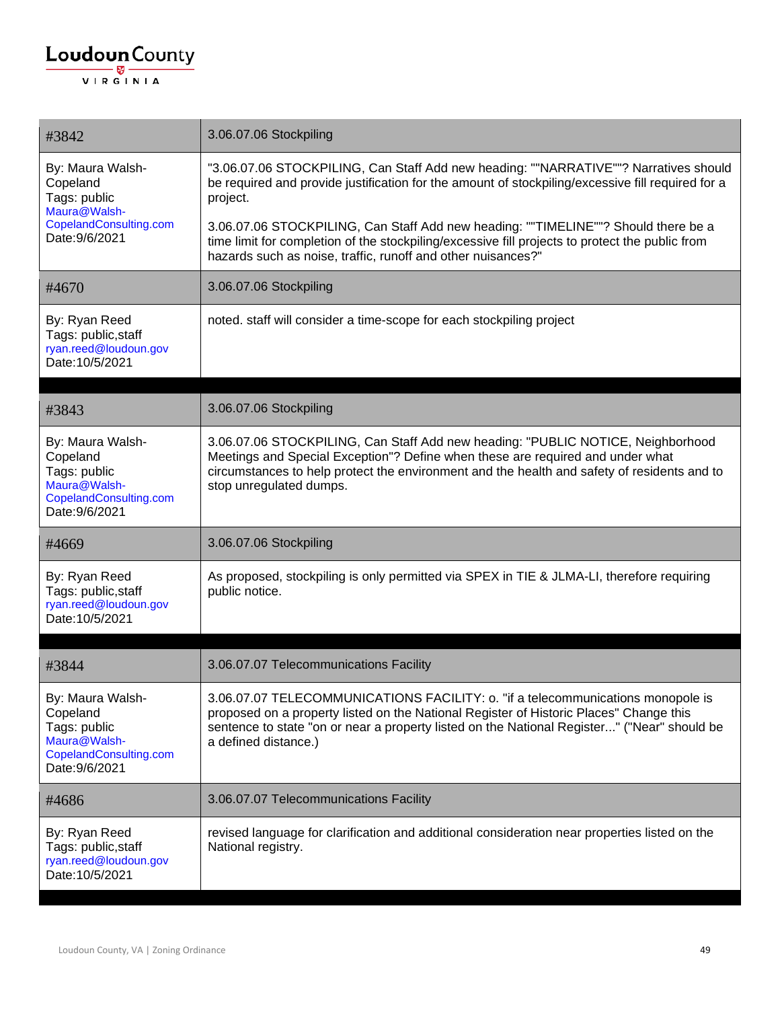| #3842                                                                                                    | 3.06.07.06 Stockpiling                                                                                                                                                                                                                                                                           |
|----------------------------------------------------------------------------------------------------------|--------------------------------------------------------------------------------------------------------------------------------------------------------------------------------------------------------------------------------------------------------------------------------------------------|
| By: Maura Walsh-<br>Copeland<br>Tags: public<br>Maura@Walsh-                                             | "3.06.07.06 STOCKPILING, Can Staff Add new heading: ""NARRATIVE""? Narratives should<br>be required and provide justification for the amount of stockpiling/excessive fill required for a<br>project.                                                                                            |
| CopelandConsulting.com<br>Date: 9/6/2021                                                                 | 3.06.07.06 STOCKPILING, Can Staff Add new heading: ""TIMELINE""? Should there be a<br>time limit for completion of the stockpiling/excessive fill projects to protect the public from<br>hazards such as noise, traffic, runoff and other nuisances?"                                            |
| #4670                                                                                                    | 3.06.07.06 Stockpiling                                                                                                                                                                                                                                                                           |
| By: Ryan Reed<br>Tags: public, staff<br>ryan.reed@loudoun.gov<br>Date: 10/5/2021                         | noted. staff will consider a time-scope for each stockpiling project                                                                                                                                                                                                                             |
|                                                                                                          |                                                                                                                                                                                                                                                                                                  |
| #3843                                                                                                    | 3.06.07.06 Stockpiling                                                                                                                                                                                                                                                                           |
| By: Maura Walsh-<br>Copeland<br>Tags: public<br>Maura@Walsh-<br>CopelandConsulting.com<br>Date: 9/6/2021 | 3.06.07.06 STOCKPILING, Can Staff Add new heading: "PUBLIC NOTICE, Neighborhood<br>Meetings and Special Exception"? Define when these are required and under what<br>circumstances to help protect the environment and the health and safety of residents and to<br>stop unregulated dumps.      |
| #4669                                                                                                    | 3.06.07.06 Stockpiling                                                                                                                                                                                                                                                                           |
| By: Ryan Reed<br>Tags: public, staff<br>ryan.reed@loudoun.gov<br>Date: 10/5/2021                         | As proposed, stockpiling is only permitted via SPEX in TIE & JLMA-LI, therefore requiring<br>public notice.                                                                                                                                                                                      |
|                                                                                                          |                                                                                                                                                                                                                                                                                                  |
| #3844                                                                                                    | 3.06.07.07 Telecommunications Facility                                                                                                                                                                                                                                                           |
| By: Maura Walsh-<br>Copeland<br>Tags: public<br>Maura@Walsh-<br>CopelandConsulting.com<br>Date: 9/6/2021 | 3.06.07.07 TELECOMMUNICATIONS FACILITY: o. "if a telecommunications monopole is<br>proposed on a property listed on the National Register of Historic Places" Change this<br>sentence to state "on or near a property listed on the National Register" ("Near" should be<br>a defined distance.) |
| #4686                                                                                                    | 3.06.07.07 Telecommunications Facility                                                                                                                                                                                                                                                           |
| By: Ryan Reed<br>Tags: public, staff<br>ryan.reed@loudoun.gov<br>Date: 10/5/2021                         | revised language for clarification and additional consideration near properties listed on the<br>National registry.                                                                                                                                                                              |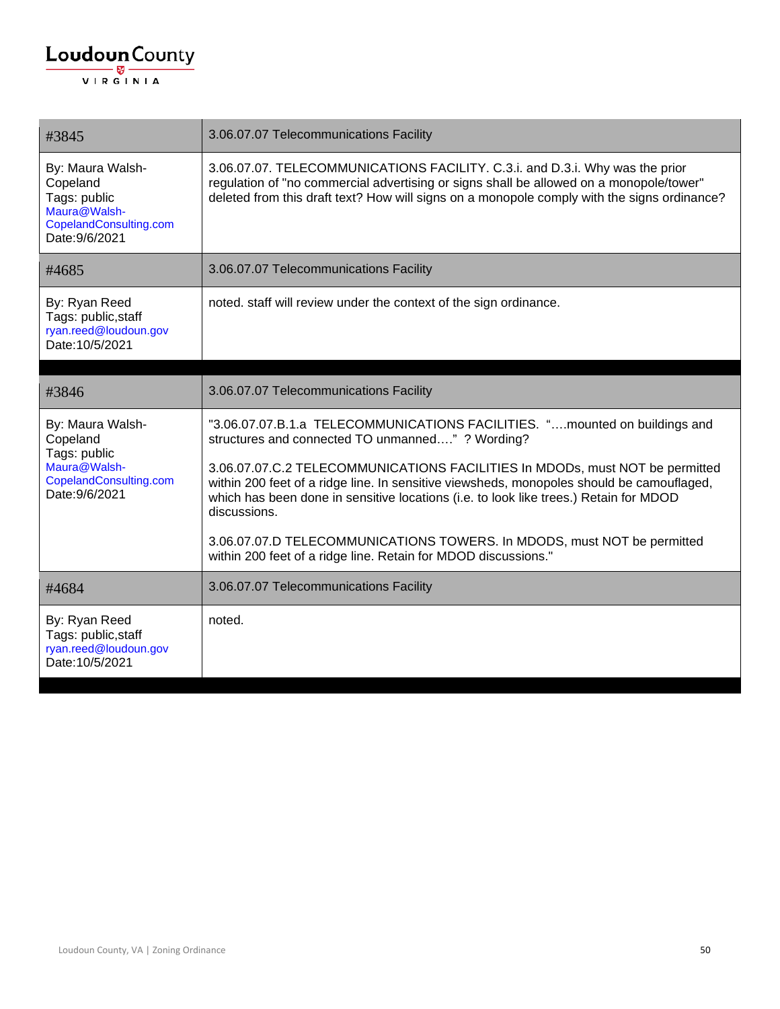| #3845                                                                                                    | 3.06.07.07 Telecommunications Facility                                                                                                                                                                                                                                             |
|----------------------------------------------------------------------------------------------------------|------------------------------------------------------------------------------------------------------------------------------------------------------------------------------------------------------------------------------------------------------------------------------------|
| By: Maura Walsh-<br>Copeland<br>Tags: public<br>Maura@Walsh-<br>CopelandConsulting.com<br>Date: 9/6/2021 | 3.06.07.07. TELECOMMUNICATIONS FACILITY. C.3.i. and D.3.i. Why was the prior<br>regulation of "no commercial advertising or signs shall be allowed on a monopole/tower"<br>deleted from this draft text? How will signs on a monopole comply with the signs ordinance?             |
| #4685                                                                                                    | 3.06.07.07 Telecommunications Facility                                                                                                                                                                                                                                             |
| By: Ryan Reed<br>Tags: public, staff<br>ryan.reed@loudoun.gov<br>Date: 10/5/2021                         | noted. staff will review under the context of the sign ordinance.                                                                                                                                                                                                                  |
| #3846                                                                                                    | 3.06.07.07 Telecommunications Facility                                                                                                                                                                                                                                             |
|                                                                                                          |                                                                                                                                                                                                                                                                                    |
| By: Maura Walsh-<br>Copeland<br>Tags: public                                                             | "3.06.07.07.B.1.a TELECOMMUNICATIONS FACILITIES. "mounted on buildings and<br>structures and connected TO unmanned" ? Wording?                                                                                                                                                     |
| Maura@Walsh-<br>CopelandConsulting.com<br>Date: 9/6/2021                                                 | 3.06.07.07.C.2 TELECOMMUNICATIONS FACILITIES In MDODs, must NOT be permitted<br>within 200 feet of a ridge line. In sensitive viewsheds, monopoles should be camouflaged,<br>which has been done in sensitive locations (i.e. to look like trees.) Retain for MDOD<br>discussions. |
|                                                                                                          | 3.06.07.07.D TELECOMMUNICATIONS TOWERS. In MDODS, must NOT be permitted<br>within 200 feet of a ridge line. Retain for MDOD discussions."                                                                                                                                          |
| #4684                                                                                                    | 3.06.07.07 Telecommunications Facility                                                                                                                                                                                                                                             |
| By: Ryan Reed<br>Tags: public, staff<br>ryan.reed@loudoun.gov<br>Date: 10/5/2021                         | noted.                                                                                                                                                                                                                                                                             |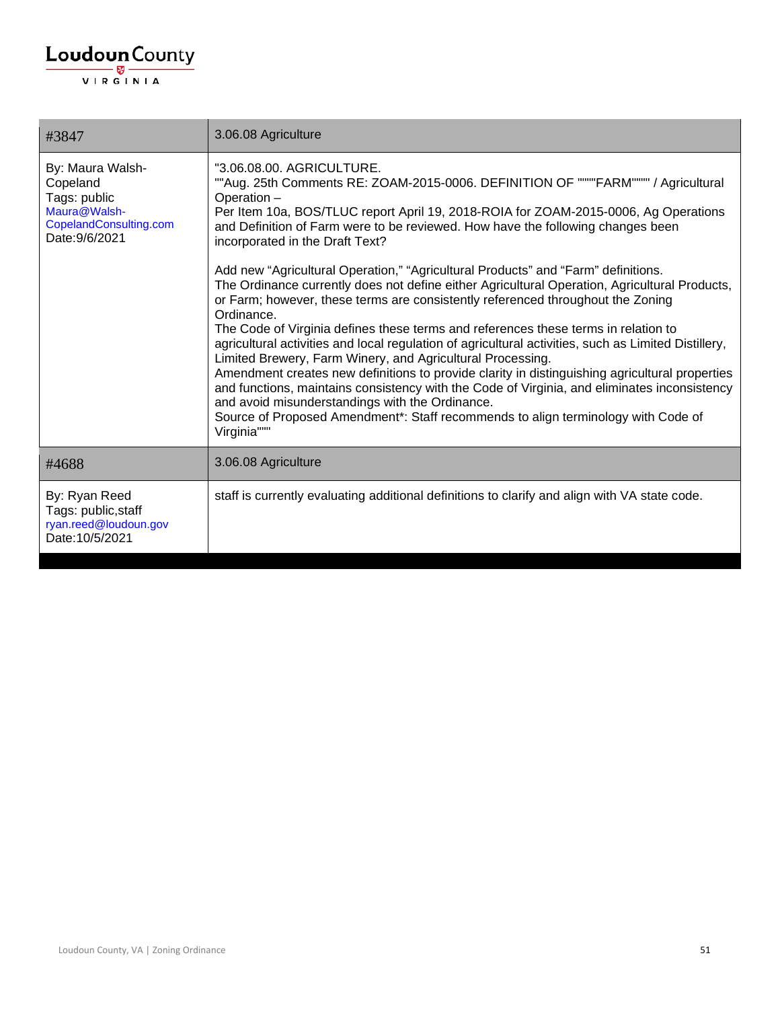| #3847                                                                                                    | 3.06.08 Agriculture                                                                                                                                                                                                                                                                                                                                                                                                                                                                                                                                                                                                                                                                                                                                                                                                                                                                                                                                                                                                                                                                                                                                                                                                                                     |
|----------------------------------------------------------------------------------------------------------|---------------------------------------------------------------------------------------------------------------------------------------------------------------------------------------------------------------------------------------------------------------------------------------------------------------------------------------------------------------------------------------------------------------------------------------------------------------------------------------------------------------------------------------------------------------------------------------------------------------------------------------------------------------------------------------------------------------------------------------------------------------------------------------------------------------------------------------------------------------------------------------------------------------------------------------------------------------------------------------------------------------------------------------------------------------------------------------------------------------------------------------------------------------------------------------------------------------------------------------------------------|
| By: Maura Walsh-<br>Copeland<br>Tags: public<br>Maura@Walsh-<br>CopelandConsulting.com<br>Date: 9/6/2021 | "3.06.08.00. AGRICULTURE.<br>""Aug. 25th Comments RE: ZOAM-2015-0006. DEFINITION OF """"FARM"""" / Agricultural<br>Operation -<br>Per Item 10a, BOS/TLUC report April 19, 2018-ROIA for ZOAM-2015-0006, Ag Operations<br>and Definition of Farm were to be reviewed. How have the following changes been<br>incorporated in the Draft Text?<br>Add new "Agricultural Operation," "Agricultural Products" and "Farm" definitions.<br>The Ordinance currently does not define either Agricultural Operation, Agricultural Products,<br>or Farm; however, these terms are consistently referenced throughout the Zoning<br>Ordinance.<br>The Code of Virginia defines these terms and references these terms in relation to<br>agricultural activities and local regulation of agricultural activities, such as Limited Distillery,<br>Limited Brewery, Farm Winery, and Agricultural Processing.<br>Amendment creates new definitions to provide clarity in distinguishing agricultural properties<br>and functions, maintains consistency with the Code of Virginia, and eliminates inconsistency<br>and avoid misunderstandings with the Ordinance.<br>Source of Proposed Amendment*: Staff recommends to align terminology with Code of<br>Virginia""" |
| #4688                                                                                                    | 3.06.08 Agriculture                                                                                                                                                                                                                                                                                                                                                                                                                                                                                                                                                                                                                                                                                                                                                                                                                                                                                                                                                                                                                                                                                                                                                                                                                                     |
| By: Ryan Reed<br>Tags: public, staff<br>ryan.reed@loudoun.gov<br>Date: 10/5/2021                         | staff is currently evaluating additional definitions to clarify and align with VA state code.                                                                                                                                                                                                                                                                                                                                                                                                                                                                                                                                                                                                                                                                                                                                                                                                                                                                                                                                                                                                                                                                                                                                                           |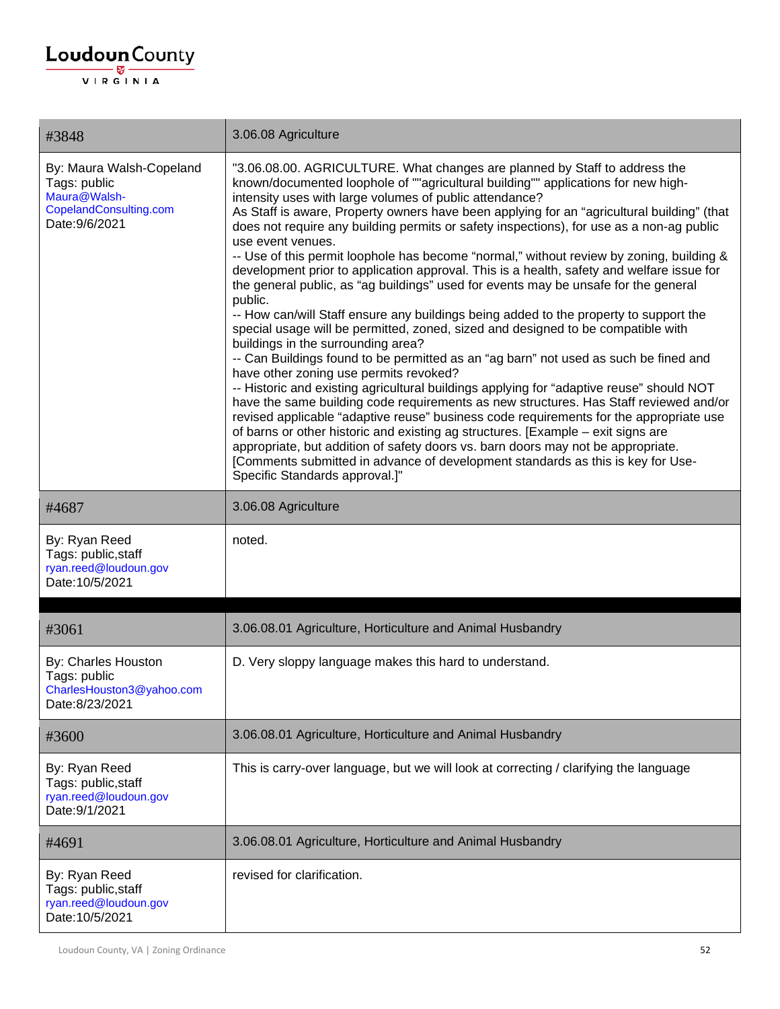| #3848                                                                                                | 3.06.08 Agriculture                                                                                                                                                                                                                                                                                                                                                                                                                                                                                                                                                                                                                                                                                                                                                                                                                                                                                                                                                                                                                                                                                                                                                                                                                                                                                                                                                                                                                                                                                                                                                                                                                                                   |
|------------------------------------------------------------------------------------------------------|-----------------------------------------------------------------------------------------------------------------------------------------------------------------------------------------------------------------------------------------------------------------------------------------------------------------------------------------------------------------------------------------------------------------------------------------------------------------------------------------------------------------------------------------------------------------------------------------------------------------------------------------------------------------------------------------------------------------------------------------------------------------------------------------------------------------------------------------------------------------------------------------------------------------------------------------------------------------------------------------------------------------------------------------------------------------------------------------------------------------------------------------------------------------------------------------------------------------------------------------------------------------------------------------------------------------------------------------------------------------------------------------------------------------------------------------------------------------------------------------------------------------------------------------------------------------------------------------------------------------------------------------------------------------------|
| By: Maura Walsh-Copeland<br>Tags: public<br>Maura@Walsh-<br>CopelandConsulting.com<br>Date: 9/6/2021 | "3.06.08.00. AGRICULTURE. What changes are planned by Staff to address the<br>known/documented loophole of ""agricultural building"" applications for new high-<br>intensity uses with large volumes of public attendance?<br>As Staff is aware, Property owners have been applying for an "agricultural building" (that<br>does not require any building permits or safety inspections), for use as a non-ag public<br>use event venues.<br>-- Use of this permit loophole has become "normal," without review by zoning, building &<br>development prior to application approval. This is a health, safety and welfare issue for<br>the general public, as "ag buildings" used for events may be unsafe for the general<br>public.<br>-- How can/will Staff ensure any buildings being added to the property to support the<br>special usage will be permitted, zoned, sized and designed to be compatible with<br>buildings in the surrounding area?<br>-- Can Buildings found to be permitted as an "ag barn" not used as such be fined and<br>have other zoning use permits revoked?<br>-- Historic and existing agricultural buildings applying for "adaptive reuse" should NOT<br>have the same building code requirements as new structures. Has Staff reviewed and/or<br>revised applicable "adaptive reuse" business code requirements for the appropriate use<br>of barns or other historic and existing ag structures. [Example - exit signs are<br>appropriate, but addition of safety doors vs. barn doors may not be appropriate.<br>[Comments submitted in advance of development standards as this is key for Use-<br>Specific Standards approval.]" |
| #4687                                                                                                | 3.06.08 Agriculture                                                                                                                                                                                                                                                                                                                                                                                                                                                                                                                                                                                                                                                                                                                                                                                                                                                                                                                                                                                                                                                                                                                                                                                                                                                                                                                                                                                                                                                                                                                                                                                                                                                   |
| By: Ryan Reed<br>Tags: public, staff<br>ryan.reed@loudoun.gov<br>Date: 10/5/2021                     | noted.                                                                                                                                                                                                                                                                                                                                                                                                                                                                                                                                                                                                                                                                                                                                                                                                                                                                                                                                                                                                                                                                                                                                                                                                                                                                                                                                                                                                                                                                                                                                                                                                                                                                |
| #3061                                                                                                | 3.06.08.01 Agriculture, Horticulture and Animal Husbandry                                                                                                                                                                                                                                                                                                                                                                                                                                                                                                                                                                                                                                                                                                                                                                                                                                                                                                                                                                                                                                                                                                                                                                                                                                                                                                                                                                                                                                                                                                                                                                                                             |
| By: Charles Houston<br>Tags: public<br>CharlesHouston3@yahoo.com<br>Date:8/23/2021                   | D. Very sloppy language makes this hard to understand.                                                                                                                                                                                                                                                                                                                                                                                                                                                                                                                                                                                                                                                                                                                                                                                                                                                                                                                                                                                                                                                                                                                                                                                                                                                                                                                                                                                                                                                                                                                                                                                                                |
| #3600                                                                                                | 3.06.08.01 Agriculture, Horticulture and Animal Husbandry                                                                                                                                                                                                                                                                                                                                                                                                                                                                                                                                                                                                                                                                                                                                                                                                                                                                                                                                                                                                                                                                                                                                                                                                                                                                                                                                                                                                                                                                                                                                                                                                             |
| By: Ryan Reed<br>Tags: public, staff<br>ryan.reed@loudoun.gov<br>Date: 9/1/2021                      | This is carry-over language, but we will look at correcting / clarifying the language                                                                                                                                                                                                                                                                                                                                                                                                                                                                                                                                                                                                                                                                                                                                                                                                                                                                                                                                                                                                                                                                                                                                                                                                                                                                                                                                                                                                                                                                                                                                                                                 |
| #4691                                                                                                | 3.06.08.01 Agriculture, Horticulture and Animal Husbandry                                                                                                                                                                                                                                                                                                                                                                                                                                                                                                                                                                                                                                                                                                                                                                                                                                                                                                                                                                                                                                                                                                                                                                                                                                                                                                                                                                                                                                                                                                                                                                                                             |
| By: Ryan Reed<br>Tags: public, staff<br>ryan.reed@loudoun.gov<br>Date: 10/5/2021                     | revised for clarification.                                                                                                                                                                                                                                                                                                                                                                                                                                                                                                                                                                                                                                                                                                                                                                                                                                                                                                                                                                                                                                                                                                                                                                                                                                                                                                                                                                                                                                                                                                                                                                                                                                            |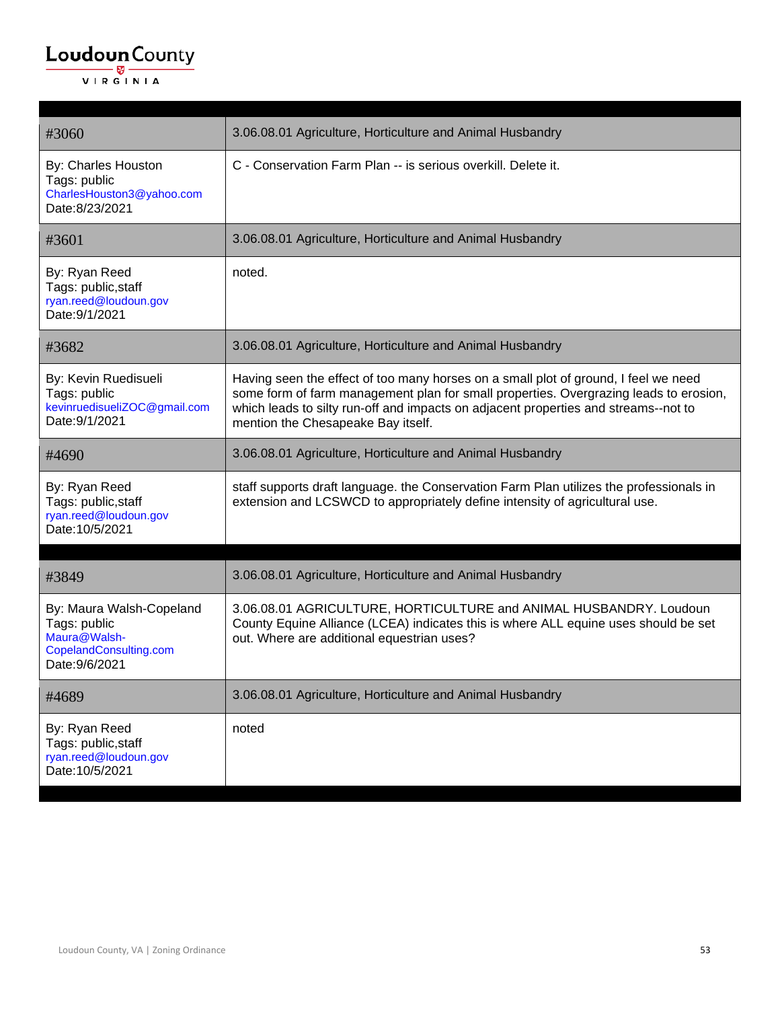| #3060                                                                                                | 3.06.08.01 Agriculture, Horticulture and Animal Husbandry                                                                                                                                                                                                                                                 |
|------------------------------------------------------------------------------------------------------|-----------------------------------------------------------------------------------------------------------------------------------------------------------------------------------------------------------------------------------------------------------------------------------------------------------|
| By: Charles Houston<br>Tags: public<br>CharlesHouston3@yahoo.com<br>Date:8/23/2021                   | C - Conservation Farm Plan -- is serious overkill. Delete it.                                                                                                                                                                                                                                             |
| #3601                                                                                                | 3.06.08.01 Agriculture, Horticulture and Animal Husbandry                                                                                                                                                                                                                                                 |
| By: Ryan Reed<br>Tags: public, staff<br>ryan.reed@loudoun.gov<br>Date: 9/1/2021                      | noted.                                                                                                                                                                                                                                                                                                    |
| #3682                                                                                                | 3.06.08.01 Agriculture, Horticulture and Animal Husbandry                                                                                                                                                                                                                                                 |
| By: Kevin Ruedisueli<br>Tags: public<br>kevinruedisueliZOC@gmail.com<br>Date: 9/1/2021               | Having seen the effect of too many horses on a small plot of ground, I feel we need<br>some form of farm management plan for small properties. Overgrazing leads to erosion,<br>which leads to silty run-off and impacts on adjacent properties and streams--not to<br>mention the Chesapeake Bay itself. |
| #4690                                                                                                | 3.06.08.01 Agriculture, Horticulture and Animal Husbandry                                                                                                                                                                                                                                                 |
| By: Ryan Reed<br>Tags: public, staff<br>ryan.reed@loudoun.gov<br>Date: 10/5/2021                     | staff supports draft language. the Conservation Farm Plan utilizes the professionals in<br>extension and LCSWCD to appropriately define intensity of agricultural use.                                                                                                                                    |
| #3849                                                                                                | 3.06.08.01 Agriculture, Horticulture and Animal Husbandry                                                                                                                                                                                                                                                 |
| By: Maura Walsh-Copeland<br>Tags: public<br>Maura@Walsh-<br>CopelandConsulting.com<br>Date: 9/6/2021 | 3.06.08.01 AGRICULTURE, HORTICULTURE and ANIMAL HUSBANDRY. Loudoun<br>County Equine Alliance (LCEA) indicates this is where ALL equine uses should be set<br>out. Where are additional equestrian uses?                                                                                                   |
| #4689                                                                                                | 3.06.08.01 Agriculture, Horticulture and Animal Husbandry                                                                                                                                                                                                                                                 |
| By: Ryan Reed<br>Tags: public, staff<br>ryan.reed@loudoun.gov<br>Date: 10/5/2021                     | noted                                                                                                                                                                                                                                                                                                     |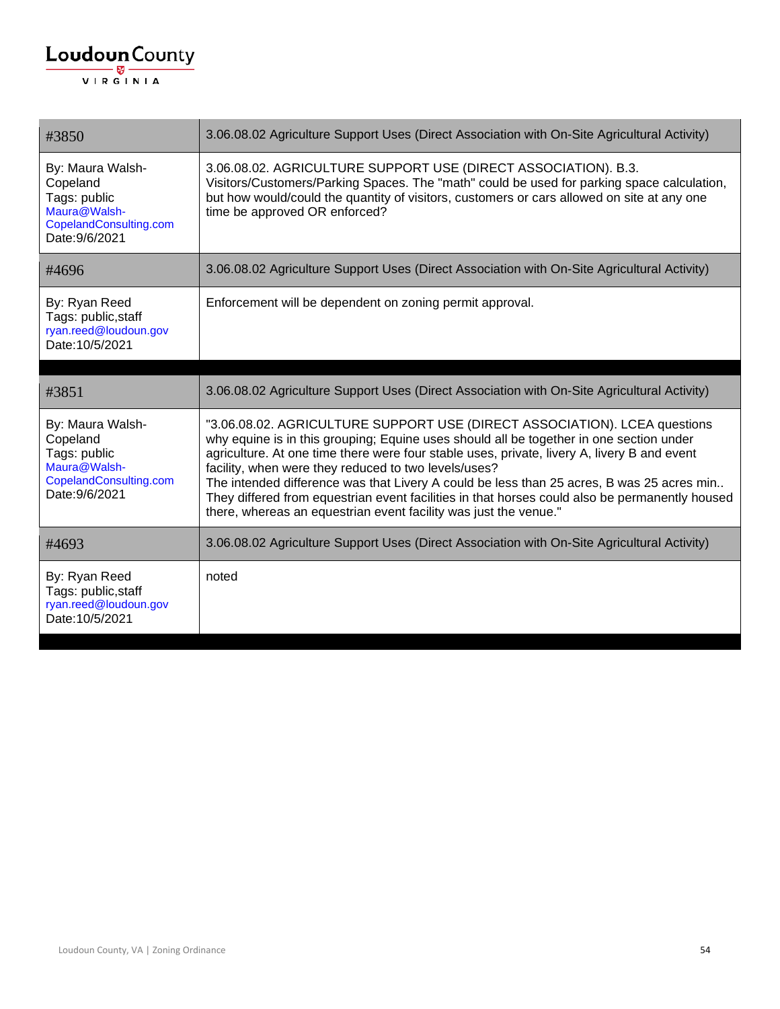| #3850                                                                                                    | 3.06.08.02 Agriculture Support Uses (Direct Association with On-Site Agricultural Activity)                                                                                                                                                                                                                                                                                                                                                                                                                                                                                                    |
|----------------------------------------------------------------------------------------------------------|------------------------------------------------------------------------------------------------------------------------------------------------------------------------------------------------------------------------------------------------------------------------------------------------------------------------------------------------------------------------------------------------------------------------------------------------------------------------------------------------------------------------------------------------------------------------------------------------|
| By: Maura Walsh-<br>Copeland<br>Tags: public<br>Maura@Walsh-<br>CopelandConsulting.com<br>Date: 9/6/2021 | 3.06.08.02. AGRICULTURE SUPPORT USE (DIRECT ASSOCIATION). B.3.<br>Visitors/Customers/Parking Spaces. The "math" could be used for parking space calculation,<br>but how would/could the quantity of visitors, customers or cars allowed on site at any one<br>time be approved OR enforced?                                                                                                                                                                                                                                                                                                    |
| #4696                                                                                                    | 3.06.08.02 Agriculture Support Uses (Direct Association with On-Site Agricultural Activity)                                                                                                                                                                                                                                                                                                                                                                                                                                                                                                    |
| By: Ryan Reed<br>Tags: public, staff<br>ryan.reed@loudoun.gov<br>Date: 10/5/2021                         | Enforcement will be dependent on zoning permit approval.                                                                                                                                                                                                                                                                                                                                                                                                                                                                                                                                       |
| #3851                                                                                                    | 3.06.08.02 Agriculture Support Uses (Direct Association with On-Site Agricultural Activity)                                                                                                                                                                                                                                                                                                                                                                                                                                                                                                    |
| By: Maura Walsh-<br>Copeland<br>Tags: public<br>Maura@Walsh-<br>CopelandConsulting.com<br>Date: 9/6/2021 | "3.06.08.02. AGRICULTURE SUPPORT USE (DIRECT ASSOCIATION). LCEA questions<br>why equine is in this grouping; Equine uses should all be together in one section under<br>agriculture. At one time there were four stable uses, private, livery A, livery B and event<br>facility, when were they reduced to two levels/uses?<br>The intended difference was that Livery A could be less than 25 acres, B was 25 acres min<br>They differed from equestrian event facilities in that horses could also be permanently housed<br>there, whereas an equestrian event facility was just the venue." |
| #4693                                                                                                    | 3.06.08.02 Agriculture Support Uses (Direct Association with On-Site Agricultural Activity)                                                                                                                                                                                                                                                                                                                                                                                                                                                                                                    |
| By: Ryan Reed<br>Tags: public, staff<br>ryan.reed@loudoun.gov<br>Date: 10/5/2021                         | noted                                                                                                                                                                                                                                                                                                                                                                                                                                                                                                                                                                                          |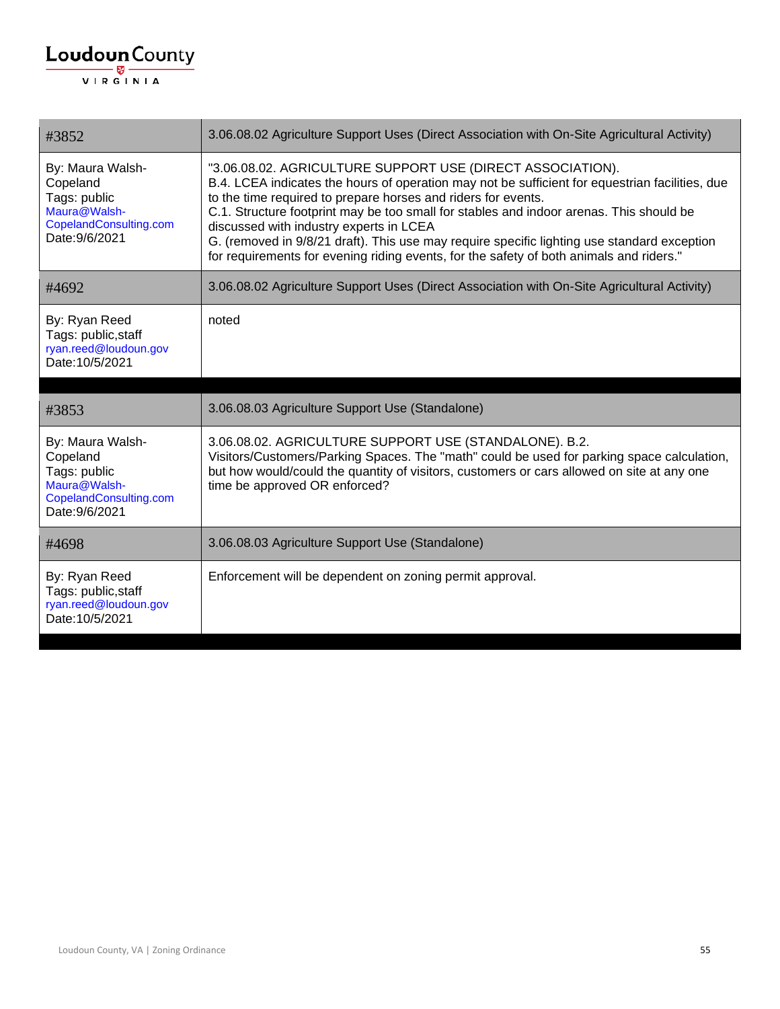| #3852                                                                                                    | 3.06.08.02 Agriculture Support Uses (Direct Association with On-Site Agricultural Activity)                                                                                                                                                                                                                                                                                                                                                                                                                                                                    |
|----------------------------------------------------------------------------------------------------------|----------------------------------------------------------------------------------------------------------------------------------------------------------------------------------------------------------------------------------------------------------------------------------------------------------------------------------------------------------------------------------------------------------------------------------------------------------------------------------------------------------------------------------------------------------------|
| By: Maura Walsh-<br>Copeland<br>Tags: public<br>Maura@Walsh-<br>CopelandConsulting.com<br>Date: 9/6/2021 | "3.06.08.02. AGRICULTURE SUPPORT USE (DIRECT ASSOCIATION).<br>B.4. LCEA indicates the hours of operation may not be sufficient for equestrian facilities, due<br>to the time required to prepare horses and riders for events.<br>C.1. Structure footprint may be too small for stables and indoor arenas. This should be<br>discussed with industry experts in LCEA<br>G. (removed in 9/8/21 draft). This use may require specific lighting use standard exception<br>for requirements for evening riding events, for the safety of both animals and riders." |
| #4692                                                                                                    | 3.06.08.02 Agriculture Support Uses (Direct Association with On-Site Agricultural Activity)                                                                                                                                                                                                                                                                                                                                                                                                                                                                    |
| By: Ryan Reed<br>Tags: public, staff<br>ryan.reed@loudoun.gov<br>Date: 10/5/2021                         | noted                                                                                                                                                                                                                                                                                                                                                                                                                                                                                                                                                          |
|                                                                                                          |                                                                                                                                                                                                                                                                                                                                                                                                                                                                                                                                                                |
|                                                                                                          |                                                                                                                                                                                                                                                                                                                                                                                                                                                                                                                                                                |
| #3853                                                                                                    | 3.06.08.03 Agriculture Support Use (Standalone)                                                                                                                                                                                                                                                                                                                                                                                                                                                                                                                |
| By: Maura Walsh-<br>Copeland<br>Tags: public<br>Maura@Walsh-<br>CopelandConsulting.com<br>Date: 9/6/2021 | 3.06.08.02. AGRICULTURE SUPPORT USE (STANDALONE). B.2.<br>Visitors/Customers/Parking Spaces. The "math" could be used for parking space calculation,<br>but how would/could the quantity of visitors, customers or cars allowed on site at any one<br>time be approved OR enforced?                                                                                                                                                                                                                                                                            |
| #4698                                                                                                    | 3.06.08.03 Agriculture Support Use (Standalone)                                                                                                                                                                                                                                                                                                                                                                                                                                                                                                                |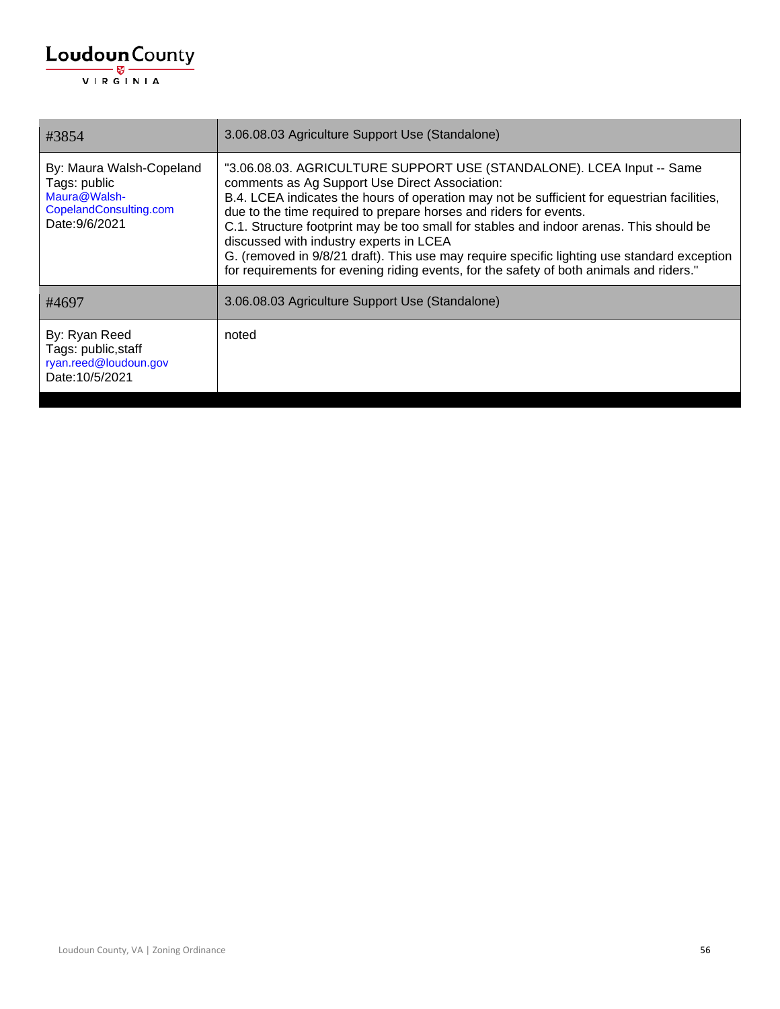| #3854                                                                                                | 3.06.08.03 Agriculture Support Use (Standalone)                                                                                                                                                                                                                                                                                                                                                                                                                                                                                                                                                                             |
|------------------------------------------------------------------------------------------------------|-----------------------------------------------------------------------------------------------------------------------------------------------------------------------------------------------------------------------------------------------------------------------------------------------------------------------------------------------------------------------------------------------------------------------------------------------------------------------------------------------------------------------------------------------------------------------------------------------------------------------------|
| By: Maura Walsh-Copeland<br>Tags: public<br>Maura@Walsh-<br>CopelandConsulting.com<br>Date: 9/6/2021 | "3.06.08.03. AGRICULTURE SUPPORT USE (STANDALONE). LCEA Input -- Same<br>comments as Ag Support Use Direct Association:<br>B.4. LCEA indicates the hours of operation may not be sufficient for equestrian facilities,<br>due to the time required to prepare horses and riders for events.<br>C.1. Structure footprint may be too small for stables and indoor arenas. This should be<br>discussed with industry experts in LCEA<br>G. (removed in 9/8/21 draft). This use may require specific lighting use standard exception<br>for requirements for evening riding events, for the safety of both animals and riders." |
| #4697                                                                                                | 3.06.08.03 Agriculture Support Use (Standalone)                                                                                                                                                                                                                                                                                                                                                                                                                                                                                                                                                                             |
| By: Ryan Reed<br>Tags: public, staff<br>ryan.reed@loudoun.gov<br>Date: 10/5/2021                     | noted                                                                                                                                                                                                                                                                                                                                                                                                                                                                                                                                                                                                                       |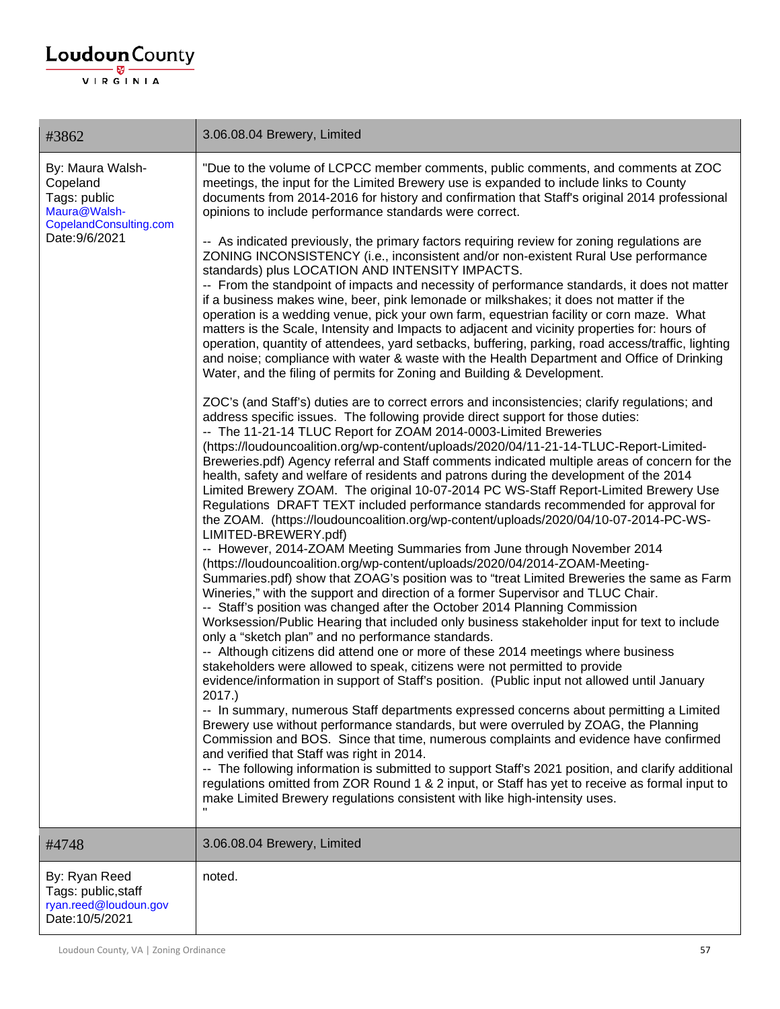| #3862                                                                                                    | 3.06.08.04 Brewery, Limited                                                                                                                                                                                                                                                                                                                                                                                                                                                                                                                                                                                                                                                                                                                                                                                                                                                                                                                                                                                                                                                                                                                                                                                                                                                                                                                                                                                                                                                                                                                                                                                                                                                                                                                                                                                                                                    |
|----------------------------------------------------------------------------------------------------------|----------------------------------------------------------------------------------------------------------------------------------------------------------------------------------------------------------------------------------------------------------------------------------------------------------------------------------------------------------------------------------------------------------------------------------------------------------------------------------------------------------------------------------------------------------------------------------------------------------------------------------------------------------------------------------------------------------------------------------------------------------------------------------------------------------------------------------------------------------------------------------------------------------------------------------------------------------------------------------------------------------------------------------------------------------------------------------------------------------------------------------------------------------------------------------------------------------------------------------------------------------------------------------------------------------------------------------------------------------------------------------------------------------------------------------------------------------------------------------------------------------------------------------------------------------------------------------------------------------------------------------------------------------------------------------------------------------------------------------------------------------------------------------------------------------------------------------------------------------------|
| By: Maura Walsh-<br>Copeland<br>Tags: public<br>Maura@Walsh-<br>CopelandConsulting.com<br>Date: 9/6/2021 | "Due to the volume of LCPCC member comments, public comments, and comments at ZOC<br>meetings, the input for the Limited Brewery use is expanded to include links to County<br>documents from 2014-2016 for history and confirmation that Staff's original 2014 professional<br>opinions to include performance standards were correct.<br>-- As indicated previously, the primary factors requiring review for zoning regulations are<br>ZONING INCONSISTENCY (i.e., inconsistent and/or non-existent Rural Use performance<br>standards) plus LOCATION AND INTENSITY IMPACTS.<br>-- From the standpoint of impacts and necessity of performance standards, it does not matter<br>if a business makes wine, beer, pink lemonade or milkshakes; it does not matter if the<br>operation is a wedding venue, pick your own farm, equestrian facility or corn maze. What<br>matters is the Scale, Intensity and Impacts to adjacent and vicinity properties for: hours of<br>operation, quantity of attendees, yard setbacks, buffering, parking, road access/traffic, lighting<br>and noise; compliance with water & waste with the Health Department and Office of Drinking<br>Water, and the filing of permits for Zoning and Building & Development.<br>ZOC's (and Staff's) duties are to correct errors and inconsistencies; clarify regulations; and<br>address specific issues. The following provide direct support for those duties:<br>-- The 11-21-14 TLUC Report for ZOAM 2014-0003-Limited Breweries<br>(https://loudouncoalition.org/wp-content/uploads/2020/04/11-21-14-TLUC-Report-Limited-<br>Breweries.pdf) Agency referral and Staff comments indicated multiple areas of concern for the                                                                                                                                                      |
|                                                                                                          | health, safety and welfare of residents and patrons during the development of the 2014<br>Limited Brewery ZOAM. The original 10-07-2014 PC WS-Staff Report-Limited Brewery Use<br>Regulations DRAFT TEXT included performance standards recommended for approval for<br>the ZOAM. (https://loudouncoalition.org/wp-content/uploads/2020/04/10-07-2014-PC-WS-<br>LIMITED-BREWERY.pdf)<br>-- However, 2014-ZOAM Meeting Summaries from June through November 2014<br>(https://loudouncoalition.org/wp-content/uploads/2020/04/2014-ZOAM-Meeting-<br>Summaries.pdf) show that ZOAG's position was to "treat Limited Breweries the same as Farm<br>Wineries," with the support and direction of a former Supervisor and TLUC Chair.<br>-- Staff's position was changed after the October 2014 Planning Commission<br>Worksession/Public Hearing that included only business stakeholder input for text to include<br>only a "sketch plan" and no performance standards.<br>-- Although citizens did attend one or more of these 2014 meetings where business<br>stakeholders were allowed to speak, citizens were not permitted to provide<br>evidence/information in support of Staff's position. (Public input not allowed until January<br>2017.)<br>-- In summary, numerous Staff departments expressed concerns about permitting a Limited<br>Brewery use without performance standards, but were overruled by ZOAG, the Planning<br>Commission and BOS. Since that time, numerous complaints and evidence have confirmed<br>and verified that Staff was right in 2014.<br>-- The following information is submitted to support Staff's 2021 position, and clarify additional<br>regulations omitted from ZOR Round 1 & 2 input, or Staff has yet to receive as formal input to<br>make Limited Brewery regulations consistent with like high-intensity uses. |
| #4748                                                                                                    | 3.06.08.04 Brewery, Limited                                                                                                                                                                                                                                                                                                                                                                                                                                                                                                                                                                                                                                                                                                                                                                                                                                                                                                                                                                                                                                                                                                                                                                                                                                                                                                                                                                                                                                                                                                                                                                                                                                                                                                                                                                                                                                    |
| By: Ryan Reed<br>Tags: public, staff<br>ryan.reed@loudoun.gov<br>Date: 10/5/2021                         | noted.                                                                                                                                                                                                                                                                                                                                                                                                                                                                                                                                                                                                                                                                                                                                                                                                                                                                                                                                                                                                                                                                                                                                                                                                                                                                                                                                                                                                                                                                                                                                                                                                                                                                                                                                                                                                                                                         |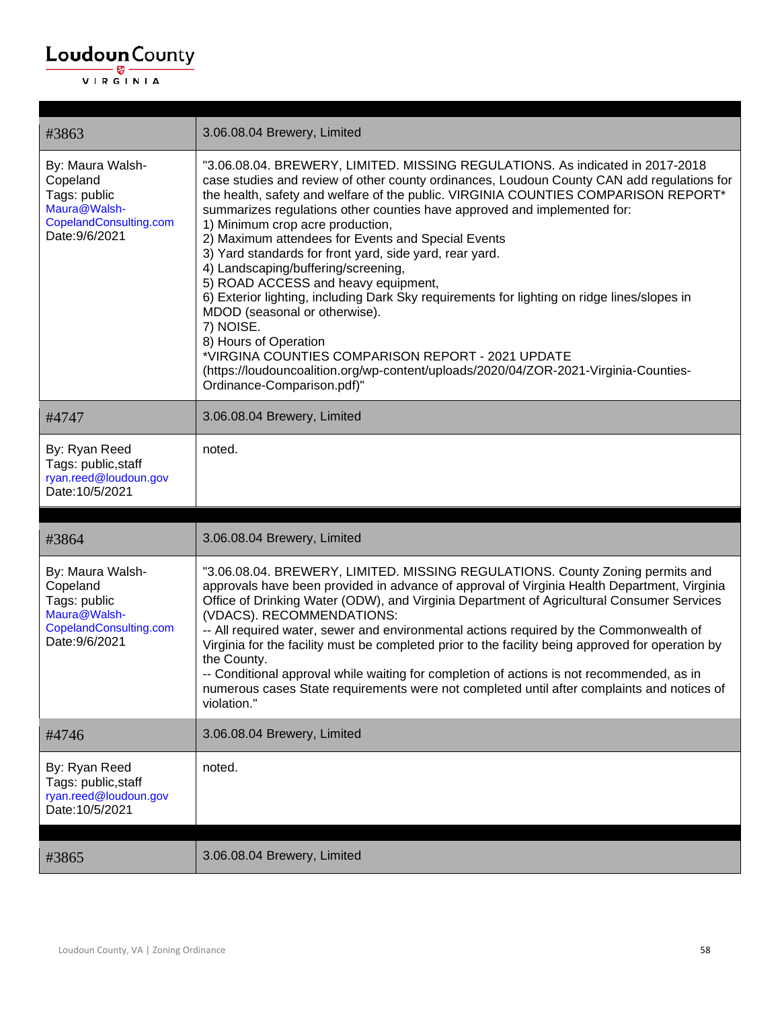| #3863                                                                                                    | 3.06.08.04 Brewery, Limited                                                                                                                                                                                                                                                                                                                                                                                                                                                                                                                                                                                                                                                                                                                                                                                                                                                                                                       |
|----------------------------------------------------------------------------------------------------------|-----------------------------------------------------------------------------------------------------------------------------------------------------------------------------------------------------------------------------------------------------------------------------------------------------------------------------------------------------------------------------------------------------------------------------------------------------------------------------------------------------------------------------------------------------------------------------------------------------------------------------------------------------------------------------------------------------------------------------------------------------------------------------------------------------------------------------------------------------------------------------------------------------------------------------------|
| By: Maura Walsh-<br>Copeland<br>Tags: public<br>Maura@Walsh-<br>CopelandConsulting.com<br>Date: 9/6/2021 | "3.06.08.04. BREWERY, LIMITED. MISSING REGULATIONS. As indicated in 2017-2018<br>case studies and review of other county ordinances, Loudoun County CAN add regulations for<br>the health, safety and welfare of the public. VIRGINIA COUNTIES COMPARISON REPORT*<br>summarizes regulations other counties have approved and implemented for:<br>1) Minimum crop acre production,<br>2) Maximum attendees for Events and Special Events<br>3) Yard standards for front yard, side yard, rear yard.<br>4) Landscaping/buffering/screening,<br>5) ROAD ACCESS and heavy equipment,<br>6) Exterior lighting, including Dark Sky requirements for lighting on ridge lines/slopes in<br>MDOD (seasonal or otherwise).<br>7) NOISE.<br>8) Hours of Operation<br>*VIRGINA COUNTIES COMPARISON REPORT - 2021 UPDATE<br>(https://loudouncoalition.org/wp-content/uploads/2020/04/ZOR-2021-Virginia-Counties-<br>Ordinance-Comparison.pdf)" |
| #4747                                                                                                    | 3.06.08.04 Brewery, Limited                                                                                                                                                                                                                                                                                                                                                                                                                                                                                                                                                                                                                                                                                                                                                                                                                                                                                                       |
| By: Ryan Reed<br>Tags: public, staff<br>ryan.reed@loudoun.gov<br>Date: 10/5/2021                         | noted.                                                                                                                                                                                                                                                                                                                                                                                                                                                                                                                                                                                                                                                                                                                                                                                                                                                                                                                            |
|                                                                                                          |                                                                                                                                                                                                                                                                                                                                                                                                                                                                                                                                                                                                                                                                                                                                                                                                                                                                                                                                   |
|                                                                                                          |                                                                                                                                                                                                                                                                                                                                                                                                                                                                                                                                                                                                                                                                                                                                                                                                                                                                                                                                   |
| #3864                                                                                                    | 3.06.08.04 Brewery, Limited                                                                                                                                                                                                                                                                                                                                                                                                                                                                                                                                                                                                                                                                                                                                                                                                                                                                                                       |
| By: Maura Walsh-<br>Copeland<br>Tags: public<br>Maura@Walsh-<br>CopelandConsulting.com<br>Date: 9/6/2021 | "3.06.08.04. BREWERY, LIMITED. MISSING REGULATIONS. County Zoning permits and<br>approvals have been provided in advance of approval of Virginia Health Department, Virginia<br>Office of Drinking Water (ODW), and Virginia Department of Agricultural Consumer Services<br>(VDACS). RECOMMENDATIONS:<br>-- All required water, sewer and environmental actions required by the Commonwealth of<br>Virginia for the facility must be completed prior to the facility being approved for operation by<br>the County.<br>-- Conditional approval while waiting for completion of actions is not recommended, as in<br>numerous cases State requirements were not completed until after complaints and notices of<br>violation."                                                                                                                                                                                                    |
| #4746                                                                                                    | 3.06.08.04 Brewery, Limited                                                                                                                                                                                                                                                                                                                                                                                                                                                                                                                                                                                                                                                                                                                                                                                                                                                                                                       |
| By: Ryan Reed<br>Tags: public, staff<br>ryan.reed@loudoun.gov<br>Date: 10/5/2021                         | noted.                                                                                                                                                                                                                                                                                                                                                                                                                                                                                                                                                                                                                                                                                                                                                                                                                                                                                                                            |
| #3865                                                                                                    | 3.06.08.04 Brewery, Limited                                                                                                                                                                                                                                                                                                                                                                                                                                                                                                                                                                                                                                                                                                                                                                                                                                                                                                       |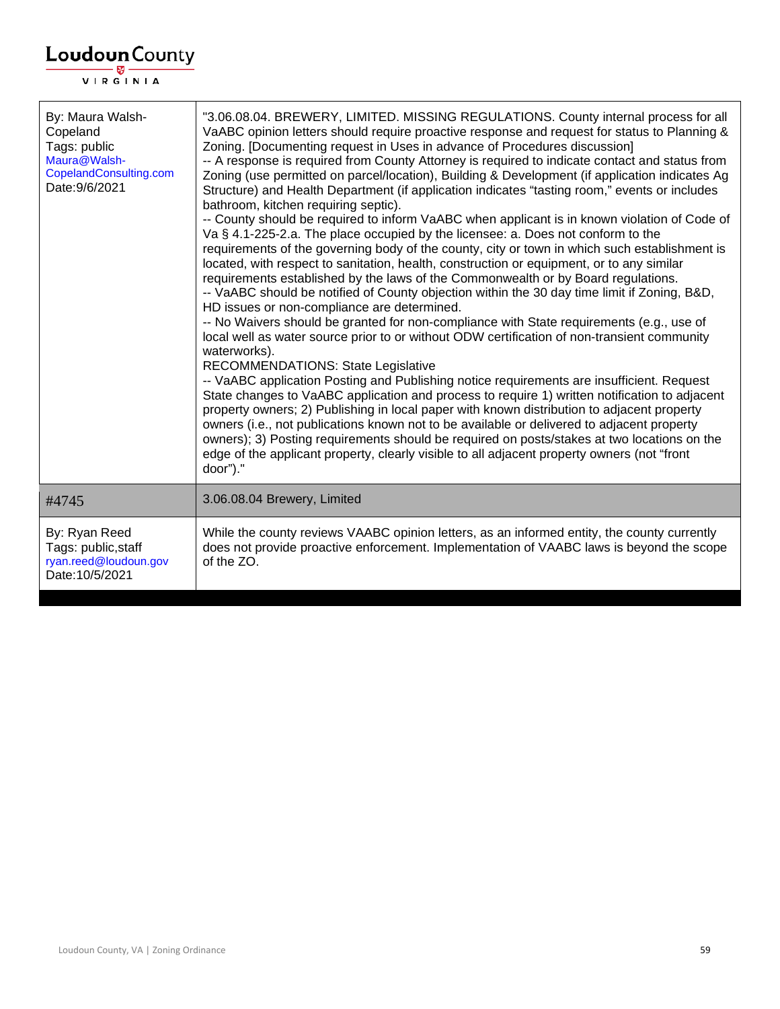| By: Maura Walsh-<br>Copeland<br>Tags: public<br>Maura@Walsh-<br>CopelandConsulting.com<br>Date: 9/6/2021 | "3.06.08.04. BREWERY, LIMITED. MISSING REGULATIONS. County internal process for all<br>VaABC opinion letters should require proactive response and request for status to Planning &<br>Zoning. [Documenting request in Uses in advance of Procedures discussion]<br>-- A response is required from County Attorney is required to indicate contact and status from<br>Zoning (use permitted on parcel/location), Building & Development (if application indicates Ag<br>Structure) and Health Department (if application indicates "tasting room," events or includes<br>bathroom, kitchen requiring septic).<br>-- County should be required to inform VaABC when applicant is in known violation of Code of<br>Va § 4.1-225-2.a. The place occupied by the licensee: a. Does not conform to the<br>requirements of the governing body of the county, city or town in which such establishment is<br>located, with respect to sanitation, health, construction or equipment, or to any similar<br>requirements established by the laws of the Commonwealth or by Board regulations.<br>-- VaABC should be notified of County objection within the 30 day time limit if Zoning, B&D,<br>HD issues or non-compliance are determined.<br>-- No Waivers should be granted for non-compliance with State requirements (e.g., use of<br>local well as water source prior to or without ODW certification of non-transient community<br>waterworks).<br><b>RECOMMENDATIONS: State Legislative</b><br>-- VaABC application Posting and Publishing notice requirements are insufficient. Request<br>State changes to VaABC application and process to require 1) written notification to adjacent<br>property owners; 2) Publishing in local paper with known distribution to adjacent property<br>owners (i.e., not publications known not to be available or delivered to adjacent property<br>owners); 3) Posting requirements should be required on posts/stakes at two locations on the<br>edge of the applicant property, clearly visible to all adjacent property owners (not "front<br>door")." |
|----------------------------------------------------------------------------------------------------------|-------------------------------------------------------------------------------------------------------------------------------------------------------------------------------------------------------------------------------------------------------------------------------------------------------------------------------------------------------------------------------------------------------------------------------------------------------------------------------------------------------------------------------------------------------------------------------------------------------------------------------------------------------------------------------------------------------------------------------------------------------------------------------------------------------------------------------------------------------------------------------------------------------------------------------------------------------------------------------------------------------------------------------------------------------------------------------------------------------------------------------------------------------------------------------------------------------------------------------------------------------------------------------------------------------------------------------------------------------------------------------------------------------------------------------------------------------------------------------------------------------------------------------------------------------------------------------------------------------------------------------------------------------------------------------------------------------------------------------------------------------------------------------------------------------------------------------------------------------------------------------------------------------------------------------------------------------------------------------------------------------------------------------------------------------------------------------------------------|
| #4745                                                                                                    | 3.06.08.04 Brewery, Limited                                                                                                                                                                                                                                                                                                                                                                                                                                                                                                                                                                                                                                                                                                                                                                                                                                                                                                                                                                                                                                                                                                                                                                                                                                                                                                                                                                                                                                                                                                                                                                                                                                                                                                                                                                                                                                                                                                                                                                                                                                                                     |
| By: Ryan Reed<br>Tags: public, staff<br>ryan.reed@loudoun.gov<br>Date: 10/5/2021                         | While the county reviews VAABC opinion letters, as an informed entity, the county currently<br>does not provide proactive enforcement. Implementation of VAABC laws is beyond the scope<br>of the ZO.                                                                                                                                                                                                                                                                                                                                                                                                                                                                                                                                                                                                                                                                                                                                                                                                                                                                                                                                                                                                                                                                                                                                                                                                                                                                                                                                                                                                                                                                                                                                                                                                                                                                                                                                                                                                                                                                                           |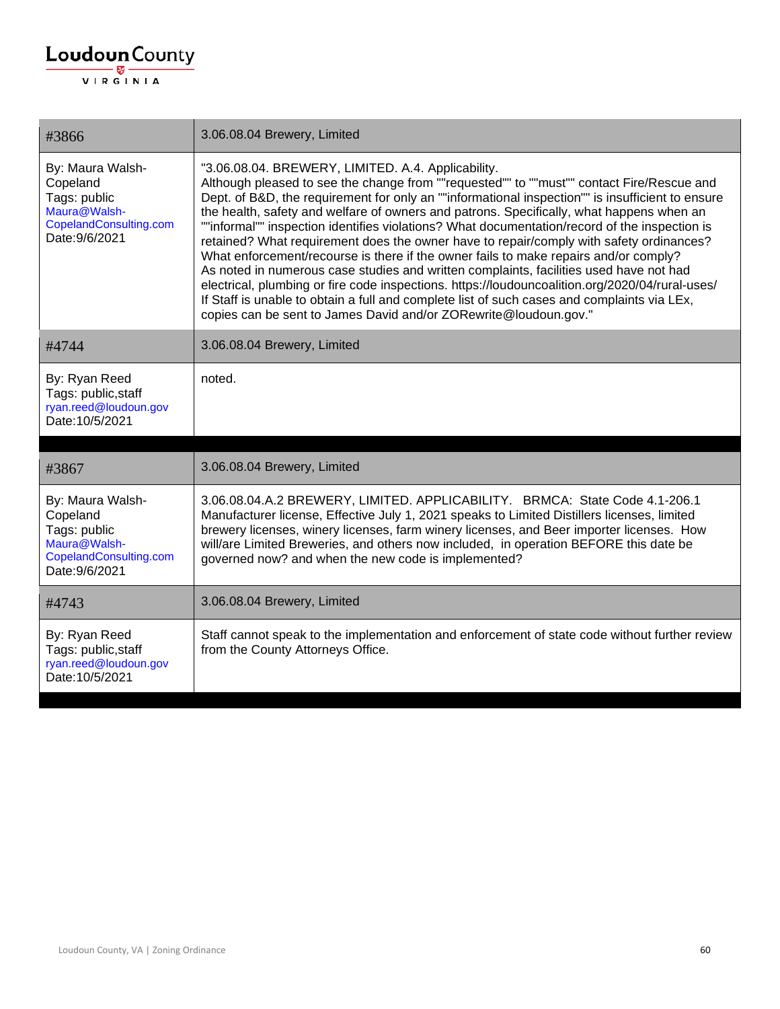| #3866                                                                                                    | 3.06.08.04 Brewery, Limited                                                                                                                                                                                                                                                                                                                                                                                                                                                                                                                                                                                                                                                                                                                                                                                                                                                                                                                                                                         |
|----------------------------------------------------------------------------------------------------------|-----------------------------------------------------------------------------------------------------------------------------------------------------------------------------------------------------------------------------------------------------------------------------------------------------------------------------------------------------------------------------------------------------------------------------------------------------------------------------------------------------------------------------------------------------------------------------------------------------------------------------------------------------------------------------------------------------------------------------------------------------------------------------------------------------------------------------------------------------------------------------------------------------------------------------------------------------------------------------------------------------|
| By: Maura Walsh-<br>Copeland<br>Tags: public<br>Maura@Walsh-<br>CopelandConsulting.com<br>Date: 9/6/2021 | "3.06.08.04. BREWERY, LIMITED. A.4. Applicability.<br>Although pleased to see the change from ""requested"" to ""must"" contact Fire/Rescue and<br>Dept. of B&D, the requirement for only an ""informational inspection"" is insufficient to ensure<br>the health, safety and welfare of owners and patrons. Specifically, what happens when an<br>""informal"" inspection identifies violations? What documentation/record of the inspection is<br>retained? What requirement does the owner have to repair/comply with safety ordinances?<br>What enforcement/recourse is there if the owner fails to make repairs and/or comply?<br>As noted in numerous case studies and written complaints, facilities used have not had<br>electrical, plumbing or fire code inspections. https://loudouncoalition.org/2020/04/rural-uses/<br>If Staff is unable to obtain a full and complete list of such cases and complaints via LEx,<br>copies can be sent to James David and/or ZORewrite@loudoun.gov." |
| #4744                                                                                                    | 3.06.08.04 Brewery, Limited                                                                                                                                                                                                                                                                                                                                                                                                                                                                                                                                                                                                                                                                                                                                                                                                                                                                                                                                                                         |
| By: Ryan Reed<br>Tags: public, staff<br>ryan.reed@loudoun.gov<br>Date: 10/5/2021                         | noted.                                                                                                                                                                                                                                                                                                                                                                                                                                                                                                                                                                                                                                                                                                                                                                                                                                                                                                                                                                                              |
| #3867                                                                                                    | 3.06.08.04 Brewery, Limited                                                                                                                                                                                                                                                                                                                                                                                                                                                                                                                                                                                                                                                                                                                                                                                                                                                                                                                                                                         |
| By: Maura Walsh-<br>Copeland<br>Tags: public<br>Maura@Walsh-<br>CopelandConsulting.com<br>Date: 9/6/2021 | 3.06.08.04.A.2 BREWERY, LIMITED. APPLICABILITY. BRMCA: State Code 4.1-206.1<br>Manufacturer license, Effective July 1, 2021 speaks to Limited Distillers licenses, limited<br>brewery licenses, winery licenses, farm winery licenses, and Beer importer licenses. How<br>will/are Limited Breweries, and others now included, in operation BEFORE this date be<br>governed now? and when the new code is implemented?                                                                                                                                                                                                                                                                                                                                                                                                                                                                                                                                                                              |
| #4743                                                                                                    | 3.06.08.04 Brewery, Limited                                                                                                                                                                                                                                                                                                                                                                                                                                                                                                                                                                                                                                                                                                                                                                                                                                                                                                                                                                         |
| By: Ryan Reed<br>Tags: public, staff<br>ryan.reed@loudoun.gov<br>Date: 10/5/2021                         | Staff cannot speak to the implementation and enforcement of state code without further review<br>from the County Attorneys Office.                                                                                                                                                                                                                                                                                                                                                                                                                                                                                                                                                                                                                                                                                                                                                                                                                                                                  |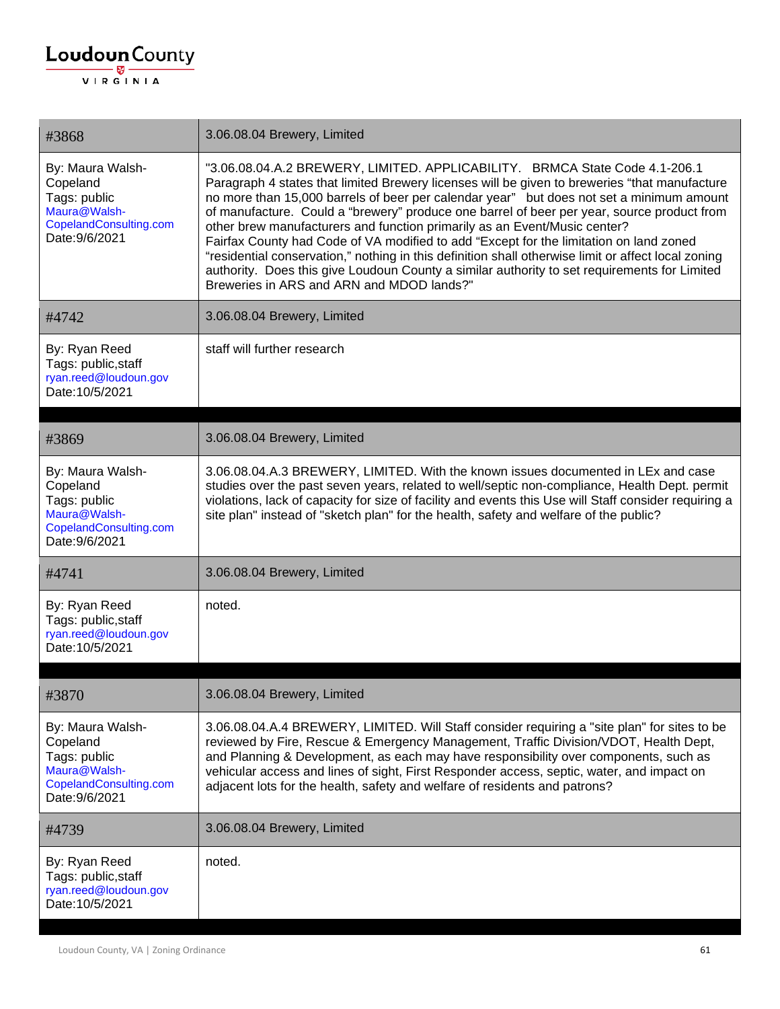| #3868                                                                                                    | 3.06.08.04 Brewery, Limited                                                                                                                                                                                                                                                                                                                                                                                                                                                                                                                                                                                                                                                                                                                                                                       |
|----------------------------------------------------------------------------------------------------------|---------------------------------------------------------------------------------------------------------------------------------------------------------------------------------------------------------------------------------------------------------------------------------------------------------------------------------------------------------------------------------------------------------------------------------------------------------------------------------------------------------------------------------------------------------------------------------------------------------------------------------------------------------------------------------------------------------------------------------------------------------------------------------------------------|
| By: Maura Walsh-<br>Copeland<br>Tags: public<br>Maura@Walsh-<br>CopelandConsulting.com<br>Date: 9/6/2021 | "3.06.08.04.A.2 BREWERY, LIMITED. APPLICABILITY. BRMCA State Code 4.1-206.1<br>Paragraph 4 states that limited Brewery licenses will be given to breweries "that manufacture<br>no more than 15,000 barrels of beer per calendar year" but does not set a minimum amount<br>of manufacture. Could a "brewery" produce one barrel of beer per year, source product from<br>other brew manufacturers and function primarily as an Event/Music center?<br>Fairfax County had Code of VA modified to add "Except for the limitation on land zoned<br>"residential conservation," nothing in this definition shall otherwise limit or affect local zoning<br>authority. Does this give Loudoun County a similar authority to set requirements for Limited<br>Breweries in ARS and ARN and MDOD lands?" |
| #4742                                                                                                    | 3.06.08.04 Brewery, Limited                                                                                                                                                                                                                                                                                                                                                                                                                                                                                                                                                                                                                                                                                                                                                                       |
| By: Ryan Reed<br>Tags: public, staff<br>ryan.reed@loudoun.gov<br>Date: 10/5/2021                         | staff will further research                                                                                                                                                                                                                                                                                                                                                                                                                                                                                                                                                                                                                                                                                                                                                                       |
| #3869                                                                                                    | 3.06.08.04 Brewery, Limited                                                                                                                                                                                                                                                                                                                                                                                                                                                                                                                                                                                                                                                                                                                                                                       |
| By: Maura Walsh-<br>Copeland<br>Tags: public<br>Maura@Walsh-<br>CopelandConsulting.com<br>Date: 9/6/2021 | 3.06.08.04.A.3 BREWERY, LIMITED. With the known issues documented in LEx and case<br>studies over the past seven years, related to well/septic non-compliance, Health Dept. permit<br>violations, lack of capacity for size of facility and events this Use will Staff consider requiring a<br>site plan" instead of "sketch plan" for the health, safety and welfare of the public?                                                                                                                                                                                                                                                                                                                                                                                                              |
| #4741                                                                                                    | 3.06.08.04 Brewery, Limited                                                                                                                                                                                                                                                                                                                                                                                                                                                                                                                                                                                                                                                                                                                                                                       |
| By: Ryan Reed<br>Tags: public, staff<br>ryan.reed@loudoun.gov<br>Date: 10/5/2021                         | noted.                                                                                                                                                                                                                                                                                                                                                                                                                                                                                                                                                                                                                                                                                                                                                                                            |
| #3870                                                                                                    | 3.06.08.04 Brewery, Limited                                                                                                                                                                                                                                                                                                                                                                                                                                                                                                                                                                                                                                                                                                                                                                       |
| By: Maura Walsh-<br>Copeland<br>Tags: public<br>Maura@Walsh-<br>CopelandConsulting.com<br>Date: 9/6/2021 | 3.06.08.04.A.4 BREWERY, LIMITED. Will Staff consider requiring a "site plan" for sites to be<br>reviewed by Fire, Rescue & Emergency Management, Traffic Division/VDOT, Health Dept,<br>and Planning & Development, as each may have responsibility over components, such as<br>vehicular access and lines of sight, First Responder access, septic, water, and impact on<br>adjacent lots for the health, safety and welfare of residents and patrons?                                                                                                                                                                                                                                                                                                                                           |
| #4739                                                                                                    | 3.06.08.04 Brewery, Limited                                                                                                                                                                                                                                                                                                                                                                                                                                                                                                                                                                                                                                                                                                                                                                       |
| By: Ryan Reed<br>Tags: public, staff<br>ryan.reed@loudoun.gov<br>Date: 10/5/2021                         | noted.                                                                                                                                                                                                                                                                                                                                                                                                                                                                                                                                                                                                                                                                                                                                                                                            |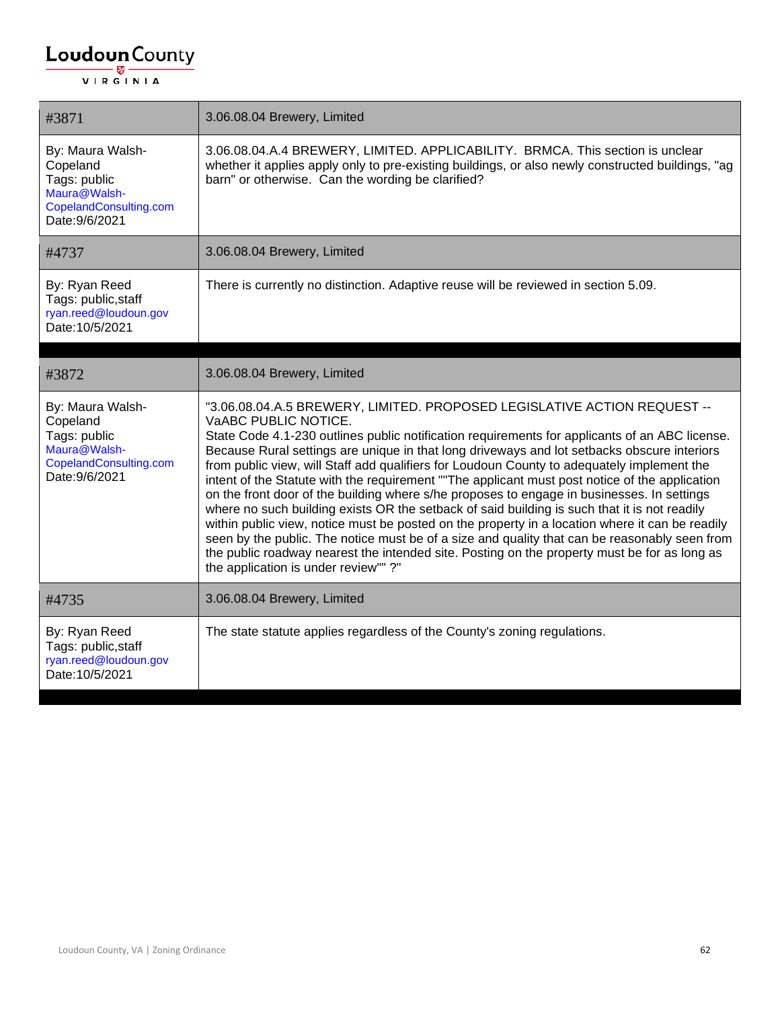| #3871                                                                                                    | 3.06.08.04 Brewery, Limited                                                                                                                                                                                                                                                                                                                                                                                                                                                                                                                                                                                                                                                                                                                                                                                                                                                                                                                                                                                                               |
|----------------------------------------------------------------------------------------------------------|-------------------------------------------------------------------------------------------------------------------------------------------------------------------------------------------------------------------------------------------------------------------------------------------------------------------------------------------------------------------------------------------------------------------------------------------------------------------------------------------------------------------------------------------------------------------------------------------------------------------------------------------------------------------------------------------------------------------------------------------------------------------------------------------------------------------------------------------------------------------------------------------------------------------------------------------------------------------------------------------------------------------------------------------|
| By: Maura Walsh-<br>Copeland<br>Tags: public<br>Maura@Walsh-<br>CopelandConsulting.com<br>Date: 9/6/2021 | 3.06.08.04.A.4 BREWERY, LIMITED. APPLICABILITY. BRMCA. This section is unclear<br>whether it applies apply only to pre-existing buildings, or also newly constructed buildings, "ag<br>barn" or otherwise. Can the wording be clarified?                                                                                                                                                                                                                                                                                                                                                                                                                                                                                                                                                                                                                                                                                                                                                                                                  |
| #4737                                                                                                    | 3.06.08.04 Brewery, Limited                                                                                                                                                                                                                                                                                                                                                                                                                                                                                                                                                                                                                                                                                                                                                                                                                                                                                                                                                                                                               |
| By: Ryan Reed<br>Tags: public, staff<br>ryan.reed@loudoun.gov<br>Date: 10/5/2021                         | There is currently no distinction. Adaptive reuse will be reviewed in section 5.09.                                                                                                                                                                                                                                                                                                                                                                                                                                                                                                                                                                                                                                                                                                                                                                                                                                                                                                                                                       |
| #3872                                                                                                    | 3.06.08.04 Brewery, Limited                                                                                                                                                                                                                                                                                                                                                                                                                                                                                                                                                                                                                                                                                                                                                                                                                                                                                                                                                                                                               |
|                                                                                                          |                                                                                                                                                                                                                                                                                                                                                                                                                                                                                                                                                                                                                                                                                                                                                                                                                                                                                                                                                                                                                                           |
| By: Maura Walsh-<br>Copeland<br>Tags: public<br>Maura@Walsh-<br>CopelandConsulting.com<br>Date: 9/6/2021 | "3.06.08.04.A.5 BREWERY, LIMITED. PROPOSED LEGISLATIVE ACTION REQUEST --<br>VaABC PUBLIC NOTICE.<br>State Code 4.1-230 outlines public notification requirements for applicants of an ABC license.<br>Because Rural settings are unique in that long driveways and lot setbacks obscure interiors<br>from public view, will Staff add qualifiers for Loudoun County to adequately implement the<br>intent of the Statute with the requirement "The applicant must post notice of the application<br>on the front door of the building where s/he proposes to engage in businesses. In settings<br>where no such building exists OR the setback of said building is such that it is not readily<br>within public view, notice must be posted on the property in a location where it can be readily<br>seen by the public. The notice must be of a size and quality that can be reasonably seen from<br>the public roadway nearest the intended site. Posting on the property must be for as long as<br>the application is under review""?" |
| #4735                                                                                                    | 3.06.08.04 Brewery, Limited                                                                                                                                                                                                                                                                                                                                                                                                                                                                                                                                                                                                                                                                                                                                                                                                                                                                                                                                                                                                               |
| By: Ryan Reed<br>Tags: public, staff<br>ryan.reed@loudoun.gov<br>Date: 10/5/2021                         | The state statute applies regardless of the County's zoning regulations.                                                                                                                                                                                                                                                                                                                                                                                                                                                                                                                                                                                                                                                                                                                                                                                                                                                                                                                                                                  |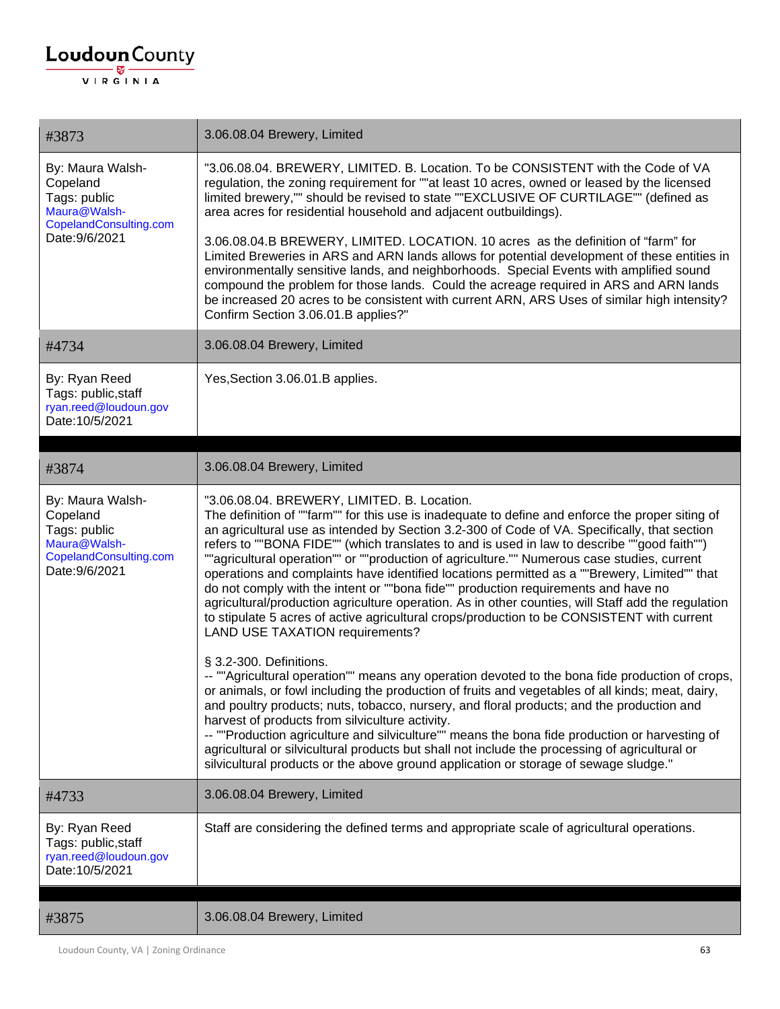| #3873                                                                                                    | 3.06.08.04 Brewery, Limited                                                                                                                                                                                                                                                                                                                                                                                                                                                                                                                                                                                                                                                                                                                                                                                                                                                                                                                                                                                                                                                                                                                                                                                                                                                                                                                                                                                                                                                                                                                                     |
|----------------------------------------------------------------------------------------------------------|-----------------------------------------------------------------------------------------------------------------------------------------------------------------------------------------------------------------------------------------------------------------------------------------------------------------------------------------------------------------------------------------------------------------------------------------------------------------------------------------------------------------------------------------------------------------------------------------------------------------------------------------------------------------------------------------------------------------------------------------------------------------------------------------------------------------------------------------------------------------------------------------------------------------------------------------------------------------------------------------------------------------------------------------------------------------------------------------------------------------------------------------------------------------------------------------------------------------------------------------------------------------------------------------------------------------------------------------------------------------------------------------------------------------------------------------------------------------------------------------------------------------------------------------------------------------|
| By: Maura Walsh-<br>Copeland<br>Tags: public<br>Maura@Walsh-<br>CopelandConsulting.com<br>Date: 9/6/2021 | "3.06.08.04. BREWERY, LIMITED. B. Location. To be CONSISTENT with the Code of VA<br>regulation, the zoning requirement for ""at least 10 acres, owned or leased by the licensed<br>limited brewery,"" should be revised to state ""EXCLUSIVE OF CURTILAGE"" (defined as<br>area acres for residential household and adjacent outbuildings).                                                                                                                                                                                                                                                                                                                                                                                                                                                                                                                                                                                                                                                                                                                                                                                                                                                                                                                                                                                                                                                                                                                                                                                                                     |
|                                                                                                          | 3.06.08.04.B BREWERY, LIMITED. LOCATION. 10 acres as the definition of "farm" for<br>Limited Breweries in ARS and ARN lands allows for potential development of these entities in<br>environmentally sensitive lands, and neighborhoods. Special Events with amplified sound<br>compound the problem for those lands. Could the acreage required in ARS and ARN lands<br>be increased 20 acres to be consistent with current ARN, ARS Uses of similar high intensity?<br>Confirm Section 3.06.01.B applies?"                                                                                                                                                                                                                                                                                                                                                                                                                                                                                                                                                                                                                                                                                                                                                                                                                                                                                                                                                                                                                                                    |
| #4734                                                                                                    | 3.06.08.04 Brewery, Limited                                                                                                                                                                                                                                                                                                                                                                                                                                                                                                                                                                                                                                                                                                                                                                                                                                                                                                                                                                                                                                                                                                                                                                                                                                                                                                                                                                                                                                                                                                                                     |
| By: Ryan Reed<br>Tags: public, staff<br>ryan.reed@loudoun.gov<br>Date: 10/5/2021                         | Yes, Section 3.06.01.B applies.                                                                                                                                                                                                                                                                                                                                                                                                                                                                                                                                                                                                                                                                                                                                                                                                                                                                                                                                                                                                                                                                                                                                                                                                                                                                                                                                                                                                                                                                                                                                 |
| #3874                                                                                                    | 3.06.08.04 Brewery, Limited                                                                                                                                                                                                                                                                                                                                                                                                                                                                                                                                                                                                                                                                                                                                                                                                                                                                                                                                                                                                                                                                                                                                                                                                                                                                                                                                                                                                                                                                                                                                     |
| By: Maura Walsh-<br>Copeland<br>Tags: public<br>Maura@Walsh-<br>CopelandConsulting.com<br>Date: 9/6/2021 | "3.06.08.04. BREWERY, LIMITED. B. Location.<br>The definition of ""farm"" for this use is inadequate to define and enforce the proper siting of<br>an agricultural use as intended by Section 3.2-300 of Code of VA. Specifically, that section<br>refers to ""BONA FIDE"" (which translates to and is used in law to describe ""good faith"")<br>""agricultural operation"" or ""production of agriculture."" Numerous case studies, current<br>operations and complaints have identified locations permitted as a ""Brewery, Limited"" that<br>do not comply with the intent or ""bona fide"" production requirements and have no<br>agricultural/production agriculture operation. As in other counties, will Staff add the regulation<br>to stipulate 5 acres of active agricultural crops/production to be CONSISTENT with current<br><b>LAND USE TAXATION requirements?</b><br>§ 3.2-300. Definitions.<br>-- ""Agricultural operation"" means any operation devoted to the bona fide production of crops,<br>or animals, or fowl including the production of fruits and vegetables of all kinds; meat, dairy,<br>and poultry products; nuts, tobacco, nursery, and floral products; and the production and<br>harvest of products from silviculture activity.<br>-- ""Production agriculture and silviculture"" means the bona fide production or harvesting of<br>agricultural or silvicultural products but shall not include the processing of agricultural or<br>silvicultural products or the above ground application or storage of sewage sludge." |
| #4733                                                                                                    | 3.06.08.04 Brewery, Limited                                                                                                                                                                                                                                                                                                                                                                                                                                                                                                                                                                                                                                                                                                                                                                                                                                                                                                                                                                                                                                                                                                                                                                                                                                                                                                                                                                                                                                                                                                                                     |
| By: Ryan Reed<br>Tags: public, staff<br>ryan.reed@loudoun.gov<br>Date: 10/5/2021                         | Staff are considering the defined terms and appropriate scale of agricultural operations.                                                                                                                                                                                                                                                                                                                                                                                                                                                                                                                                                                                                                                                                                                                                                                                                                                                                                                                                                                                                                                                                                                                                                                                                                                                                                                                                                                                                                                                                       |
| #3875                                                                                                    | 3.06.08.04 Brewery, Limited                                                                                                                                                                                                                                                                                                                                                                                                                                                                                                                                                                                                                                                                                                                                                                                                                                                                                                                                                                                                                                                                                                                                                                                                                                                                                                                                                                                                                                                                                                                                     |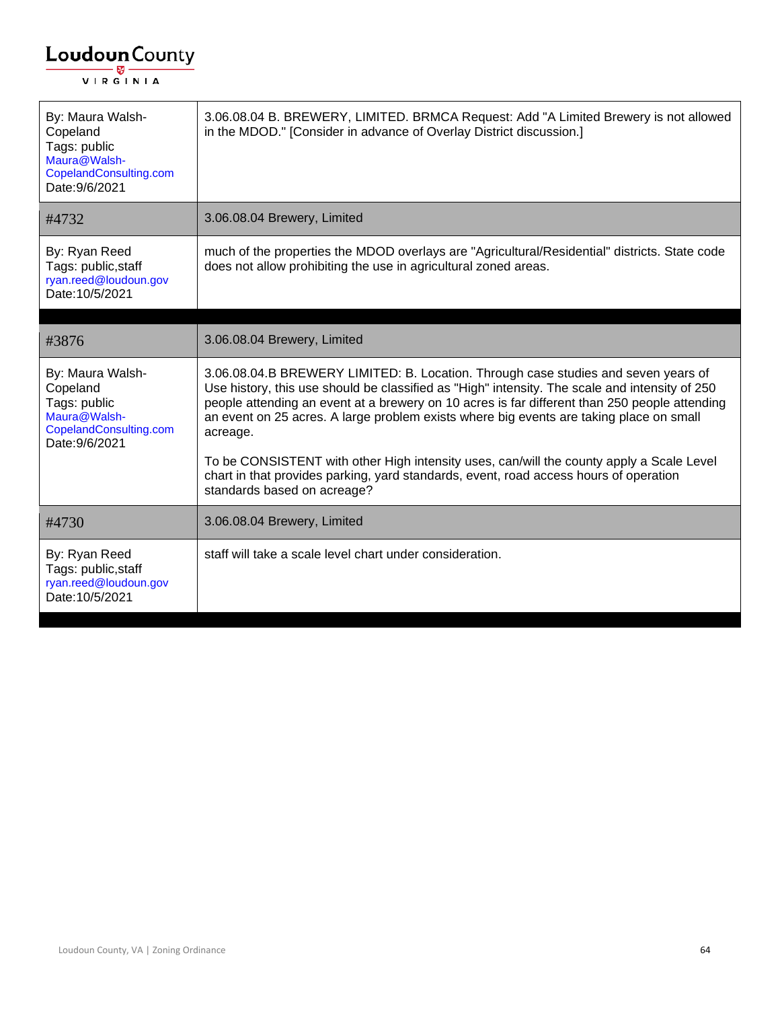| By: Maura Walsh-<br>Copeland<br>Tags: public<br>Maura@Walsh-<br>CopelandConsulting.com<br>Date: 9/6/2021 | 3.06.08.04 B. BREWERY, LIMITED. BRMCA Request: Add "A Limited Brewery is not allowed<br>in the MDOD." [Consider in advance of Overlay District discussion.]                                                                                                                                                                                                                                  |
|----------------------------------------------------------------------------------------------------------|----------------------------------------------------------------------------------------------------------------------------------------------------------------------------------------------------------------------------------------------------------------------------------------------------------------------------------------------------------------------------------------------|
| #4732                                                                                                    | 3.06.08.04 Brewery, Limited                                                                                                                                                                                                                                                                                                                                                                  |
| By: Ryan Reed<br>Tags: public, staff<br>ryan.reed@loudoun.gov<br>Date: 10/5/2021                         | much of the properties the MDOD overlays are "Agricultural/Residential" districts. State code<br>does not allow prohibiting the use in agricultural zoned areas.                                                                                                                                                                                                                             |
| #3876                                                                                                    | 3.06.08.04 Brewery, Limited                                                                                                                                                                                                                                                                                                                                                                  |
| By: Maura Walsh-<br>Copeland<br>Tags: public<br>Maura@Walsh-<br>CopelandConsulting.com<br>Date: 9/6/2021 | 3.06.08.04.B BREWERY LIMITED: B. Location. Through case studies and seven years of<br>Use history, this use should be classified as "High" intensity. The scale and intensity of 250<br>people attending an event at a brewery on 10 acres is far different than 250 people attending<br>an event on 25 acres. A large problem exists where big events are taking place on small<br>acreage. |
|                                                                                                          | To be CONSISTENT with other High intensity uses, can/will the county apply a Scale Level<br>chart in that provides parking, yard standards, event, road access hours of operation<br>standards based on acreage?                                                                                                                                                                             |
| #4730                                                                                                    | 3.06.08.04 Brewery, Limited                                                                                                                                                                                                                                                                                                                                                                  |
| By: Ryan Reed<br>Tags: public, staff<br>ryan.reed@loudoun.gov<br>Date: 10/5/2021                         | staff will take a scale level chart under consideration.                                                                                                                                                                                                                                                                                                                                     |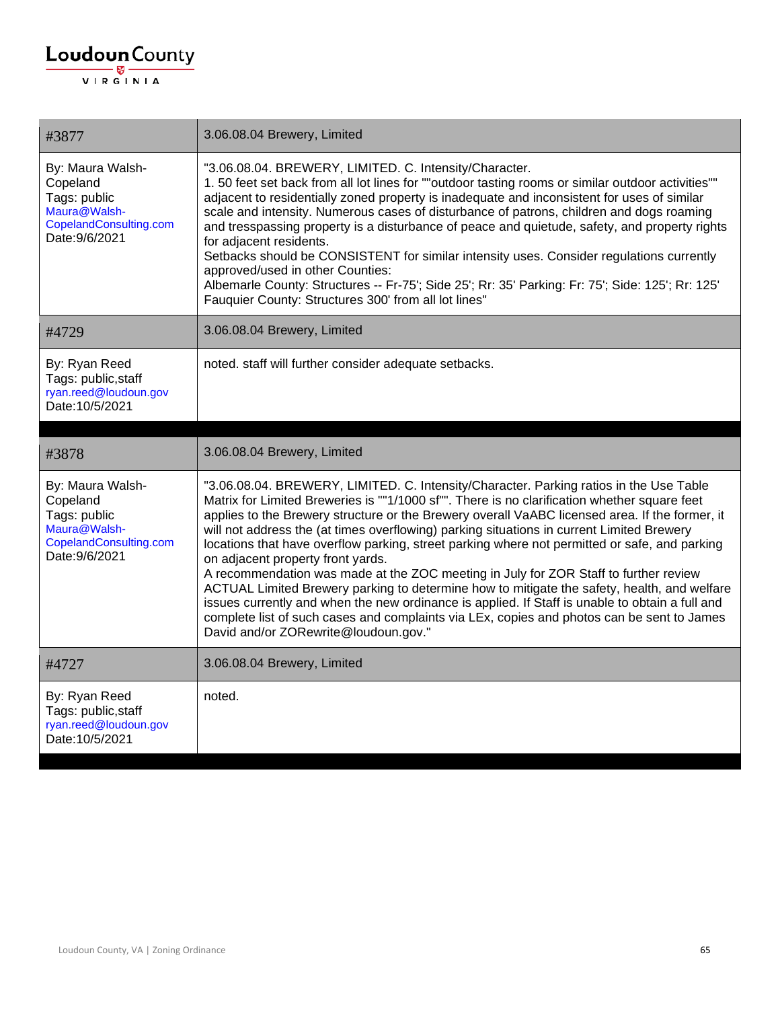| #3877                                                                                                    | 3.06.08.04 Brewery, Limited                                                                                                                                                                                                                                                                                                                                                                                                                                                                                                                                                                                                                                                                                                                                                                                                                                                                                                                                 |
|----------------------------------------------------------------------------------------------------------|-------------------------------------------------------------------------------------------------------------------------------------------------------------------------------------------------------------------------------------------------------------------------------------------------------------------------------------------------------------------------------------------------------------------------------------------------------------------------------------------------------------------------------------------------------------------------------------------------------------------------------------------------------------------------------------------------------------------------------------------------------------------------------------------------------------------------------------------------------------------------------------------------------------------------------------------------------------|
| By: Maura Walsh-<br>Copeland<br>Tags: public<br>Maura@Walsh-<br>CopelandConsulting.com<br>Date: 9/6/2021 | "3.06.08.04. BREWERY, LIMITED. C. Intensity/Character.<br>1.50 feet set back from all lot lines for ""outdoor tasting rooms or similar outdoor activities""<br>adjacent to residentially zoned property is inadequate and inconsistent for uses of similar<br>scale and intensity. Numerous cases of disturbance of patrons, children and dogs roaming<br>and tresspassing property is a disturbance of peace and quietude, safety, and property rights<br>for adjacent residents.<br>Setbacks should be CONSISTENT for similar intensity uses. Consider regulations currently<br>approved/used in other Counties:<br>Albemarle County: Structures -- Fr-75'; Side 25'; Rr: 35' Parking: Fr: 75'; Side: 125'; Rr: 125'<br>Fauquier County: Structures 300' from all lot lines"                                                                                                                                                                              |
| #4729                                                                                                    | 3.06.08.04 Brewery, Limited                                                                                                                                                                                                                                                                                                                                                                                                                                                                                                                                                                                                                                                                                                                                                                                                                                                                                                                                 |
| By: Ryan Reed<br>Tags: public, staff<br>ryan.reed@loudoun.gov<br>Date: 10/5/2021                         | noted. staff will further consider adequate setbacks.                                                                                                                                                                                                                                                                                                                                                                                                                                                                                                                                                                                                                                                                                                                                                                                                                                                                                                       |
|                                                                                                          |                                                                                                                                                                                                                                                                                                                                                                                                                                                                                                                                                                                                                                                                                                                                                                                                                                                                                                                                                             |
| #3878                                                                                                    | 3.06.08.04 Brewery, Limited                                                                                                                                                                                                                                                                                                                                                                                                                                                                                                                                                                                                                                                                                                                                                                                                                                                                                                                                 |
|                                                                                                          |                                                                                                                                                                                                                                                                                                                                                                                                                                                                                                                                                                                                                                                                                                                                                                                                                                                                                                                                                             |
| By: Maura Walsh-<br>Copeland<br>Tags: public<br>Maura@Walsh-<br>CopelandConsulting.com<br>Date: 9/6/2021 | "3.06.08.04. BREWERY, LIMITED. C. Intensity/Character. Parking ratios in the Use Table<br>Matrix for Limited Breweries is ""1/1000 sf"". There is no clarification whether square feet<br>applies to the Brewery structure or the Brewery overall VaABC licensed area. If the former, it<br>will not address the (at times overflowing) parking situations in current Limited Brewery<br>locations that have overflow parking, street parking where not permitted or safe, and parking<br>on adjacent property front yards.<br>A recommendation was made at the ZOC meeting in July for ZOR Staff to further review<br>ACTUAL Limited Brewery parking to determine how to mitigate the safety, health, and welfare<br>issues currently and when the new ordinance is applied. If Staff is unable to obtain a full and<br>complete list of such cases and complaints via LEx, copies and photos can be sent to James<br>David and/or ZORewrite@loudoun.gov." |
| #4727                                                                                                    | 3.06.08.04 Brewery, Limited                                                                                                                                                                                                                                                                                                                                                                                                                                                                                                                                                                                                                                                                                                                                                                                                                                                                                                                                 |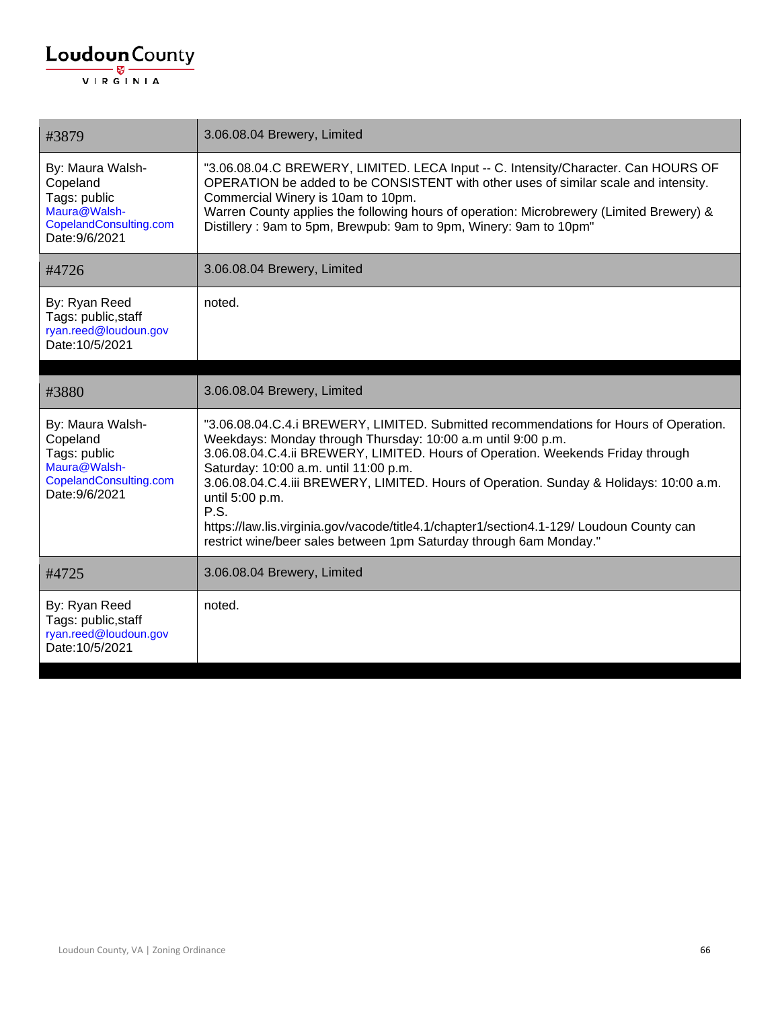| #3879                                                                                                    | 3.06.08.04 Brewery, Limited                                                                                                                                                                                                                                                                                                                                                                                                                                                                                                                                              |
|----------------------------------------------------------------------------------------------------------|--------------------------------------------------------------------------------------------------------------------------------------------------------------------------------------------------------------------------------------------------------------------------------------------------------------------------------------------------------------------------------------------------------------------------------------------------------------------------------------------------------------------------------------------------------------------------|
| By: Maura Walsh-<br>Copeland<br>Tags: public<br>Maura@Walsh-<br>CopelandConsulting.com<br>Date: 9/6/2021 | "3.06.08.04.C BREWERY, LIMITED. LECA Input -- C. Intensity/Character. Can HOURS OF<br>OPERATION be added to be CONSISTENT with other uses of similar scale and intensity.<br>Commercial Winery is 10am to 10pm.<br>Warren County applies the following hours of operation: Microbrewery (Limited Brewery) &<br>Distillery: 9am to 5pm, Brewpub: 9am to 9pm, Winery: 9am to 10pm"                                                                                                                                                                                         |
| #4726                                                                                                    | 3.06.08.04 Brewery, Limited                                                                                                                                                                                                                                                                                                                                                                                                                                                                                                                                              |
| By: Ryan Reed<br>Tags: public, staff<br>ryan.reed@loudoun.gov<br>Date: 10/5/2021                         | noted.                                                                                                                                                                                                                                                                                                                                                                                                                                                                                                                                                                   |
| #3880                                                                                                    | 3.06.08.04 Brewery, Limited                                                                                                                                                                                                                                                                                                                                                                                                                                                                                                                                              |
| By: Maura Walsh-<br>Copeland<br>Tags: public<br>Maura@Walsh-<br>CopelandConsulting.com<br>Date: 9/6/2021 | "3.06.08.04.C.4.i BREWERY, LIMITED. Submitted recommendations for Hours of Operation.<br>Weekdays: Monday through Thursday: 10:00 a.m until 9:00 p.m.<br>3.06.08.04.C.4.ii BREWERY, LIMITED. Hours of Operation. Weekends Friday through<br>Saturday: 10:00 a.m. until 11:00 p.m.<br>3.06.08.04.C.4.iii BREWERY, LIMITED. Hours of Operation. Sunday & Holidays: 10:00 a.m.<br>until 5:00 p.m.<br>P.S.<br>https://law.lis.virginia.gov/vacode/title4.1/chapter1/section4.1-129/ Loudoun County can<br>restrict wine/beer sales between 1pm Saturday through 6am Monday." |
| #4725                                                                                                    | 3.06.08.04 Brewery, Limited                                                                                                                                                                                                                                                                                                                                                                                                                                                                                                                                              |
| By: Ryan Reed<br>Tags: public, staff<br>ryan.reed@loudoun.gov<br>Date: 10/5/2021                         | noted.                                                                                                                                                                                                                                                                                                                                                                                                                                                                                                                                                                   |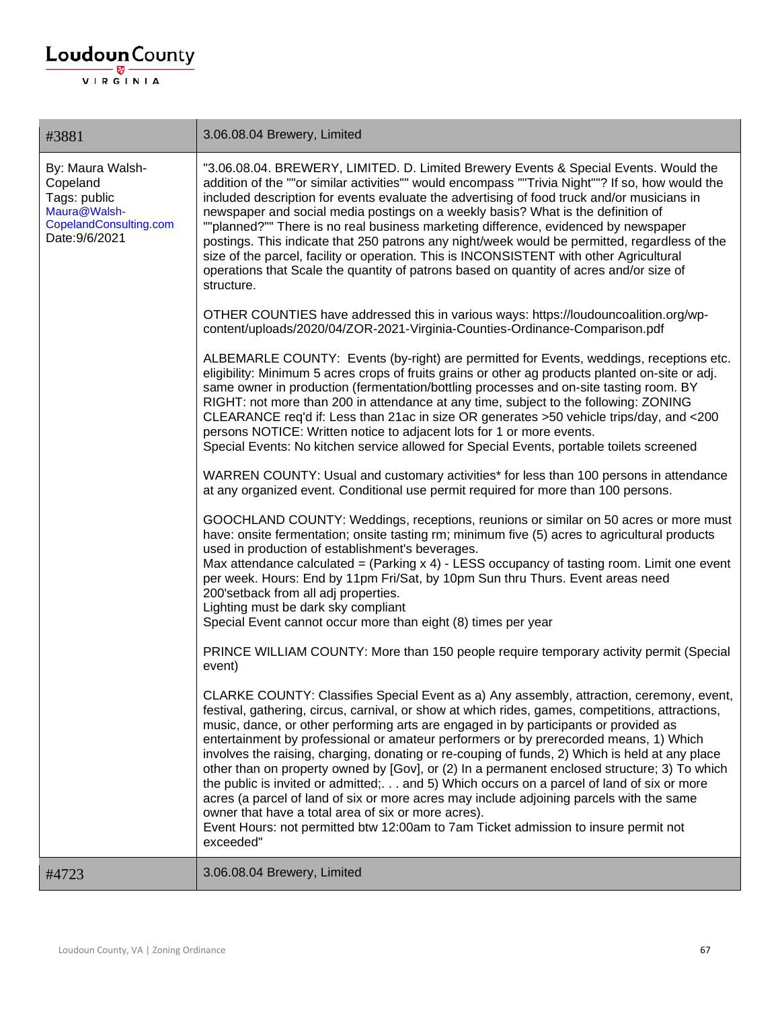| #3881                                                                                                    | 3.06.08.04 Brewery, Limited                                                                                                                                                                                                                                                                                                                                                                                                                                                                                                                                                                                                                                                                                                                                                                                                                                                                                                         |
|----------------------------------------------------------------------------------------------------------|-------------------------------------------------------------------------------------------------------------------------------------------------------------------------------------------------------------------------------------------------------------------------------------------------------------------------------------------------------------------------------------------------------------------------------------------------------------------------------------------------------------------------------------------------------------------------------------------------------------------------------------------------------------------------------------------------------------------------------------------------------------------------------------------------------------------------------------------------------------------------------------------------------------------------------------|
| By: Maura Walsh-<br>Copeland<br>Tags: public<br>Maura@Walsh-<br>CopelandConsulting.com<br>Date: 9/6/2021 | "3.06.08.04. BREWERY, LIMITED. D. Limited Brewery Events & Special Events. Would the<br>addition of the ""or similar activities"" would encompass ""Trivia Night""? If so, how would the<br>included description for events evaluate the advertising of food truck and/or musicians in<br>newspaper and social media postings on a weekly basis? What is the definition of<br>""planned?"" There is no real business marketing difference, evidenced by newspaper<br>postings. This indicate that 250 patrons any night/week would be permitted, regardless of the<br>size of the parcel, facility or operation. This is INCONSISTENT with other Agricultural<br>operations that Scale the quantity of patrons based on quantity of acres and/or size of<br>structure.                                                                                                                                                              |
|                                                                                                          | OTHER COUNTIES have addressed this in various ways: https://loudouncoalition.org/wp-<br>content/uploads/2020/04/ZOR-2021-Virginia-Counties-Ordinance-Comparison.pdf                                                                                                                                                                                                                                                                                                                                                                                                                                                                                                                                                                                                                                                                                                                                                                 |
|                                                                                                          | ALBEMARLE COUNTY: Events (by-right) are permitted for Events, weddings, receptions etc.<br>eligibility: Minimum 5 acres crops of fruits grains or other ag products planted on-site or adj.<br>same owner in production (fermentation/bottling processes and on-site tasting room. BY<br>RIGHT: not more than 200 in attendance at any time, subject to the following: ZONING<br>CLEARANCE req'd if: Less than 21ac in size OR generates >50 vehicle trips/day, and <200<br>persons NOTICE: Written notice to adjacent lots for 1 or more events.<br>Special Events: No kitchen service allowed for Special Events, portable toilets screened                                                                                                                                                                                                                                                                                       |
|                                                                                                          | WARREN COUNTY: Usual and customary activities* for less than 100 persons in attendance<br>at any organized event. Conditional use permit required for more than 100 persons.                                                                                                                                                                                                                                                                                                                                                                                                                                                                                                                                                                                                                                                                                                                                                        |
|                                                                                                          | GOOCHLAND COUNTY: Weddings, receptions, reunions or similar on 50 acres or more must<br>have: onsite fermentation; onsite tasting rm; minimum five (5) acres to agricultural products<br>used in production of establishment's beverages.<br>Max attendance calculated = (Parking $x 4$ ) - LESS occupancy of tasting room. Limit one event<br>per week. Hours: End by 11pm Fri/Sat, by 10pm Sun thru Thurs. Event areas need<br>200'setback from all adj properties.<br>Lighting must be dark sky compliant<br>Special Event cannot occur more than eight (8) times per year                                                                                                                                                                                                                                                                                                                                                       |
|                                                                                                          | PRINCE WILLIAM COUNTY: More than 150 people require temporary activity permit (Special<br>event)                                                                                                                                                                                                                                                                                                                                                                                                                                                                                                                                                                                                                                                                                                                                                                                                                                    |
|                                                                                                          | CLARKE COUNTY: Classifies Special Event as a) Any assembly, attraction, ceremony, event,<br>festival, gathering, circus, carnival, or show at which rides, games, competitions, attractions,<br>music, dance, or other performing arts are engaged in by participants or provided as<br>entertainment by professional or amateur performers or by prerecorded means, 1) Which<br>involves the raising, charging, donating or re-couping of funds, 2) Which is held at any place<br>other than on property owned by [Gov], or (2) In a permanent enclosed structure; 3) To which<br>the public is invited or admitted; and 5) Which occurs on a parcel of land of six or more<br>acres (a parcel of land of six or more acres may include adjoining parcels with the same<br>owner that have a total area of six or more acres).<br>Event Hours: not permitted btw 12:00am to 7am Ticket admission to insure permit not<br>exceeded" |
| #4723                                                                                                    | 3.06.08.04 Brewery, Limited                                                                                                                                                                                                                                                                                                                                                                                                                                                                                                                                                                                                                                                                                                                                                                                                                                                                                                         |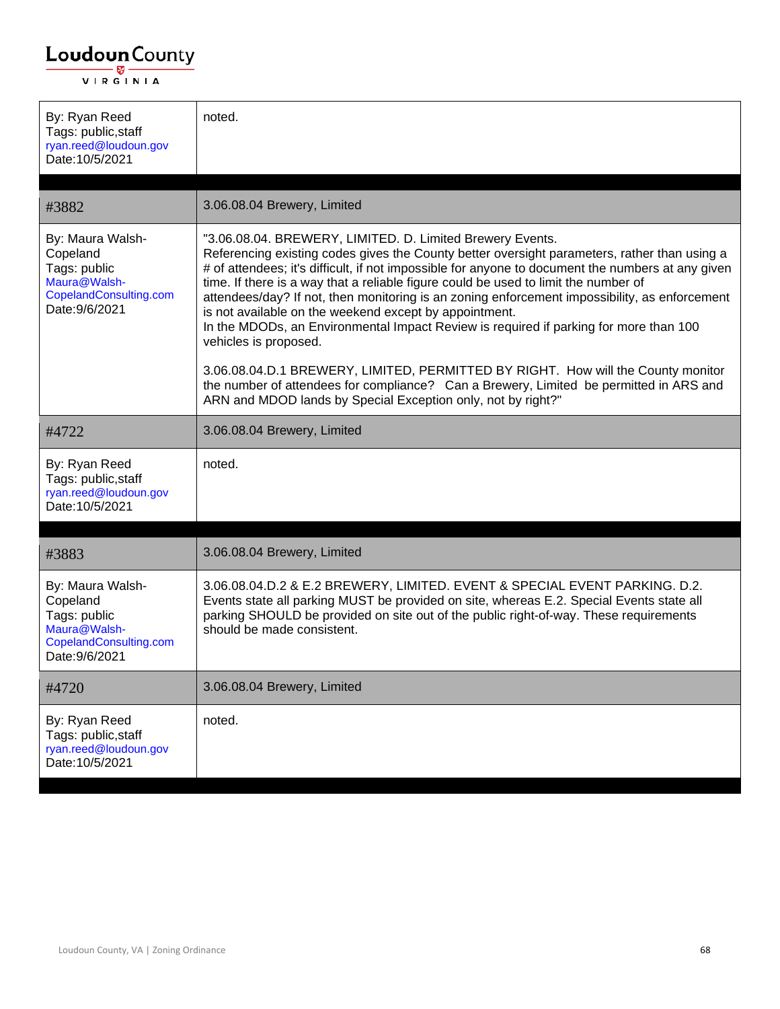| By: Ryan Reed<br>Tags: public, staff<br>ryan.reed@loudoun.gov<br>Date: 10/5/2021                         | noted.                                                                                                                                                                                                                                                                                                                                                                                                                                                                                                                                                                                                                             |
|----------------------------------------------------------------------------------------------------------|------------------------------------------------------------------------------------------------------------------------------------------------------------------------------------------------------------------------------------------------------------------------------------------------------------------------------------------------------------------------------------------------------------------------------------------------------------------------------------------------------------------------------------------------------------------------------------------------------------------------------------|
| #3882                                                                                                    | 3.06.08.04 Brewery, Limited                                                                                                                                                                                                                                                                                                                                                                                                                                                                                                                                                                                                        |
| By: Maura Walsh-<br>Copeland<br>Tags: public<br>Maura@Walsh-<br>CopelandConsulting.com<br>Date: 9/6/2021 | "3.06.08.04. BREWERY, LIMITED. D. Limited Brewery Events.<br>Referencing existing codes gives the County better oversight parameters, rather than using a<br># of attendees; it's difficult, if not impossible for anyone to document the numbers at any given<br>time. If there is a way that a reliable figure could be used to limit the number of<br>attendees/day? If not, then monitoring is an zoning enforcement impossibility, as enforcement<br>is not available on the weekend except by appointment.<br>In the MDODs, an Environmental Impact Review is required if parking for more than 100<br>vehicles is proposed. |
|                                                                                                          | 3.06.08.04.D.1 BREWERY, LIMITED, PERMITTED BY RIGHT. How will the County monitor<br>the number of attendees for compliance? Can a Brewery, Limited be permitted in ARS and<br>ARN and MDOD lands by Special Exception only, not by right?"                                                                                                                                                                                                                                                                                                                                                                                         |
| #4722                                                                                                    | 3.06.08.04 Brewery, Limited                                                                                                                                                                                                                                                                                                                                                                                                                                                                                                                                                                                                        |
| By: Ryan Reed<br>Tags: public, staff<br>ryan.reed@loudoun.gov<br>Date: 10/5/2021                         | noted.                                                                                                                                                                                                                                                                                                                                                                                                                                                                                                                                                                                                                             |
|                                                                                                          |                                                                                                                                                                                                                                                                                                                                                                                                                                                                                                                                                                                                                                    |
| #3883                                                                                                    | 3.06.08.04 Brewery, Limited                                                                                                                                                                                                                                                                                                                                                                                                                                                                                                                                                                                                        |
| By: Maura Walsh-<br>Copeland<br>Tags: public<br>Maura@Walsh-<br>CopelandConsulting.com<br>Date: 9/6/2021 | 3.06.08.04.D.2 & E.2 BREWERY, LIMITED. EVENT & SPECIAL EVENT PARKING. D.2.<br>Events state all parking MUST be provided on site, whereas E.2. Special Events state all<br>parking SHOULD be provided on site out of the public right-of-way. These requirements<br>should be made consistent.                                                                                                                                                                                                                                                                                                                                      |
| #4720                                                                                                    | 3.06.08.04 Brewery, Limited                                                                                                                                                                                                                                                                                                                                                                                                                                                                                                                                                                                                        |
| By: Ryan Reed<br>Tags: public, staff<br>ryan.reed@loudoun.gov<br>Date: 10/5/2021                         | noted.                                                                                                                                                                                                                                                                                                                                                                                                                                                                                                                                                                                                                             |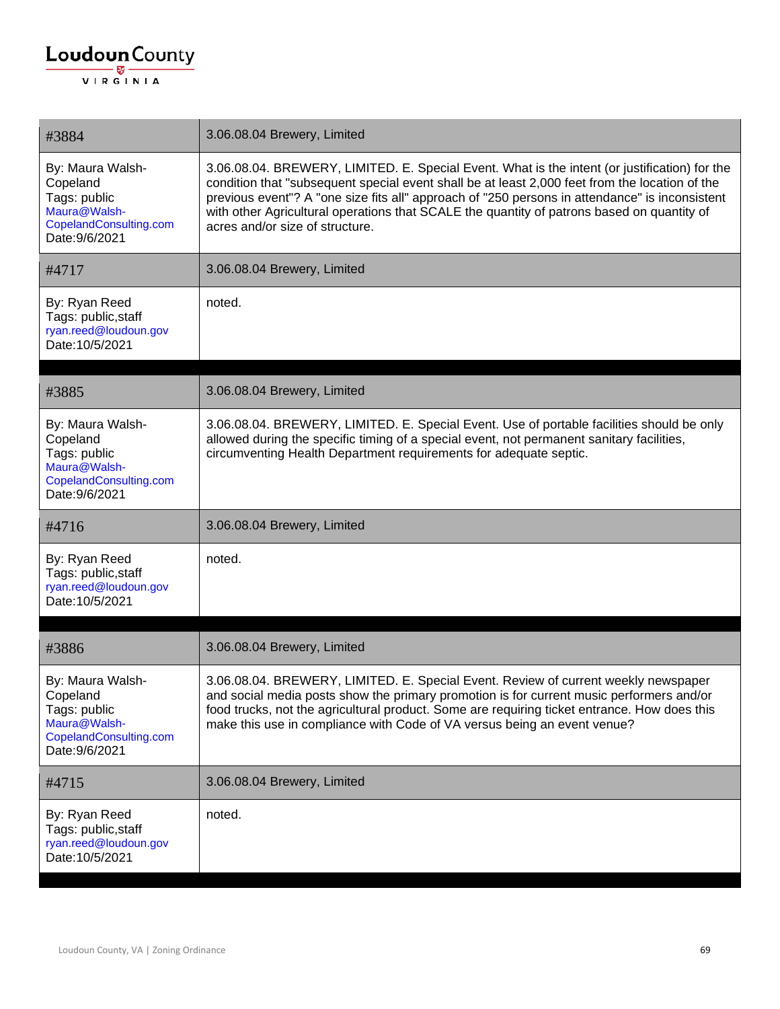| #3884                                                                                                    | 3.06.08.04 Brewery, Limited                                                                                                                                                                                                                                                                                                                                                                                                        |
|----------------------------------------------------------------------------------------------------------|------------------------------------------------------------------------------------------------------------------------------------------------------------------------------------------------------------------------------------------------------------------------------------------------------------------------------------------------------------------------------------------------------------------------------------|
| By: Maura Walsh-<br>Copeland<br>Tags: public<br>Maura@Walsh-<br>CopelandConsulting.com<br>Date: 9/6/2021 | 3.06.08.04. BREWERY, LIMITED. E. Special Event. What is the intent (or justification) for the<br>condition that "subsequent special event shall be at least 2,000 feet from the location of the<br>previous event"? A "one size fits all" approach of "250 persons in attendance" is inconsistent<br>with other Agricultural operations that SCALE the quantity of patrons based on quantity of<br>acres and/or size of structure. |
| #4717                                                                                                    | 3.06.08.04 Brewery, Limited                                                                                                                                                                                                                                                                                                                                                                                                        |
| By: Ryan Reed<br>Tags: public, staff<br>ryan.reed@loudoun.gov<br>Date: 10/5/2021                         | noted.                                                                                                                                                                                                                                                                                                                                                                                                                             |
| #3885                                                                                                    | 3.06.08.04 Brewery, Limited                                                                                                                                                                                                                                                                                                                                                                                                        |
| By: Maura Walsh-<br>Copeland<br>Tags: public<br>Maura@Walsh-<br>CopelandConsulting.com<br>Date: 9/6/2021 | 3.06.08.04. BREWERY, LIMITED. E. Special Event. Use of portable facilities should be only<br>allowed during the specific timing of a special event, not permanent sanitary facilities,<br>circumventing Health Department requirements for adequate septic.                                                                                                                                                                        |
| #4716                                                                                                    | 3.06.08.04 Brewery, Limited                                                                                                                                                                                                                                                                                                                                                                                                        |
| By: Ryan Reed<br>Tags: public, staff<br>ryan.reed@loudoun.gov<br>Date: 10/5/2021                         | noted.                                                                                                                                                                                                                                                                                                                                                                                                                             |
| #3886                                                                                                    | 3.06.08.04 Brewery, Limited                                                                                                                                                                                                                                                                                                                                                                                                        |
| By: Maura Walsh-<br>Copeland<br>Tags: public<br>Maura@Walsh-<br>CopelandConsulting.com<br>Date: 9/6/2021 | 3.06.08.04. BREWERY, LIMITED. E. Special Event. Review of current weekly newspaper<br>and social media posts show the primary promotion is for current music performers and/or<br>food trucks, not the agricultural product. Some are requiring ticket entrance. How does this<br>make this use in compliance with Code of VA versus being an event venue?                                                                         |
| #4715                                                                                                    | 3.06.08.04 Brewery, Limited                                                                                                                                                                                                                                                                                                                                                                                                        |
| By: Ryan Reed<br>Tags: public, staff<br>ryan.reed@loudoun.gov<br>Date: 10/5/2021                         | noted.                                                                                                                                                                                                                                                                                                                                                                                                                             |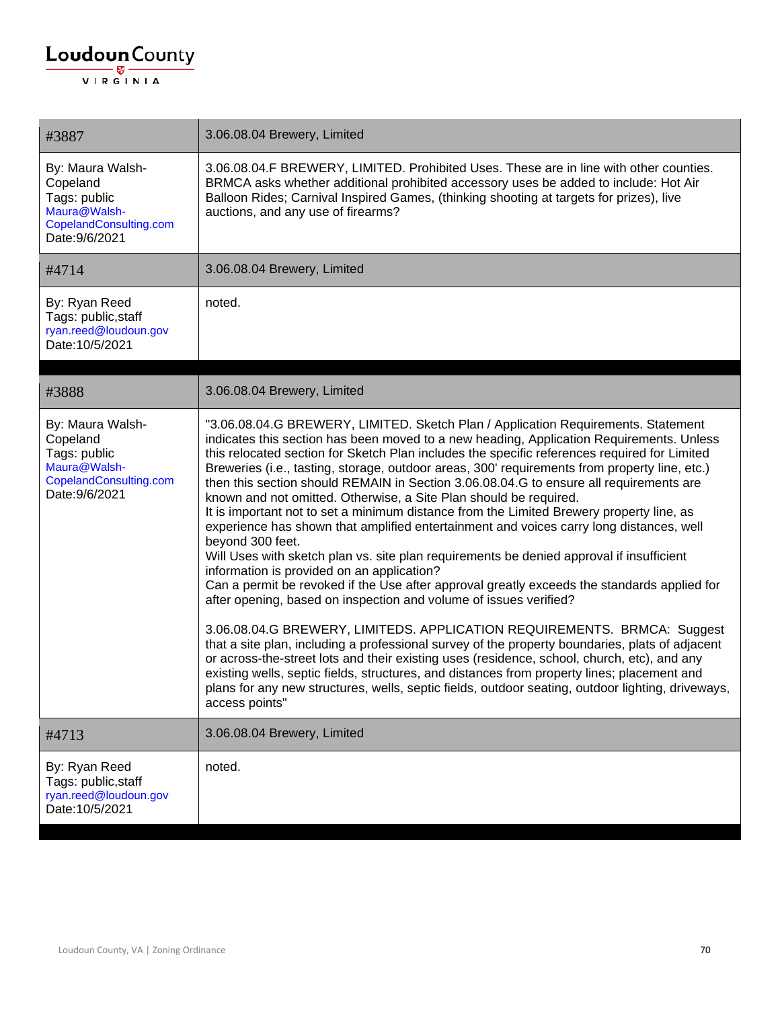| #3887                                                                                                    | 3.06.08.04 Brewery, Limited                                                                                                                                                                                                                                                                                                                                                                                                                                                                                                                                                                                                                                                                                                                                                                                                                                                                                                                                                                                                                                                                                                                                                                                                                                                                                                                                                                                                                                                                                                                                                |
|----------------------------------------------------------------------------------------------------------|----------------------------------------------------------------------------------------------------------------------------------------------------------------------------------------------------------------------------------------------------------------------------------------------------------------------------------------------------------------------------------------------------------------------------------------------------------------------------------------------------------------------------------------------------------------------------------------------------------------------------------------------------------------------------------------------------------------------------------------------------------------------------------------------------------------------------------------------------------------------------------------------------------------------------------------------------------------------------------------------------------------------------------------------------------------------------------------------------------------------------------------------------------------------------------------------------------------------------------------------------------------------------------------------------------------------------------------------------------------------------------------------------------------------------------------------------------------------------------------------------------------------------------------------------------------------------|
| By: Maura Walsh-<br>Copeland<br>Tags: public<br>Maura@Walsh-<br>CopelandConsulting.com<br>Date: 9/6/2021 | 3.06.08.04.F BREWERY, LIMITED. Prohibited Uses. These are in line with other counties.<br>BRMCA asks whether additional prohibited accessory uses be added to include: Hot Air<br>Balloon Rides; Carnival Inspired Games, (thinking shooting at targets for prizes), live<br>auctions, and any use of firearms?                                                                                                                                                                                                                                                                                                                                                                                                                                                                                                                                                                                                                                                                                                                                                                                                                                                                                                                                                                                                                                                                                                                                                                                                                                                            |
| #4714                                                                                                    | 3.06.08.04 Brewery, Limited                                                                                                                                                                                                                                                                                                                                                                                                                                                                                                                                                                                                                                                                                                                                                                                                                                                                                                                                                                                                                                                                                                                                                                                                                                                                                                                                                                                                                                                                                                                                                |
| By: Ryan Reed<br>Tags: public, staff<br>ryan.reed@loudoun.gov<br>Date: 10/5/2021                         | noted.                                                                                                                                                                                                                                                                                                                                                                                                                                                                                                                                                                                                                                                                                                                                                                                                                                                                                                                                                                                                                                                                                                                                                                                                                                                                                                                                                                                                                                                                                                                                                                     |
| #3888                                                                                                    | 3.06.08.04 Brewery, Limited                                                                                                                                                                                                                                                                                                                                                                                                                                                                                                                                                                                                                                                                                                                                                                                                                                                                                                                                                                                                                                                                                                                                                                                                                                                                                                                                                                                                                                                                                                                                                |
| By: Maura Walsh-<br>Copeland<br>Tags: public<br>Maura@Walsh-<br>CopelandConsulting.com<br>Date: 9/6/2021 | "3.06.08.04.G BREWERY, LIMITED. Sketch Plan / Application Requirements. Statement<br>indicates this section has been moved to a new heading, Application Requirements. Unless<br>this relocated section for Sketch Plan includes the specific references required for Limited<br>Breweries (i.e., tasting, storage, outdoor areas, 300' requirements from property line, etc.)<br>then this section should REMAIN in Section 3.06.08.04.G to ensure all requirements are<br>known and not omitted. Otherwise, a Site Plan should be required.<br>It is important not to set a minimum distance from the Limited Brewery property line, as<br>experience has shown that amplified entertainment and voices carry long distances, well<br>beyond 300 feet.<br>Will Uses with sketch plan vs. site plan requirements be denied approval if insufficient<br>information is provided on an application?<br>Can a permit be revoked if the Use after approval greatly exceeds the standards applied for<br>after opening, based on inspection and volume of issues verified?<br>3.06.08.04.G BREWERY, LIMITEDS. APPLICATION REQUIREMENTS. BRMCA: Suggest<br>that a site plan, including a professional survey of the property boundaries, plats of adjacent<br>or across-the-street lots and their existing uses (residence, school, church, etc), and any<br>existing wells, septic fields, structures, and distances from property lines; placement and<br>plans for any new structures, wells, septic fields, outdoor seating, outdoor lighting, driveways,<br>access points" |
| #4713                                                                                                    | 3.06.08.04 Brewery, Limited                                                                                                                                                                                                                                                                                                                                                                                                                                                                                                                                                                                                                                                                                                                                                                                                                                                                                                                                                                                                                                                                                                                                                                                                                                                                                                                                                                                                                                                                                                                                                |
| By: Ryan Reed<br>Tags: public, staff<br>ryan.reed@loudoun.gov<br>Date: 10/5/2021                         | noted.                                                                                                                                                                                                                                                                                                                                                                                                                                                                                                                                                                                                                                                                                                                                                                                                                                                                                                                                                                                                                                                                                                                                                                                                                                                                                                                                                                                                                                                                                                                                                                     |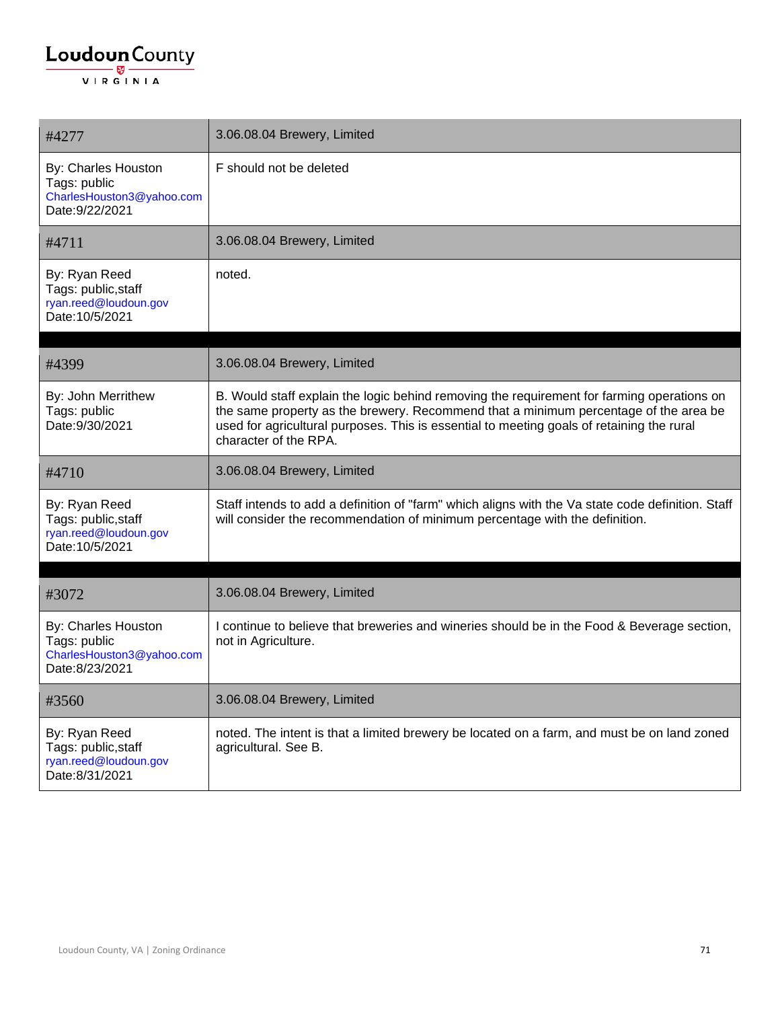| #4277                                                                               | 3.06.08.04 Brewery, Limited                                                                                                                                                                                                                                                                              |
|-------------------------------------------------------------------------------------|----------------------------------------------------------------------------------------------------------------------------------------------------------------------------------------------------------------------------------------------------------------------------------------------------------|
| By: Charles Houston<br>Tags: public<br>CharlesHouston3@yahoo.com<br>Date: 9/22/2021 | F should not be deleted                                                                                                                                                                                                                                                                                  |
| #4711                                                                               | 3.06.08.04 Brewery, Limited                                                                                                                                                                                                                                                                              |
| By: Ryan Reed<br>Tags: public, staff<br>ryan.reed@loudoun.gov<br>Date: 10/5/2021    | noted.                                                                                                                                                                                                                                                                                                   |
| #4399                                                                               | 3.06.08.04 Brewery, Limited                                                                                                                                                                                                                                                                              |
| By: John Merrithew<br>Tags: public<br>Date: 9/30/2021                               | B. Would staff explain the logic behind removing the requirement for farming operations on<br>the same property as the brewery. Recommend that a minimum percentage of the area be<br>used for agricultural purposes. This is essential to meeting goals of retaining the rural<br>character of the RPA. |
| #4710                                                                               | 3.06.08.04 Brewery, Limited                                                                                                                                                                                                                                                                              |
| By: Ryan Reed<br>Tags: public, staff<br>ryan.reed@loudoun.gov<br>Date: 10/5/2021    | Staff intends to add a definition of "farm" which aligns with the Va state code definition. Staff<br>will consider the recommendation of minimum percentage with the definition.                                                                                                                         |
|                                                                                     | 3.06.08.04 Brewery, Limited                                                                                                                                                                                                                                                                              |
| #3072                                                                               |                                                                                                                                                                                                                                                                                                          |
| By: Charles Houston<br>Tags: public<br>CharlesHouston3@yahoo.com<br>Date:8/23/2021  | I continue to believe that breweries and wineries should be in the Food & Beverage section,<br>not in Agriculture.                                                                                                                                                                                       |
| #3560                                                                               | 3.06.08.04 Brewery, Limited                                                                                                                                                                                                                                                                              |
| By: Ryan Reed<br>Tags: public, staff<br>ryan.reed@loudoun.gov<br>Date:8/31/2021     | noted. The intent is that a limited brewery be located on a farm, and must be on land zoned<br>agricultural. See B.                                                                                                                                                                                      |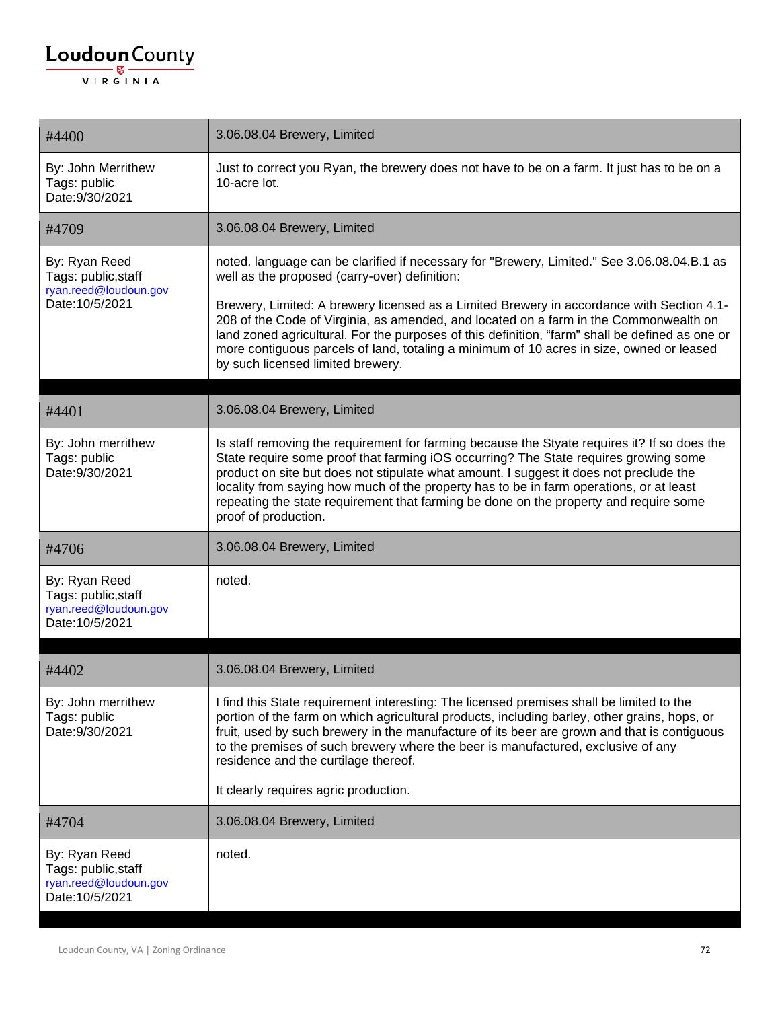| #4400                                                                            | 3.06.08.04 Brewery, Limited                                                                                                                                                                                                                                                                                                                                                                                                                                                                                                                                            |
|----------------------------------------------------------------------------------|------------------------------------------------------------------------------------------------------------------------------------------------------------------------------------------------------------------------------------------------------------------------------------------------------------------------------------------------------------------------------------------------------------------------------------------------------------------------------------------------------------------------------------------------------------------------|
| By: John Merrithew<br>Tags: public<br>Date: 9/30/2021                            | Just to correct you Ryan, the brewery does not have to be on a farm. It just has to be on a<br>10-acre lot.                                                                                                                                                                                                                                                                                                                                                                                                                                                            |
| #4709                                                                            | 3.06.08.04 Brewery, Limited                                                                                                                                                                                                                                                                                                                                                                                                                                                                                                                                            |
| By: Ryan Reed<br>Tags: public, staff<br>ryan.reed@loudoun.gov<br>Date: 10/5/2021 | noted. language can be clarified if necessary for "Brewery, Limited." See 3.06.08.04.B.1 as<br>well as the proposed (carry-over) definition:<br>Brewery, Limited: A brewery licensed as a Limited Brewery in accordance with Section 4.1-<br>208 of the Code of Virginia, as amended, and located on a farm in the Commonwealth on<br>land zoned agricultural. For the purposes of this definition, "farm" shall be defined as one or<br>more contiguous parcels of land, totaling a minimum of 10 acres in size, owned or leased<br>by such licensed limited brewery. |
| #4401                                                                            | 3.06.08.04 Brewery, Limited                                                                                                                                                                                                                                                                                                                                                                                                                                                                                                                                            |
| By: John merrithew<br>Tags: public<br>Date: 9/30/2021                            | Is staff removing the requirement for farming because the Styate requires it? If so does the<br>State require some proof that farming iOS occurring? The State requires growing some<br>product on site but does not stipulate what amount. I suggest it does not preclude the<br>locality from saying how much of the property has to be in farm operations, or at least<br>repeating the state requirement that farming be done on the property and require some<br>proof of production.                                                                             |
| #4706                                                                            | 3.06.08.04 Brewery, Limited                                                                                                                                                                                                                                                                                                                                                                                                                                                                                                                                            |
| By: Ryan Reed<br>Tags: public, staff<br>ryan.reed@loudoun.gov<br>Date: 10/5/2021 | noted.                                                                                                                                                                                                                                                                                                                                                                                                                                                                                                                                                                 |
| #4402                                                                            | 3.06.08.04 Brewery, Limited                                                                                                                                                                                                                                                                                                                                                                                                                                                                                                                                            |
| By: John merrithew<br>Tags: public<br>Date: 9/30/2021                            | I find this State requirement interesting: The licensed premises shall be limited to the<br>portion of the farm on which agricultural products, including barley, other grains, hops, or<br>fruit, used by such brewery in the manufacture of its beer are grown and that is contiguous<br>to the premises of such brewery where the beer is manufactured, exclusive of any<br>residence and the curtilage thereof.                                                                                                                                                    |
|                                                                                  | It clearly requires agric production.                                                                                                                                                                                                                                                                                                                                                                                                                                                                                                                                  |
| #4704                                                                            | 3.06.08.04 Brewery, Limited                                                                                                                                                                                                                                                                                                                                                                                                                                                                                                                                            |
| By: Ryan Reed<br>Tags: public, staff<br>ryan.reed@loudoun.gov<br>Date: 10/5/2021 | noted.                                                                                                                                                                                                                                                                                                                                                                                                                                                                                                                                                                 |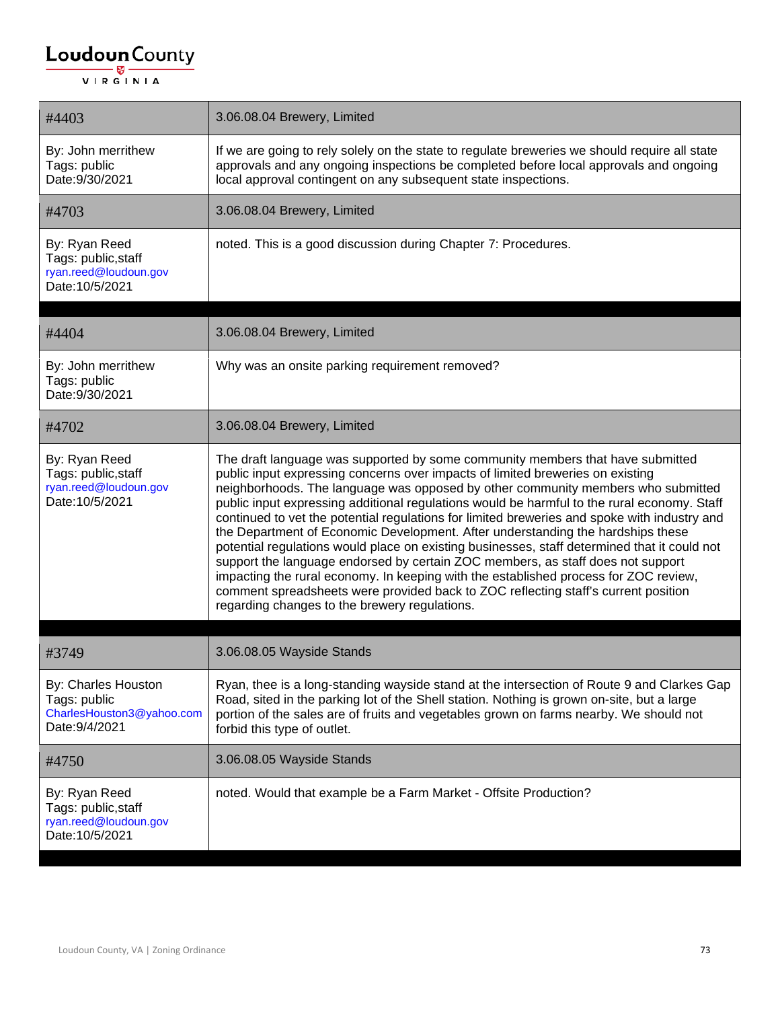| #4403                                                                              | 3.06.08.04 Brewery, Limited                                                                                                                                                                                                                                                                                                                                                                                                                                                                                                                                                                                                                                                                                                                                                                                                                                                                                                                              |
|------------------------------------------------------------------------------------|----------------------------------------------------------------------------------------------------------------------------------------------------------------------------------------------------------------------------------------------------------------------------------------------------------------------------------------------------------------------------------------------------------------------------------------------------------------------------------------------------------------------------------------------------------------------------------------------------------------------------------------------------------------------------------------------------------------------------------------------------------------------------------------------------------------------------------------------------------------------------------------------------------------------------------------------------------|
| By: John merrithew<br>Tags: public<br>Date: 9/30/2021                              | If we are going to rely solely on the state to regulate breweries we should require all state<br>approvals and any ongoing inspections be completed before local approvals and ongoing<br>local approval contingent on any subsequent state inspections.                                                                                                                                                                                                                                                                                                                                                                                                                                                                                                                                                                                                                                                                                                 |
| #4703                                                                              | 3.06.08.04 Brewery, Limited                                                                                                                                                                                                                                                                                                                                                                                                                                                                                                                                                                                                                                                                                                                                                                                                                                                                                                                              |
| By: Ryan Reed<br>Tags: public, staff<br>ryan.reed@loudoun.gov<br>Date: 10/5/2021   | noted. This is a good discussion during Chapter 7: Procedures.                                                                                                                                                                                                                                                                                                                                                                                                                                                                                                                                                                                                                                                                                                                                                                                                                                                                                           |
|                                                                                    |                                                                                                                                                                                                                                                                                                                                                                                                                                                                                                                                                                                                                                                                                                                                                                                                                                                                                                                                                          |
| #4404                                                                              | 3.06.08.04 Brewery, Limited                                                                                                                                                                                                                                                                                                                                                                                                                                                                                                                                                                                                                                                                                                                                                                                                                                                                                                                              |
| By: John merrithew<br>Tags: public<br>Date: 9/30/2021                              | Why was an onsite parking requirement removed?                                                                                                                                                                                                                                                                                                                                                                                                                                                                                                                                                                                                                                                                                                                                                                                                                                                                                                           |
| #4702                                                                              | 3.06.08.04 Brewery, Limited                                                                                                                                                                                                                                                                                                                                                                                                                                                                                                                                                                                                                                                                                                                                                                                                                                                                                                                              |
| By: Ryan Reed<br>Tags: public, staff<br>ryan.reed@loudoun.gov<br>Date: 10/5/2021   | The draft language was supported by some community members that have submitted<br>public input expressing concerns over impacts of limited breweries on existing<br>neighborhoods. The language was opposed by other community members who submitted<br>public input expressing additional regulations would be harmful to the rural economy. Staff<br>continued to vet the potential regulations for limited breweries and spoke with industry and<br>the Department of Economic Development. After understanding the hardships these<br>potential regulations would place on existing businesses, staff determined that it could not<br>support the language endorsed by certain ZOC members, as staff does not support<br>impacting the rural economy. In keeping with the established process for ZOC review,<br>comment spreadsheets were provided back to ZOC reflecting staff's current position<br>regarding changes to the brewery regulations. |
| #3749                                                                              | 3.06.08.05 Wayside Stands                                                                                                                                                                                                                                                                                                                                                                                                                                                                                                                                                                                                                                                                                                                                                                                                                                                                                                                                |
| By: Charles Houston<br>Tags: public<br>CharlesHouston3@yahoo.com<br>Date: 9/4/2021 | Ryan, thee is a long-standing wayside stand at the intersection of Route 9 and Clarkes Gap<br>Road, sited in the parking lot of the Shell station. Nothing is grown on-site, but a large<br>portion of the sales are of fruits and vegetables grown on farms nearby. We should not<br>forbid this type of outlet.                                                                                                                                                                                                                                                                                                                                                                                                                                                                                                                                                                                                                                        |
| #4750                                                                              | 3.06.08.05 Wayside Stands                                                                                                                                                                                                                                                                                                                                                                                                                                                                                                                                                                                                                                                                                                                                                                                                                                                                                                                                |
| By: Ryan Reed<br>Tags: public, staff<br>ryan.reed@loudoun.gov<br>Date: 10/5/2021   | noted. Would that example be a Farm Market - Offsite Production?                                                                                                                                                                                                                                                                                                                                                                                                                                                                                                                                                                                                                                                                                                                                                                                                                                                                                         |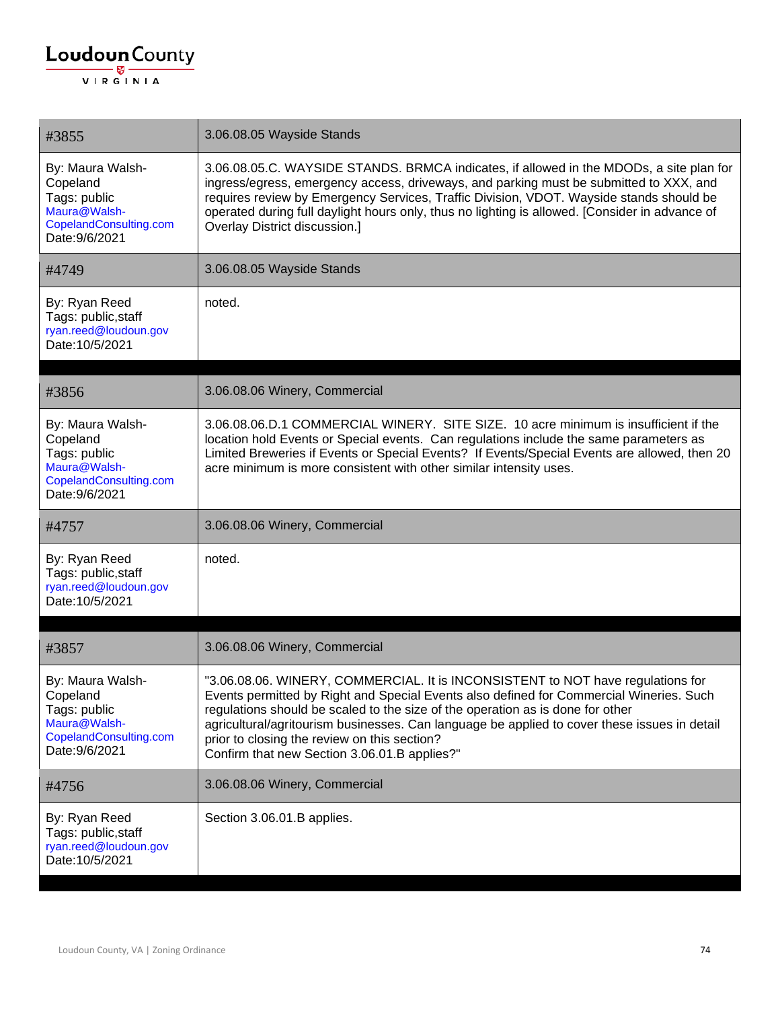| #3855                                                                                                    | 3.06.08.05 Wayside Stands                                                                                                                                                                                                                                                                                                                                                                                                                                    |
|----------------------------------------------------------------------------------------------------------|--------------------------------------------------------------------------------------------------------------------------------------------------------------------------------------------------------------------------------------------------------------------------------------------------------------------------------------------------------------------------------------------------------------------------------------------------------------|
| By: Maura Walsh-<br>Copeland<br>Tags: public<br>Maura@Walsh-<br>CopelandConsulting.com<br>Date: 9/6/2021 | 3.06.08.05.C. WAYSIDE STANDS. BRMCA indicates, if allowed in the MDODs, a site plan for<br>ingress/egress, emergency access, driveways, and parking must be submitted to XXX, and<br>requires review by Emergency Services, Traffic Division, VDOT. Wayside stands should be<br>operated during full daylight hours only, thus no lighting is allowed. [Consider in advance of<br><b>Overlay District discussion.]</b>                                       |
| #4749                                                                                                    | 3.06.08.05 Wayside Stands                                                                                                                                                                                                                                                                                                                                                                                                                                    |
| By: Ryan Reed<br>Tags: public, staff<br>ryan.reed@loudoun.gov<br>Date: 10/5/2021                         | noted.                                                                                                                                                                                                                                                                                                                                                                                                                                                       |
| #3856                                                                                                    | 3.06.08.06 Winery, Commercial                                                                                                                                                                                                                                                                                                                                                                                                                                |
| By: Maura Walsh-<br>Copeland<br>Tags: public<br>Maura@Walsh-<br>CopelandConsulting.com<br>Date: 9/6/2021 | 3.06.08.06.D.1 COMMERCIAL WINERY. SITE SIZE. 10 acre minimum is insufficient if the<br>location hold Events or Special events. Can regulations include the same parameters as<br>Limited Breweries if Events or Special Events? If Events/Special Events are allowed, then 20<br>acre minimum is more consistent with other similar intensity uses.                                                                                                          |
| #4757                                                                                                    | 3.06.08.06 Winery, Commercial                                                                                                                                                                                                                                                                                                                                                                                                                                |
| By: Ryan Reed<br>Tags: public, staff<br>ryan.reed@loudoun.gov<br>Date: 10/5/2021                         | noted.                                                                                                                                                                                                                                                                                                                                                                                                                                                       |
| #3857                                                                                                    | 3.06.08.06 Winery, Commercial                                                                                                                                                                                                                                                                                                                                                                                                                                |
| By: Maura Walsh-<br>Copeland<br>Tags: public<br>Maura@Walsh-<br>CopelandConsulting.com<br>Date: 9/6/2021 | "3.06.08.06. WINERY, COMMERCIAL. It is INCONSISTENT to NOT have regulations for<br>Events permitted by Right and Special Events also defined for Commercial Wineries. Such<br>regulations should be scaled to the size of the operation as is done for other<br>agricultural/agritourism businesses. Can language be applied to cover these issues in detail<br>prior to closing the review on this section?<br>Confirm that new Section 3.06.01.B applies?" |
| #4756                                                                                                    | 3.06.08.06 Winery, Commercial                                                                                                                                                                                                                                                                                                                                                                                                                                |
| By: Ryan Reed<br>Tags: public, staff<br>ryan.reed@loudoun.gov<br>Date: 10/5/2021                         | Section 3.06.01.B applies.                                                                                                                                                                                                                                                                                                                                                                                                                                   |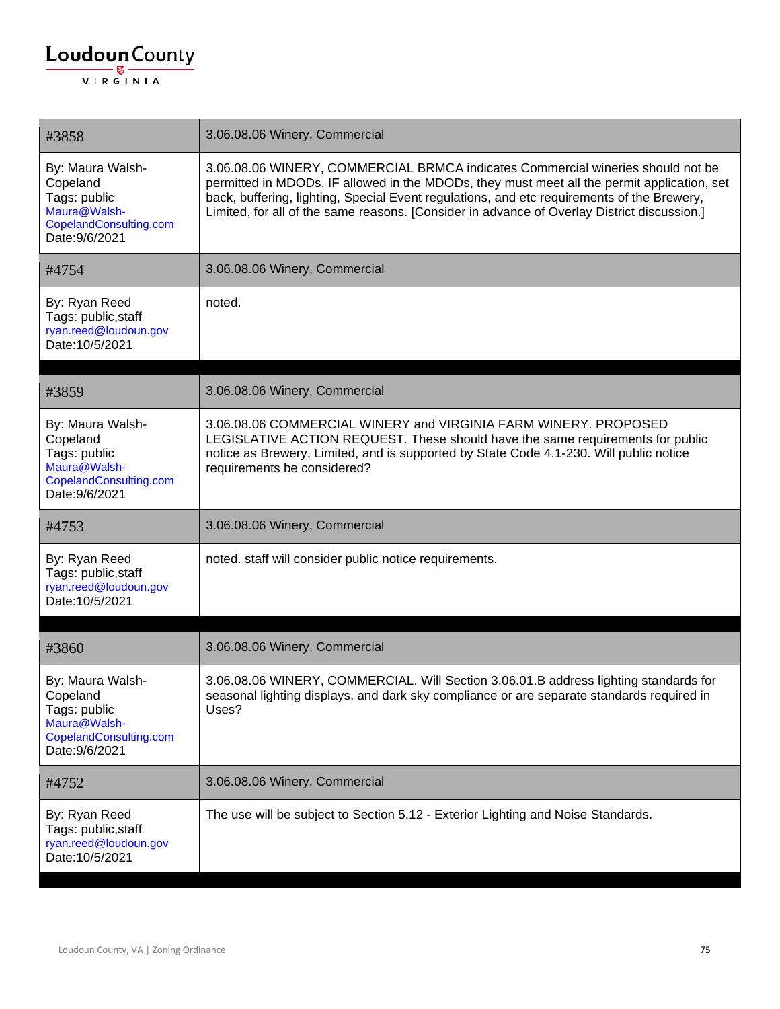| #3858                                                                                                    | 3.06.08.06 Winery, Commercial                                                                                                                                                                                                                                                                                                                                               |
|----------------------------------------------------------------------------------------------------------|-----------------------------------------------------------------------------------------------------------------------------------------------------------------------------------------------------------------------------------------------------------------------------------------------------------------------------------------------------------------------------|
| By: Maura Walsh-<br>Copeland<br>Tags: public<br>Maura@Walsh-<br>CopelandConsulting.com<br>Date: 9/6/2021 | 3.06.08.06 WINERY, COMMERCIAL BRMCA indicates Commercial wineries should not be<br>permitted in MDODs. IF allowed in the MDODs, they must meet all the permit application, set<br>back, buffering, lighting, Special Event regulations, and etc requirements of the Brewery,<br>Limited, for all of the same reasons. [Consider in advance of Overlay District discussion.] |
| #4754                                                                                                    | 3.06.08.06 Winery, Commercial                                                                                                                                                                                                                                                                                                                                               |
| By: Ryan Reed<br>Tags: public, staff<br>ryan.reed@loudoun.gov<br>Date: 10/5/2021                         | noted.                                                                                                                                                                                                                                                                                                                                                                      |
| #3859                                                                                                    | 3.06.08.06 Winery, Commercial                                                                                                                                                                                                                                                                                                                                               |
| By: Maura Walsh-<br>Copeland<br>Tags: public<br>Maura@Walsh-<br>CopelandConsulting.com<br>Date: 9/6/2021 | 3.06.08.06 COMMERCIAL WINERY and VIRGINIA FARM WINERY, PROPOSED<br>LEGISLATIVE ACTION REQUEST. These should have the same requirements for public<br>notice as Brewery, Limited, and is supported by State Code 4.1-230. Will public notice<br>requirements be considered?                                                                                                  |
| #4753                                                                                                    | 3.06.08.06 Winery, Commercial                                                                                                                                                                                                                                                                                                                                               |
| By: Ryan Reed<br>Tags: public, staff<br>ryan.reed@loudoun.gov<br>Date: 10/5/2021                         | noted. staff will consider public notice requirements.                                                                                                                                                                                                                                                                                                                      |
| #3860                                                                                                    | 3.06.08.06 Winery, Commercial                                                                                                                                                                                                                                                                                                                                               |
| By: Maura Walsh-<br>Copeland<br>Tags: public<br>Maura@Walsh-<br>CopelandConsulting.com<br>Date: 9/6/2021 | 3.06.08.06 WINERY, COMMERCIAL. Will Section 3.06.01.B address lighting standards for<br>seasonal lighting displays, and dark sky compliance or are separate standards required in<br>Uses?                                                                                                                                                                                  |
| #4752                                                                                                    | 3.06.08.06 Winery, Commercial                                                                                                                                                                                                                                                                                                                                               |
| By: Ryan Reed<br>Tags: public, staff<br>ryan.reed@loudoun.gov<br>Date: 10/5/2021                         | The use will be subject to Section 5.12 - Exterior Lighting and Noise Standards.                                                                                                                                                                                                                                                                                            |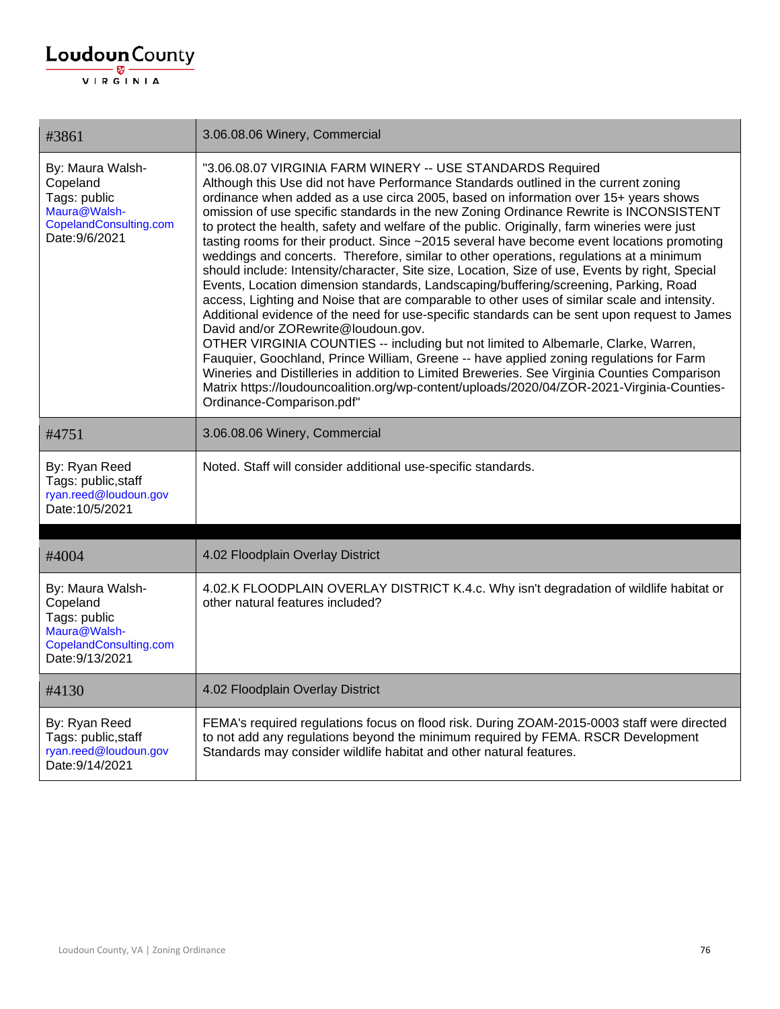| #3861                                                                                                     | 3.06.08.06 Winery, Commercial                                                                                                                                                                                                                                                                                                                                                                                                                                                                                                                                                                                                                                                                                                                                                                                                                                                                                                                                                                                                                                                                                                                                                                                                                                                                                                                                                                                                                                             |
|-----------------------------------------------------------------------------------------------------------|---------------------------------------------------------------------------------------------------------------------------------------------------------------------------------------------------------------------------------------------------------------------------------------------------------------------------------------------------------------------------------------------------------------------------------------------------------------------------------------------------------------------------------------------------------------------------------------------------------------------------------------------------------------------------------------------------------------------------------------------------------------------------------------------------------------------------------------------------------------------------------------------------------------------------------------------------------------------------------------------------------------------------------------------------------------------------------------------------------------------------------------------------------------------------------------------------------------------------------------------------------------------------------------------------------------------------------------------------------------------------------------------------------------------------------------------------------------------------|
| By: Maura Walsh-<br>Copeland<br>Tags: public<br>Maura@Walsh-<br>CopelandConsulting.com<br>Date: 9/6/2021  | "3.06.08.07 VIRGINIA FARM WINERY -- USE STANDARDS Required<br>Although this Use did not have Performance Standards outlined in the current zoning<br>ordinance when added as a use circa 2005, based on information over 15+ years shows<br>omission of use specific standards in the new Zoning Ordinance Rewrite is INCONSISTENT<br>to protect the health, safety and welfare of the public. Originally, farm wineries were just<br>tasting rooms for their product. Since ~2015 several have become event locations promoting<br>weddings and concerts. Therefore, similar to other operations, regulations at a minimum<br>should include: Intensity/character, Site size, Location, Size of use, Events by right, Special<br>Events, Location dimension standards, Landscaping/buffering/screening, Parking, Road<br>access, Lighting and Noise that are comparable to other uses of similar scale and intensity.<br>Additional evidence of the need for use-specific standards can be sent upon request to James<br>David and/or ZORewrite@loudoun.gov.<br>OTHER VIRGINIA COUNTIES -- including but not limited to Albemarle, Clarke, Warren,<br>Fauquier, Goochland, Prince William, Greene -- have applied zoning regulations for Farm<br>Wineries and Distilleries in addition to Limited Breweries. See Virginia Counties Comparison<br>Matrix https://loudouncoalition.org/wp-content/uploads/2020/04/ZOR-2021-Virginia-Counties-<br>Ordinance-Comparison.pdf" |
| #4751                                                                                                     | 3.06.08.06 Winery, Commercial                                                                                                                                                                                                                                                                                                                                                                                                                                                                                                                                                                                                                                                                                                                                                                                                                                                                                                                                                                                                                                                                                                                                                                                                                                                                                                                                                                                                                                             |
| By: Ryan Reed<br>Tags: public, staff<br>ryan.reed@loudoun.gov<br>Date: 10/5/2021                          | Noted. Staff will consider additional use-specific standards.                                                                                                                                                                                                                                                                                                                                                                                                                                                                                                                                                                                                                                                                                                                                                                                                                                                                                                                                                                                                                                                                                                                                                                                                                                                                                                                                                                                                             |
| #4004                                                                                                     | 4.02 Floodplain Overlay District                                                                                                                                                                                                                                                                                                                                                                                                                                                                                                                                                                                                                                                                                                                                                                                                                                                                                                                                                                                                                                                                                                                                                                                                                                                                                                                                                                                                                                          |
| By: Maura Walsh-<br>Copeland<br>Tags: public<br>Maura@Walsh-<br>CopelandConsulting.com<br>Date: 9/13/2021 | 4.02.K FLOODPLAIN OVERLAY DISTRICT K.4.c. Why isn't degradation of wildlife habitat or<br>other natural features included?                                                                                                                                                                                                                                                                                                                                                                                                                                                                                                                                                                                                                                                                                                                                                                                                                                                                                                                                                                                                                                                                                                                                                                                                                                                                                                                                                |
| #4130                                                                                                     | 4.02 Floodplain Overlay District                                                                                                                                                                                                                                                                                                                                                                                                                                                                                                                                                                                                                                                                                                                                                                                                                                                                                                                                                                                                                                                                                                                                                                                                                                                                                                                                                                                                                                          |
| By: Ryan Reed<br>Tags: public, staff<br>ryan.reed@loudoun.gov<br>Date: 9/14/2021                          | FEMA's required regulations focus on flood risk. During ZOAM-2015-0003 staff were directed<br>to not add any regulations beyond the minimum required by FEMA. RSCR Development<br>Standards may consider wildlife habitat and other natural features.                                                                                                                                                                                                                                                                                                                                                                                                                                                                                                                                                                                                                                                                                                                                                                                                                                                                                                                                                                                                                                                                                                                                                                                                                     |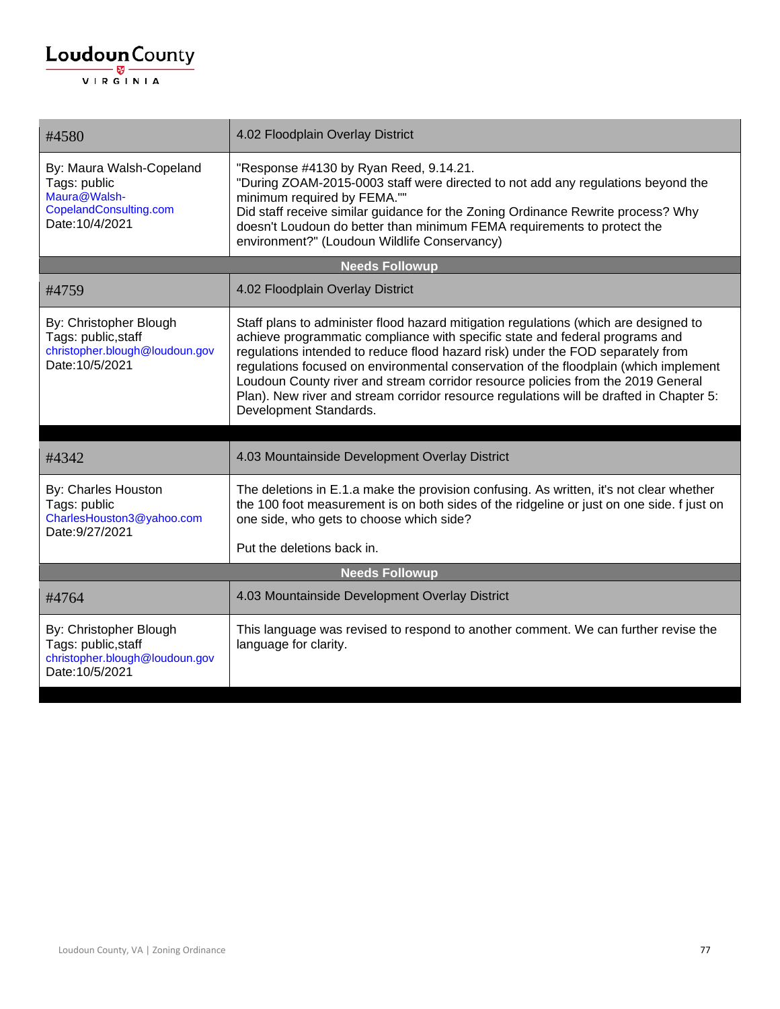| #4580                                                                                                 | 4.02 Floodplain Overlay District                                                                                                                                                                                                                                                                                                                                                                                                                                                                                                                         |
|-------------------------------------------------------------------------------------------------------|----------------------------------------------------------------------------------------------------------------------------------------------------------------------------------------------------------------------------------------------------------------------------------------------------------------------------------------------------------------------------------------------------------------------------------------------------------------------------------------------------------------------------------------------------------|
| By: Maura Walsh-Copeland<br>Tags: public<br>Maura@Walsh-<br>CopelandConsulting.com<br>Date: 10/4/2021 | "Response #4130 by Ryan Reed, 9.14.21.<br>"During ZOAM-2015-0003 staff were directed to not add any regulations beyond the<br>minimum required by FEMA.""<br>Did staff receive similar guidance for the Zoning Ordinance Rewrite process? Why<br>doesn't Loudoun do better than minimum FEMA requirements to protect the<br>environment?" (Loudoun Wildlife Conservancy)                                                                                                                                                                                 |
|                                                                                                       | <b>Needs Followup</b>                                                                                                                                                                                                                                                                                                                                                                                                                                                                                                                                    |
| #4759                                                                                                 | 4.02 Floodplain Overlay District                                                                                                                                                                                                                                                                                                                                                                                                                                                                                                                         |
| By: Christopher Blough<br>Tags: public, staff<br>christopher.blough@loudoun.gov<br>Date: 10/5/2021    | Staff plans to administer flood hazard mitigation regulations (which are designed to<br>achieve programmatic compliance with specific state and federal programs and<br>regulations intended to reduce flood hazard risk) under the FOD separately from<br>regulations focused on environmental conservation of the floodplain (which implement<br>Loudoun County river and stream corridor resource policies from the 2019 General<br>Plan). New river and stream corridor resource regulations will be drafted in Chapter 5:<br>Development Standards. |
|                                                                                                       |                                                                                                                                                                                                                                                                                                                                                                                                                                                                                                                                                          |
| #4342                                                                                                 | 4.03 Mountainside Development Overlay District                                                                                                                                                                                                                                                                                                                                                                                                                                                                                                           |
| By: Charles Houston<br>Tags: public<br>CharlesHouston3@yahoo.com<br>Date: 9/27/2021                   | The deletions in E.1.a make the provision confusing. As written, it's not clear whether<br>the 100 foot measurement is on both sides of the ridgeline or just on one side. f just on<br>one side, who gets to choose which side?                                                                                                                                                                                                                                                                                                                         |
|                                                                                                       | Put the deletions back in.                                                                                                                                                                                                                                                                                                                                                                                                                                                                                                                               |
| <b>Needs Followup</b>                                                                                 |                                                                                                                                                                                                                                                                                                                                                                                                                                                                                                                                                          |
| #4764                                                                                                 | 4.03 Mountainside Development Overlay District                                                                                                                                                                                                                                                                                                                                                                                                                                                                                                           |
| By: Christopher Blough<br>Tags: public, staff<br>christopher.blough@loudoun.gov<br>Date: 10/5/2021    | This language was revised to respond to another comment. We can further revise the<br>language for clarity.                                                                                                                                                                                                                                                                                                                                                                                                                                              |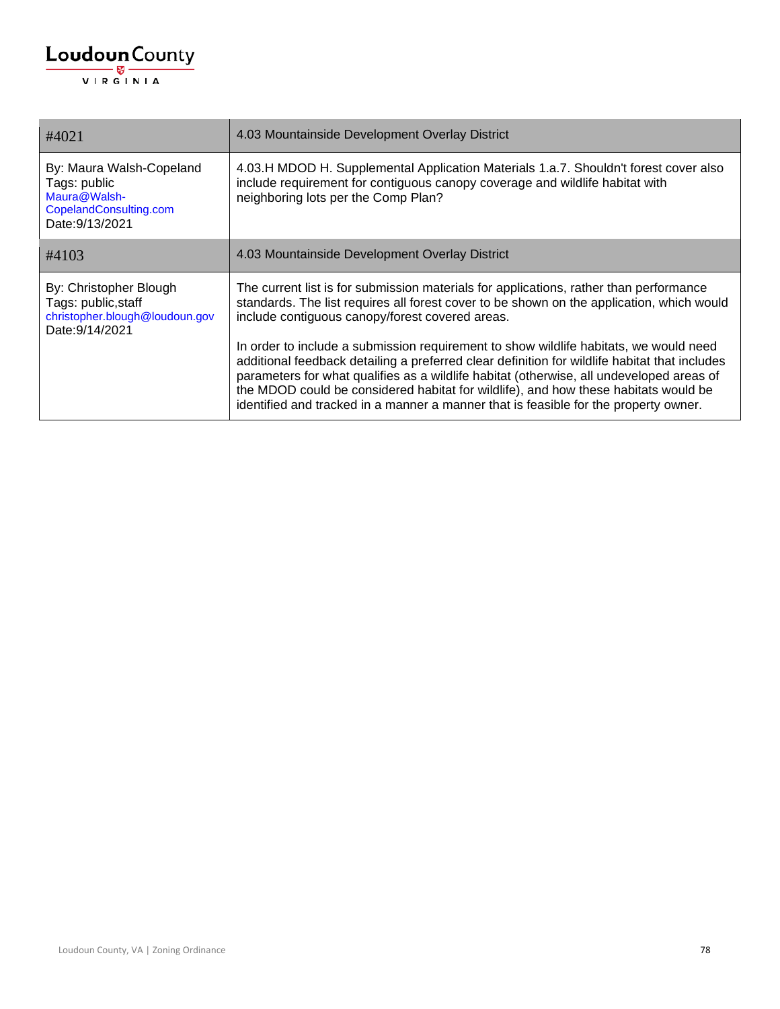| #4021                                                                                                 | 4.03 Mountainside Development Overlay District                                                                                                                                                                                                                                                                                                                                                                                                                                                                                                                                                                                                                                                              |
|-------------------------------------------------------------------------------------------------------|-------------------------------------------------------------------------------------------------------------------------------------------------------------------------------------------------------------------------------------------------------------------------------------------------------------------------------------------------------------------------------------------------------------------------------------------------------------------------------------------------------------------------------------------------------------------------------------------------------------------------------------------------------------------------------------------------------------|
| By: Maura Walsh-Copeland<br>Tags: public<br>Maura@Walsh-<br>CopelandConsulting.com<br>Date: 9/13/2021 | 4.03.H MDOD H. Supplemental Application Materials 1.a.7. Shouldn't forest cover also<br>include requirement for contiguous canopy coverage and wildlife habitat with<br>neighboring lots per the Comp Plan?                                                                                                                                                                                                                                                                                                                                                                                                                                                                                                 |
| #4103                                                                                                 | 4.03 Mountainside Development Overlay District                                                                                                                                                                                                                                                                                                                                                                                                                                                                                                                                                                                                                                                              |
| By: Christopher Blough<br>Tags: public, staff<br>christopher.blough@loudoun.gov<br>Date: 9/14/2021    | The current list is for submission materials for applications, rather than performance<br>standards. The list requires all forest cover to be shown on the application, which would<br>include contiguous canopy/forest covered areas.<br>In order to include a submission requirement to show wildlife habitats, we would need<br>additional feedback detailing a preferred clear definition for wildlife habitat that includes<br>parameters for what qualifies as a wildlife habitat (otherwise, all undeveloped areas of<br>the MDOD could be considered habitat for wildlife), and how these habitats would be<br>identified and tracked in a manner a manner that is feasible for the property owner. |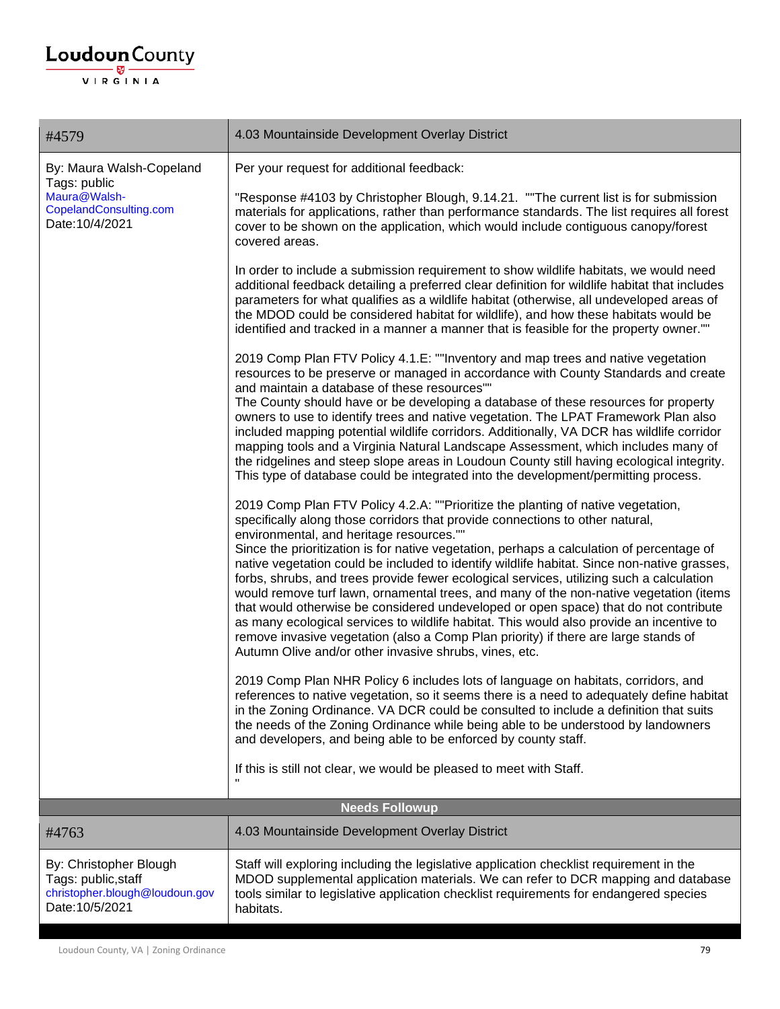## $\underbrace{\textbf{Loudoun}\xspace}_{\text{VIR GINIA}}$

| #4579                                                                                                 | 4.03 Mountainside Development Overlay District                                                                                                                                                                                                                                                                                                                                                                                                                                                                                                                                                                                                                                                                                                                                                                                                                                                                                                                                                                                                                                                                                                                                                                                                                                                       |
|-------------------------------------------------------------------------------------------------------|------------------------------------------------------------------------------------------------------------------------------------------------------------------------------------------------------------------------------------------------------------------------------------------------------------------------------------------------------------------------------------------------------------------------------------------------------------------------------------------------------------------------------------------------------------------------------------------------------------------------------------------------------------------------------------------------------------------------------------------------------------------------------------------------------------------------------------------------------------------------------------------------------------------------------------------------------------------------------------------------------------------------------------------------------------------------------------------------------------------------------------------------------------------------------------------------------------------------------------------------------------------------------------------------------|
| By: Maura Walsh-Copeland<br>Tags: public<br>Maura@Walsh-<br>CopelandConsulting.com<br>Date: 10/4/2021 | Per your request for additional feedback:                                                                                                                                                                                                                                                                                                                                                                                                                                                                                                                                                                                                                                                                                                                                                                                                                                                                                                                                                                                                                                                                                                                                                                                                                                                            |
|                                                                                                       | "Response #4103 by Christopher Blough, 9.14.21. ""The current list is for submission<br>materials for applications, rather than performance standards. The list requires all forest<br>cover to be shown on the application, which would include contiguous canopy/forest<br>covered areas.                                                                                                                                                                                                                                                                                                                                                                                                                                                                                                                                                                                                                                                                                                                                                                                                                                                                                                                                                                                                          |
|                                                                                                       | In order to include a submission requirement to show wildlife habitats, we would need<br>additional feedback detailing a preferred clear definition for wildlife habitat that includes<br>parameters for what qualifies as a wildlife habitat (otherwise, all undeveloped areas of<br>the MDOD could be considered habitat for wildlife), and how these habitats would be<br>identified and tracked in a manner a manner that is feasible for the property owner.""                                                                                                                                                                                                                                                                                                                                                                                                                                                                                                                                                                                                                                                                                                                                                                                                                                  |
|                                                                                                       | 2019 Comp Plan FTV Policy 4.1.E: ""Inventory and map trees and native vegetation<br>resources to be preserve or managed in accordance with County Standards and create<br>and maintain a database of these resources""<br>The County should have or be developing a database of these resources for property<br>owners to use to identify trees and native vegetation. The LPAT Framework Plan also<br>included mapping potential wildlife corridors. Additionally, VA DCR has wildlife corridor<br>mapping tools and a Virginia Natural Landscape Assessment, which includes many of<br>the ridgelines and steep slope areas in Loudoun County still having ecological integrity.<br>This type of database could be integrated into the development/permitting process.                                                                                                                                                                                                                                                                                                                                                                                                                                                                                                                             |
|                                                                                                       | 2019 Comp Plan FTV Policy 4.2.A: ""Prioritize the planting of native vegetation,<br>specifically along those corridors that provide connections to other natural,<br>environmental, and heritage resources.""<br>Since the prioritization is for native vegetation, perhaps a calculation of percentage of<br>native vegetation could be included to identify wildlife habitat. Since non-native grasses,<br>forbs, shrubs, and trees provide fewer ecological services, utilizing such a calculation<br>would remove turf lawn, ornamental trees, and many of the non-native vegetation (items<br>that would otherwise be considered undeveloped or open space) that do not contribute<br>as many ecological services to wildlife habitat. This would also provide an incentive to<br>remove invasive vegetation (also a Comp Plan priority) if there are large stands of<br>Autumn Olive and/or other invasive shrubs, vines, etc.<br>2019 Comp Plan NHR Policy 6 includes lots of language on habitats, corridors, and<br>references to native vegetation, so it seems there is a need to adequately define habitat<br>in the Zoning Ordinance. VA DCR could be consulted to include a definition that suits<br>the needs of the Zoning Ordinance while being able to be understood by landowners |
|                                                                                                       | and developers, and being able to be enforced by county staff.                                                                                                                                                                                                                                                                                                                                                                                                                                                                                                                                                                                                                                                                                                                                                                                                                                                                                                                                                                                                                                                                                                                                                                                                                                       |
|                                                                                                       | If this is still not clear, we would be pleased to meet with Staff.                                                                                                                                                                                                                                                                                                                                                                                                                                                                                                                                                                                                                                                                                                                                                                                                                                                                                                                                                                                                                                                                                                                                                                                                                                  |
|                                                                                                       | <b>Needs Followup</b>                                                                                                                                                                                                                                                                                                                                                                                                                                                                                                                                                                                                                                                                                                                                                                                                                                                                                                                                                                                                                                                                                                                                                                                                                                                                                |
| #4763                                                                                                 | 4.03 Mountainside Development Overlay District                                                                                                                                                                                                                                                                                                                                                                                                                                                                                                                                                                                                                                                                                                                                                                                                                                                                                                                                                                                                                                                                                                                                                                                                                                                       |
| By: Christopher Blough<br>Tags: public, staff<br>christopher.blough@loudoun.gov<br>Date: 10/5/2021    | Staff will exploring including the legislative application checklist requirement in the<br>MDOD supplemental application materials. We can refer to DCR mapping and database<br>tools similar to legislative application checklist requirements for endangered species<br>habitats.                                                                                                                                                                                                                                                                                                                                                                                                                                                                                                                                                                                                                                                                                                                                                                                                                                                                                                                                                                                                                  |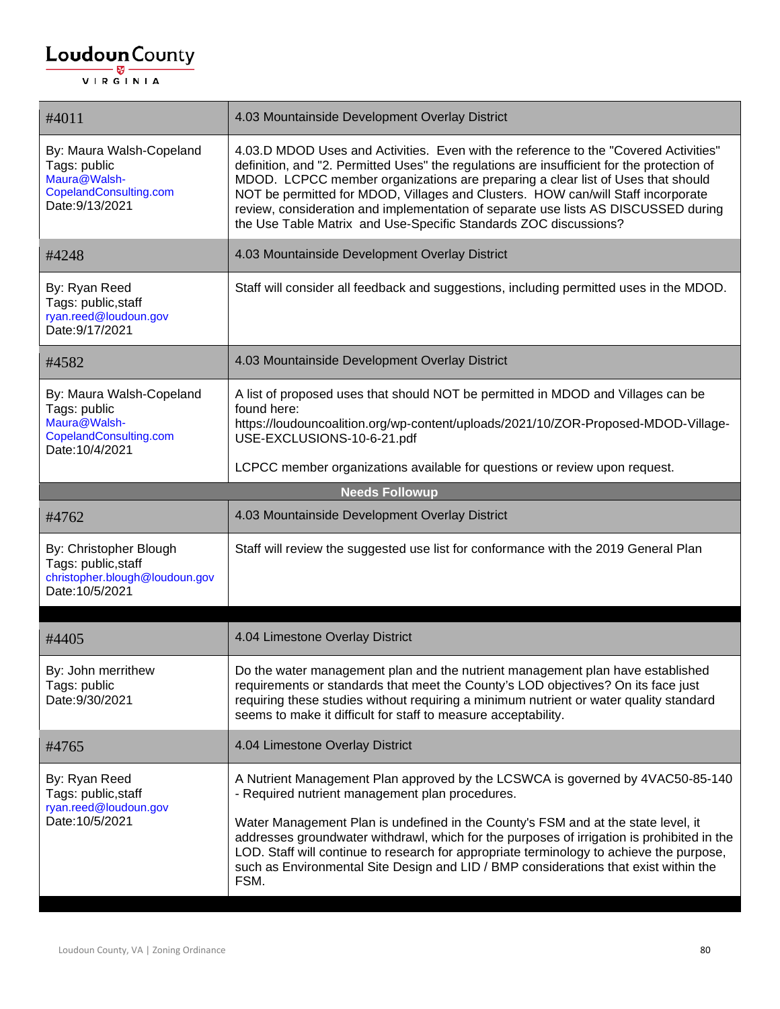| #4011                                                                                                 | 4.03 Mountainside Development Overlay District                                                                                                                                                                                                                                                                                                                                                                                                                                                                      |
|-------------------------------------------------------------------------------------------------------|---------------------------------------------------------------------------------------------------------------------------------------------------------------------------------------------------------------------------------------------------------------------------------------------------------------------------------------------------------------------------------------------------------------------------------------------------------------------------------------------------------------------|
| By: Maura Walsh-Copeland<br>Tags: public<br>Maura@Walsh-<br>CopelandConsulting.com<br>Date: 9/13/2021 | 4.03.D MDOD Uses and Activities. Even with the reference to the "Covered Activities"<br>definition, and "2. Permitted Uses" the regulations are insufficient for the protection of<br>MDOD. LCPCC member organizations are preparing a clear list of Uses that should<br>NOT be permitted for MDOD, Villages and Clusters. HOW can/will Staff incorporate<br>review, consideration and implementation of separate use lists AS DISCUSSED during<br>the Use Table Matrix and Use-Specific Standards ZOC discussions? |
| #4248                                                                                                 | 4.03 Mountainside Development Overlay District                                                                                                                                                                                                                                                                                                                                                                                                                                                                      |
| By: Ryan Reed<br>Tags: public, staff<br>ryan.reed@loudoun.gov<br>Date: 9/17/2021                      | Staff will consider all feedback and suggestions, including permitted uses in the MDOD.                                                                                                                                                                                                                                                                                                                                                                                                                             |
| #4582                                                                                                 | 4.03 Mountainside Development Overlay District                                                                                                                                                                                                                                                                                                                                                                                                                                                                      |
| By: Maura Walsh-Copeland<br>Tags: public<br>Maura@Walsh-<br>CopelandConsulting.com<br>Date: 10/4/2021 | A list of proposed uses that should NOT be permitted in MDOD and Villages can be<br>found here:<br>https://loudouncoalition.org/wp-content/uploads/2021/10/ZOR-Proposed-MDOD-Village-<br>USE-EXCLUSIONS-10-6-21.pdf                                                                                                                                                                                                                                                                                                 |
|                                                                                                       | LCPCC member organizations available for questions or review upon request.                                                                                                                                                                                                                                                                                                                                                                                                                                          |
|                                                                                                       | <b>Needs Followup</b>                                                                                                                                                                                                                                                                                                                                                                                                                                                                                               |
| #4762                                                                                                 | 4.03 Mountainside Development Overlay District                                                                                                                                                                                                                                                                                                                                                                                                                                                                      |
| By: Christopher Blough<br>Tags: public, staff<br>christopher.blough@loudoun.gov<br>Date: 10/5/2021    | Staff will review the suggested use list for conformance with the 2019 General Plan                                                                                                                                                                                                                                                                                                                                                                                                                                 |
| #4405                                                                                                 | 4.04 Limestone Overlay District                                                                                                                                                                                                                                                                                                                                                                                                                                                                                     |
| By: John merrithew<br>Tags: public<br>Date: 9/30/2021                                                 | Do the water management plan and the nutrient management plan have established<br>requirements or standards that meet the County's LOD objectives? On its face just<br>requiring these studies without requiring a minimum nutrient or water quality standard<br>seems to make it difficult for staff to measure acceptability.                                                                                                                                                                                     |
| #4765                                                                                                 | 4.04 Limestone Overlay District                                                                                                                                                                                                                                                                                                                                                                                                                                                                                     |
| By: Ryan Reed<br>Tags: public, staff<br>ryan.reed@loudoun.gov<br>Date: 10/5/2021                      | A Nutrient Management Plan approved by the LCSWCA is governed by 4VAC50-85-140<br>- Required nutrient management plan procedures.<br>Water Management Plan is undefined in the County's FSM and at the state level, it<br>addresses groundwater withdrawl, which for the purposes of irrigation is prohibited in the<br>LOD. Staff will continue to research for appropriate terminology to achieve the purpose,<br>such as Environmental Site Design and LID / BMP considerations that exist within the<br>FSM.    |